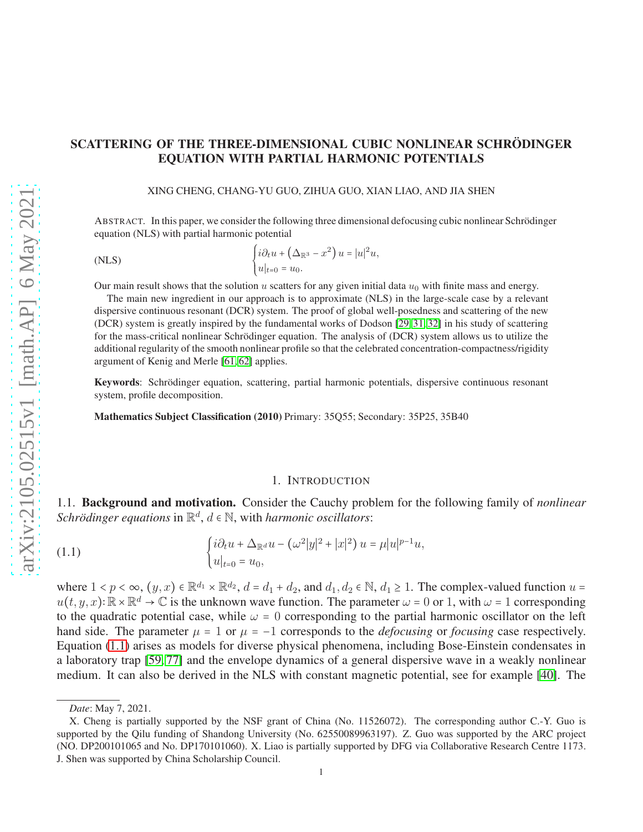# SCATTERING OF THE THREE-DIMENSIONAL CUBIC NONLINEAR SCHRÖDINGER EQUATION WITH PARTIAL HARMONIC POTENTIALS

XING CHENG, CHANG-YU GUO, ZIHUA GUO, XIAN LIAO, AND JIA SHEN

ABSTRACT. In this paper, we consider the following three dimensional defocusing cubic nonlinear Schrödinger equation (NLS) with partial harmonic potential

(NLS) 
$$
\begin{cases} i\partial_t u + (\Delta_{\mathbb{R}^3} - x^2) u = |u|^2 u, \\ u|_{t=0} = u_0. \end{cases}
$$

Our main result shows that the solution  $u$  scatters for any given initial data  $u_0$  with finite mass and energy.

The main new ingredient in our approach is to approximate (NLS) in the large-scale case by a relevant dispersive continuous resonant (DCR) system. The proof of global well-posedness and scattering of the new (DCR) system is greatly inspired by the fundamental works of Dodson [\[29,](#page-68-0) [31,](#page-68-1) [32\]](#page-68-2) in his study of scattering for the mass-critical nonlinear Schrödinger equation. The analysis of (DCR) system allows us to utilize the additional regularity of the smooth nonlinear profile so that the celebrated concentration-compactness/rigidity argument of Kenig and Merle [\[61,](#page-69-0) [62\]](#page-69-1) applies.

Keywords: Schrödinger equation, scattering, partial harmonic potentials, dispersive continuous resonant system, profile decomposition.

Mathematics Subject Classification (2010) Primary: 35Q55; Secondary: 35P25, 35B40

#### <span id="page-0-0"></span>1. INTRODUCTION

1.1. Background and motivation. Consider the Cauchy problem for the following family of *nonlinear Schrödinger equations* in  $\mathbb{R}^d$ ,  $d \in \mathbb{N}$ , with *harmonic oscillators*:

(1.1) 
$$
\begin{cases} i\partial_t u + \Delta_{\mathbb{R}^d} u - (\omega^2 |y|^2 + |x|^2) u = \mu |u|^{p-1} u, \\ u|_{t=0} = u_0, \end{cases}
$$

where  $1 < p < \infty$ ,  $(y, x) \in \mathbb{R}^{d_1} \times \mathbb{R}^{d_2}$ ,  $d = d_1 + d_2$ , and  $d_1, d_2 \in \mathbb{N}$ ,  $d_1 \ge 1$ . The complex-valued function  $u =$  $u(t, y, x): \mathbb{R} \times \mathbb{R}^d \to \mathbb{C}$  is the unknown wave function. The parameter  $\omega = 0$  or 1, with  $\omega = 1$  corresponding to the quadratic potential case, while  $\omega = 0$  corresponding to the partial harmonic oscillator on the left hand side. The parameter  $\mu = 1$  or  $\mu = -1$  corresponds to the *defocusing* or *focusing* case respectively. Equation [\(1.1\)](#page-0-0) arises as models for diverse physical phenomena, including Bose-Einstein condensates in a laboratory trap [\[59,](#page-69-2) [77\]](#page-69-3) and the envelope dynamics of a general dispersive wave in a weakly nonlinear medium. It can also be derived in the NLS with constant magnetic potential, see for example [\[40\]](#page-68-3). The

*Date*: May 7, 2021.

X. Cheng is partially supported by the NSF grant of China (No. 11526072). The corresponding author C.-Y. Guo is supported by the Qilu funding of Shandong University (No. 62550089963197). Z. Guo was supported by the ARC project (NO. DP200101065 and No. DP170101060). X. Liao is partially supported by DFG via Collaborative Research Centre 1173. J. Shen was supported by China Scholarship Council.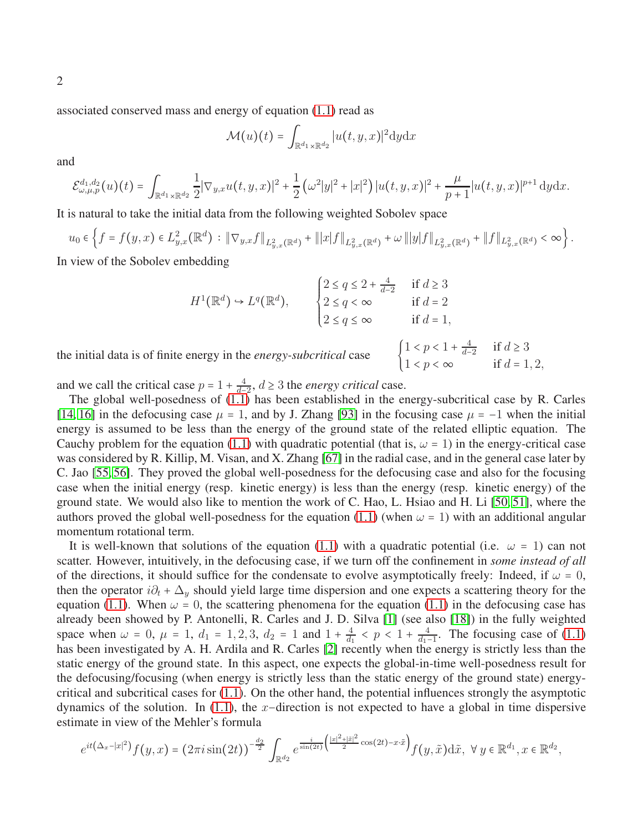associated conserved mass and energy of equation [\(1.1\)](#page-0-0) read as

$$
\mathcal{M}(u)(t) = \int_{\mathbb{R}^{d_1} \times \mathbb{R}^{d_2}} |u(t,y,x)|^2 dy dx
$$

and

$$
\mathcal{E}_{\omega,\mu,p}^{d_1,d_2}(u)(t)=\int_{\mathbb{R}^{d_1}\times\mathbb{R}^{d_2}}\frac{1}{2}|\nabla_{y,x}u(t,y,x)|^2+\frac{1}{2}\left(\omega^2|y|^2+|x|^2\right)|u(t,y,x)|^2+\frac{\mu}{p+1}|u(t,y,x)|^{p+1}\,\mathrm{d} y\mathrm{d} x.
$$

It is natural to take the initial data from the following weighted Sobolev space

 $u_0 \in \left\{f = f(y,x) \in L^2_{y,x}(\mathbb{R}^d) : \|\nabla_{y,x} f\|_{L^2_{y,x}(\mathbb{R}^d)} + \|x|f\|_{L^2_{y,x}(\mathbb{R}^d)} + \omega \|y|f\|_{L^2_{y,x}(\mathbb{R}^d)} + \|f\|_{L^2_{y,x}(\mathbb{R}^d)} < \infty\right\}.$ 

In view of the Sobolev embedding

$$
H^{1}(\mathbb{R}^{d}) \hookrightarrow L^{q}(\mathbb{R}^{d}), \qquad \begin{cases} 2 \leq q \leq 2 + \frac{4}{d-2} & \text{if } d \geq 3 \\ 2 \leq q < \infty \\ 2 \leq q \leq \infty & \text{if } d = 1, \end{cases}
$$
\n\nenergy in the *energy-subcritical* case\n
$$
\begin{cases} 1 < p < 1 + \frac{4}{d-2} \\ 1 & \text{if } d \geq 3 \end{cases}
$$

the initial data is of finite energy-sub-

 $1 < p < \infty$  if  $d = 1, 2$ ,

and we call the critical case  $p = 1 + \frac{4}{d-1}$  $\frac{4}{d-2}$ , *d* ≥ 3 the *energy critical* case.

The global well-posedness of  $(1.1)$  has been established in the energy-subcritical case by R. Carles [\[14,](#page-67-0) [16\]](#page-67-1) in the defocusing case  $\mu = 1$ , and by J. Zhang [\[93\]](#page-70-0) in the focusing case  $\mu = -1$  when the initial energy is assumed to be less than the energy of the ground state of the related elliptic equation. The Cauchy problem for the equation [\(1.1\)](#page-0-0) with quadratic potential (that is,  $\omega = 1$ ) in the energy-critical case was considered by R. Killip, M. Visan, and X. Zhang [\[67\]](#page-69-4) in the radial case, and in the general case later by C. Jao [\[55,](#page-69-5) [56\]](#page-69-6). They proved the global well-posedness for the defocusing case and also for the focusing case when the initial energy (resp. kinetic energy) is less than the energy (resp. kinetic energy) of the ground state. We would also like to mention the work of C. Hao, L. Hsiao and H. Li [\[50,](#page-68-4) [51\]](#page-68-5), where the authors proved the global well-posedness for the equation [\(1.1\)](#page-0-0) (when  $\omega = 1$ ) with an additional angular momentum rotational term.

It is well-known that solutions of the equation [\(1.1\)](#page-0-0) with a quadratic potential (i.e.  $\omega = 1$ ) can not scatter. However, intuitively, in the defocusing case, if we turn off the confinement in *some instead of all* of the directions, it should suffice for the condensate to evolve asymptotically freely: Indeed, if  $\omega = 0$ , then the operator  $i\partial_t + \Delta_y$  should yield large time dispersion and one expects a scattering theory for the equation [\(1.1\)](#page-0-0). When  $\omega = 0$ , the scattering phenomena for the equation [\(1.1\)](#page-0-0) in the defocusing case has already been showed by P. Antonelli, R. Carles and J. D. Silva [\[1\]](#page-67-2) (see also [\[18\]](#page-67-3)) in the fully weighted space when  $\omega = 0$ ,  $\mu = 1$ ,  $d_1 = 1, 2, 3$ ,  $d_2 = 1$  and  $1 + \frac{4}{d_1}$  $\frac{4}{d_1}$  < p < 1 +  $\frac{4}{d_1}$  $\frac{4}{d_1-1}$ . The focusing case of [\(1.1\)](#page-0-0) has been investigated by A. H. Ardila and R. Carles [\[2\]](#page-67-4) recently when the energy is strictly less than the static energy of the ground state. In this aspect, one expects the global-in-time well-posedness result for the defocusing/focusing (when energy is strictly less than the static energy of the ground state) energycritical and subcritical cases for [\(1.1\)](#page-0-0). On the other hand, the potential influences strongly the asymptotic dynamics of the solution. In [\(1.1\)](#page-0-0), the x–direction is not expected to have a global in time dispersive estimate in view of the Mehler's formula

$$
e^{it(\Delta_x-|x|^2)}f(y,x) = (2\pi i \sin(2t))^{-\frac{d_2}{2}} \int_{\mathbb{R}^{d_2}} e^{\frac{i}{\sin(2t)} \left(\frac{|x|^2+|\tilde{x}|^2}{2}\cos(2t)-x\cdot\tilde{x}\right)} f(y,\tilde{x}) d\tilde{x}, \ \forall y \in \mathbb{R}^{d_1}, x \in \mathbb{R}^{d_2},
$$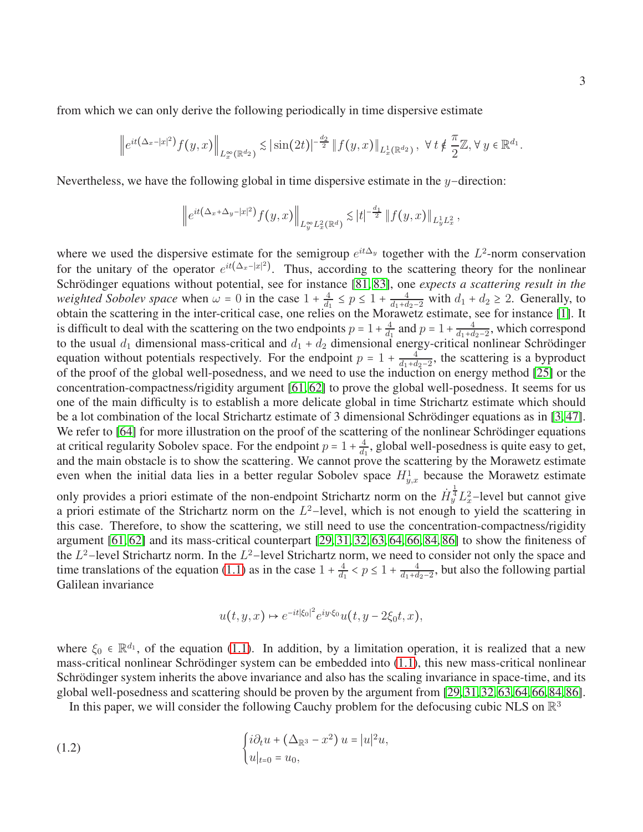from which we can only derive the following periodically in time dispersive estimate

$$
\left\|e^{it(\Delta_x-|x|^2)}f(y,x)\right\|_{L_x^{\infty}(\mathbb{R}^{d_2})} \lesssim |\sin(2t)|^{-\frac{d_2}{2}} \left\|f(y,x)\right\|_{L_x^1(\mathbb{R}^{d_2})}, \ \forall \ t \notin \frac{\pi}{2}\mathbb{Z}, \forall \ y \in \mathbb{R}^{d_1}
$$

Nevertheless, we have the following global in time dispersive estimate in the y−direction:

$$
\left\|e^{it(\Delta_x+\Delta_y-|x|^2)}f(y,x)\right\|_{L_y^{\infty}L_x^2(\mathbb{R}^d)} \lesssim |t|^{-\frac{d_1}{2}} \left\|f(y,x)\right\|_{L_y^1L_x^2},
$$

where we used the dispersive estimate for the semigroup  $e^{it\Delta_y}$  together with the  $L^2$ -norm conservation for the unitary of the operator  $e^{it(\Delta_x-|x|^2)}$ . Thus, according to the scattering theory for the nonlinear Schrödinger equations without potential, see for instance [\[81,](#page-69-7) [83\]](#page-70-1), one *expects a scattering result in the weighted Sobolev space* when  $\omega = 0$  in the case  $1 + \frac{4}{d_1}$  $\frac{4}{d_1} \le p \le 1 + \frac{4}{d_1 + d_2 - 2}$  with  $d_1 + d_2 \ge 2$ . Generally, to obtain the scattering in the inter-critical case, one relies on the Morawetz estimate, see for instance [\[1\]](#page-67-2). It is difficult to deal with the scattering on the two endpoints  $p = 1 + \frac{4}{d_1}$  $\frac{4}{d_1}$  and  $p = 1 + \frac{4}{d_1 + d}$  $\frac{4}{d_1+d_2-2}$ , which correspond to the usual  $d_1$  dimensional mass-critical and  $d_1 + d_2$  dimensional energy-critical nonlinear Schrödinger equation without potentials respectively. For the endpoint  $p = 1 + \frac{4}{d_1 + d_2}$  $\frac{4}{d_1+d_2-2}$ , the scattering is a byproduct of the proof of the global well-posedness, and we need to use the induction on energy method [\[25\]](#page-67-5) or the concentration-compactness/rigidity argument [\[61,](#page-69-0) [62\]](#page-69-1) to prove the global well-posedness. It seems for us one of the main difficulty is to establish a more delicate global in time Strichartz estimate which should be a lot combination of the local Strichartz estimate of 3 dimensional Schrödinger equations as in [\[3,](#page-67-6)47]. We refer to [\[64\]](#page-69-8) for more illustration on the proof of the scattering of the nonlinear Schrödinger equations at critical regularity Sobolev space. For the endpoint  $p = 1 + \frac{4}{d_1}$  $\frac{4}{d_1}$ , global well-posedness is quite easy to get, and the main obstacle is to show the scattering. We cannot prove the scattering by the Morawetz estimate even when the initial data lies in a better regular Sobolev space  $H_{y,x}^1$  because the Morawetz estimate

only provides a priori estimate of the non-endpoint Strichartz norm on the  $H_y^{\frac{1}{4}}L_x^2$ -level but cannot give a priori estimate of the Strichartz norm on the L<sup>2</sup>−level, which is not enough to yield the scattering in this case. Therefore, to show the scattering, we still need to use the concentration-compactness/rigidity argument [\[61,](#page-69-0) [62\]](#page-69-1) and its mass-critical counterpart [\[29,](#page-68-0) [31,](#page-68-1) [32,](#page-68-2) [63,](#page-69-9) [64,](#page-69-8) [66,](#page-69-10) [84,](#page-70-2) [86\]](#page-70-3) to show the finiteness of the L<sup>2</sup>−level Strichartz norm. In the L<sup>2</sup>−level Strichartz norm, we need to consider not only the space and time translations of the equation [\(1.1\)](#page-0-0) as in the case  $1 + \frac{4}{d}$  $\frac{4}{d_1}$  <  $p \leq 1 + \frac{4}{d_1+d}$  $\frac{4}{d_1+d_2-2}$ , but also the following partial Galilean invariance

<span id="page-2-0"></span>
$$
u(t, y, x) \mapsto e^{-it|\xi_0|^2} e^{iy \cdot \xi_0} u(t, y - 2\xi_0 t, x),
$$

where  $\xi_0 \in \mathbb{R}^{d_1}$ , of the equation [\(1.1\)](#page-0-0). In addition, by a limitation operation, it is realized that a new mass-critical nonlinear Schrödinger system can be embedded into  $(1.1)$ , this new mass-critical nonlinear Schrödinger system inherits the above invariance and also has the scaling invariance in space-time, and its global well-posedness and scattering should be proven by the argument from [\[29,](#page-68-0) [31,](#page-68-1) [32,](#page-68-2) [63,](#page-69-9) [64,](#page-69-8) [66,](#page-69-10) [84,](#page-70-2) [86\]](#page-70-3).

In this paper, we will consider the following Cauchy problem for the defocusing cubic NLS on  $\mathbb{R}^3$ 

(1.2) 
$$
\begin{cases} i\partial_t u + (\Delta_{\mathbb{R}^3} - x^2) u = |u|^2 u, \\ u|_{t=0} = u_0, \end{cases}
$$

.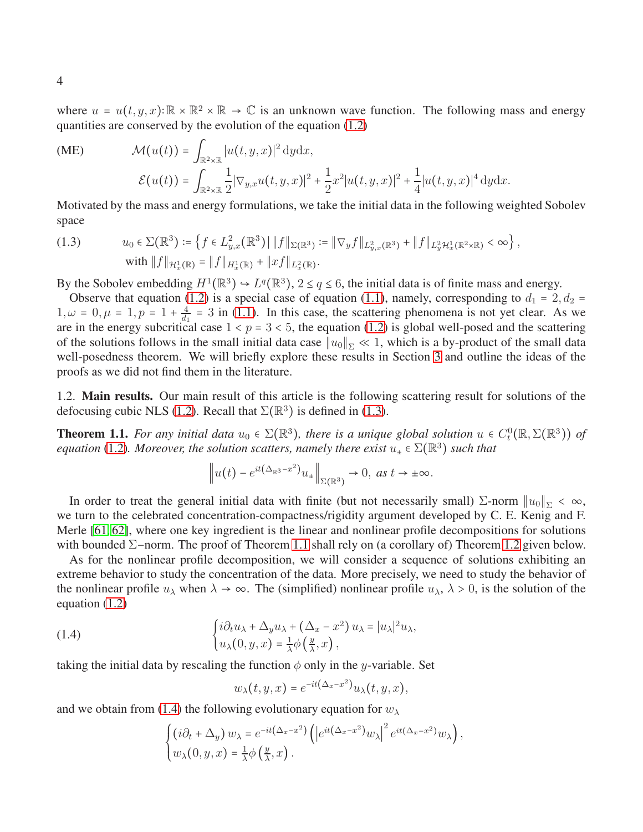where  $u = u(t, y, x): \mathbb{R} \times \mathbb{R}^2 \times \mathbb{R} \to \mathbb{C}$  is an unknown wave function. The following mass and energy quantities are conserved by the evolution of the equation [\(1.2\)](#page-2-0)

$$
(\mathbf{ME})
$$

<span id="page-3-3"></span>(ME) 
$$
\mathcal{M}(u(t)) = \int_{\mathbb{R}^2 \times \mathbb{R}} |u(t, y, x)|^2 dy dx, \n\mathcal{E}(u(t)) = \int_{\mathbb{R}^2 \times \mathbb{R}} \frac{1}{2} |\nabla_{y,x} u(t, y, x)|^2 + \frac{1}{2} x^2 |u(t, y, x)|^2 + \frac{1}{4} |u(t, y, x)|^4 dy dx.
$$

Motivated by the mass and energy formulations, we take the initial data in the following weighted Sobolev space

<span id="page-3-0"></span>
$$
(1.3) \t u_0 \in \Sigma(\mathbb{R}^3) := \left\{ f \in L_{y,x}^2(\mathbb{R}^3) \, | \, \|f\|_{\Sigma(\mathbb{R}^3)} := \|\nabla_y f\|_{L_{y,x}^2(\mathbb{R}^3)} + \|f\|_{L_y^2 \mathcal{H}_x^1(\mathbb{R}^2 \times \mathbb{R})} < \infty \right\},
$$
\n
$$
\text{with } \|f\|_{\mathcal{H}_x^1(\mathbb{R})} = \|f\|_{H_x^1(\mathbb{R})} + \|xf\|_{L_x^2(\mathbb{R})}.
$$

By the Sobolev embedding  $H^1(\mathbb{R}^3) \hookrightarrow L^q(\mathbb{R}^3)$ ,  $2 \le q \le 6$ , the initial data is of finite mass and energy.

Observe that equation [\(1.2\)](#page-2-0) is a special case of equation [\(1.1\)](#page-0-0), namely, corresponding to  $d_1 = 2, d_2 =$  $1, \omega = 0, \mu = 1, p = 1 + \frac{4}{d_1}$  $\frac{4}{d_1}$  = 3 in [\(1.1\)](#page-0-0). In this case, the scattering phenomena is not yet clear. As we are in the energy subcritical case  $1 < p = 3 < 5$ , the equation [\(1.2\)](#page-2-0) is global well-posed and the scattering of the solutions follows in the small initial data case  $||u_0||_{\Sigma} \ll 1$ , which is a by-product of the small data well-posedness theorem. We will briefly explore these results in Section [3](#page-9-0) and outline the ideas of the proofs as we did not find them in the literature.

1.2. **Main results.** Our main result of this article is the following scattering result for solutions of the defocusing cubic NLS [\(1.2\)](#page-2-0). Recall that  $\Sigma(\mathbb{R}^3)$  is defined in [\(1.3\)](#page-3-0).

<span id="page-3-1"></span>**Theorem 1.1.** For any initial data  $u_0 \in \Sigma(\mathbb{R}^3)$ , there is a unique global solution  $u \in C_t^0(\mathbb{R}, \Sigma(\mathbb{R}^3))$  of *equation* [\(1.2\)](#page-2-0)*. Moreover, the solution scatters, namely there exist*  $u_{\pm} \in \Sigma(\mathbb{R}^3)$  *such that* 

$$
\left\|u(t) - e^{it(\Delta_{\mathbb{R}^3} - x^2)} u_{\pm}\right\|_{\Sigma(\mathbb{R}^3)} \to 0, \text{ as } t \to \pm \infty.
$$

In order to treat the general initial data with finite (but not necessarily small)  $\Sigma$ -norm  $\|u_0\|_{\Sigma} < \infty$ , we turn to the celebrated concentration-compactness/rigidity argument developed by C. E. Kenig and F. Merle [\[61,](#page-69-0) [62\]](#page-69-1), where one key ingredient is the linear and nonlinear profile decompositions for solutions with bounded Σ−norm. The proof of Theorem [1.1](#page-3-1) shall rely on (a corollary of) Theorem [1.2](#page-4-0) given below.

As for the nonlinear profile decomposition, we will consider a sequence of solutions exhibiting an extreme behavior to study the concentration of the data. More precisely, we need to study the behavior of the nonlinear profile  $u_\lambda$  when  $\lambda \to \infty$ . The (simplified) nonlinear profile  $u_\lambda$ ,  $\lambda > 0$ , is the solution of the equation [\(1.2\)](#page-2-0)

<span id="page-3-2"></span>(1.4) 
$$
\begin{cases} i\partial_t u_\lambda + \Delta_y u_\lambda + (\Delta_x - x^2) u_\lambda = |u_\lambda|^2 u_\lambda, \\ u_\lambda(0, y, x) = \frac{1}{\lambda} \phi\left(\frac{y}{\lambda}, x\right), \end{cases}
$$

taking the initial data by rescaling the function  $\phi$  only in the y-variable. Set

$$
w_{\lambda}(t,y,x) = e^{-it(\Delta_x - x^2)} u_{\lambda}(t,y,x),
$$

and we obtain from [\(1.4\)](#page-3-2) the following evolutionary equation for  $w_{\lambda}$ 

$$
\begin{cases}\n(i\partial_t + \Delta_y) w_\lambda = e^{-it(\Delta_x - x^2)} \left( \left| e^{it(\Delta_x - x^2)} w_\lambda \right|^2 e^{it(\Delta_x - x^2)} w_\lambda \right), \\
w_\lambda(0, y, x) = \frac{1}{\lambda} \phi\left(\frac{y}{\lambda}, x\right).\n\end{cases}
$$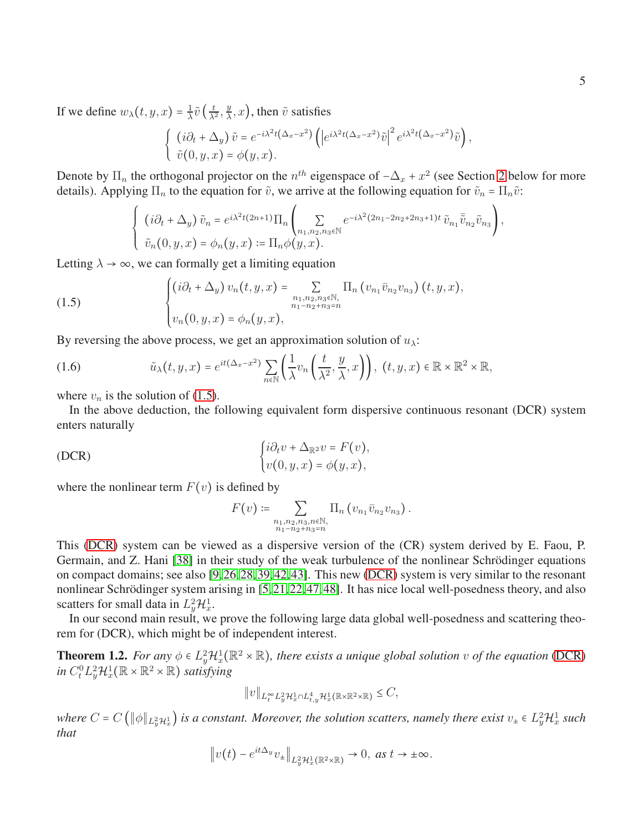If we define  $w_{\lambda}(t, y, x) = \frac{1}{\lambda} \tilde{v} \left( \frac{t}{\lambda^2}, \frac{y}{\lambda} \right)$  $(\frac{y}{\lambda}, x)$ , then  $\tilde{v}$  satisfies

$$
\begin{cases} (i\partial_t + \Delta_y) \tilde{v} = e^{-i\lambda^2 t (\Delta_x - x^2)} \left( \left| e^{i\lambda^2 t (\Delta_x - x^2)} \tilde{v} \right|^2 e^{i\lambda^2 t (\Delta_x - x^2)} \tilde{v} \right), \\ \tilde{v}(0, y, x) = \phi(y, x). \end{cases}
$$

Denote by  $\Pi_n$  the orthogonal projector on the  $n^{th}$  eigenspace of  $-\Delta_x + x^2$  (see Section [2](#page-7-0) below for more details). Applying  $\Pi_n$  to the equation for  $\tilde{v}$ , we arrive at the following equation for  $\tilde{v}_n = \Pi_n \tilde{v}$ :

$$
\begin{cases}\n(i\partial_t + \Delta_y) \tilde{v}_n = e^{i\lambda^2 t (2n+1)} \Pi_n \left( \sum_{n_1, n_2, n_3 \in \mathbb{N}} e^{-i\lambda^2 (2n_1 - 2n_2 + 2n_3 + 1)t} \tilde{v}_{n_1} \overline{\tilde{v}}_{n_2} \tilde{v}_{n_3} \right), \\
\tilde{v}_n(0, y, x) = \phi_n(y, x) := \Pi_n \phi(y, x).\n\end{cases}
$$

Letting  $\lambda \rightarrow \infty$ , we can formally get a limiting equation

<span id="page-4-1"></span>(1.5) 
$$
\begin{cases} (i\partial_t + \Delta_y) v_n(t, y, x) = \sum_{\substack{n_1, n_2, n_3 \in \mathbb{N}, \\ n_1 - n_2 + n_3 = n}} \Pi_n (v_{n_1} \bar{v}_{n_2} v_{n_3}) (t, y, x), \\ v_n(0, y, x) = \phi_n(y, x), \end{cases}
$$

By reversing the above process, we get an approximation solution of  $u_{\lambda}$ :

<span id="page-4-3"></span>(1.6) 
$$
\tilde{u}_{\lambda}(t,y,x) = e^{it(\Delta_x - x^2)} \sum_{n \in \mathbb{N}} \left( \frac{1}{\lambda} v_n\left(\frac{t}{\lambda^2}, \frac{y}{\lambda}, x\right) \right), (t,y,x) \in \mathbb{R} \times \mathbb{R}^2 \times \mathbb{R},
$$

where  $v_n$  is the solution of [\(1.5\)](#page-4-1).

In the above deduction, the following equivalent form dispersive continuous resonant (DCR) system enters naturally

<span id="page-4-2"></span>(DCR)  
\n
$$
\begin{cases}\ni\partial_t v + \Delta_{\mathbb{R}^2}v = F(v), \\
v(0, y, x) = \phi(y, x),\n\end{cases}
$$

where the nonlinear term  $F(v)$  is defined by

$$
F(v) \coloneqq \sum_{\substack{n_1, n_2, n_3, n \in \mathbb{N}, \\ n_1 - n_2 + n_3 = n}} \Pi_n(v_{n_1} \bar{v}_{n_2} v_{n_3}).
$$

This [\(DCR\)](#page-4-2) system can be viewed as a dispersive version of the (CR) system derived by E. Faou, P. Germain, and Z. Hani [\[38\]](#page-68-7) in their study of the weak turbulence of the nonlinear Schrödinger equations on compact domains; see also [\[9,](#page-67-7) [26,](#page-67-8) [28,](#page-68-8) [39,](#page-68-9) [42,](#page-68-10) [43\]](#page-68-11). This new [\(DCR\)](#page-4-2) system is very similar to the resonant nonlinear Schrödinger system arising in [\[5,](#page-67-9)[21,](#page-67-10)[22,](#page-67-11)[47,](#page-68-6)[48\]](#page-68-12). It has nice local well-posedness theory, and also scatters for small data in  $L_y^2\mathcal{H}_x^1$ .

In our second main result, we prove the following large data global well-posedness and scattering theorem for (DCR), which might be of independent interest.

<span id="page-4-0"></span>**Theorem 1.2.** For any  $\phi \in L^2_y H^1_x(\mathbb{R}^2 \times \mathbb{R})$ , there exists a unique global solution v of the equation [\(DCR\)](#page-4-2)  $\lim C_t^0 L_y^2 H_x^1(\mathbb{R} \times \mathbb{R}^2 \times \mathbb{R})$  *satisfying* 

$$
||v||_{L_t^{\infty}L_y^2\mathcal{H}_x^1 \cap L_{t,y}^4\mathcal{H}_x^1(\mathbb{R} \times \mathbb{R}^2 \times \mathbb{R})} \leq C,
$$

where  $C = C( \| \phi \|_{L_y^2 H_x^1})$  is a constant. Moreover, the solution scatters, namely there exist  $v_1 \in L_y^2 H_x^1$  such *that*

$$
\|v(t) - e^{it\Delta_y}v_{\pm}\|_{L_y^2\mathcal{H}_x^1(\mathbb{R}^2\times\mathbb{R})} \to 0, \text{ as } t \to \pm \infty.
$$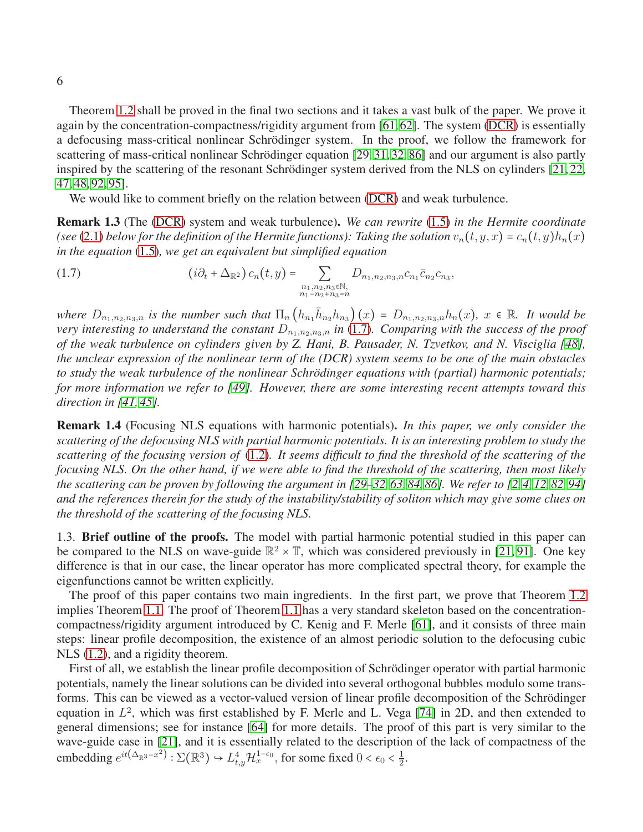Theorem [1.2](#page-4-0) shall be proved in the final two sections and it takes a vast bulk of the paper. We prove it again by the concentration-compactness/rigidity argument from [\[61,](#page-69-0) [62\]](#page-69-1). The system [\(DCR\)](#page-4-2) is essentially a defocusing mass-critical nonlinear Schrödinger system. In the proof, we follow the framework for scattering of mass-critical nonlinear Schrödinger equation  $[29, 31, 32, 86]$  $[29, 31, 32, 86]$  $[29, 31, 32, 86]$  $[29, 31, 32, 86]$  and our argument is also partly inspired by the scattering of the resonant Schrödinger system derived from the NLS on cylinders  $[21, 22, 12]$  $[21, 22, 12]$  $[21, 22, 12]$ [47,](#page-68-6) [48,](#page-68-12) [92,](#page-70-4) [95\]](#page-70-5).

We would like to comment briefly on the relation between [\(DCR\)](#page-4-2) and weak turbulence.

Remark 1.3 (The [\(DCR\)](#page-4-2) system and weak turbulence). *We can rewrite* [\(1.5\)](#page-4-1) *in the Hermite coordinate (see* [\(2.1\)](#page-7-1) *below for the definition of the Hermite functions): Taking the solution*  $v_n(t, y, x) = c_n(t, y)h_n(x)$ *in the equation* [\(1.5\)](#page-4-1)*, we get an equivalent but simplified equation*

<span id="page-5-0"></span>(1.7) 
$$
(i\partial_t + \Delta_{\mathbb{R}^2}) c_n(t,y) = \sum_{\substack{n_1,n_2,n_3 \in \mathbb{N},\\ n_1 - n_2 + n_3 = n}} D_{n_1,n_2,n_3,n} c_{n_1} \bar{c}_{n_2} c_{n_3},
$$

where  $D_{n_1,n_2,n_3,n}$  is the number such that  $\Pi_n(h_{n_1}\bar{h}_{n_2}h_{n_3})(x)$  =  $D_{n_1,n_2,n_3,n}h_n(x)$ ,  $x \in \mathbb{R}$ . It would be *very interesting to understand the constant*  $D_{n_1,n_2,n_3,n}$  *in* [\(1.7\)](#page-5-0)*. Comparing with the success of the proof of the weak turbulence on cylinders given by Z. Hani, B. Pausader, N. Tzvetkov, and N. Visciglia [\[48\]](#page-68-12)*, *the unclear expression of the nonlinear term of the (DCR) system seems to be one of the main obstacles to study the weak turbulence of the nonlinear Schrodinger equations with (partial) harmonic potentials; ¨ for more information we refer to [\[49\]](#page-68-13). However, there are some interesting recent attempts toward this direction in [\[41,](#page-68-14) [45\]](#page-68-15).*

Remark 1.4 (Focusing NLS equations with harmonic potentials). *In this paper, we only consider the scattering of the defocusing NLS with partial harmonic potentials. It is an interesting problem to study the scattering of the focusing version of* [\(1.2\)](#page-2-0)*. It seems difficult to find the threshold of the scattering of the focusing NLS. On the other hand, if we were able to find the threshold of the scattering, then most likely the scattering can be proven by following the argument in [\[29](#page-68-0)[–32,](#page-68-2) [63,](#page-69-9) [84,](#page-70-2) [86\]](#page-70-3). We refer to [\[2,](#page-67-4) [4,](#page-67-12) [12,](#page-67-13) [82,](#page-69-11) [94\]](#page-70-6) and the references therein for the study of the instability/stability of soliton which may give some clues on the threshold of the scattering of the focusing NLS.*

1.3. Brief outline of the proofs. The model with partial harmonic potential studied in this paper can be compared to the NLS on wave-guide  $\mathbb{R}^2 \times \mathbb{T}$ , which was considered previously in [\[21,](#page-67-10) [91\]](#page-70-7). One key difference is that in our case, the linear operator has more complicated spectral theory, for example the eigenfunctions cannot be written explicitly.

The proof of this paper contains two main ingredients. In the first part, we prove that Theorem [1.2](#page-4-0) implies Theorem [1.1.](#page-3-1) The proof of Theorem [1.1](#page-3-1) has a very standard skeleton based on the concentrationcompactness/rigidity argument introduced by C. Kenig and F. Merle [\[61\]](#page-69-0), and it consists of three main steps: linear profile decomposition, the existence of an almost periodic solution to the defocusing cubic NLS [\(1.2\)](#page-2-0), and a rigidity theorem.

First of all, we establish the linear profile decomposition of Schrödinger operator with partial harmonic potentials, namely the linear solutions can be divided into several orthogonal bubbles modulo some transforms. This can be viewed as a vector-valued version of linear profile decomposition of the Schrödinger equation in  $L^2$ , which was first established by F. Merle and L. Vega [\[74\]](#page-69-12) in 2D, and then extended to general dimensions; see for instance [\[64\]](#page-69-8) for more details. The proof of this part is very similar to the wave-guide case in [\[21\]](#page-67-10), and it is essentially related to the description of the lack of compactness of the embedding  $e^{it(\Delta_{\mathbb{R}^3}-x^2)} : \Sigma(\mathbb{R}^3) \hookrightarrow L^4_{t,y} \mathcal{H}_x^{1-\epsilon_0}$ , for some fixed  $0 < \epsilon_0 < \frac{1}{2}$  $\frac{1}{2}$ .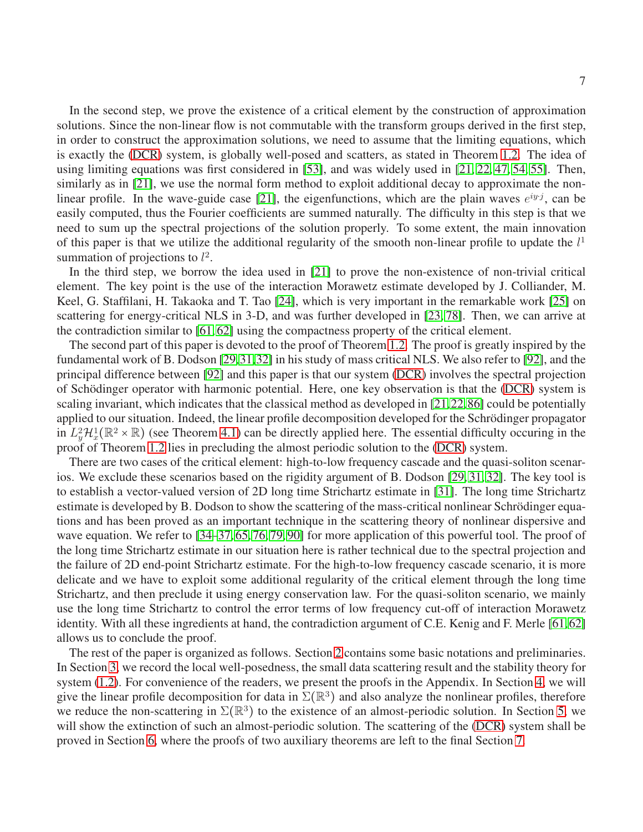In the second step, we prove the existence of a critical element by the construction of approximation solutions. Since the non-linear flow is not commutable with the transform groups derived in the first step, in order to construct the approximation solutions, we need to assume that the limiting equations, which is exactly the [\(DCR\)](#page-4-2) system, is globally well-posed and scatters, as stated in Theorem [1.2.](#page-4-0) The idea of using limiting equations was first considered in [\[53\]](#page-68-16), and was widely used in [\[21,](#page-67-10) [22,](#page-67-11) [47,](#page-68-6) [54,](#page-69-13) [55\]](#page-69-5). Then, similarly as in [\[21\]](#page-67-10), we use the normal form method to exploit additional decay to approximate the non-linear profile. In the wave-guide case [\[21\]](#page-67-10), the eigenfunctions, which are the plain waves  $e^{iy \cdot j}$ , can be easily computed, thus the Fourier coefficients are summed naturally. The difficulty in this step is that we need to sum up the spectral projections of the solution properly. To some extent, the main innovation of this paper is that we utilize the additional regularity of the smooth non-linear profile to update the  $l<sup>1</sup>$ summation of projections to  $l^2$ .

In the third step, we borrow the idea used in [\[21\]](#page-67-10) to prove the non-existence of non-trivial critical element. The key point is the use of the interaction Morawetz estimate developed by J. Colliander, M. Keel, G. Staffilani, H. Takaoka and T. Tao [\[24\]](#page-67-14), which is very important in the remarkable work [\[25\]](#page-67-5) on scattering for energy-critical NLS in 3-D, and was further developed in [\[23,](#page-67-15) [78\]](#page-69-14). Then, we can arrive at the contradiction similar to [\[61,](#page-69-0) [62\]](#page-69-1) using the compactness property of the critical element.

The second part of this paper is devoted to the proof of Theorem [1.2.](#page-4-0) The proof is greatly inspired by the fundamental work of B. Dodson [\[29,](#page-68-0)[31,](#page-68-1)[32\]](#page-68-2) in his study of mass critical NLS. We also refer to [\[92\]](#page-70-4), and the principal difference between [\[92\]](#page-70-4) and this paper is that our system [\(DCR\)](#page-4-2) involves the spectral projection of Schödinger operator with harmonic potential. Here, one key observation is that the [\(DCR\)](#page-4-2) system is scaling invariant, which indicates that the classical method as developed in [\[21,](#page-67-10)[22,](#page-67-11)[86\]](#page-70-3) could be potentially applied to our situation. Indeed, the linear profile decomposition developed for the Schrödinger propagator in  $L_y^2\mathcal{H}_x^1(\mathbb{R}^2\times\mathbb{R})$  (see Theorem [4.1\)](#page-10-0) can be directly applied here. The essential difficulty occuring in the proof of Theorem [1.2](#page-4-0) lies in precluding the almost periodic solution to the [\(DCR\)](#page-4-2) system.

There are two cases of the critical element: high-to-low frequency cascade and the quasi-soliton scenarios. We exclude these scenarios based on the rigidity argument of B. Dodson [\[29,](#page-68-0) [31,](#page-68-1) [32\]](#page-68-2). The key tool is to establish a vector-valued version of 2D long time Strichartz estimate in [\[31\]](#page-68-1). The long time Strichartz estimate is developed by B. Dodson to show the scattering of the mass-critical nonlinear Schrödinger equations and has been proved as an important technique in the scattering theory of nonlinear dispersive and wave equation. We refer to [\[34–](#page-68-17)[37,](#page-68-18) [65,](#page-69-15) [76,](#page-69-16) [79,](#page-69-17) [90\]](#page-70-8) for more application of this powerful tool. The proof of the long time Strichartz estimate in our situation here is rather technical due to the spectral projection and the failure of 2D end-point Strichartz estimate. For the high-to-low frequency cascade scenario, it is more delicate and we have to exploit some additional regularity of the critical element through the long time Strichartz, and then preclude it using energy conservation law. For the quasi-soliton scenario, we mainly use the long time Strichartz to control the error terms of low frequency cut-off of interaction Morawetz identity. With all these ingredients at hand, the contradiction argument of C.E. Kenig and F. Merle [\[61,](#page-69-0)[62\]](#page-69-1) allows us to conclude the proof.

The rest of the paper is organized as follows. Section [2](#page-7-0) contains some basic notations and preliminaries. In Section [3,](#page-9-0) we record the local well-posedness, the small data scattering result and the stability theory for system [\(1.2\)](#page-2-0). For convenience of the readers, we present the proofs in the Appendix. In Section [4,](#page-10-1) we will give the linear profile decomposition for data in  $\Sigma(\mathbb{R}^3)$  and also analyze the nonlinear profiles, therefore we reduce the non-scattering in  $\Sigma(\mathbb{R}^3)$  to the existence of an almost-periodic solution. In Section [5,](#page-23-0) we will show the extinction of such an almost-periodic solution. The scattering of the [\(DCR\)](#page-4-2) system shall be proved in Section [6,](#page-24-0) where the proofs of two auxiliary theorems are left to the final Section [7.](#page-40-0)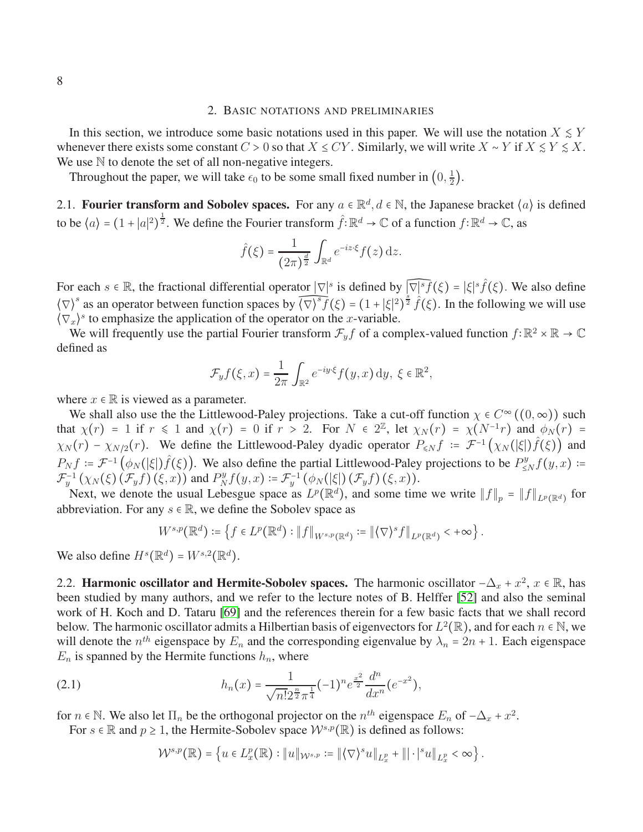## 2. BASIC NOTATIONS AND PRELIMINARIES

<span id="page-7-0"></span>In this section, we introduce some basic notations used in this paper. We will use the notation  $X \leq Y$ whenever there exists some constant  $C > 0$  so that  $X \le CY$ . Similarly, we will write  $X \sim Y$  if  $X \le Y \le X$ . We use  $N$  to denote the set of all non-negative integers.

Throughout the paper, we will take  $\epsilon_0$  to be some small fixed number in  $(0, \frac{1}{2})$  $\frac{1}{2}$ .

2.1. Fourier transform and Sobolev spaces. For any  $a \in \mathbb{R}^d$ ,  $d \in \mathbb{N}$ , the Japanese bracket  $\langle a \rangle$  is defined to be  $\langle a \rangle = (1 + |a|^2)^{\frac{1}{2}}$ . We define the Fourier transform  $\hat{f} : \mathbb{R}^d \to \mathbb{C}$  of a function  $f : \mathbb{R}^d \to \mathbb{C}$ , as

$$
\hat{f}(\xi) = \frac{1}{(2\pi)^{\frac{d}{2}}} \int_{\mathbb{R}^d} e^{-iz\cdot\xi} f(z) \,\mathrm{d}z.
$$

For each  $s \in \mathbb{R}$ , the fractional differential operator  $|\nabla|^{s}$  is defined by  $\widehat{|\nabla|^{s} f}(\xi) = |\xi|^{s} \widehat{f}(\xi)$ . We also define  $\langle \nabla \rangle^s$  as an operator between function spaces by  $\overline{\langle \nabla \rangle^s f}(\xi) = (1 + |\xi|^2)^{\frac{s}{2}} \hat{f}(\xi)$ . In the following we will use  $\langle \nabla_x \rangle^s$  to emphasize the application of the operator on the x-variable.

We will frequently use the partial Fourier transform  $\mathcal{F}_y f$  of a complex-valued function  $f:\mathbb{R}^2 \times \mathbb{R} \to \mathbb{C}$ defined as

$$
\mathcal{F}_y f(\xi, x) = \frac{1}{2\pi} \int_{\mathbb{R}^2} e^{-iy\cdot\xi} f(y, x) \, dy, \, \xi \in \mathbb{R}^2,
$$

where  $x \in \mathbb{R}$  is viewed as a parameter.

We shall also use the the Littlewood-Paley projections. Take a cut-off function  $\chi \in C^{\infty}((0,\infty))$  such that  $\chi(r) = 1$  if  $r \le 1$  and  $\chi(r) = 0$  if  $r > 2$ . For  $N \in 2^{\mathbb{Z}}$ , let  $\chi_N(r) = \chi(N^{-1}r)$  and  $\phi_N(r) =$  $\chi_N(r) - \chi_{N/2}(r)$ . We define the Littlewood-Paley dyadic operator  $P_{\leq N}f = \mathcal{F}^{-1}(\chi_N(|\xi|)\hat{f}(\xi))$  and  $P_N f \coloneqq \mathcal{F}^{-1}(\phi_N(|\xi|) \hat{f}(\xi))$ . We also define the partial Littlewood-Paley projections to be  $P_{\leq}^y$  $\int_{\leq N}^{y} f(y,x)$  :=  $\mathcal{F}_{y}^{-1}\left(\chi_{N}(\xi)\left(\mathcal{F}_{y}f\right)(\xi,x)\right)$  and  $P_{N}^{y}$  $\mathcal{F}_{N}^{y}f(y,x) \coloneqq \mathcal{F}_{y}^{-1}(\phi_{N}(|\xi|)\left(\mathcal{F}_{y}f\right)(\xi,x)).$ 

Next, we denote the usual Lebesgue space as  $L^p(\mathbb{R}^d)$ , and some time we write  $||f||_p = ||f||_{L^p(\mathbb{R}^d)}$  for abbreviation. For any  $s \in \mathbb{R}$ , we define the Sobolev space as

$$
W^{s,p}(\mathbb{R}^d) \coloneqq \left\{ f \in L^p(\mathbb{R}^d) : \|f\|_{W^{s,p}(\mathbb{R}^d)} \coloneqq \left\| \langle \nabla \rangle^s f \right\|_{L^p(\mathbb{R}^d)} < +\infty \right\}.
$$

We also define  $H^s(\mathbb{R}^d) = W^{s,2}(\mathbb{R}^d)$ .

2.2. Harmonic oscillator and Hermite-Sobolev spaces. The harmonic oscillator  $-\Delta_x + x^2$ ,  $x \in \mathbb{R}$ , has been studied by many authors, and we refer to the lecture notes of B. Helffer [\[52\]](#page-68-19) and also the seminal work of H. Koch and D. Tataru [\[69\]](#page-69-18) and the references therein for a few basic facts that we shall record below. The harmonic oscillator admits a Hilbertian basis of eigenvectors for  $L^2(\mathbb{R})$ , and for each  $n \in \mathbb{N}$ , we will denote the  $n^{th}$  eigenspace by  $E_n$  and the corresponding eigenvalue by  $\lambda_n = 2n + 1$ . Each eigenspace  $E_n$  is spanned by the Hermite functions  $h_n$ , where

<span id="page-7-1"></span>(2.1) 
$$
h_n(x) = \frac{1}{\sqrt{n!} 2^{\frac{n}{2}} \pi^{\frac{1}{4}}} (-1)^n e^{\frac{x^2}{2}} \frac{d^n}{dx^n} (e^{-x^2}),
$$

for  $n \in \mathbb{N}$ . We also let  $\Pi_n$  be the orthogonal projector on the  $n^{th}$  eigenspace  $E_n$  of  $-\Delta_x + x^2$ .

For  $s \in \mathbb{R}$  and  $p \ge 1$ , the Hermite-Sobolev space  $W^{s,p}(\mathbb{R})$  is defined as follows:

$$
\mathcal{W}^{s,p}(\mathbb{R}) = \left\{ u \in L_x^p(\mathbb{R}) : \|u\|_{\mathcal{W}^{s,p}} : = \| \langle \nabla \rangle^s u \|_{L_x^p} + \| | \cdot |^s u \|_{L_x^p} < \infty \right\}.
$$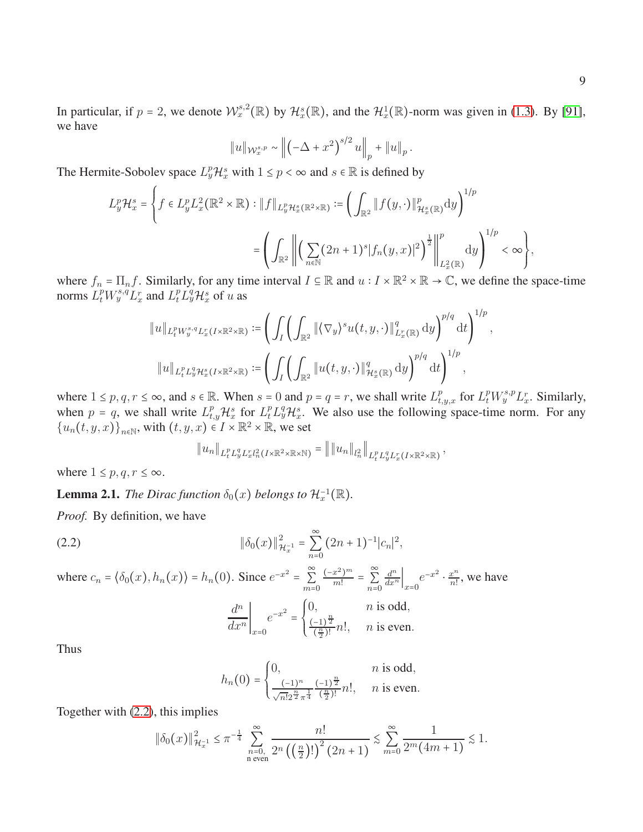,

In particular, if  $p = 2$ , we denote  $\mathcal{W}_x^{s,2}(\mathbb{R})$  by  $\mathcal{H}_x^s(\mathbb{R})$ , and the  $\mathcal{H}_x^1(\mathbb{R})$ -norm was given in [\(1.3\)](#page-3-0). By [\[91\]](#page-70-7), we have

$$
\|u\|_{\mathcal{W}^{s,p}_{x}} \sim \left\| \left( -\Delta + x^{2} \right)^{s/2} u \right\|_{p} + \|u\|_{p}.
$$

The Hermite-Sobolev space  $L_y^p \mathcal{H}_x^s$  with  $1 \leq p < \infty$  and  $s \in \mathbb{R}$  is defined by

$$
L_y^p \mathcal{H}_x^s = \left\{ f \in L_y^p L_x^2(\mathbb{R}^2 \times \mathbb{R}) : \|f\|_{L_y^p \mathcal{H}_x^s(\mathbb{R}^2 \times \mathbb{R})} := \left( \int_{\mathbb{R}^2} \|f(y, \cdot)\|_{\mathcal{H}_x^s(\mathbb{R})}^p \mathrm{d}y \right)^{1/p} \right\}
$$
  

$$
= \left( \int_{\mathbb{R}^2} \left\| \left( \sum_{n \in \mathbb{N}} (2n+1)^s |f_n(y, x)|^2 \right)^{\frac{1}{2}} \right\|_{L_x^2(\mathbb{R})}^p \mathrm{d}y \right)^{1/p} < \infty \right\},
$$

where  $f_n = \Pi_n f$ . Similarly, for any time interval  $I \subseteq \mathbb{R}$  and  $u : I \times \mathbb{R}^2 \times \mathbb{R} \to \mathbb{C}$ , we define the space-time norms  $L_t^p W_y^{s,q} L_x^r$  and  $L_t^p L_y^q \mathcal{H}_x^s$  of u as

$$
\|u\|_{L_t^p W^{s,q}_y L_x^r(I\times {{\mathbb R}}^2\times {{\mathbb R}})}\coloneqq \left(\int_I \left(\int_{{{\mathbb R}}^2} \| \langle \nabla_y \rangle^s u(t,y,\cdot)\|_{L_x^r({{\mathbb R}})}^q \, \mathrm{d}y \right)^{p/q} \mathrm{d}t \right)^{1/p}
$$
  

$$
\|u\|_{L_t^p L_y^q \mathcal{H}_x^s(I\times {{\mathbb R}}^2\times {{\mathbb R}})}\coloneqq \left(\int_I \left(\int_{{{\mathbb R}}^2} \|u(t,y,\cdot)\|_{\mathcal{H}_x^s({{\mathbb R}})}^q \, \mathrm{d}y \right)^{p/q} \mathrm{d}t \right)^{1/p},
$$

where  $1 \leq p, q, r \leq \infty$ , and  $s \in \mathbb{R}$ . When  $s = 0$  and  $p = q = r$ , we shall write  $L_{t,y,x}^p$  for  $L_t^p W_y^{s,p} L_x^r$ . Similarly, when  $p = q$ , we shall write  $L_{t,y}^p \mathcal{H}_x^s$  for  $L_t^p L_y^q \mathcal{H}_x^s$ . We also use the following space-time norm. For any  ${u_n(t, y, x)}_{n \in \mathbb{N}},$  with  $(t, y, x) \in I \times \mathbb{R}^2 \times \mathbb{R}$ , we set

$$
||u_n||_{L_t^p L_y^q L_x^r l_n^2(I \times \mathbb{R}^2 \times \mathbb{R} \times \mathbb{N})} = ||||u_n||_{l_n^2}||_{L_t^p L_y^q L_x^r(I \times \mathbb{R}^2 \times \mathbb{R})},
$$

where  $1 \leq p, q, r \leq \infty$ .

<span id="page-8-1"></span>**Lemma 2.1.** *The Dirac function*  $\delta_0(x)$  *belongs to*  $\mathcal{H}_x^{-1}(\mathbb{R})$ *.* 

*Proof.* By definition, we have

<span id="page-8-0"></span>(2.2) 
$$
\|\delta_0(x)\|_{\mathcal{H}_x^{-1}}^2 = \sum_{n=0}^{\infty} (2n+1)^{-1} |c_n|^2,
$$

where  $c_n = \langle \delta_0(x), h_n(x) \rangle = h_n(0)$ . Since  $e^{-x^2} = \sum_{n=0}^{\infty}$ ∑  $\sum_{m=0}$  $(-x^2)^m$  $\frac{x^2)^m}{m!} = \sum_{n=0}^{\infty}$ ∑  $\sum_{n=0}$  $\left.\frac{d^n}{dx^n}\right|_{x=0}$  $e^{-x^2} \cdot \frac{x^n}{n!}$  $\frac{x^n}{n!}$ , we have

$$
\frac{d^n}{dx^n}\bigg|_{x=0}e^{-x^2} = \begin{cases} 0, & n \text{ is odd,} \\ \frac{(-1)^{\frac{n}{2}}}{(\frac{n}{2})!}n!, & n \text{ is even.} \end{cases}
$$

Thus

$$
h_n(0) = \begin{cases} 0, & n \text{ is odd,} \\ \frac{(-1)^n}{\sqrt{n!2^{\frac{n}{2}} \pi^{\frac{1}{4}}}} \frac{(-1)^{\frac{n}{2}}}{(\frac{n}{2})!} n!, & n \text{ is even.} \end{cases}
$$

Together with [\(2.2\)](#page-8-0), this implies

$$
\|\delta_0(x)\|_{\mathcal{H}_x^{-1}}^2 \le \pi^{-\frac{1}{4}} \sum_{\substack{n=0,\\n \text{ even}}}^{\infty} \frac{n!}{2^n \left(\left(\frac{n}{2}\right)!\right)^2 (2n+1)} \lesssim \sum_{m=0}^{\infty} \frac{1}{2^m (4m+1)} \lesssim 1.
$$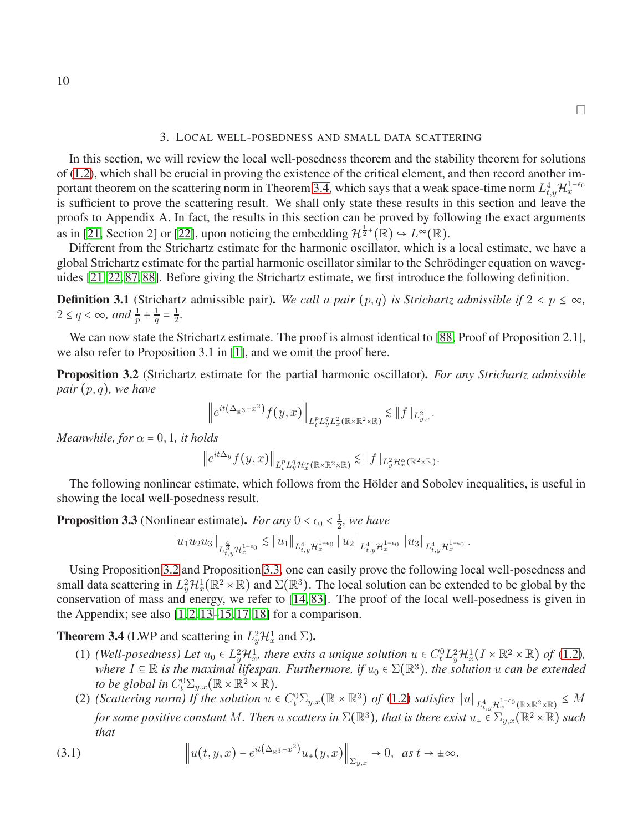#### 3. LOCAL WELL-POSEDNESS AND SMALL DATA SCATTERING

<span id="page-9-0"></span>In this section, we will review the local well-posedness theorem and the stability theorem for solutions of [\(1.2\)](#page-2-0), which shall be crucial in proving the existence of the critical element, and then record another im-portant theorem on the scattering norm in Theorem [3.4,](#page-9-1) which says that a weak space-time norm  $L_{t,y}^4 \mathcal{H}_x^{1-\epsilon_0}$ is sufficient to prove the scattering result. We shall only state these results in this section and leave the proofs to Appendix A. In fact, the results in this section can be proved by following the exact arguments as in [\[21,](#page-67-10) Section 2] or [\[22\]](#page-67-11), upon noticing the embedding  $\mathcal{H}^{\frac{1}{2}+}(\mathbb{R}) \hookrightarrow L^{\infty}(\mathbb{R})$ .

Different from the Strichartz estimate for the harmonic oscillator, which is a local estimate, we have a global Strichartz estimate for the partial harmonic oscillator similar to the Schrödinger equation on waveguides [\[21,](#page-67-10) [22,](#page-67-11) [87,](#page-70-9) [88\]](#page-70-10). Before giving the Strichartz estimate, we first introduce the following definition.

**Definition 3.1** (Strichartz admissible pair). We call a pair  $(p,q)$  is Strichartz admissible if  $2 < p \leq \infty$ ,  $2 \leq q < \infty$ , and  $\frac{1}{p} + \frac{1}{q}$  $\frac{1}{q} = \frac{1}{2}$  $\frac{1}{2}$ .

We can now state the Strichartz estimate. The proof is almost identical to [\[88,](#page-70-10) Proof of Proposition 2.1], we also refer to Proposition 3.1 in [\[1\]](#page-67-2), and we omit the proof here.

<span id="page-9-2"></span>Proposition 3.2 (Strichartz estimate for the partial harmonic oscillator). *For any Strichartz admissible pair* (p, q)*, we have*

$$
\left\|e^{it(\Delta_{\mathbb{R}^{3}}-x^{2})}f(y,x)\right\|_{L_{t}^{p}L_{y}^{q}L_{x}^{2}(\mathbb{R}\times\mathbb{R}^{2}\times\mathbb{R})}\lesssim\|f\|_{L_{y,x}^{2}}.
$$

*Meanwhile, for*  $\alpha = 0, 1$ *, it holds* 

$$
\left\|e^{it\Delta_y}f(y,x)\right\|_{L_t^pL_y^q\mathcal{H}_x^{\alpha}(\mathbb{R}\times\mathbb{R}^2\times\mathbb{R})}\lesssim\|f\|_{L_y^2\mathcal{H}_x^{\alpha}(\mathbb{R}^2\times\mathbb{R})}.
$$

The following nonlinear estimate, which follows from the Hölder and Sobolev inequalities, is useful in showing the local well-posedness result.

<span id="page-9-3"></span>**Proposition 3.3** (Nonlinear estimate). *For any*  $0 < \epsilon_0 < \frac{1}{2}$  $\frac{1}{2}$ , we have

$$
\|u_1u_2u_3\|_{L^{\frac{4}{3}}_{t,y}\mathcal{H}_x^{1-\epsilon_0}} \lesssim \|u_1\|_{L^4_{t,y}\mathcal{H}_x^{1-\epsilon_0}} \, \|u_2\|_{L^4_{t,y}\mathcal{H}_x^{1-\epsilon_0}} \, \|u_3\|_{L^4_{t,y}\mathcal{H}_x^{1-\epsilon_0}} \, .
$$

Using Proposition [3.2](#page-9-2) and Proposition [3.3,](#page-9-3) one can easily prove the following local well-posedness and small data scattering in  $L_y^2H_x^1(\mathbb{R}^2 \times \mathbb{R})$  and  $\Sigma(\mathbb{R}^3)$ . The local solution can be extended to be global by the conservation of mass and energy, we refer to [\[14,](#page-67-0) [83\]](#page-70-1). The proof of the local well-posedness is given in the Appendix; see also  $[1, 2, 13–15, 17, 18]$  $[1, 2, 13–15, 17, 18]$  $[1, 2, 13–15, 17, 18]$  $[1, 2, 13–15, 17, 18]$  $[1, 2, 13–15, 17, 18]$  $[1, 2, 13–15, 17, 18]$  for a comparison.

<span id="page-9-1"></span>**Theorem 3.4** (LWP and scattering in  $L_y^2 \mathcal{H}_x^1$  and  $\Sigma$ ).

- (1) *(Well-posedness)* Let  $u_0 \in L_y^2 H_x^1$ , there exits a unique solution  $u \in C_t^0 L_y^2 H_x^1(I \times \mathbb{R}^2 \times \mathbb{R})$  of [\(1.2\)](#page-2-0), *where*  $I \subseteq \mathbb{R}$  *is the maximal lifespan. Furthermore, if*  $u_0 \in \Sigma(\mathbb{R}^3)$ *, the solution* u *can be extended to be global in*  $C_t^0 \Sigma_{y,x} (\mathbb{R} \times \mathbb{R}^2 \times \mathbb{R})$ *.*
- <span id="page-9-4"></span>(2) *(Scattering norm)* If the solution  $u \in C_t^0\Sigma_{y,x}(\mathbb{R} \times \mathbb{R}^3)$  of [\(1.2\)](#page-2-0) satisfies  $||u||_{L_{t,y}^4\mathcal{H}_x^{1-\epsilon_0}(\mathbb{R} \times \mathbb{R}^2 \times \mathbb{R})} \leq M$ *for some positive constant* M. Then u *scatters in*  $\Sigma(\mathbb{R}^3)$ , that is there exist  $u_{\pm} \in \Sigma_{y,x}(\mathbb{R}^2 \times \mathbb{R})$  such *that*

(3.1) 
$$
\left\|u(t,y,x)-e^{it(\Delta_{\mathbb{R}^{3}}-x^{2})}u_{\pm}(y,x)\right\|_{\Sigma_{y,x}}\to 0, \text{ as } t\to \pm \infty.
$$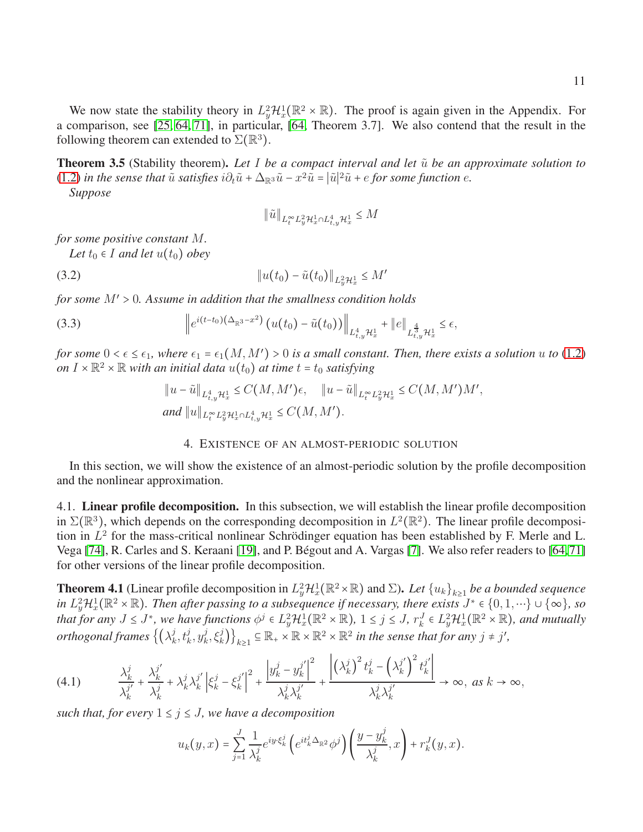We now state the stability theory in  $L_y^2 \mathcal{H}_x^1(\mathbb{R}^2 \times \mathbb{R})$ . The proof is again given in the Appendix. For a comparison, see [\[25,](#page-67-5) [64,](#page-69-8) [71\]](#page-69-19), in particular, [\[64,](#page-69-8) Theorem 3.7]. We also contend that the result in the following theorem can extended to  $\Sigma(\mathbb{R}^3)$ .

<span id="page-10-3"></span>**Theorem 3.5** (Stability theorem). Let I be a compact interval and let  $\tilde{u}$  be an approximate solution to  $(1.2)$  *in the sense that*  $\tilde{u}$  *satisfies*  $i\partial_t \tilde{u} + \Delta_{\mathbb{R}^3} \tilde{u} - x^2 \tilde{u} = |\tilde{u}|^2 \tilde{u} + e$  for some function e. *Suppose*

<span id="page-10-4"></span>
$$
\|\tilde u\|_{L^\infty_t L^2_y\mathcal H^1_x \cap L^4_{t,y}\mathcal H^1_x} \leq M
$$

*for some positive constant* M*.*

*Let*  $t_0 \in I$  *and let*  $u(t_0)$  *obey* 

(3.2) 
$$
\|u(t_0) - \tilde{u}(t_0)\|_{L_y^2 \mathcal{H}_x^1} \leq M'
$$

*for some* M′ > 0*. Assume in addition that the smallness condition holds*

<span id="page-10-5"></span>
$$
(3.3) \t\t\t\t\left\|e^{i(t-t_0)(\Delta_{\mathbb{R}^3}-x^2)}\left(u(t_0)-\tilde{u}(t_0)\right)\right\|_{L^4_{t,y}\mathcal{H}^1_x}+\|e\|_{L^{\frac{4}{3}}_{t,y}\mathcal{H}^1_x}\leq\epsilon,
$$

*for some*  $0 < \epsilon \leq \epsilon_1$ *, where*  $\epsilon_1 = \epsilon_1(M, M') > 0$  *is a small constant. Then, there exists a solution* u *to* [\(1.2\)](#page-2-0) *on*  $I \times \mathbb{R}^2 \times \mathbb{R}$  *with an initial data*  $u(t_0)$  *at time*  $t = t_0$  *satisfying* 

$$
\|u - \tilde{u}\|_{L^4_{t,y}\mathcal{H}^1_x} \le C(M, M')\epsilon, \quad \|u - \tilde{u}\|_{L^\infty_t L^2_y \mathcal{H}^1_x} \le C(M, M')M',
$$
  
and 
$$
\|u\|_{L^\infty_t L^2_y \mathcal{H}^1_x \cap L^4_{t,y}\mathcal{H}^1_x} \le C(M, M').
$$

#### 4. EXISTENCE OF AN ALMOST-PERIODIC SOLUTION

<span id="page-10-1"></span>In this section, we will show the existence of an almost-periodic solution by the profile decomposition and the nonlinear approximation.

4.1. Linear profile decomposition. In this subsection, we will establish the linear profile decomposition in  $\Sigma(\mathbb{R}^3)$ , which depends on the corresponding decomposition in  $L^2(\mathbb{R}^2)$ . The linear profile decomposition in  $L^2$  for the mass-critical nonlinear Schrödinger equation has been established by F. Merle and L. Vega [\[74\]](#page-69-12), R. Carles and S. Keraani [\[19\]](#page-67-19), and P. Bégout and A. Vargas [\[7\]](#page-67-20). We also refer readers to [\[64,](#page-69-8)[71\]](#page-69-19) for other versions of the linear profile decomposition.

<span id="page-10-0"></span>**Theorem 4.1** (Linear profile decomposition in  $L_y^2 \mathcal{H}_x^1(\mathbb{R}^2 \times \mathbb{R})$  and  $\Sigma$ ). Let  $\{u_k\}_{k\geq 1}$  be a bounded sequence  $\int f(x) \, dx \in \mathbb{R}^{2} \times \mathbb{R}$ . Then after passing to a subsequence if necessary, there exists  $J^* \in \{0,1,\dots\} \cup \{\infty\}$ , so that for any  $J \leq J^*$ , we have functions  $\phi^j \in L_y^2 \mathcal{H}_x^1(\mathbb{R}^2 \times \mathbb{R})$ ,  $1 \leq j \leq J$ ,  $r_k^J \in L_y^2 \mathcal{H}_x^1(\mathbb{R}^2 \times \mathbb{R})$ , and mutually  $\emph{orthogonal frames}$   $\left\{ \left( \lambda_k^j \right) \right\}$  $_{k}^{j},t_{k}^{j},y_{k}^{j}$  $\{f_k^j, \xi_k^j\}\}_{k\geq 1} \subseteq \mathbb{R}_+ \times \mathbb{R} \times \mathbb{R}^2 \times \mathbb{R}^2$  in the sense that for any  $j \neq j'$ ,

<span id="page-10-2"></span>
$$
(4.1) \qquad \frac{\lambda_k^j}{\lambda_k^{j'}} + \frac{\lambda_k^{j'}}{\lambda_k^j} + \lambda_k^j \lambda_k^{j'} \left| \xi_k^j - \xi_k^{j'} \right|^2 + \frac{\left| y_k^j - y_k^{j'} \right|^2}{\lambda_k^j \lambda_k^{j'}} + \frac{\left| \left( \lambda_k^j \right)^2 t_k^j - \left( \lambda_k^{j'} \right)^2 t_k^{j'} \right|}{\lambda_k^j \lambda_k^{j'}} \to \infty, \text{ as } k \to \infty,
$$

*such that, for every*  $1 \leq j \leq J$ *, we have a decomposition* 

$$
u_k(y,x) = \sum_{j=1}^J \frac{1}{\lambda_k^j} e^{iy \cdot \xi_k^j} \left( e^{it_k^j \Delta_{\mathbb{R}^2}} \phi^j \right) \left( \frac{y - y_k^j}{\lambda_k^j}, x \right) + r_k^J(y,x).
$$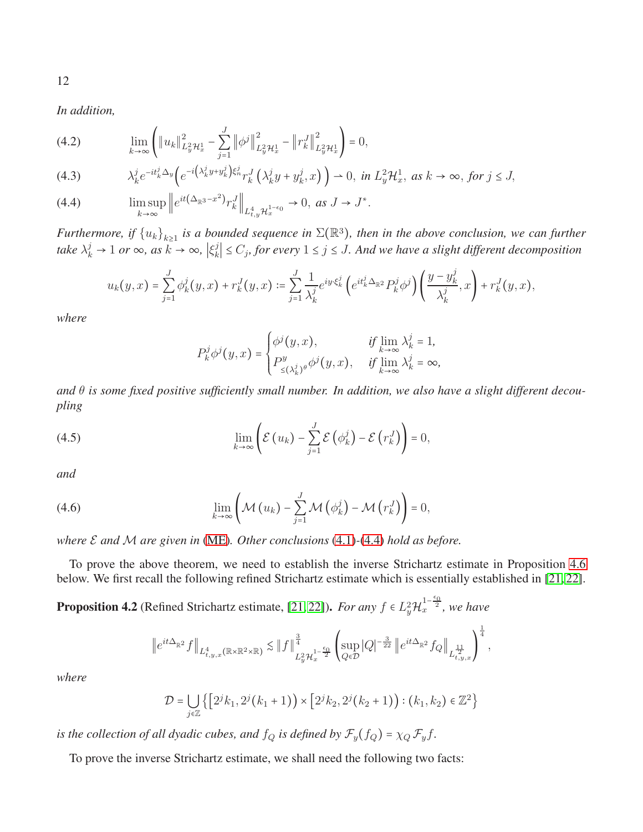*In addition,*

(4.2) 
$$
\lim_{k \to \infty} \left( \|u_k\|_{L_y^2 \mathcal{H}_x^1}^2 - \sum_{j=1}^J \left\| \phi^j \right\|_{L_y^2 \mathcal{H}_x^1}^2 - \left\| r_k^J \right\|_{L_y^2 \mathcal{H}_x^1}^2 \right) = 0,
$$

$$
(4.3) \qquad \lambda_k^j e^{-it_k^j \Delta_y} \Big( e^{-i \left(\lambda_k^j y + y_k^j\right) \xi_n^j} r_k^J \left(\lambda_k^j y + y_k^j, x\right) \Big) \to 0, \text{ in } L^2_y \mathcal{H}_x^1, \text{ as } k \to \infty, \text{ for } j \le J,
$$

<span id="page-11-0"></span>(4.4) 
$$
\limsup_{k \to \infty} ||e^{it(\Delta_{\mathbb{R}^3} - x^2)} r_k^J||_{L^4_{t,y} \mathcal{H}_x^{1-\epsilon_0}} \to 0, \text{ as } J \to J^*.
$$

*Furthermore, if*  $\{u_k\}_{k\geq 1}$  *is a bounded sequence in*  $\Sigma(\mathbb{R}^3)$ *, then in the above conclusion, we can further take*  $\lambda_k^j \to 1$  *or*  $\infty$ *, as*  $k \to \infty$ *,*  $\left| \xi_k^j \right|$  $|k|$  ≤  $C_j$ , for every  $1 ≤ j ≤ J$ . And we have a slight different decomposition

$$
u_k(y,x)=\sum_{j=1}^J \phi_k^j(y,x)+r_k^J(y,x)\coloneqq\sum_{j=1}^J\frac{1}{\lambda_k^j}e^{iy\cdot\xi_k^j}\left(e^{it_k^j\Delta_{\mathbb{R}^2}}P_k^j\phi^j\right)\left(\frac{y-y_k^j}{\lambda_k^j},x\right)+r_k^J(y,x),
$$

*where*

$$
P_k^j \phi^j(y, x) = \begin{cases} \phi^j(y, x), & \text{if } \lim_{k \to \infty} \lambda_k^j = 1, \\ P_{\leq (\lambda_k^j)^\theta}^y \phi^j(y, x), & \text{if } \lim_{k \to \infty} \lambda_k^j = \infty, \end{cases}
$$

*and* θ *is some fixed positive sufficiently small number. In addition, we also have a slight different decoupling*

<span id="page-11-2"></span>(4.5) 
$$
\lim_{k\to\infty}\left(\mathcal{E}\left(u_k\right)-\sum_{j=1}^J\mathcal{E}\left(\phi_k^j\right)-\mathcal{E}\left(r_k^J\right)\right)=0,
$$

*and*

<span id="page-11-3"></span>(4.6) 
$$
\lim_{k\to\infty}\left(\mathcal{M}\left(u_k\right)-\sum_{j=1}^J\mathcal{M}\left(\phi_k^j\right)-\mathcal{M}\left(r_k^J\right)\right)=0,
$$

*where* E *and* M *are given in* [\(ME\)](#page-3-3)*. Other conclusions* [\(4.1\)](#page-10-2)*-*[\(4.4\)](#page-11-0) *hold as before.*

To prove the above theorem, we need to establish the inverse Strichartz estimate in Proposition [4.6](#page-12-0) below. We first recall the following refined Strichartz estimate which is essentially established in [\[21,](#page-67-10) [22\]](#page-67-11).

<span id="page-11-1"></span>**Proposition 4.2** (Refined Strichartz estimate, [\[21,](#page-67-10) [22\]](#page-67-11)). *For any*  $f \in L_y^2 \mathcal{H}_x^{1-\frac{\epsilon_0}{2}}$ , we have

$$
\left\|e^{it\Delta_{\mathbb{R}^2}}f\right\|_{L^4_{t,y,x}(\mathbb{R}\times\mathbb{R}^2\times\mathbb{R})}\lesssim \|f\|_{L^2_y\mathcal{H}^{1-\frac{\epsilon_0}{2}}_x}\left(\sup_{Q\in\mathcal{D}}|Q|^{-\frac{3}{22}}\left\|e^{it\Delta_{\mathbb{R}^2}}f_Q\right\|_{L^{12}_{t,y,x}}\right)^{\frac{1}{4}},
$$

*where*

$$
\mathcal{D} = \bigcup_{j \in \mathbb{Z}} \left\{ \left[ 2^{j} k_1, 2^{j} (k_1 + 1) \right) \times \left[ 2^{j} k_2, 2^{j} (k_2 + 1) \right) : (k_1, k_2) \in \mathbb{Z}^2 \right\}
$$

*is the collection of all dyadic cubes, and*  $f_Q$  *is defined by*  $\mathcal{F}_y(f_Q) = \chi_Q \mathcal{F}_y f$ .

To prove the inverse Strichartz estimate, we shall need the following two facts: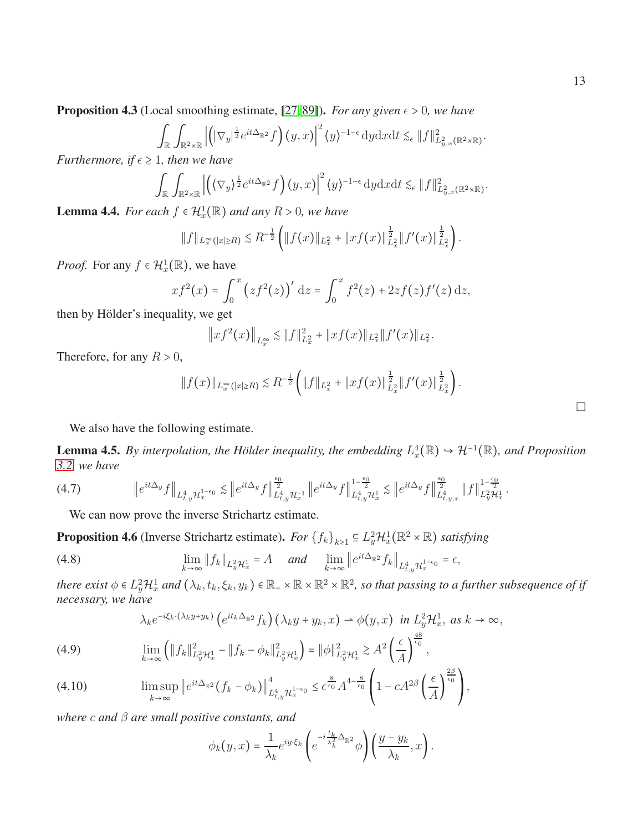<span id="page-12-6"></span>**Proposition 4.3** (Local smoothing estimate, [\[27,](#page-67-21) [89\]](#page-70-11)). *For any given*  $\epsilon > 0$ *, we have* 

$$
\int_{\mathbb{R}}\int_{\mathbb{R}^{2}\times\mathbb{R}}\left|\left(|\nabla_{y}|^{\frac{1}{2}}e^{it\Delta_{\mathbb{R}^{2}}}f\right)(y,x)\right|^{2}\langle y\rangle^{-1-\epsilon}\mathrm{d}y\mathrm{d}x\mathrm{d}t\lesssim_{\epsilon}||f||^{2}_{L^{2}_{y,x}(\mathbb{R}^{2}\times\mathbb{R})}.
$$

*Furthermore, if*  $\epsilon \geq 1$ *, then we have* 

$$
\int_{\mathbb{R}} \int_{\mathbb{R}^2 \times \mathbb{R}} \left| \left( \langle \nabla_y \rangle^{\frac{1}{2}} e^{it\Delta_{\mathbb{R}^2}} f \right) (y, x) \right|^2 \langle y \rangle^{-1-\epsilon} dy dx dt \lesssim_{\epsilon} \|f\|_{L^2_{y, x}(\mathbb{R}^2 \times \mathbb{R})}^2
$$

<span id="page-12-3"></span>**Lemma 4.4.** *For each*  $f \in H_x^1(\mathbb{R})$  *and any*  $R > 0$ *, we have* 

$$
\|f\|_{L_x^{\infty}(|x|\geq R)} \lesssim R^{-\frac{1}{2}} \left( \|f(x)\|_{L_x^2} + \|xf(x)\|_{L_x^2}^{\frac{1}{2}} \|f'(x)\|_{L_x^2}^{\frac{1}{2}} \right).
$$

*Proof.* For any  $f \in H_x^1(\mathbb{R})$ , we have

$$
xf^{2}(x) = \int_{0}^{x} (zf^{2}(z))' dz = \int_{0}^{x} f^{2}(z) + 2zf(z)f'(z) dz,
$$

then by Hölder's inequality, we get

$$
\|xf^2(x)\|_{L_x^{\infty}} \lesssim \|f\|_{L_x^2}^2 + \|xf(x)\|_{L_x^2} \|f'(x)\|_{L_x^2}.
$$

Therefore, for any  $R > 0$ ,

$$
\|f(x)\|_{L_x^{\infty}(|x|\geq R)} \lesssim R^{-\frac{1}{2}} \left( \|f\|_{L_x^2} + \|xf(x)\|_{L_x^2}^{\frac{1}{2}} \|f'(x)\|_{L_x^2}^{\frac{1}{2}} \right).
$$

We also have the following estimate.

**Lemma 4.5.** By interpolation, the Hölder inequality, the embedding  $L_x^4(\mathbb{R}) \to \mathcal{H}^{-1}(\mathbb{R})$ , and Proposition *[3.2,](#page-9-2) we have*

<span id="page-12-1"></span>
$$
(4.7) \qquad \qquad \left\|e^{it\Delta_y}f\right\|_{L^4_{t,y}\mathcal{H}^{1-\epsilon_0}_x} \lesssim \left\|e^{it\Delta_y}f\right\|_{L^4_{t,y}\mathcal{H}^{-1}_x}^{\frac{\epsilon_0}{2}} \left\|e^{it\Delta_y}f\right\|_{L^4_{t,y}\mathcal{H}^1_x}^{\frac{1-\epsilon_0}{2}} \lesssim \left\|e^{it\Delta_y}f\right\|_{L^4_{t,y,x}}^{\frac{\epsilon_0}{2}} \left\|f\right\|_{L^2_y\mathcal{H}^1_x}^{\frac{\epsilon_0}{2}}.
$$

We can now prove the inverse Strichartz estimate.

<span id="page-12-0"></span>**Proposition 4.6** (Inverse Strichartz estimate). *For*  $\{f_k\}_{k\geq 1} \subseteq L_y^2 \mathcal{H}_x^1(\mathbb{R}^2 \times \mathbb{R})$  *satisfying* 

<span id="page-12-2"></span>(4.8) 
$$
\lim_{k \to \infty} \|f_k\|_{L_y^2 \mathcal{H}_x^1} = A \quad \text{and} \quad \lim_{k \to \infty} \|e^{it\Delta_{\mathbb{R}^2}} f_k\|_{L_{t,y}^4 \mathcal{H}_x^{1-\epsilon_0}} = \epsilon,
$$

there exist  $\phi \in L_y^2\mathcal{H}^1_x$  and  $(\lambda_k,t_k,\xi_k,y_k)\in\mathbb{R}_+\times\mathbb{R}\times\mathbb{R}^2\times\mathbb{R}^2$ , so that passing to a further subsequence of if *necessary, we have*

$$
\lambda_k e^{-i\xi_k \cdot (\lambda_k y + y_k)} \left( e^{it_k \Delta_{\mathbb{R}^2}} f_k \right) \left( \lambda_k y + y_k, x \right) \to \phi(y, x) \text{ in } L^2_y \mathcal{H}^1_x, \text{ as } k \to \infty,
$$
  

$$
\lim_{k \to \infty} \left( ||f_k||^2 \right) \leq ||f_k||^2 \quad \text{and} \quad \frac{48}{5} \leq \frac{48}{5}.
$$

<span id="page-12-4"></span>(4.9) 
$$
\lim_{k \to \infty} \left( \|f_k\|_{L_y^2 \mathcal{H}_x^1}^2 - \|f_k - \phi_k\|_{L_y^2 \mathcal{H}_x^1}^2 \right) = \|\phi\|_{L_y^2 \mathcal{H}_x^1}^2 \gtrsim A^2 \left( \frac{\epsilon}{A} \right)^{\epsilon_0},
$$

<span id="page-12-5"></span>
$$
(4.10) \qquad \qquad \limsup_{k\to\infty}\left\|e^{it\Delta_{\mathbb{R}^2}}(f_k-\phi_k)\right\|^4_{L^4_{t,y}\mathcal{H}^{1-\epsilon_0}_x} \leq e^{\frac{8}{\epsilon_0}}A^{4-\frac{8}{\epsilon_0}}\left(1-cA^{2\beta}\left(\frac{\epsilon}{A}\right)^{\frac{2\beta}{\epsilon_0}}\right),
$$

*where* c *and* β *are small positive constants, and*

$$
\phi_k(y,x) = \frac{1}{\lambda_k} e^{iy \cdot \xi_k} \left( e^{-i \frac{t_k}{\lambda_k^2} \Delta_{\mathbb{R}^2}} \phi \right) \left( \frac{y - y_k}{\lambda_k}, x \right).
$$

 $\Box$ 

.

 $281$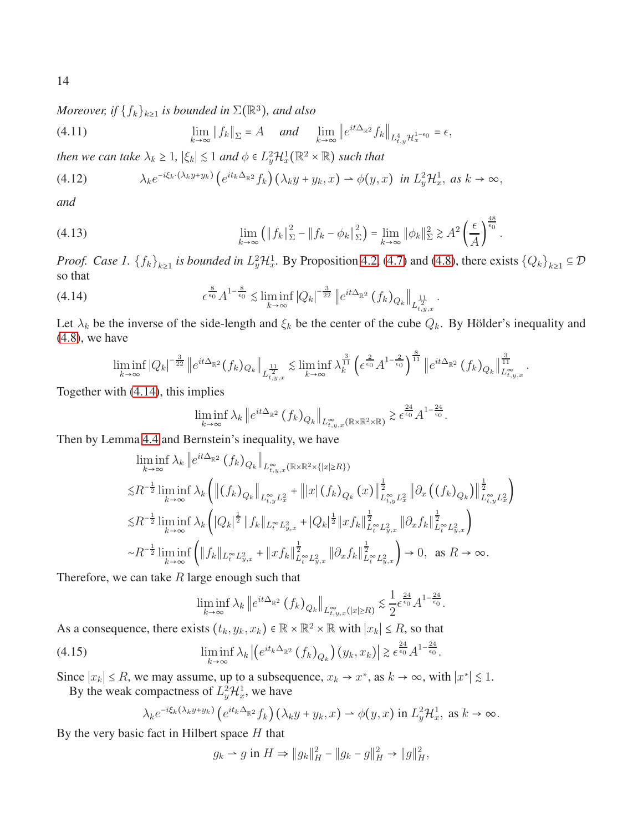*Moreover, if*  $\{f_k\}_{k\geq 1}$  *is bounded in*  $\Sigma(\mathbb{R}^3)$ *, and also* 

<span id="page-13-2"></span>(4.11) 
$$
\lim_{k\to\infty} \|f_k\|_{\Sigma} = A \quad \text{and} \quad \lim_{k\to\infty} \|e^{it\Delta_{\mathbb{R}^2}} f_k\|_{L^4_{t,y} \mathcal{H}_x^{1-\epsilon_0}} = \epsilon,
$$

*then we can take*  $\lambda_k \geq 1$ ,  $|\xi_k| \lesssim 1$  *and*  $\phi \in L_y^2 \mathcal{H}_x^1(\mathbb{R}^2 \times \mathbb{R})$  *such that* 

<span id="page-13-3"></span>
$$
(4.12) \qquad \lambda_k e^{-i\xi_k \cdot (\lambda_k y + y_k)} \left( e^{it_k \Delta_{\mathbb{R}^2}} f_k \right) \left( \lambda_k y + y_k, x \right) \to \phi(y, x) \quad \text{in } L^2_y \mathcal{H}^1_x, \text{ as } k \to \infty,
$$

*and*

<span id="page-13-4"></span>(4.13) 
$$
\lim_{k \to \infty} (||f_k||_{\Sigma}^2 - ||f_k - \phi_k||_{\Sigma}^2) = \lim_{k \to \infty} ||\phi_k||_{\Sigma}^2 \ge A^2 \left(\frac{\epsilon}{A}\right)^{\frac{48}{\epsilon_0}}.
$$

*Proof. Case 1.*  $\{f_k\}_{k\geq 1}$  *is bounded in*  $L_y^2 \mathcal{H}_x^1$ . By Proposition [4.2,](#page-11-1) [\(4.7\)](#page-12-1) and [\(4.8\)](#page-12-2), there exists  $\{Q_k\}_{k\geq 1} \subseteq \mathcal{D}$ so that

<span id="page-13-0"></span>(4.14) 
$$
\epsilon^{\frac{8}{\epsilon_0}} A^{1-\frac{8}{\epsilon_0}} \lesssim \liminf_{k \to \infty} |Q_k|^{-\frac{3}{22}} \left\| e^{it\Delta_{\mathbb{R}^2}} \left( f_k \right)_{Q_k} \right\|_{L^{\frac{11}{2}}_{t,y,x}}.
$$

Let  $\lambda_k$  be the inverse of the side-length and  $\xi_k$  be the center of the cube  $Q_k$ . By Hölder's inequality and [\(4.8\)](#page-12-2), we have

$$
\liminf_{k\to\infty}|Q_k|^{-\frac{3}{22}}\left\|e^{it\Delta_{\mathbb{R}^2}}(f_k)_{Q_k}\right\|_{L^{\frac{11}{2}}_{t,y,x}}\lesssim \liminf_{k\to\infty}\lambda_k^{\frac{3}{11}}\left(\epsilon^{\frac{2}{\epsilon_0}}A^{1-\frac{2}{\epsilon_0}}\right)^{\frac{8}{11}}\left\|e^{it\Delta_{\mathbb{R}^2}}(f_k)_{Q_k}\right\|_{L^{\infty}_{t,y,x}}^{\frac{3}{11}}.
$$

Together with [\(4.14\)](#page-13-0), this implies

$$
\liminf_{k\to\infty}\lambda_k\left\|e^{it\Delta_{\mathbb{R}^2}}(f_k)_{Q_k}\right\|_{L^{\infty}_{t,y,x}(\mathbb{R}\times\mathbb{R}^2\times\mathbb{R})}\gtrsim \epsilon^{\frac{24}{\epsilon_0}}A^{1-\frac{24}{\epsilon_0}}.
$$

Then by Lemma [4.4](#page-12-3) and Bernstein's inequality, we have

$$
\liminf_{k \to \infty} \lambda_k \|e^{it\Delta_{\mathbb{R}^2}} (f_k)_{Q_k}\|_{L^{\infty}_{t,y,x}(\mathbb{R} \times \mathbb{R}^2 \times \{|x| \ge R\})}
$$
\n
$$
\lesssim R^{-\frac{1}{2}} \liminf_{k \to \infty} \lambda_k \left( \|(f_k)_{Q_k}\|_{L^{\infty}_{t,y}L^2_x} + \| |x| (f_k)_{Q_k} (x) \|_{L^{\infty}_{t,y}L^2_x}^{\frac{1}{2}} \|(g_k)_{Q_k} \right) \|_{L^{\infty}_{t,y}L^2_x}^{\frac{1}{2}}
$$
\n
$$
\lesssim R^{-\frac{1}{2}} \liminf_{k \to \infty} \lambda_k \left( |Q_k|^{\frac{1}{2}} \|f_k\|_{L^{\infty}_t L^2_{y,x}} + |Q_k|^{\frac{1}{2}} \|xf_k\|_{L^{\infty}_t L^2_{y,x}}^{\frac{1}{2}} \|(g_x f_k \|_{L^{\infty}_t L^2_{y,x}}^{\frac{1}{2}} \right)
$$
\n
$$
\sim R^{-\frac{1}{2}} \liminf_{k \to \infty} \left( \|f_k\|_{L^{\infty}_t L^2_{y,x}} + \|xf_k\|_{L^{\infty}_t L^2_{y,x}}^{\frac{1}{2}} \|(g_x f_k \|_{L^{\infty}_t L^2_{y,x}}^{\frac{1}{2}}) \to 0, \text{ as } R \to \infty.
$$

Therefore, we can take  $R$  large enough such that

$$
\liminf_{k\to\infty}\lambda_k\left\|e^{it\Delta_{\mathbb{R}^2}}\left(f_k\right)_{Q_k}\right\|_{L^{\infty}_{t,y,x}(|x|\geq R)}\lesssim \frac{1}{2}\epsilon^{\frac{24}{\epsilon_0}}A^{1-\frac{24}{\epsilon_0}}.
$$

As a consequence, there exists  $(t_k, y_k, x_k) \in \mathbb{R} \times \mathbb{R}^2 \times \mathbb{R}$  with  $|x_k| \le R$ , so that

<span id="page-13-1"></span>(4.15) 
$$
\liminf_{k\to\infty}\lambda_k\left|\left(e^{it_k\Delta_{\mathbb{R}^2}}(f_k)_{Q_k}\right)(y_k,x_k)\right|\gtrsim \epsilon^{\frac{24}{\epsilon_0}}A^{1-\frac{24}{\epsilon_0}}.
$$

Since  $|x_k| \le R$ , we may assume, up to a subsequence,  $x_k \to x^*$ , as  $k \to \infty$ , with  $|x^*| \le 1$ . By the weak compactness of  $L_y^2 \mathcal{H}_x^1$ , we have

$$
\lambda_k e^{-i\xi_k(\lambda_k y + y_k)} \left( e^{it_k \Delta_{\mathbb{R}^2}} f_k \right) \left( \lambda_k y + y_k, x \right) \to \phi(y, x) \text{ in } L^2_y \mathcal{H}^1_x, \text{ as } k \to \infty.
$$

By the very basic fact in Hilbert space  $H$  that

$$
g_k \rightharpoonup g \text{ in } H \Rightarrow \|g_k\|_H^2 - \|g_k - g\|_H^2 \to \|g\|_H^2,
$$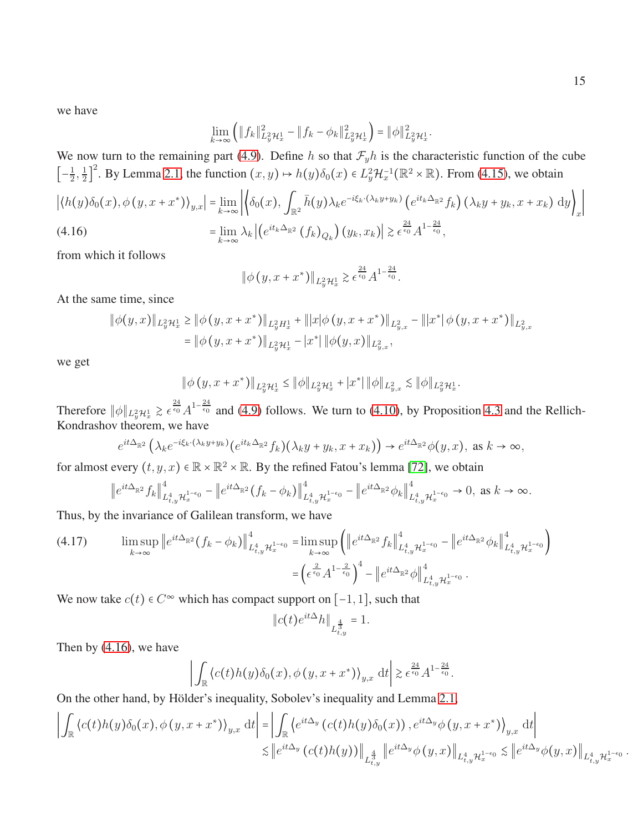we have

$$
\lim_{k \to \infty} \left( \|f_k\|_{L_y^2 \mathcal{H}_x^1}^2 - \|f_k - \phi_k\|_{L_y^2 \mathcal{H}_x^1}^2 \right) = \|\phi\|_{L_y^2 \mathcal{H}_x^1}^2.
$$

We now turn to the remaining part [\(4.9\)](#page-12-4). Define h so that  $\mathcal{F}_{v}h$  is the characteristic function of the cube  $\left[-\frac{1}{2}\right]$  $\frac{1}{2}, \frac{1}{2}$  $\frac{1}{2}$ <sup>2</sup>. By Lemma [2.1,](#page-8-1) the function  $(x, y) \mapsto h(y)\delta_0(x) \in L_y^2\mathcal{H}_x^{-1}(\mathbb{R}^2 \times \mathbb{R})$ . From [\(4.15\)](#page-13-1), we obtain

<span id="page-14-0"></span>
$$
\left| \langle h(y)\delta_0(x), \phi(y, x + x^*) \rangle_{y,x} \right| = \lim_{k \to \infty} \left| \langle \delta_0(x), \int_{\mathbb{R}^2} \bar{h}(y)\lambda_k e^{-i\xi_k \cdot (\lambda_k y + y_k)} \left( e^{it_k \Delta_{\mathbb{R}^2}} f_k \right) (\lambda_k y + y_k, x + x_k) dy \rangle_x \right|
$$
  
(4.16) 
$$
= \lim_{k \to \infty} \lambda_k \left| \left( e^{it_k \Delta_{\mathbb{R}^2}} (f_k)_{Q_k} \right) (y_k, x_k) \right| \geq \epsilon^{\frac{24}{\epsilon_0}} A^{1 - \frac{24}{\epsilon_0}},
$$

from which it follows

$$
\|\phi(y, x + x^*)\|_{L_y^2 \mathcal{H}_x^1} \gtrsim \epsilon^{\frac{24}{\epsilon_0}} A^{1 - \frac{24}{\epsilon_0}}.
$$

At the same time, since

$$
\begin{aligned} \|\phi(y,x)\|_{L_y^2\mathcal{H}_x^1} &\geq \|\phi(y,x+x^*)\|_{L_y^2H_x^1} + \| |x| \phi(y,x+x^*)\|_{L_{y,x}^2} - \| |x^*| \phi(y,x+x^*)\|_{L_{y,x}^2} \\ & = \|\phi(y,x+x^*)\|_{L_y^2\mathcal{H}_x^1} - |x^*| \|\phi(y,x)\|_{L_{y,x}^2}, \end{aligned}
$$

we get

$$
\|\phi(y, x + x^*)\|_{L_y^2 \mathcal{H}_x^1} \le \|\phi\|_{L_y^2 \mathcal{H}_x^1} + |x^*| \|\phi\|_{L_{y,x}^2} \lesssim \|\phi\|_{L_y^2 \mathcal{H}_x^1}
$$

.

Therefore  $\|\phi\|_{L_y^2\mathcal{H}_x^1} \gtrsim \epsilon^{\frac{24}{\epsilon_0}} A^{1-\frac{24}{\epsilon_0}}$  and [\(4.9\)](#page-12-4) follows. We turn to [\(4.10\)](#page-12-5), by Proposition [4.3](#page-12-6) and the Rellich-Kondrashov theorem, we have

$$
e^{it\Delta_{\mathbb{R}^2}}\left(\lambda_k e^{-i\xi_k\cdot(\lambda_k y+y_k)}\left(e^{it_k\Delta_{\mathbb{R}^2}}f_k\right)(\lambda_k y+y_k,x+x_k)\right)\to e^{it\Delta_{\mathbb{R}^2}}\phi(y,x),\text{ as }k\to\infty,
$$

for almost every  $(t, y, x) \in \mathbb{R} \times \mathbb{R}^2 \times \mathbb{R}$ . By the refined Fatou's lemma [\[72\]](#page-69-20), we obtain

$$
\left\|e^{it\Delta_{\mathbb{R}^2}} f_k\right\|_{L^4_{t,y}\mathcal{H}_x^{1-\epsilon_0}}^4 - \left\|e^{it\Delta_{\mathbb{R}^2}} (f_k - \phi_k)\right\|_{L^4_{t,y}\mathcal{H}_x^{1-\epsilon_0}}^4 - \left\|e^{it\Delta_{\mathbb{R}^2}} \phi_k\right\|_{L^4_{t,y}\mathcal{H}_x^{1-\epsilon_0}}^4 \to 0, \text{ as } k \to \infty.
$$

Thus, by the invariance of Galilean transform, we have

<span id="page-14-1"></span>
$$
(4.17) \qquad \limsup_{k \to \infty} \|e^{it\Delta_{\mathbb{R}^2}}(f_k - \phi_k)\|_{L^4_{t,y} \mathcal{H}_x^{1-\epsilon_0}}^4 = \limsup_{k \to \infty} \left( \|e^{it\Delta_{\mathbb{R}^2}} f_k\|_{L^4_{t,y} \mathcal{H}_x^{1-\epsilon_0}}^4 - \|e^{it\Delta_{\mathbb{R}^2}} \phi_k\|_{L^4_{t,y} \mathcal{H}_x^{1-\epsilon_0}}^4 \right) = \left( \epsilon^{\frac{2}{\epsilon_0}} A^{1-\frac{2}{\epsilon_0}} \right)^4 - \|e^{it\Delta_{\mathbb{R}^2}} \phi\|_{L^4_{t,y} \mathcal{H}_x^{1-\epsilon_0}}^4.
$$

We now take  $c(t) \in C^{\infty}$  which has compact support on  $[-1, 1]$ , such that

$$
\|c(t)e^{it\Delta}h\|_{L^{\frac{4}{3}}_{t,y}}=1.
$$

Then by [\(4.16\)](#page-14-0), we have

$$
\left| \int_{\mathbb{R}} \left\langle c(t)h(y)\delta_0(x), \phi(y, x+x^*) \right\rangle_{y,x} \mathrm{d}t \right| \gtrsim \epsilon^{\frac{24}{\epsilon_0}} A^{1-\frac{24}{\epsilon_0}}.
$$

On the other hand, by Hölder's inequality, Sobolev's inequality and Lemma [2.1,](#page-8-1)

$$
\left| \int_{\mathbb{R}} \left\langle c(t)h(y)\delta_{0}(x),\phi(y,x+x^{*})\right\rangle_{y,x} \mathrm{d}t \right| = \left| \int_{\mathbb{R}} \left\langle e^{it\Delta_{y}}\left(c(t)h(y)\delta_{0}(x)\right), e^{it\Delta_{y}}\phi(y,x+x^{*})\right\rangle_{y,x} \mathrm{d}t \right|
$$
  

$$
\lesssim \left\| e^{it\Delta_{y}}\left(c(t)h(y)\right) \right\|_{L_{t,y}^{\frac{4}{3}}}\left\| e^{it\Delta_{y}}\phi(y,x) \right\|_{L_{t,y}^{4}\mathcal{H}_{x}^{1-\epsilon_{0}}} \lesssim \left\| e^{it\Delta_{y}}\phi(y,x) \right\|_{L_{t,y}^{4}\mathcal{H}_{x}^{1-\epsilon_{0}}}.
$$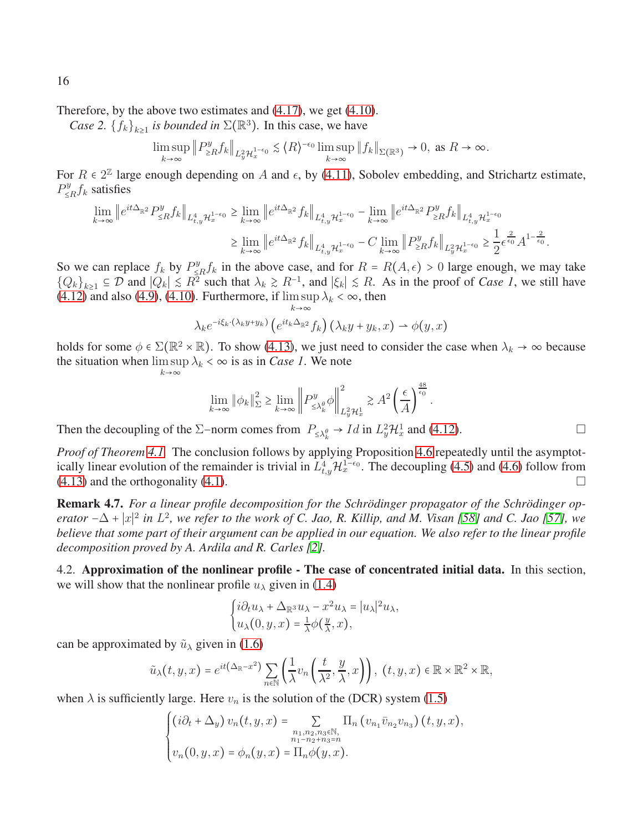Therefore, by the above two estimates and [\(4.17\)](#page-14-1), we get [\(4.10\)](#page-12-5).

*Case 2.*  $\{f_k\}_{k\geq 1}$  *is bounded in*  $\Sigma(\mathbb{R}^3)$ . In this case, we have

$$
\limsup_{k\to\infty} \|P^y_{\geq R} f_k\|_{L_y^2 \mathcal{H}_x^{1-\epsilon_0}} \lesssim \langle R \rangle^{-\epsilon_0} \limsup_{k\to\infty} \|f_k\|_{\Sigma(\mathbb{R}^3)} \to 0, \text{ as } R\to\infty.
$$

For  $R \in 2^{\mathbb{Z}}$  large enough depending on A and  $\epsilon$ , by [\(4.11\)](#page-13-2), Sobolev embedding, and Strichartz estimate,  $P^y_<$  $\sum_{k=1}^{y} f_k$  satisfies

$$
\lim_{k \to \infty} \|e^{it\Delta_{\mathbb{R}^2}} P_{\leq R}^y f_k\|_{L^4_{t,y} \mathcal{H}_x^{1-\epsilon_0}} \geq \lim_{k \to \infty} \|e^{it\Delta_{\mathbb{R}^2}} f_k\|_{L^4_{t,y} \mathcal{H}_x^{1-\epsilon_0}} - \lim_{k \to \infty} \|e^{it\Delta_{\mathbb{R}^2}} P_{\geq R}^y f_k\|_{L^4_{t,y} \mathcal{H}_x^{1-\epsilon_0}}
$$
\n
$$
\geq \lim_{k \to \infty} \|e^{it\Delta_{\mathbb{R}^2}} f_k\|_{L^4_{t,y} \mathcal{H}_x^{1-\epsilon_0}} - C \lim_{k \to \infty} \|P_{\geq R}^y f_k\|_{L^2_y \mathcal{H}_x^{1-\epsilon_0}} \geq \frac{1}{2} \epsilon^{\frac{2}{\epsilon_0}} A^{1-\frac{2}{\epsilon_0}}.
$$

So we can replace  $f_k$  by  $P^y_{\leq k}$  $\sum_{\leq R}^{y} f_k$  in the above case, and for  $R = R(A, \epsilon) > 0$  large enough, we may take  ${Q_k}_{k\geq 1} \subseteq \mathcal{D}$  and  $|Q_k| \leq R^2$  such that  $\lambda_k \geq R^{-1}$ , and  $|\xi_k| \leq R$ . As in the proof of *Case 1*, we still have [\(4.12\)](#page-13-3) and also [\(4.9\)](#page-12-4), [\(4.10\)](#page-12-5). Furthermore, if  $\limsup \lambda_k < \infty$ , then  $k\rightarrow\infty$ 

$$
\lambda_k e^{-i\xi_k \cdot (\lambda_k y + y_k)} \left( e^{it_k \Delta_{\mathbb{R}^2}} f_k \right) \left( \lambda_k y + y_k, x \right) \to \phi(y, x)
$$

holds for some  $\phi \in \Sigma(\mathbb{R}^2 \times \mathbb{R})$ . To show [\(4.13\)](#page-13-4), we just need to consider the case when  $\lambda_k \to \infty$  because the situation when  $\limsup \lambda_k < \infty$  is as in *Case 1*. We note  $k\rightarrow\infty$ 

$$
\lim_{k\to\infty}\|\phi_k\|_{\Sigma}^2\geq \lim_{k\to\infty}\left\|P^y_{\leq\lambda_k^{\theta}}\phi\right\|_{L_y^2\mathcal{H}_x^1}^2\gtrsim A^2\left(\frac{\epsilon}{A}\right)^{\frac{48}{\epsilon_0}}.
$$

Then the decoupling of the  $\Sigma$ –norm comes from  $P_{\leq \lambda_k^{\theta}} \to Id$  in  $L_y^2 \mathcal{H}_x^1$  and [\(4.12\)](#page-13-3).

*Proof of Theorem [4.1.](#page-10-0)* The conclusion follows by applying Proposition [4.6](#page-12-0) repeatedly until the asymptotically linear evolution of the remainder is trivial in  $L_{t,y}^4 \mathcal{H}_x^{1-\epsilon_0}$ . The decoupling [\(4.5\)](#page-11-2) and [\(4.6\)](#page-11-3) follow from  $(4.13)$  and the orthogonality  $(4.1)$ .

Remark 4.7. *For a linear profile decomposition for the Schrödinger propagator of the Schrödinger operator*  $-\Delta + |x|^2$  *in*  $L^2$ *, we refer to the work of C. Jao, R. Killip, and M. Visan [\[58\]](#page-69-21) and C. Jao [\[57\]](#page-69-22), we believe that some part of their argument can be applied in our equation. We also refer to the linear profile decomposition proved by A. Ardila and R. Carles [\[2\]](#page-67-4).*

4.2. Approximation of the nonlinear profile - The case of concentrated initial data. In this section, we will show that the nonlinear profile  $u_{\lambda}$  given in [\(1.4\)](#page-3-2)

$$
\begin{cases} i\partial_t u_\lambda+\Delta_{\mathbb{R}^3}u_\lambda-x^2u_\lambda=|u_\lambda|^2u_\lambda,\\ u_\lambda(0,y,x)=\frac{1}{\lambda}\phi\big(\frac{y}{\lambda},x\big), \end{cases}
$$

can be approximated by  $\tilde{u}_{\lambda}$  given in [\(1.6\)](#page-4-3)

$$
\tilde{u}_{\lambda}(t,y,x)=e^{it(\Delta_{\mathbb{R}}-x^2)}\sum_{n\in\mathbb{N}}\left(\frac{1}{\lambda}v_n\left(\frac{t}{\lambda^2},\frac{y}{\lambda},x\right)\right),\ (t,y,x)\in\mathbb{R}\times\mathbb{R}^2\times\mathbb{R},
$$

when  $\lambda$  is sufficiently large. Here  $v_n$  is the solution of the (DCR) system [\(1.5\)](#page-4-1)

$$
\begin{cases}\n(i\partial_t + \Delta_y) v_n(t, y, x) = \sum_{\substack{n_1, n_2, n_3 \in \mathbb{N}, \\ n_1 - n_2 + n_3 = n}} \Pi_n(v_{n_1} \bar{v}_{n_2} v_{n_3}) (t, y, x), \\
v_n(0, y, x) = \phi_n(y, x) = \Pi_n \phi(y, x).\n\end{cases}
$$

16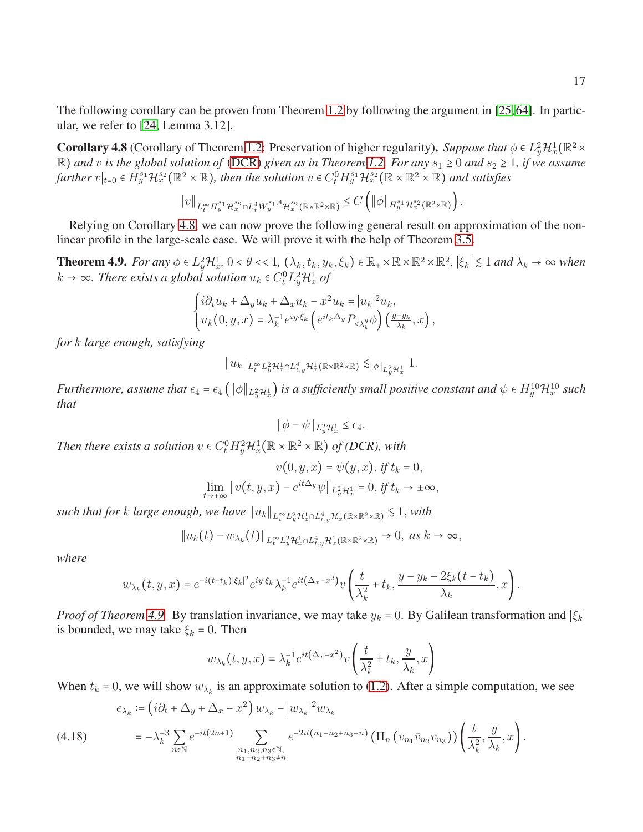The following corollary can be proven from Theorem [1.2](#page-4-0) by following the argument in [\[25,](#page-67-5) [64\]](#page-69-8). In particular, we refer to [\[24,](#page-67-14) Lemma 3.12].

<span id="page-16-0"></span>**Corollary 4.8** (Corollary of Theorem [1.2:](#page-4-0) Preservation of higher regularity). *Suppose that*  $\phi \in L_y^2 \mathcal{H}_x^1(\mathbb{R}^2 \times$  $\mathbb{R}$ ) and v is the global solution of [\(DCR\)](#page-4-2) given as in Theorem [1.2.](#page-4-0) For any  $s_1 \geq 0$  and  $s_2 \geq 1$ , if we assume  $further v|_{t=0} \in H^{s_1}_y H^{s_2}_x(\mathbb{R}^2 \times \mathbb{R})$ , then the solution  $v \in C_t^0 H^{s_1}_y H^{s_2}_x(\mathbb{R} \times \mathbb{R}^2 \times \mathbb{R})$  and satisfies

$$
\|v\|_{L_t^{\infty} H_y^{s_1} \mathcal{H}_x^{s_2} \cap L_t^4 W_y^{s_1,4} \mathcal{H}_x^{s_2}(\mathbb{R} \times \mathbb{R}^2 \times \mathbb{R})} \leq C \left( \|\phi\|_{H_y^{s_1} \mathcal{H}_x^{s_2}(\mathbb{R}^2 \times \mathbb{R})} \right).
$$

Relying on Corollary [4.8,](#page-16-0) we can now prove the following general result on approximation of the nonlinear profile in the large-scale case. We will prove it with the help of Theorem [3.5.](#page-10-3)

<span id="page-16-1"></span>**Theorem 4.9.** *For any*  $\phi \in L_y^2 H_x^1$ ,  $0 < \theta < 1$ ,  $(\lambda_k, t_k, y_k, \xi_k) \in \mathbb{R}_+ \times \mathbb{R} \times \mathbb{R}^2 \times \mathbb{R}^2$ ,  $|\xi_k| \lesssim 1$  and  $\lambda_k \to \infty$  when  $k \to \infty$ . There exists a global solution  $u_k \in C_t^0 L_y^2 H_x^1$  of

$$
\begin{cases} i\partial_t u_k + \Delta_y u_k + \Delta_x u_k - x^2 u_k = |u_k|^2 u_k, \\ u_k(0, y, x) = \lambda_k^{-1} e^{iy \cdot \xi_k} \left( e^{it_k \Delta_y} P_{\leq \lambda_k^{\theta}} \phi \right) \left( \frac{y - y_k}{\lambda_k}, x \right), \end{cases}
$$

*for* k *large enough, satisfying*

$$
\|u_k\|_{L^\infty_t L^2_y \mathcal{H}^1_x \cap L^4_{t,y} \mathcal{H}^1_x(\mathbb{R} \times \mathbb{R}^2 \times \mathbb{R})} \lesssim_{\|\phi\|_{L^2_y \mathcal{H}^1_x}} 1.
$$

Furthermore, assume that  $\epsilon_4=\epsilon_4\left(\|\phi\|_{L^2_yH^1_x}\right)$  is a sufficiently small positive constant and  $\psi\in H^{10}_yH^{10}_x$  such *that*

$$
\|\phi-\psi\|_{L_y^2\mathcal{H}_x^1}\leq \epsilon_4.
$$

*Then there exists a solution*  $v \in C_t^0 H_y^2 H_x^1(\mathbb{R} \times \mathbb{R}^2 \times \mathbb{R})$  *of (DCR), with* 

$$
v(0, y, x) = \psi(y, x), \text{ if } t_k = 0,
$$
  

$$
\lim_{t \to \pm \infty} \|v(t, y, x) - e^{it\Delta_y} \psi\|_{L_y^2 \mathcal{H}_x^1} = 0, \text{ if } t_k \to \pm \infty,
$$

 $such$  *that for*  $k$  *large enough, we have*  $\|u_k\|_{L^\infty_t L^2_y \mathcal{H}^1_x \cap L^4_{t,y} \mathcal{H}^1_x(\R \times \R^2 \times \R)} \lesssim 1,$  with

$$
||u_k(t) - w_{\lambda_k}(t)||_{L_t^{\infty} L_y^2 \mathcal{H}_x^1 \cap L_{t,y}^4 \mathcal{H}_x^1(\mathbb{R} \times \mathbb{R}^2 \times \mathbb{R})} \to 0, \text{ as } k \to \infty,
$$

*where*

$$
w_{\lambda_k}(t, y, x) = e^{-i(t - t_k)|\xi_k|^2} e^{iy \cdot \xi_k} \lambda_k^{-1} e^{it(\Delta_x - x^2)} v\left(\frac{t}{\lambda_k^2} + t_k, \frac{y - y_k - 2\xi_k(t - t_k)}{\lambda_k}, x\right).
$$

*Proof of Theorem* [4.9.](#page-16-1) By translation invariance, we may take  $y_k = 0$ . By Galilean transformation and  $|\xi_k|$ is bounded, we may take  $\xi_k = 0$ . Then

$$
w_{\lambda_k}(t, y, x) = \lambda_k^{-1} e^{it(\Delta_x - x^2)} v\left(\frac{t}{\lambda_k^2} + t_k, \frac{y}{\lambda_k}, x\right)
$$

When  $t_k = 0$ , we will show  $w_{\lambda_k}$  is an approximate solution to [\(1.2\)](#page-2-0). After a simple computation, we see

<span id="page-16-2"></span>
$$
(4.18) \qquad \qquad e_{\lambda_k} := \left( i \partial_t + \Delta_y + \Delta_x - x^2 \right) w_{\lambda_k} - |w_{\lambda_k}|^2 w_{\lambda_k}
$$
\n
$$
= -\lambda_k^{-3} \sum_{n \in \mathbb{N}} e^{-it(2n+1)} \sum_{\substack{n_1, n_2, n_3 \in \mathbb{N}, \\ n_1 - n_2 + n_3 = n}} e^{-2it(n_1 - n_2 + n_3 - n)} \left( \prod_n \left( v_{n_1} \bar{v}_{n_2} v_{n_3} \right) \right) \left( \frac{t}{\lambda_k^2}, \frac{y}{\lambda_k}, x \right).
$$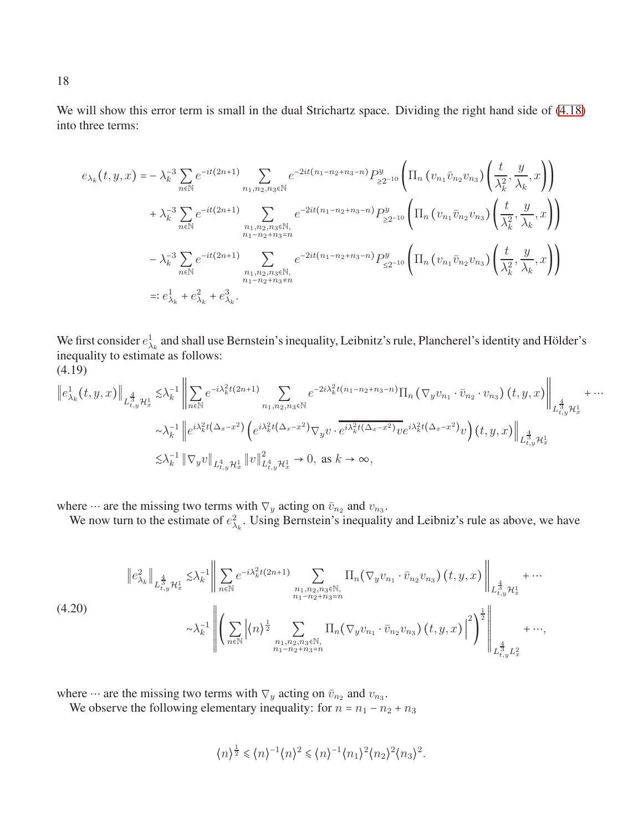We will show this error term is small in the dual Strichartz space. Dividing the right hand side of  $(4.18)$ into three terms:

$$
e_{\lambda_k}(t, y, x) = -\lambda_k^{-3} \sum_{n \in \mathbb{N}} e^{-it(2n+1)} \sum_{\substack{n_1, n_2, n_3 \in \mathbb{N} \\ n_1 - n_2 + n_3 = n}} e^{-2it(n_1 - n_2 + n_3 - n)} P_{\geq 2^{-10}}^y \left( \prod_n (v_{n_1} \bar{v}_{n_2} v_{n_3}) \left( \frac{t}{\lambda_k^2}, \frac{y}{\lambda_k}, x \right) \right)
$$
  
+  $\lambda_k^{-3} \sum_{n \in \mathbb{N}} e^{-it(2n+1)} \sum_{\substack{n_1, n_2, n_3 \in \mathbb{N} \\ n_1 - n_2 + n_3 = n}} e^{-2it(n_1 - n_2 + n_3 - n)} P_{\geq 2^{-10}}^y \left( \prod_n (v_{n_1} \bar{v}_{n_2} v_{n_3}) \left( \frac{t}{\lambda_k^2}, \frac{y}{\lambda_k}, x \right) \right)$   
-  $\lambda_k^{-3} \sum_{n \in \mathbb{N}} e^{-it(2n+1)} \sum_{\substack{n_1, n_2, n_3 \in \mathbb{N} \\ n_1 - n_2 + n_3 = n}} e^{-2it(n_1 - n_2 + n_3 - n)} P_{\leq 2^{-10}}^y \left( \prod_n (v_{n_1} \bar{v}_{n_2} v_{n_3}) \left( \frac{t}{\lambda_k^2}, \frac{y}{\lambda_k}, x \right) \right)$   
=:  $e_{\lambda_k}^1 + e_{\lambda_k}^2 + e_{\lambda_k}^3$ .

We first consider  $e^1_\lambda$  $\frac{1}{\lambda_k}$  and shall use Bernstein's inequality, Leibnitz's rule, Plancherel's identity and Hölder's inequality to estimate as follows: (4.19)

<span id="page-17-1"></span>
$$
\|e^1_{\lambda_k}(t,y,x)\|_{L^{\frac{4}{3}}_{t,y}\mathcal{H}^1_x} \lesssim \lambda_k^{-1} \left\| \sum_{n\in\mathbb{N}} e^{-i\lambda_k^2 t (2n+1)} \sum_{n_1,n_2,n_3\in\mathbb{N}} e^{-2i\lambda_k^2 t (n_1-n_2+n_3-n)} \Pi_n\left(\nabla_y v_{n_1}\cdot\bar{v}_{n_2}\cdot v_{n_3}\right)(t,y,x) \right\|_{L^{\frac{4}{3}}_{t,y}\mathcal{H}^1_x} + \cdots
$$
  

$$
\sim \lambda_k^{-1} \left\| e^{i\lambda_k^2 t (\Delta_x-x^2)} \left(e^{i\lambda_k^2 t (\Delta_x-x^2)} \nabla_y v \cdot \overline{e^{i\lambda_k^2 t (\Delta_x-x^2)} v} e^{i\lambda_k^2 t (\Delta_x-x^2)} v\right)(t,y,x) \right\|_{L^{\frac{4}{3}}_{t,y}\mathcal{H}^1_x}
$$
  

$$
\lesssim \lambda_k^{-1} \|\nabla_y v\|_{L^4_{t,y}\mathcal{H}^1_x} \|v\|_{L^4_{t,y}\mathcal{H}^1_x}^2 \to 0, \text{ as } k\to\infty,
$$

where  $\cdots$  are the missing two terms with  $\nabla_y$  acting on  $\bar{v}_{n_2}$  and  $v_{n_3}$ .

We now turn to the estimate of  $e_{\lambda}^2$  $\lambda_k^2$ . Using Bernstein's inequality and Leibniz's rule as above, we have

<span id="page-17-0"></span>
$$
(4.20)
$$
\n
$$
\left\|e_{\lambda_k}^2\right\|_{L_{t,y}^{\frac{4}{3}}\mathcal{H}_x^1} \lesssim \lambda_k^{-1} \left\| \sum_{n\in\mathbb{N}} e^{-i\lambda_k^2 t (2n+1)} \sum_{\substack{n_1, n_2, n_3 \in \mathbb{N},\\ n_1 - n_2 + n_3 = n}} \Pi_n(\nabla_y v_{n_1} \cdot \bar{v}_{n_2} v_{n_3}) (t, y, x) \right\|_{L_{t,y}^{\frac{4}{3}}\mathcal{H}_x^1} + \cdots
$$
\n
$$
\sim \lambda_k^{-1} \left\| \left( \sum_{n\in\mathbb{N}} \left| \langle n \rangle^{\frac{1}{2}} \sum_{\substack{n_1, n_2, n_3 \in \mathbb{N},\\ n_1 - n_2 + n_3 = n}} \Pi_n(\nabla_y v_{n_1} \cdot \bar{v}_{n_2} v_{n_3}) (t, y, x) \right|^2 \right)^{\frac{1}{2}} \right\|_{L_{t,y}^{\frac{4}{3}}L_x^2} + \cdots,
$$

where  $\cdots$  are the missing two terms with  $\nabla_y$  acting on  $\bar{v}_{n_2}$  and  $v_{n_3}$ .

We observe the following elementary inequality: for  $n = n_1 - n_2 + n_3$ 

$$
\langle n \rangle^{\frac{1}{2}} \leqslant \langle n \rangle^{-1} \langle n \rangle^{2} \leqslant \langle n \rangle^{-1} \langle n_1 \rangle^{2} \langle n_2 \rangle^{2} \langle n_3 \rangle^{2}.
$$

18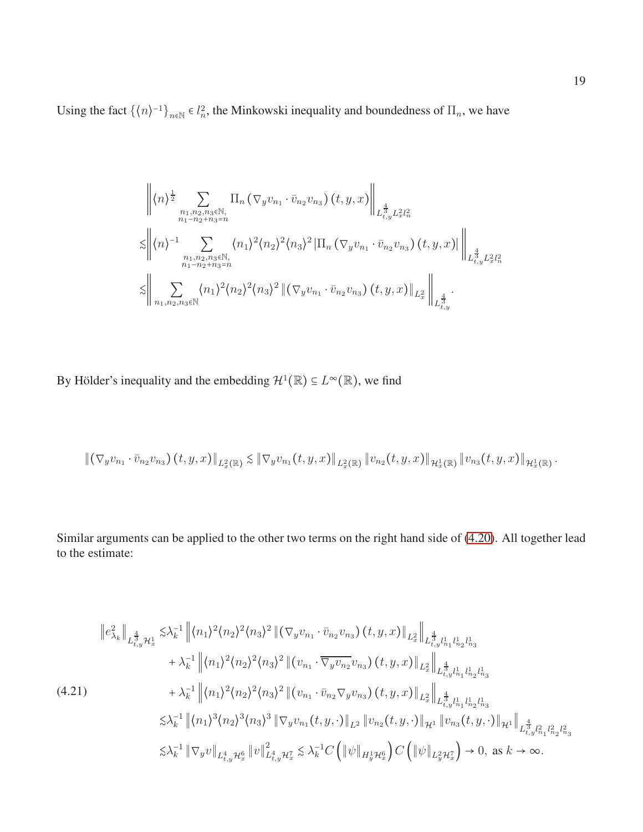Using the fact  $\{\langle n\rangle^{-1}\}_{n\in\mathbb{N}}\in l_n^2$ , the Minkowski inequality and boundedness of  $\Pi_n$ , we have

$$
\left\| \langle n \rangle^{\frac{1}{2}} \sum_{\substack{n_1, n_2, n_3 \in \mathbb{N}, \\ n_1 - n_2 + n_3 = n}} \Pi_n \left( \nabla_y v_{n_1} \cdot \bar{v}_{n_2} v_{n_3} \right) (t, y, x) \right\|_{L^{\frac{4}{3}}_{t, y} L^2_x l^2_n} \n\lesssim \left\| \langle n \rangle^{-1} \sum_{\substack{n_1, n_2, n_3 \in \mathbb{N}, \\ n_1 - n_2 + n_3 = n}} \langle n_1 \rangle^2 \langle n_2 \rangle^2 \langle n_3 \rangle^2 \left| \Pi_n \left( \nabla_y v_{n_1} \cdot \bar{v}_{n_2} v_{n_3} \right) (t, y, x) \right| \right\|_{L^{\frac{4}{3}}_{t, y} L^2_x l^2_n} \n\lesssim \left\| \sum_{n_1, n_2, n_3 \in \mathbb{N}} \langle n_1 \rangle^2 \langle n_2 \rangle^2 \langle n_3 \rangle^2 \left\| \left( \nabla_y v_{n_1} \cdot \bar{v}_{n_2} v_{n_3} \right) (t, y, x) \right\|_{L^2_x} \right\|_{L^{\frac{4}{3}}_{t, y}}.
$$

By Hölder's inequality and the embedding  $\mathcal{H}^1(\mathbb{R}) \subseteq L^\infty(\mathbb{R})$ , we find

$$
\left\| \left( \nabla_y v_{n_1} \cdot \bar{v}_{n_2} v_{n_3} \right) (t, y, x) \right\|_{L^2_x(\mathbb{R})} \lesssim \left\| \nabla_y v_{n_1} (t, y, x) \right\|_{L^2_x(\mathbb{R})} \left\| v_{n_2} (t, y, x) \right\|_{\mathcal{H}^1_x(\mathbb{R})} \left\| v_{n_3} (t, y, x) \right\|_{\mathcal{H}^1_x(\mathbb{R})}.
$$

Similar arguments can be applied to the other two terms on the right hand side of [\(4.20\)](#page-17-0). All together lead to the estimate:

<span id="page-18-0"></span>
$$
\|e_{\lambda_k}^2\|_{L_{t,y}^{\frac{4}{3}}\mathcal{H}_x^1} \lesssim \lambda_k^{-1} \| \langle n_1 \rangle^2 \langle n_2 \rangle^2 \langle n_3 \rangle^2 \| (\nabla_y v_{n_1} \cdot \bar{v}_{n_2} v_{n_3}) (t, y, x) \|_{L_x^2} \|_{L_{t,y}^{\frac{4}{3}}l_{n_1}^1 l_{n_2}^1 l_{n_3}^1} + \lambda_k^{-1} \| \langle n_1 \rangle^2 \langle n_2 \rangle^2 \langle n_3 \rangle^2 \| (v_{n_1} \cdot \overline{\nabla_y v_{n_2}} v_{n_3}) (t, y, x) \|_{L_x^2} \|_{L_{t,y}^{\frac{4}{3}}l_{n_1}^1 l_{n_2}^1 l_{n_3}^1} + \lambda_k^{-1} \| \langle n_1 \rangle^2 \langle n_2 \rangle^2 \langle n_3 \rangle^2 \| (v_{n_1} \cdot \bar{v}_{n_2} \nabla_y v_{n_3}) (t, y, x) \|_{L_x^2} \|_{L_{t,y}^{\frac{4}{3}}l_{n_1}^1 l_{n_2}^1 l_{n_3}^1} < \lambda_k^{-1} \| \langle n_1 \rangle^3 \langle n_2 \rangle^3 \langle n_3 \rangle^3 \| \nabla_y v_{n_1} (t, y, \cdot) \|_{L^2} \| v_{n_2} (t, y, \cdot) \|_{\mathcal{H}^1} \| v_{n_3} (t, y, \cdot) \|_{\mathcal{H}^1} \|_{L_{t,y}^{\frac{4}{3}}l_{n_1}^2 l_{n_2}^2 l_{n_3}^2} < \lambda_k^{-1} \| \nabla_y v \|_{L_{t,y}^4 \mathcal{H}_x^6} \| v \|_{L_{t,y}^4 \mathcal{H}_x^7}^2 \lesssim \lambda_k^{-1} C \Big( \| \psi \|_{H_y^1 \mathcal{H}_x^6} \Big) C \Big( \| \psi \|_{L_y^2 \mathcal{H}_x^7} \Big) \to 0, \text{ as } k \to \infty.
$$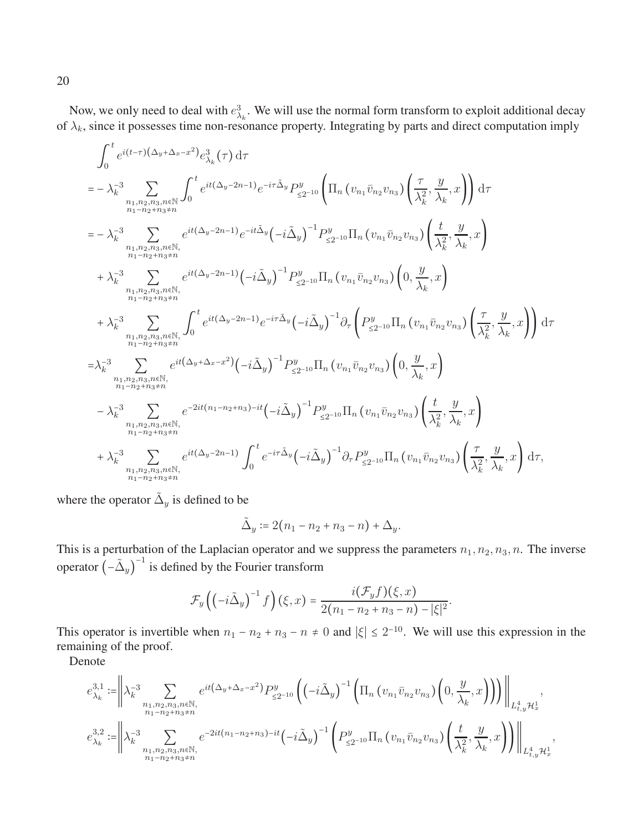Now, we only need to deal with  $e_{\lambda}^3$  $\frac{3}{\lambda_k}$ . We will use the normal form transform to exploit additional decay of  $\lambda_k$ , since it possesses time non-resonance property. Integrating by parts and direct computation imply

$$
\int_{0}^{t} e^{i(t-\tau)(\Delta_{y}+\Delta_{x}-x^{2})} e^{3}_{\lambda_{k}}(\tau) d\tau
$$
\n
$$
= -\lambda_{k}^{-3} \sum_{\substack{n_{1},n_{2},n_{3},n\in\mathbb{N} \\ n_{1}-n_{2}+n_{3}\neq n}} \int_{0}^{t} e^{it(\Delta_{y}-2n-1)} e^{-i\tau \tilde{\Delta}_{y}} P_{\leq 2^{-10}}^{y} \left( \prod_{n} (v_{n_{1}} \bar{v}_{n_{2}} v_{n_{3}}) \left( \frac{\tau}{\lambda_{k}^{2}}, \frac{y}{\lambda_{k}}, x \right) \right) d\tau
$$
\n
$$
= -\lambda_{k}^{-3} \sum_{\substack{n_{1},n_{2},n_{3},n\in\mathbb{N} \\ n_{1}-n_{2}+n_{3}\neq n}} e^{it(\Delta_{y}-2n-1)} e^{-it \tilde{\Delta}_{y}} (-i\tilde{\Delta}_{y})^{-1} P_{\leq 2^{-10}}^{y} \prod_{n} (v_{n_{1}} \bar{v}_{n_{2}} v_{n_{3}}) \left( \frac{t}{\lambda_{k}^{2}}, \frac{y}{\lambda_{k}}, x \right)
$$
\n
$$
+ \lambda_{k}^{-3} \sum_{\substack{n_{1},n_{2},n_{3},n\in\mathbb{N} \\ n_{1}-n_{2}+n_{3}\neq n}} e^{it(\Delta_{y}-2n-1)} (-i\tilde{\Delta}_{y})^{-1} P_{\leq 2^{-10}}^{y} \prod_{n} (v_{n_{1}} \bar{v}_{n_{2}} v_{n_{3}}) \left( 0, \frac{y}{\lambda_{k}}, x \right)
$$
\n
$$
+ \lambda_{k}^{-3} \sum_{\substack{n_{1},n_{2},n_{3},n\in\mathbb{N} \\ n_{1}-n_{2}+n_{3}\neq n}} e^{it(\Delta_{y}-2n-1)} e^{-i\tau \tilde{\Delta}_{y}} (-i\tilde{\Delta}_{y})^{-1} \partial_{\tau} \left( P_{\leq 2^{-10}}^{y} \prod_{n} (v_{n_{1}} \bar{v}_{n_{2}} v_{n_{3}}) \left( \frac{\tau}{\lambda_{k}^{2}}, \frac{y}{\lambda_{k}}, x \right) \right) d\tau
$$
\n
$$
= \lambda_{k}^{-3} \sum
$$

where the operator  $\tilde{\Delta}_y$  is defined to be

$$
\tilde{\Delta}_y \coloneqq 2(n_1 - n_2 + n_3 - n) + \Delta_y.
$$

This is a perturbation of the Laplacian operator and we suppress the parameters  $n_1, n_2, n_3, n$ . The inverse operator  $\left(-\tilde{\Delta}_y\right)$  $\frac{1}{1}$  is defined by the Fourier transform

$$
\mathcal{F}_y\left(\left(-i\tilde{\Delta}_y\right)^{-1}f\right)(\xi,x)=\frac{i(\mathcal{F}_yf)(\xi,x)}{2(n_1-n_2+n_3-n)-|\xi|^2}.
$$

This operator is invertible when  $n_1 - n_2 + n_3 - n \neq 0$  and  $|\xi| \leq 2^{-10}$ . We will use this expression in the remaining of the proof.

Denote

 $\ddot{\phantom{a}}$ 

$$
\begin{split} & e_{\lambda_k}^{3,1} := \bigg\| \lambda_k^{-3} \sum_{\substack{n_1, n_2, n_3, n \in \mathbb{N}, \\ n_1 - n_2 + n_3 \neq n}} e^{it\left(\Delta_y + \Delta_x - x^2\right)} P_{\leq 2^{-10}}^y \left( \left( -i \tilde{\Delta}_y \right)^{-1} \left( \Pi_n \left( v_{n_1} \bar{v}_{n_2} v_{n_3} \right) \left( 0, \frac{y}{\lambda_k}, x \right) \right) \right) \bigg\|_{L^4_{t,y} \mathcal{H}^1_x}, \\ & e_{\lambda_k}^{3,2} := \bigg\| \lambda_k^{-3} \sum_{\substack{n_1, n_2, n_3, n \in \mathbb{N}, \\ n_1 - n_2 + n_3 \neq n}} e^{-2it(n_1 - n_2 + n_3) - it} \left( -i \tilde{\Delta}_y \right)^{-1} \left( P_{\leq 2^{-10}}^y \Pi_n \left( v_{n_1} \bar{v}_{n_2} v_{n_3} \right) \left( \frac{t}{\lambda_k^2}, \frac{y}{\lambda_k}, x \right) \right) \bigg\|_{L^4_{t,y} \mathcal{H}^1_x}, \end{split}
$$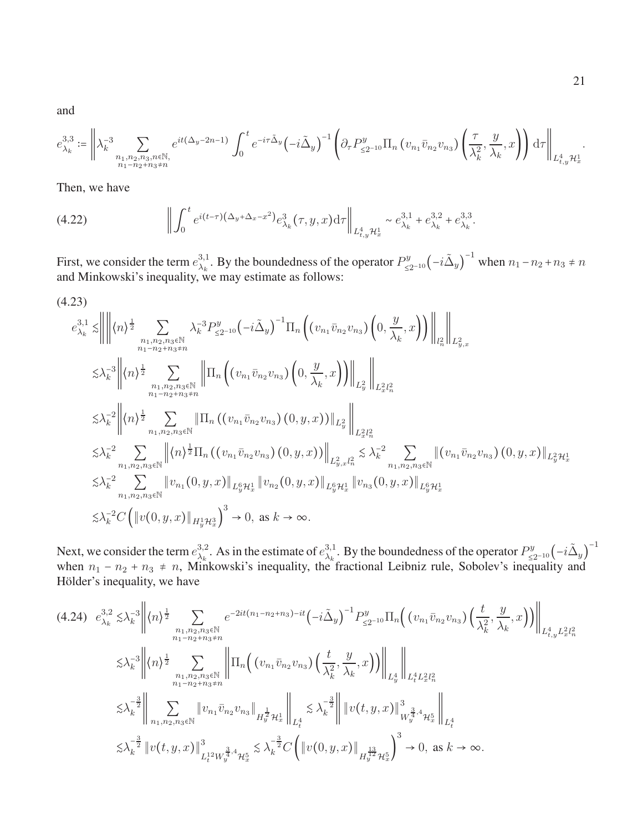and

$$
e_{\lambda_k}^{3,3}\coloneqq\left\|\lambda_k^{-3}\sum_{\substack{n_1,n_2,n_3,n\in\mathbb{N},\\ n_1-n_2+n_3+n}}e^{it(\Delta_y-2n-1)}\int_0^te^{-i\tau\tilde{\Delta}_y}\Big(-i\tilde{\Delta}_y\Big)^{-1}\left(\partial_\tau P^y_{\leq 2^{-10}}\Pi_n\left(v_{n_1}\bar{v}_{n_2}v_{n_3}\right)\left(\frac{\tau}{\lambda_k^2},\frac{y}{\lambda_k},x\right)\right)\mathrm{d}\tau\right\|_{L^4_{t,y}\mathcal{H}^1_x}.
$$

Then, we have

<span id="page-20-0"></span>
$$
(4.22) \qquad \qquad \left\| \int_0^t e^{i(t-\tau)(\Delta_y + \Delta_x - x^2)} e^3_{\lambda_k}(\tau, y, x) d\tau \right\|_{L^4_{t,y} \mathcal{H}^1_x} \sim e^{3,1}_{\lambda_k} + e^{3,2}_{\lambda_k} + e^{3,3}_{\lambda_k}.
$$

First, we consider the term  $e_{\lambda}^{3,1}$ <sup>3,1</sup>. By the boundedness of the operator  $P^y_{\leq}$  $\sum_{\leq 2^{-10}}^{y} \left( -i \tilde{\Delta}_y \right)$  $n_1 - n_2 + n_3 \neq n$ and Minkowski's inequality, we may estimate as follows:

<span id="page-20-1"></span>
$$
(4.23)
$$
\n
$$
e_{\lambda_k}^{3,1} \leq \left\| \left\| \left\langle n \right\rangle^{\frac{1}{2}} \sum_{\substack{n_1, n_2, n_3 \in \mathbb{N} \\ n_1 - n_2 + n_3 \neq n}} \lambda_k^{-3} P_{\leq 2^{-10}}^y \left( -i \tilde{\Delta}_y \right)^{-1} \Pi_n \left( \left( v_{n_1} \bar{v}_{n_2} v_{n_3} \right) \left( 0, \frac{y}{\lambda_k}, x \right) \right) \right\|_{l^2_{\tilde{u}}} \right\|_{L^2_{y,x}} \\
\leq \lambda_k^{-3} \left\| \left\langle n \right\rangle^{\frac{1}{2}} \sum_{\substack{n_1, n_2, n_3 \in \mathbb{N} \\ n_1 - n_2 + n_3 \neq n}} \left\| \Pi_n \left( \left( v_{n_1} \bar{v}_{n_2} v_{n_3} \right) \left( 0, \frac{y}{\lambda_k}, x \right) \right) \right\|_{L^2_{y}} \right\|_{L^2_{y}l^2_{\tilde{u}}} \\
\leq \lambda_k^{-2} \left\| \left\langle n \right\rangle^{\frac{1}{2}} \sum_{\substack{n_1, n_2, n_3 \in \mathbb{N} \\ n_1, n_2, n_3 \in \mathbb{N}}} \left\| \Pi_n \left( \left( v_{n_1} \bar{v}_{n_2} v_{n_3} \right) \left( 0, y, x \right) \right) \right\|_{L^2_{y}} \right\|_{L^2_{x}l^2_{\tilde{u}}} \\
\leq \lambda_k^{-2} \sum_{\substack{n_1, n_2, n_3 \in \mathbb{N} \\ n_1, n_2, n_3 \in \mathbb{N}}} \left\| \left\langle n \right\rangle^{\frac{1}{2}} \Pi_n \left( \left( v_{n_1} \bar{v}_{n_2} v_{n_3} \right) \left( 0, y, x \right) \right) \right\|_{L^2_{y}l^2_{x}} \leq \lambda_k^{-2} \sum_{\substack{n_1, n_2, n_3 \in \mathbb{N} \\ n_1, n_2, n_3 \in \mathbb{N}}} \left\| \left( v_{n_1} \bar{v}_{n_2} v_{n_
$$

Next, we consider the term  $e_{\lambda}^{3,2}$ <sup>3,2</sup>. As in the estimate of  $e_{\lambda_k}^{3,1}$  $\frac{3.1}{\lambda_k}$ . By the boundedness of the operator  $P_{\leq k}^y$  $\sum_{\leq 2^{-10}}^{y} \left( -i \tilde{\Delta}_y \right)$ −1 when  $n_1 - n_2 + n_3 \neq n$ , Minkowski's inequality, the fractional Leibniz rule, Sobolev's inequality and Hölder's inequality, we have

<span id="page-20-2"></span>
$$
(4.24) \quad e_{\lambda_k}^{3,2} \lesssim \lambda_k^{-3} \left\| \langle n \rangle^{\frac{1}{2}} \sum_{\substack{n_1, n_2, n_3 \in \mathbb{N} \\ n_1 - n_2 + n_3 + n}} e^{-2it(n_1 - n_2 + n_3) - it} \left( -i \tilde{\Delta}_y \right)^{-1} P_{\leq 2^{-10}}^y \Pi_n \left( \left( v_{n_1} \bar{v}_{n_2} v_{n_3} \right) \left( \frac{t}{\lambda_k^2}, \frac{y}{\lambda_k}, x \right) \right) \right\|_{L^4_{t,y} L^2_x l^2_n} \n\lesssim \lambda_k^{-3} \left\| \langle n \rangle^{\frac{1}{2}} \sum_{\substack{n_1, n_2, n_3 \in \mathbb{N} \\ n_1 - n_2 + n_3 + n}} \left\| \Pi_n \left( \left( v_{n_1} \bar{v}_{n_2} v_{n_3} \right) \left( \frac{t}{\lambda_k^2}, \frac{y}{\lambda_k}, x \right) \right) \right\|_{L^4_{y}} \right\|_{L^4_t L^2_x l^2_n} \n\lesssim \lambda_k^{-\frac{3}{2}} \left\| \sum_{n_1, n_2, n_3 \in \mathbb{N}} \left\| v_{n_1} \bar{v}_{n_2} v_{n_3} \right\|_{H^{\frac{1}{2}}_y H^1_x} \right\|_{L^4_t} \lesssim \lambda_k^{-\frac{3}{2}} \left\| \left\| v(t, y, x) \right\|_{W^{3,4}_y H^5_x}^3 \right\|_{L^4_t} \n\lesssim \lambda_k^{-\frac{3}{2}} \left\| v(t, y, x) \right\|_{L^1_t L^2 W^{3,4}_y H^4_x}^3 \lesssim \lambda_k^{-\frac{3}{2}} C \left( \left\| v(0, y, x) \right\|_{H^{\frac{13}{12}}_y H^5_x} \right)^3 \to 0, \text{ as } k \to \infty.
$$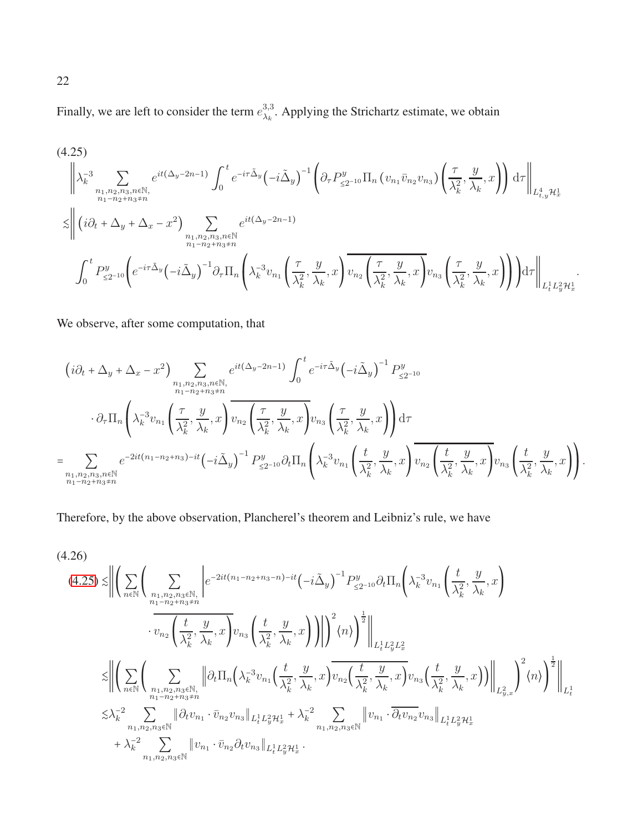Finally, we are left to consider the term  $e_{\lambda_k}^{3,3}$  $\lambda_k^{\delta,3}$ . Applying the Strichartz estimate, we obtain

<span id="page-21-0"></span>
$$
(4.25)
$$
\n
$$
\left\|\lambda_k^{-3}\sum_{\substack{n_1,n_2,n_3,n\in\mathbb{N},\\n_1-n_2+n_3\neq n}}e^{it(\Delta_y-2n-1)}\int_0^t e^{-i\tau\tilde{\Delta}_y}\left(-i\tilde{\Delta}_y\right)^{-1}\left(\partial_\tau P_{\leq 2^{-10}}^y\Pi_n\left(v_{n_1}\bar{v}_{n_2}v_{n_3}\right)\left(\frac{\tau}{\lambda_k^2},\frac{y}{\lambda_k},x\right)\right)d\tau\right\|_{L^4_{t,y}\mathcal{H}^1_x}
$$
\n
$$
\lesssim \left\|\left(i\partial_t + \Delta_y + \Delta_x - x^2\right)\sum_{\substack{n_1,n_2,n_3,n\in\mathbb{N},\\n_1-n_2+n_3\neq n}}e^{it(\Delta_y-2n-1)}\right\|_{L^2_{t,x}\mathcal{H}^1_x} \left(\frac{\tau}{\lambda_k^2},\frac{y}{\lambda_k},x\right)v_{n_2}\left(\frac{\tau}{\lambda_k^2},\frac{y}{\lambda_k},x\right)v_{n_3}\left(\frac{\tau}{\lambda_k^2},\frac{y}{\lambda_k},x\right)\right)\right\|d\tau\right\|_{L^1_tL^2_y\mathcal{H}^1_x}
$$

.

We observe, after some computation, that

$$
(i\partial_t + \Delta_y + \Delta_x - x^2) \sum_{\substack{n_1, n_2, n_3, n \in \mathbb{N},\\n_1 - n_2 + n_3 \neq n}} e^{it(\Delta_y - 2n - 1)} \int_0^t e^{-i\tau \tilde{\Delta}_y} (-i\tilde{\Delta}_y)^{-1} P_{\leq 2^{-10}}^y
$$

$$
\cdot \partial_\tau \Pi_n \left( \lambda_k^{-3} v_{n_1} \left( \frac{\tau}{\lambda_k^2}, \frac{y}{\lambda_k}, x \right) v_{n_2} \left( \frac{\tau}{\lambda_k^2}, \frac{y}{\lambda_k}, x \right) v_{n_3} \left( \frac{\tau}{\lambda_k^2}, \frac{y}{\lambda_k}, x \right) \right) d\tau
$$

$$
= \sum_{\substack{n_1, n_2, n_3, n \in \mathbb{N},\\n_1 - n_2 + n_3 \neq n}} e^{-2it(n_1 - n_2 + n_3) - it} (-i\tilde{\Delta}_y)^{-1} P_{\leq 2^{-10}}^y \partial_t \Pi_n \left( \lambda_k^{-3} v_{n_1} \left( \frac{t}{\lambda_k^2}, \frac{y}{\lambda_k}, x \right) v_{n_2} \left( \frac{t}{\lambda_k^2}, \frac{y}{\lambda_k}, x \right) v_{n_3} \left( \frac{t}{\lambda_k^2}, \frac{y}{\lambda_k}, x \right) \right).
$$

Therefore, by the above observation, Plancherel's theorem and Leibniz's rule, we have

<span id="page-21-1"></span>
$$
(4.26)
$$
\n
$$
(4.25) \lesssim \left\| \left( \sum_{n\in\mathbb{N}} \left( \sum_{n_{1},n_{2},n_{3}\in\mathbb{N}} \left| e^{-2it(n_{1}-n_{2}+n_{3}-n)-it} \left( -i\tilde{\Delta}_{y} \right)^{-1} P_{\leq 2^{-10}}^{y} \partial_{t} \Pi_{n} \left( \lambda_{k}^{-3} v_{n_{1}} \left( \frac{t}{\lambda_{k}^{2}}, \frac{y}{\lambda_{k}}, x \right) \right) \right) \right) \right\|_{L_{t}^{1} L_{y}^{2} L_{x}^{2}} \right\|_{L_{t}^{1} L_{y}^{2} L_{x}^{2}} \lesssim \left\| \left( \sum_{n\in\mathbb{N}} \left( \sum_{n_{1},n_{2},n_{3}\in\mathbb{N}} \left\| \partial_{t} \Pi_{n} \left( \lambda_{k}^{-3} v_{n_{1}} \left( \frac{t}{\lambda_{k}^{2}}, \frac{y}{\lambda_{k}}, x \right) \right) \right\| \right)^{2} \langle n \rangle \right)^{\frac{1}{2}} \right\|_{L_{t}^{1} L_{y}^{2} L_{x}^{2}} \lesssim \left\| \left( \sum_{n\in\mathbb{N}} \left( \sum_{n_{1},n_{2},n_{3}\in\mathbb{N}} \left\| \partial_{t} \Pi_{n} \left( \lambda_{k}^{-3} v_{n_{1}} \left( \frac{t}{\lambda_{k}^{2}}, \frac{y}{\lambda_{k}}, x \right) \right) v_{n_{2}} \left( \frac{t}{\lambda_{k}^{2}}, \frac{y}{\lambda_{k}}, x \right) v_{n_{3}} \left( \frac{t}{\lambda_{k}^{2}}, \frac{y}{\lambda_{k}}, x \right) \right) \right\|_{L_{y}^{2}} \right\|_{L_{t}^{1}} \right\|_{L_{y}^{1}} \right\|_{L_{y}^{1}} \left\| \left( \sum_{n_{1},n_{2},n_{3}\in\mathbb{N}} \left\| \partial_{t} v_{n_{1}} \cdot \bar{v}_{n_{2}} v_{n_{3}} \right\|_{L_{t}^{1} L_{y}^{2} H_{x}^{1}} + \lambda_{k}^{-2} \sum_{n_{1},n_{2},n_{3}\in\mathbb{N}} \
$$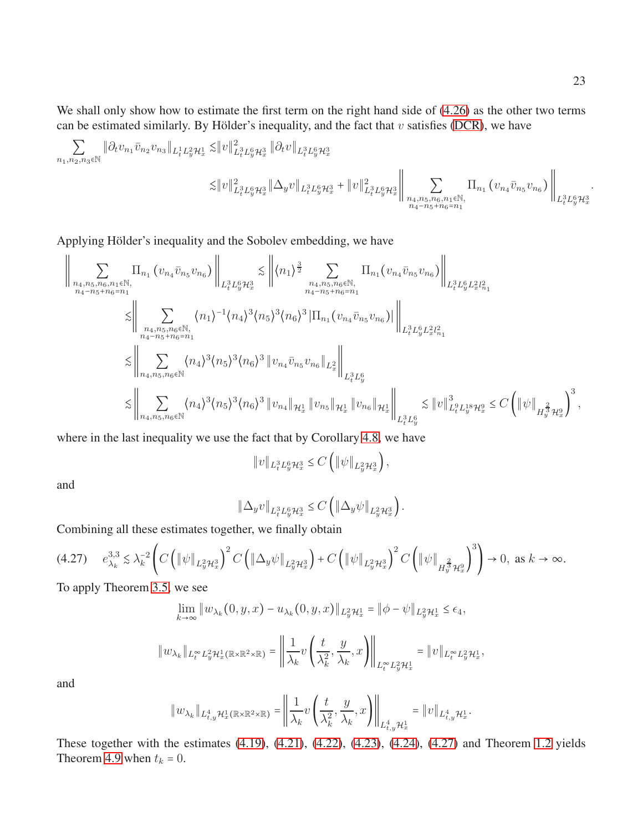We shall only show how to estimate the first term on the right hand side of  $(4.26)$  as the other two terms can be estimated similarly. By Hölder's inequality, and the fact that  $v$  satisfies [\(DCR\)](#page-4-2), we have

$$
\sum_{n_1, n_2, n_3 \in \mathbb{N}} \|\partial_t v_{n_1} \bar{v}_{n_2} v_{n_3}\|_{L^1_t L^2_y \mathcal{H}^1_x} \lesssim \|v\|_{L^3_t L^6_y \mathcal{H}^3_x}^2 \|\partial_t v\|_{L^3_t L^6_y \mathcal{H}^3_x} + \|v\|_{L^3_t L^6_y \mathcal{H}^3_x}^2 + \|v\|_{L^3_t L^6_y \mathcal{H}^3_x}^2 \bigg\| \sum_{\substack{n_4, n_5, n_6, n_1 \in \mathbb{N},\\ n_4 - n_5 + n_6 = n_1}} \Pi_{n_1} \left( v_{n_4} \bar{v}_{n_5} v_{n_6} \right) \bigg\|_{L^3_t L^6_y \mathcal{H}^3_x}.
$$

Applying Hölder's inequality and the Sobolev embedding, we have

$$
\left\| \sum_{\substack{n_4,n_5,n_6,n_1 \in \mathbb{N},\\ n_4-n_5+n_6=n_1}} \Pi_{n_1} (v_{n_4} \bar{v}_{n_5} v_{n_6}) \right\|_{L_t^3 L_y^6 \mathcal{H}_x^3} \lesssim \left\| \langle n_1 \rangle^{\frac{3}{2}} \sum_{\substack{n_4,n_5,n_6 \in \mathbb{N},\\ n_4-n_5+n_6=n_1}} \Pi_{n_1} (v_{n_4} \bar{v}_{n_5} v_{n_6}) \right\|_{L_t^3 L_y^6 L_x^2 l_{n_1}^2}
$$
  

$$
\lesssim \left\| \sum_{\substack{n_4,n_5,n_6 \in \mathbb{N},\\ n_4-n_5+n_6=n_1}} \langle n_1 \rangle^{-1} \langle n_4 \rangle^3 \langle n_5 \rangle^3 \langle n_6 \rangle^3 \left\| \Pi_{n_1} (v_{n_4} \bar{v}_{n_5} v_{n_6}) \right\| \right\|_{L_t^3 L_y^6 L_x^2 l_{n_1}^2}
$$
  

$$
\lesssim \left\| \sum_{n_4,n_5,n_6 \in \mathbb{N}} \langle n_4 \rangle^3 \langle n_5 \rangle^3 \langle n_6 \rangle^3 \left\| v_{n_4} \bar{v}_{n_5} v_{n_6} \right\|_{L_x^2} \right\|_{L_t^3 L_y^6}
$$
  

$$
\lesssim \left\| \sum_{n_4,n_5,n_6 \in \mathbb{N}} \langle n_4 \rangle^3 \langle n_5 \rangle^3 \langle n_6 \rangle^3 \left\| v_{n_4} \right\|_{\mathcal{H}_x^1} \left\| v_{n_5} \right\|_{\mathcal{H}_x^1} \left\| v_{n_6} \right\|_{\mathcal{H}_x^1} \right\|_{L_t^3 L_y^6}
$$
  

$$
\lesssim \left\| \sqrt{\sum_{n_4,n_5,n_6 \in \mathbb{N}} \langle n_4 \rangle^3 \langle n_5 \rangle^3 \langle n_6 \rangle^3 \left\| v_{n_4} \right\|_{\mathcal{H}_x^1} \left\| v_{n_5} \right\|_{\mathcal{H}_x^1} \left\| v_{n_6} \right\|_{\math
$$

where in the last inequality we use the fact that by Corollary [4.8,](#page-16-0) we have

$$
||v||_{L_t^3 L_y^6 \mathcal{H}_x^3} \leq C \left( ||\psi||_{L_y^2 \mathcal{H}_x^3} \right),
$$

and

$$
\|\Delta_y v\|_{L^3_tL^6_y\mathcal{H}^3_x} \leq C \left( \|\Delta_y \psi\|_{L^2_y\mathcal{H}^3_x} \right).
$$

Combining all these estimates together, we finally obtain

<span id="page-22-0"></span>
$$
(4.27) \qquad e_{\lambda_k}^{3,3} \lesssim \lambda_k^{-2} \left( C \left( \|\psi\|_{L_y^2 \mathcal{H}_x^3} \right)^2 C \left( \|\Delta_y \psi\|_{L_y^2 \mathcal{H}_x^3} \right) + C \left( \|\psi\|_{L_y^2 \mathcal{H}_x^3} \right)^2 C \left( \|\psi\|_{H_y^{\frac{2}{3}} \mathcal{H}_x^9} \right)^3 \right) \to 0, \text{ as } k \to \infty.
$$

To apply Theorem [3.5,](#page-10-3) we see

$$
\lim_{k \to \infty} \|w_{\lambda_k}(0, y, x) - u_{\lambda_k}(0, y, x)\|_{L_y^2 \mathcal{H}_x^1} = \|\phi - \psi\|_{L_y^2 \mathcal{H}_x^1} \le \epsilon_4,
$$

$$
||w_{\lambda_k}||_{L_t^{\infty}L_y^2\mathcal{H}_x^1(\mathbb{R}\times\mathbb{R}^2\times\mathbb{R})} = \left||\frac{1}{\lambda_k}v\left(\frac{t}{\lambda_k^2},\frac{y}{\lambda_k},x\right)\right||_{L_t^{\infty}L_y^2\mathcal{H}_x^1} = ||v||_{L_t^{\infty}L_y^2\mathcal{H}_x^1},
$$

and

$$
\|w_{\lambda_k}\|_{L^4_{t,y}\mathcal{H}^1_x(\mathbb{R}\times\mathbb{R}^2\times\mathbb{R})} = \left\|\frac{1}{\lambda_k}v\left(\frac{t}{\lambda_k^2},\frac{y}{\lambda_k},x\right)\right\|_{L^4_{t,y}\mathcal{H}^1_x} = \|v\|_{L^4_{t,y}\mathcal{H}^1_x}.
$$

These together with the estimates [\(4.19\)](#page-17-1), [\(4.21\)](#page-18-0), [\(4.22\)](#page-20-0), [\(4.23\)](#page-20-1), [\(4.24\)](#page-20-2), [\(4.27\)](#page-22-0) and Theorem [1.2](#page-4-0) yields Theorem [4.9](#page-16-1) when  $t_k = 0$ .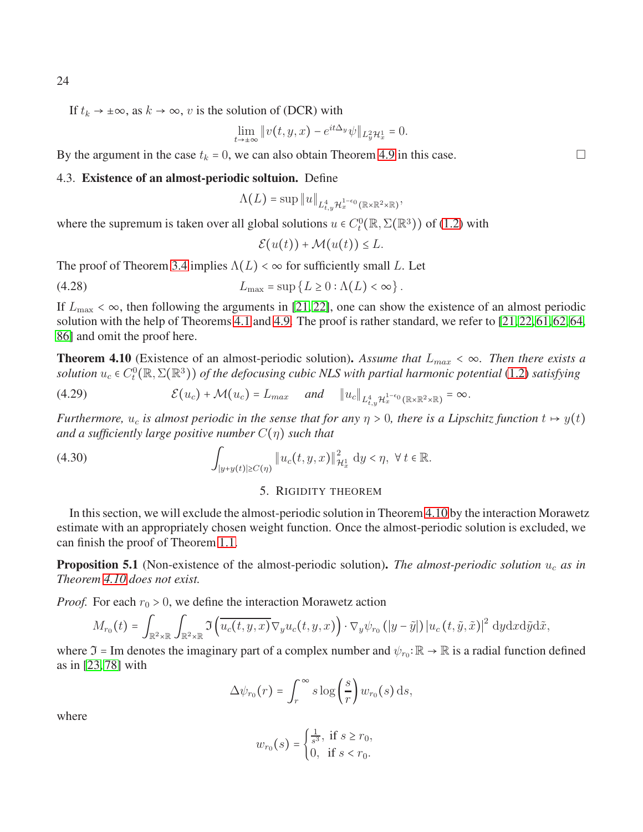24

If  $t_k \to \pm \infty$ , as  $k \to \infty$ , v is the solution of (DCR) with

$$
\lim_{t\to\pm\infty}||v(t,y,x)-e^{it\Delta_y}\psi||_{L_y^2\mathcal{H}_x^1}=0.
$$

By the argument in the case  $t_k = 0$ , we can also obtain Theorem [4.9](#page-16-1) in this case.

## 4.3. Existence of an almost-periodic soltuion. Define

$$
\Lambda(L) = \sup \|u\|_{L^4_{t,y} \mathcal{H}_x^{1-\epsilon_0}(\mathbb{R} \times \mathbb{R}^2 \times \mathbb{R})},
$$

where the supremum is taken over all global solutions  $u \in C^0_t(\mathbb{R}, \Sigma(\mathbb{R}^3))$  of [\(1.2\)](#page-2-0) with

$$
\mathcal{E}(u(t)) + \mathcal{M}(u(t)) \leq L.
$$

The proof of Theorem [3.4](#page-9-1) implies  $\Lambda(L) < \infty$  for sufficiently small L. Let

<span id="page-23-4"></span>
$$
(4.28) \t\t\t L_{\text{max}} = \sup \{ L \ge 0 : \Lambda(L) < \infty \}.
$$

If  $L_{\text{max}} < \infty$ , then following the arguments in [\[21,](#page-67-10) [22\]](#page-67-11), one can show the existence of an almost periodic solution with the help of Theorems [4.1](#page-10-0) and [4.9.](#page-16-1) The proof is rather standard, we refer to [\[21,](#page-67-10) [22,](#page-67-11) [61,](#page-69-0) [62,](#page-69-1) [64,](#page-69-8) [86\]](#page-70-3) and omit the proof here.

<span id="page-23-1"></span>**Theorem 4.10** (Existence of an almost-periodic solution). Assume that  $L_{max} < \infty$ . Then there exists a  $solution$   $u_c$   $\in$   $C_t^0(\mathbb{R},\Sigma(\mathbb{R}^3))$  *of the defocusing cubic NLS with partial harmonic potential* [\(1.2\)](#page-2-0) *satisfying* 

<span id="page-23-3"></span>
$$
(4.29) \t\t\t\mathcal{E}(u_c) + \mathcal{M}(u_c) = L_{max} \t and \t ||u_c||_{L^4_{t,y} \mathcal{H}_x^{1-\epsilon_0}(\mathbb{R} \times \mathbb{R}^2 \times \mathbb{R})} = \infty.
$$

*Furthermore,*  $u_c$  *is almost periodic in the sense that for any*  $\eta > 0$ *, there is a Lipschitz function*  $t \mapsto y(t)$ *and a sufficiently large positive number*  $C(\eta)$  *such that* 

<span id="page-23-2"></span><span id="page-23-0"></span>(4.30) 
$$
\int_{|y+y(t)| \ge C(\eta)} \|u_c(t,y,x)\|_{\mathcal{H}_x^1}^2 dy < \eta, \ \forall \ t \in \mathbb{R}.
$$

#### 5. RIGIDITY THEOREM

In this section, we will exclude the almost-periodic solution in Theorem [4.10](#page-23-1) by the interaction Morawetz estimate with an appropriately chosen weight function. Once the almost-periodic solution is excluded, we can finish the proof of Theorem [1.1.](#page-3-1)

<span id="page-23-5"></span>**Proposition 5.1** (Non-existence of the almost-periodic solution). *The almost-periodic solution*  $u_c$  *as in Theorem [4.10](#page-23-1) does not exist.*

*Proof.* For each  $r_0 > 0$ , we define the interaction Morawetz action

$$
M_{r_0}(t) = \int_{\mathbb{R}^2 \times \mathbb{R}} \int_{\mathbb{R}^2 \times \mathbb{R}} \mathfrak{I}\left(\overline{u_c(t,y,x)} \nabla_y u_c(t,y,x)\right) \cdot \nabla_y \psi_{r_0}\left(|y-\tilde{y}|\right) \left|u_c\left(t,\tilde{y},\tilde{x}\right)\right|^2 \, \mathrm{d}y \mathrm{d}x \mathrm{d}\tilde{y} \mathrm{d}\tilde{x},
$$

where  $\Im$  = Im denotes the imaginary part of a complex number and  $\psi_{r0}$ :  $\mathbb{R} \to \mathbb{R}$  is a radial function defined as in [\[23,](#page-67-15) [78\]](#page-69-14) with

$$
\Delta \psi_{r_0}(r) = \int_r^{\infty} s \log\left(\frac{s}{r}\right) w_{r_0}(s) \,ds,
$$

where

$$
w_{r_0}(s) = \begin{cases} \frac{1}{s^3}, & \text{if } s \ge r_0, \\ 0, & \text{if } s < r_0. \end{cases}
$$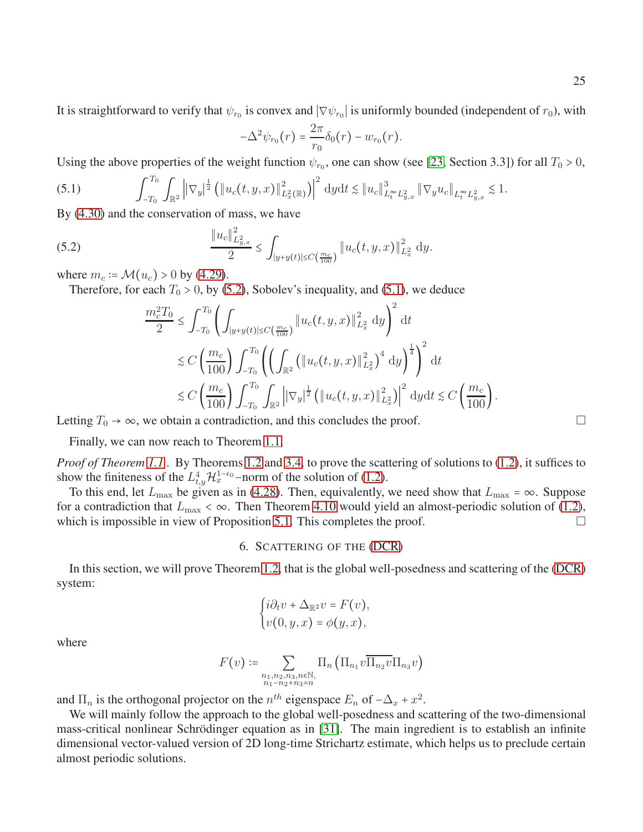It is straightforward to verify that  $\psi_{r_0}$  is convex and  $|\nabla \psi_{r_0}|$  is uniformly bounded (independent of  $r_0$ ), with

$$
-\Delta^2 \psi_{r_0}(r) = \frac{2\pi}{r_0} \delta_0(r) - w_{r_0}(r).
$$

Using the above properties of the weight function  $\psi_{r_0}$ , one can show (see [\[23,](#page-67-15) Section 3.3]) for all  $T_0 > 0$ ,

<span id="page-24-2"></span>
$$
(5.1) \qquad \qquad \int_{-T_0}^{T_0} \int_{\mathbb{R}^2} \left| |\nabla_y|^{\frac{1}{2}} \left( \|u_c(t, y, x)\|_{L_x^2(\mathbb{R})}^2 \right) \right|^2 \, \mathrm{d}y \mathrm{d}t \lesssim \|u_c\|_{L_t^\infty L_{y,x}^2}^3 \, \|\nabla_y u_c\|_{L_t^\infty L_{y,x}^2} \lesssim 1.
$$

By [\(4.30\)](#page-23-2) and the conservation of mass, we have

<span id="page-24-1"></span>(5.2) 
$$
\frac{\|u_c\|_{L_{y,x}^2}^2}{2} \leq \int_{|y+y(t)| \leq C\left(\frac{m_c}{100}\right)} \|u_c(t,y,x)\|_{L_x^2}^2 dy.
$$

where  $m_c := \mathcal{M}(u_c) > 0$  by [\(4.29\)](#page-23-3).

Therefore, for each  $T_0 > 0$ , by [\(5.2\)](#page-24-1), Sobolev's inequality, and [\(5.1\)](#page-24-2), we deduce

$$
\frac{m_c^2 T_0}{2} \leq \int_{-T_0}^{T_0} \left( \int_{|y+y(t)| \leq C\left(\frac{m_c}{100}\right)} \|u_c(t, y, x)\|_{L_x^2}^2 \, \mathrm{d}y \right)^2 \, \mathrm{d}t
$$
  
\$\leq C\left(\frac{m\_c}{100}\right) \int\_{-T\_0}^{T\_0} \left( \left( \int\_{\mathbb{R}^2} \left( \|u\_c(t, y, x)\|\_{L\_x^2}^2 \right)^4 \, \mathrm{d}y \right)^{\frac{1}{4}} \right)^2 \, \mathrm{d}t\$  
\$\leq C\left(\frac{m\_c}{100}\right) \int\_{-T\_0}^{T\_0} \int\_{\mathbb{R}^2} \left| |\nabla\_y|^{\frac{1}{2}} \left( \|u\_c(t, y, x)\|\_{L\_x^2}^2 \right) \right|^2 \, \mathrm{d}y \mathrm{d}t \leq C\left(\frac{m\_c}{100}\right).

Letting  $T_0 \to \infty$ , we obtain a contradiction, and this concludes the proof.

Finally, we can now reach to Theorem [1.1.](#page-3-1)

*Proof of Theorem [1.1](#page-3-1) .* By Theorems [1.2](#page-4-0) and [3.4,](#page-9-1) to prove the scattering of solutions to [\(1.2\)](#page-2-0), it suffices to show the finiteness of the  $L_{t,y}^4 \mathcal{H}_x^{1-\epsilon_0}$ -norm of the solution of [\(1.2\)](#page-2-0).

To this end, let  $L_{\text{max}}$  be given as in [\(4.28\)](#page-23-4). Then, equivalently, we need show that  $L_{\text{max}} = \infty$ . Suppose for a contradiction that  $L_{\text{max}} < \infty$ . Then Theorem [4.10](#page-23-1) would yield an almost-periodic solution of [\(1.2\)](#page-2-0), which is impossible in view of Proposition [5.1.](#page-23-5) This completes the proof.  $\Box$ 

## 6. SCATTERING OF THE [\(DCR\)](#page-4-2)

<span id="page-24-0"></span>In this section, we will prove Theorem [1.2,](#page-4-0) that is the global well-posedness and scattering of the [\(DCR\)](#page-4-2) system:

$$
\begin{cases} i\partial_t v + \Delta_{\mathbb{R}^2} v = F(v), \\ v(0, y, x) = \phi(y, x), \end{cases}
$$

where

$$
F(v) \coloneqq \sum_{\substack{n_1, n_2, n_3, n \in \mathbb{N}, \\ n_1 - n_2 + n_3 = n}} \Pi_n \left( \Pi_{n_1} v \overline{\Pi_{n_2} v} \Pi_{n_3} v \right)
$$

and  $\Pi_n$  is the orthogonal projector on the  $n^{th}$  eigenspace  $E_n$  of  $-\Delta_x + x^2$ .

We will mainly follow the approach to the global well-posedness and scattering of the two-dimensional mass-critical nonlinear Schrödinger equation as in  $[31]$ . The main ingredient is to establish an infinite dimensional vector-valued version of 2D long-time Strichartz estimate, which helps us to preclude certain almost periodic solutions.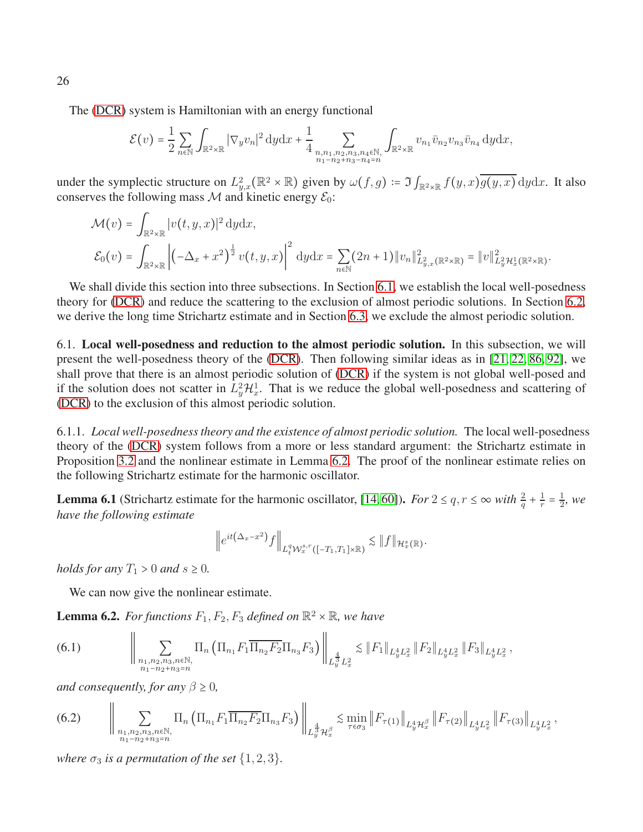The [\(DCR\)](#page-4-2) system is Hamiltonian with an energy functional

$$
\mathcal{E}(v)=\frac{1}{2}\sum_{n\in\mathbb{N}}\int_{\mathbb{R}^2\times\mathbb{R}}|\nabla_y v_n|^2\,\mathrm{d}y\mathrm{d}x+\frac{1}{4}\sum_{\substack{n,n_1,n_2,n_3,n_4\in\mathbb{N},\\ n_1-n_2+n_3-n_4=n}}\int_{\mathbb{R}^2\times\mathbb{R}}v_{n_1}\bar{v}_{n_2}v_{n_3}\bar{v}_{n_4}\,\mathrm{d}y\mathrm{d}x,
$$

under the symplectic structure on  $L^2_{y,x}(\mathbb{R}^2 \times \mathbb{R})$  given by  $\omega(f,g) \coloneqq \Im \int_{\mathbb{R}^2 \times \mathbb{R}} f(y,x) \overline{g(y,x)} dy dx$ . It also conserves the following mass M and kinetic energy  $\mathcal{E}_0$ :

$$
\mathcal{M}(v) = \int_{\mathbb{R}^2 \times \mathbb{R}} |v(t, y, x)|^2 dy dx,
$$
  

$$
\mathcal{E}_0(v) = \int_{\mathbb{R}^2 \times \mathbb{R}} \left| \left( -\Delta_x + x^2 \right)^{\frac{1}{2}} v(t, y, x) \right|^2 dy dx = \sum_{n \in \mathbb{N}} (2n + 1) \|v_n\|_{L_{y,x}^2(\mathbb{R}^2 \times \mathbb{R})}^2 = \|v\|_{L_y^2 \mathcal{H}_x^1(\mathbb{R}^2 \times \mathbb{R})}^2.
$$

We shall divide this section into three subsections. In Section [6.1,](#page-25-0) we establish the local well-posedness theory for [\(DCR\)](#page-4-2) and reduce the scattering to the exclusion of almost periodic solutions. In Section [6.2,](#page-30-0) we derive the long time Strichartz estimate and in Section [6.3,](#page-38-0) we exclude the almost periodic solution.

<span id="page-25-0"></span>6.1. Local well-posedness and reduction to the almost periodic solution. In this subsection, we will present the well-posedness theory of the [\(DCR\)](#page-4-2). Then following similar ideas as in [\[21,](#page-67-10) [22,](#page-67-11) [86,](#page-70-3) [92\]](#page-70-4), we shall prove that there is an almost periodic solution of [\(DCR\)](#page-4-2) if the system is not global well-posed and if the solution does not scatter in  $\bar{L}_y^2 \mathcal{H}_x^1$ . That is we reduce the global well-posedness and scattering of [\(DCR\)](#page-4-2) to the exclusion of this almost periodic solution.

6.1.1. *Local well-posedness theory and the existence of almost periodic solution.* The local well-posedness theory of the [\(DCR\)](#page-4-2) system follows from a more or less standard argument: the Strichartz estimate in Proposition [3.2](#page-9-2) and the nonlinear estimate in Lemma [6.2.](#page-25-1) The proof of the nonlinear estimate relies on the following Strichartz estimate for the harmonic oscillator.

<span id="page-25-2"></span>**Lemma 6.1** (Strichartz estimate for the harmonic oscillator, [\[14,](#page-67-0)60]). *For*  $2 \le q, r \le \infty$  *with*  $\frac{2}{q} + \frac{1}{r}$  $\frac{1}{r} = \frac{1}{2}$  $\frac{1}{2}$ , we *have the following estimate*

$$
\left\|e^{it(\Delta_x-x^2)}f\right\|_{L^q_t\mathcal{W}^{s,r}_x([-T_1,T_1]\times\mathbb{R})}\lesssim\|f\|_{\mathcal{H}^s_x(\mathbb{R})}.
$$

*holds for any*  $T_1 > 0$  *and*  $s \geq 0$ *.* 

We can now give the nonlinear estimate.

<span id="page-25-1"></span>**Lemma 6.2.** *For functions*  $F_1, F_2, F_3$  *defined on*  $\mathbb{R}^2 \times \mathbb{R}$ *, we have* 

<span id="page-25-3"></span>
$$
(6.1) \qquad \qquad \bigg\|\sum_{\substack{n_1,n_2,n_3,n\in\mathbb{N},\\n_1-n_2+n_3=n}}\Pi_n\left(\Pi_{n_1}F_1\overline{\Pi_{n_2}F_2}\Pi_{n_3}F_3\right)\bigg\|_{L_y^{\frac{4}{3}}L_x^2}\lesssim \|F_1\|_{L_y^4L_x^2}\|F_2\|_{L_y^4L_x^2}\|F_3\|_{L_y^4L_x^2},
$$

*and consequently, for any*  $\beta \geq 0$ *,* 

<span id="page-25-4"></span>
$$
(6.2) \qquad \bigg\| \sum_{\substack{n_1, n_2, n_3, n \in \mathbb{N}, \\ n_1 - n_2 + n_3 = n}} \Pi_n \left( \Pi_{n_1} F_1 \overline{\Pi_{n_2} F_2} \Pi_{n_3} F_3 \right) \bigg\|_{L_y^{\frac{4}{3}} \mathcal{H}_x^{\beta}} \lesssim \min_{\tau \in \sigma_3} \left\| F_{\tau(1)} \right\|_{L_y^4 \mathcal{H}_x^{\beta}} \left\| F_{\tau(2)} \right\|_{L_y^4 L_x^2} \left\| F_{\tau(3)} \right\|_{L_y^4 L_x^2},
$$

 $\mathbf{u}$ 

*where*  $\sigma_3$  *is a permutation of the set*  $\{1,2,3\}$ *.*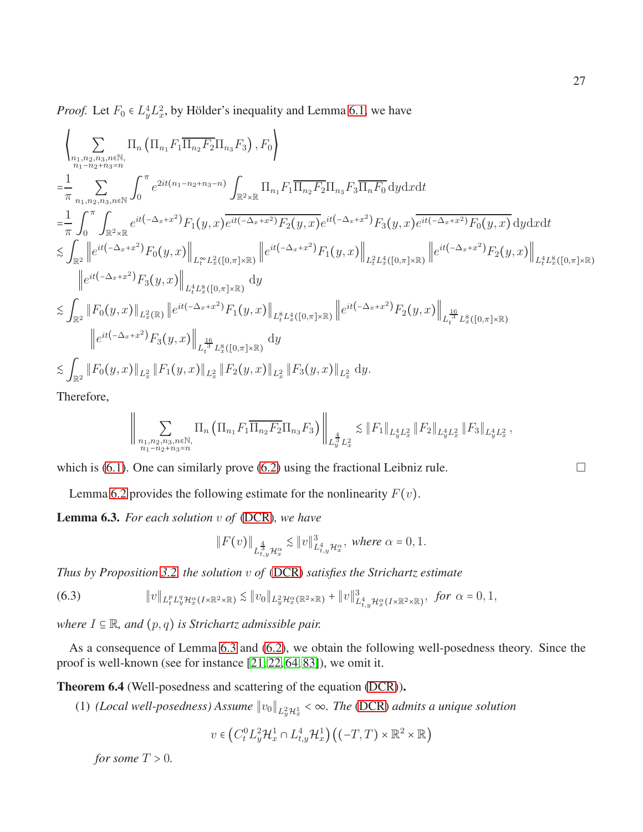*Proof.* Let  $F_0 \in L_y^4 L_x^2$ , by Hölder's inequality and Lemma [6.1,](#page-25-2) we have

$$
\begin{split}\n&\left\{\sum_{\substack{n_1,n_2,n_3,n\in\mathbb{N},\\n_1,n_2,n_3,n\in\mathbb{N},\\n_1,n_2,n_3,n\in\mathbb{N}}} \Pi_n\left(\Pi_{n_1}F_1\overline{\Pi_{n_2}F_2}\Pi_{n_3}F_3\right), F_0\right\} \\
&= \frac{1}{\pi} \sum_{\substack{n_1,n_2,n_3,n\in\mathbb{N}\\n_1,n_2,n_3,n\in\mathbb{N}}} \int_0^\pi e^{2it(n_1-n_2+n_3-n)} \int_{\mathbb{R}^2 \times \mathbb{R}} \Pi_{n_1}F_1\overline{\Pi_{n_2}F_2}\Pi_{n_3}F_3\overline{\Pi_n}F_0 \,dydxdt \\
&\leq \int_{\mathbb{R}^2} \left\|e^{it\left(-\Delta_x+x^2\right)}F_0(y,x)\right\|_{L_t^\infty L_x^2([0,\pi]\times\mathbb{R})} \left\|e^{it\left(-\Delta_x+x^2\right)}F_1(y,x)\right\|_{L_t^2 L_x^4([0,\pi]\times\mathbb{R})} \left\|e^{it\left(-\Delta_x+x^2\right)}F_2(y,x)\right\|_{L_t^4 L_x^8([0,\pi]\times\mathbb{R})} \right\|e^{it(-\Delta_x+x^2)}F_2(y,x) \left\|_{L_t^4 L_x^8([0,\pi]\times\mathbb{R})} \right\| \\
&\leq \int_{\mathbb{R}^2} \left\|F_0(y,x)\right\|_{L_x^2(\mathbb{R})} \left\|e^{it\left(-\Delta_x+x^2\right)}F_1(y,x)\right\|_{L_t^8 L_x^4([0,\pi]\times\mathbb{R})} dy \\
&\leq \int_{\mathbb{R}^2} \left\|F_0(y,x)\right\|_{L_x^2(\mathbb{R})} \left\|e^{it\left(-\Delta_x+x^2\right)}F_1(y,x)\right\|_{L_t^8 L_x^4([0,\pi]\times\mathbb{R})} \left\|e^{it\left(-\Delta_x+x^2\right)}F_2(y,x)\right\|_{L_t^{\frac{16}{3}} L_x^8([0,\pi]\times\mathbb{R})} \right\| \\
&\leq \int_{\mathbb{R}^2} \left\|F_0(y,x)\right\|_{L_x^
$$

Therefore,

$$
\left\| \sum_{\substack{n_1, n_2, n_3, n \in \mathbb{N}, \\ n_1 - n_2 + n_3 = n}} \prod_n \left( \prod_{n_1} F_1 \overline{\prod_{n_2} F_2} \Pi_{n_3} F_3 \right) \right\|_{L_y^{\frac{4}{3}} L_x^2} \lesssim \|F_1\|_{L_y^4 L_x^2} \|F_2\|_{L_y^4 L_x^2} \|F_3\|_{L_y^4 L_x^2},
$$

which is [\(6.1\)](#page-25-3). One can similarly prove [\(6.2\)](#page-25-4) using the fractional Leibniz rule.  $\Box$ 

Lemma [6.2](#page-25-1) provides the following estimate for the nonlinearity  $F(v)$ .

<span id="page-26-0"></span>Lemma 6.3. *For each solution* v *of* [\(DCR\)](#page-4-2)*, we have*

$$
\|F(v)\|_{L^{\frac{4}{3}}_{t,y}\mathcal{H}^\alpha_x}\lesssim \|v\|_{L^4_{t,y}\mathcal{H}^\alpha_x}^3,\text{ where }\alpha=0,1.
$$

*Thus by Proposition [3.2,](#page-9-2) the solution* v *of* [\(DCR\)](#page-4-2) *satisfies the Strichartz estimate*

<span id="page-26-2"></span>
$$
(6.3) \t\t\t ||v||_{L_t^p L_y^q \mathcal{H}_x^{\alpha}(I \times \mathbb{R}^2 \times \mathbb{R})} \lesssim ||v_0||_{L_y^2 \mathcal{H}_x^{\alpha}(\mathbb{R}^2 \times \mathbb{R})} + ||v||_{L_{t,y}^4 \mathcal{H}_x^{\alpha}(I \times \mathbb{R}^2 \times \mathbb{R})}^3, \text{ for } \alpha = 0, 1,
$$

*where*  $I \subseteq \mathbb{R}$ *, and*  $(p, q)$  *is Strichartz admissible pair.* 

As a consequence of Lemma [6.3](#page-26-0) and [\(6.2\)](#page-25-4), we obtain the following well-posedness theory. Since the proof is well-known (see for instance [\[21,](#page-67-10) [22,](#page-67-11) [64,](#page-69-8) [83\]](#page-70-1)), we omit it.

<span id="page-26-1"></span>Theorem 6.4 (Well-posedness and scattering of the equation [\(DCR\)](#page-4-2)).

(1) (Local well-posedness) Assume  $\|v_0\|_{L_y^2\mathcal{H}_x^1} < \infty$ . The [\(DCR\)](#page-4-2) admits a unique solution

$$
v \in \left( C_t^0 L_y^2 \mathcal{H}_x^1 \cap L_{t,y}^4 \mathcal{H}_x^1 \right) \left( (-T,T) \times \mathbb{R}^2 \times \mathbb{R} \right)
$$

*for some*  $T > 0$ *.*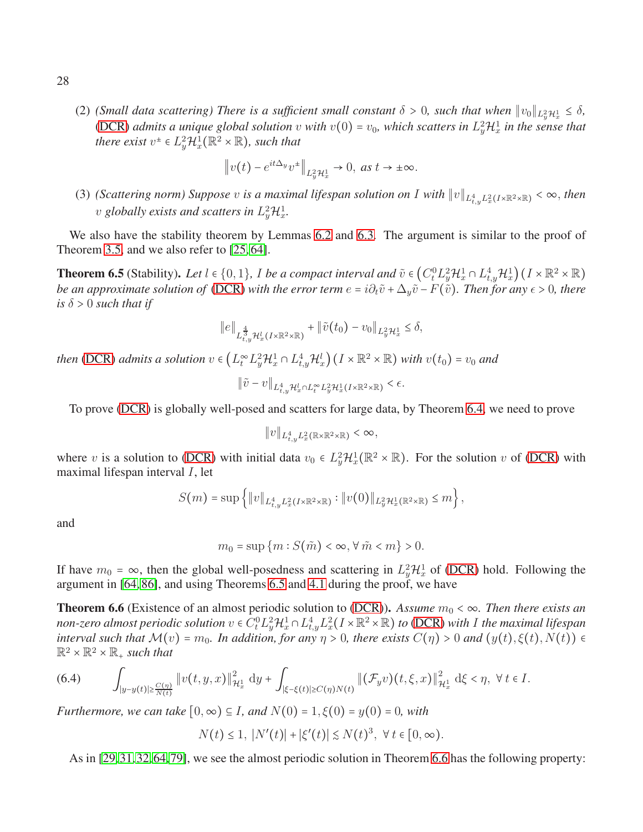(2) *(Small data scattering) There is a sufficient small constant*  $\delta > 0$ , such that when  $||v_0||_{L_y^2 H_x^1} \le \delta$ , [\(DCR\)](#page-4-2) admits a unique global solution v with  $v(0) = v_0$ , which scatters in  $L_y^2 \mathcal{H}_x^1$  in the sense that there exist  $v^{\pm} \in L_y^2 \mathcal{H}_x^1(\mathbb{R}^2 \times \mathbb{R})$ *, such that* 

$$
\left\|v(t) - e^{it\Delta_y}v^{\pm}\right\|_{L_y^2\mathcal{H}_x^1} \to 0, \text{ as } t \to \pm \infty.
$$

(3) *(Scattering norm)* Suppose v is a maximal lifespan solution on I with  $||v||_{L_{t,y}^4 L_x^2(I\times\mathbb{R}^2\times\mathbb{R})} < \infty$ , then *v* globally exists and scatters in  $L_y^2\mathcal{H}_x^1$ .

We also have the stability theorem by Lemmas [6.2](#page-25-1) and [6.3.](#page-26-0) The argument is similar to the proof of Theorem [3.5,](#page-10-3) and we also refer to [\[25,](#page-67-5) [64\]](#page-69-8).

<span id="page-27-0"></span>**Theorem 6.5** (Stability). Let  $l \in \{0, 1\}$ , I be a compact interval and  $\tilde{v} \in (C_t^0 L_y^2 \mathcal{H}_x^1 \cap L_{t,y}^4 \mathcal{H}_x^1)(I \times \mathbb{R}^2 \times \mathbb{R})$ *be an approximate solution of* [\(DCR\)](#page-4-2) *with the error term*  $e = i\partial_t \tilde{v} + \Delta_y \tilde{v} - F(\tilde{v})$ *. Then for any*  $\epsilon > 0$ *, there is*  $\delta > 0$  *such that if* 

$$
\|e\|_{L^{\frac{4}{3}}_{t,y}\mathcal{H}^{l}_{x}(I\times\mathbb{R}^{2}\times\mathbb{R})}+\|\tilde{v}(t_{0})-v_{0}\|_{L^{2}_{y}\mathcal{H}^{1}_{x}}\leq\delta,
$$

*then* [\(DCR\)](#page-4-2) *admits a solution*  $v \in (L_t^{\infty} L_y^2 H_x^1 \cap L_{t,y}^4 H_x^1)$   $(I \times \mathbb{R}^2 \times \mathbb{R})$  *with*  $v(t_0) = v_0$  *and* 

$$
\|\tilde{v}-v\|_{L^4_{t,y}\mathcal{H}^l_x\cap L^\infty_t L^2_y \mathcal{H}^1_x(I\times \mathbb{R}^2\times \mathbb{R})}<\epsilon.
$$

To prove [\(DCR\)](#page-4-2) is globally well-posed and scatters for large data, by Theorem [6.4,](#page-26-1) we need to prove

$$
||v||_{L^4_{t,y}L^2_x(\mathbb{R}\times\mathbb{R}^2\times\mathbb{R})}<\infty,
$$

where v is a solution to [\(DCR\)](#page-4-2) with initial data  $v_0 \in L_y^2 \mathcal{H}_x^1(\mathbb{R}^2 \times \mathbb{R})$ . For the solution v of (DCR) with maximal lifespan interval I, let

$$
S(m) = \sup \left\{ ||v||_{L_{t,y}^4 L_x^2(I \times \mathbb{R}^2 \times \mathbb{R})} : ||v(0)||_{L_y^2 H_x^1(\mathbb{R}^2 \times \mathbb{R})} \le m \right\},\,
$$

and

$$
m_0 = \sup\{m : S(\tilde{m}) < \infty, \forall \tilde{m} < m\} > 0.
$$

If have  $m_0 = \infty$ , then the global well-posedness and scattering in  $L_y^2 \mathcal{H}_x^1$  of [\(DCR\)](#page-4-2) hold. Following the argument in [\[64,](#page-69-8) [86\]](#page-70-3), and using Theorems [6.5](#page-27-0) and [4.1](#page-10-0) during the proof, we have

<span id="page-27-1"></span>**Theorem 6.6** (Existence of an almost periodic solution to [\(DCR\)](#page-4-2)). Assume  $m_0 < \infty$ . Then there exists an non-zero almost periodic solution  $v\in C^0_tL^2_yH^1_x\cap L^4_{t,y}L^2_x(I\times\mathbb{R}^2\times\mathbb{R})$  to [\(DCR\)](#page-4-2) with  $I$  the maximal lifespan *interval such that*  $M(v) = m_0$ *. In addition, for any*  $\eta > 0$ *, there exists*  $C(\eta) > 0$  *and*  $(y(t), \xi(t), N(t)) \in$  $\mathbb{R}^2 \times \mathbb{R}^2 \times \mathbb{R}_+$  *such that* 

<span id="page-27-2"></span>
$$
(6.4) \qquad \int_{|y-y(t)|\geq \frac{C(\eta)}{N(t)}} \|v(t,y,x)\|_{\mathcal{H}_x^1}^2 dy + \int_{|\xi-\xi(t)|\geq C(\eta)N(t)} \|(\mathcal{F}_y v)(t,\xi,x)\|_{\mathcal{H}_x^1}^2 d\xi < \eta, \ \forall \ t \in I.
$$

*Furthermore, we can take*  $[0, \infty) \subseteq I$ *, and*  $N(0) = 1$ ,  $\xi(0) = y(0) = 0$ *, with* 

$$
N(t) \le 1, \ |N'(t)| + |\xi'(t)| \lesssim N(t)^3, \ \forall \ t \in [0, \infty).
$$

As in [\[29,](#page-68-0)[31,](#page-68-1)[32,](#page-68-2)[64,](#page-69-8)[79\]](#page-69-17), we see the almost periodic solution in Theorem [6.6](#page-27-1) has the following property: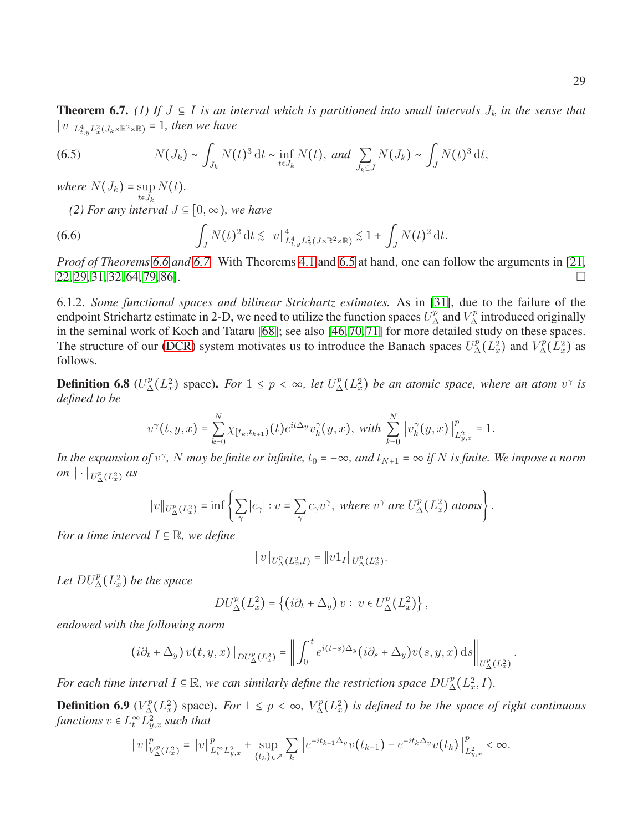<span id="page-28-0"></span>**Theorem 6.7.** *(1)* If  $J \subseteq I$  *is an interval which is partitioned into small intervals*  $J_k$  *in the sense that*  $||v||_{L_{t,y}^{4}L_{x}^{2}(J_{k}\times\mathbb{R}^{2}\times\mathbb{R})}=1$ , then we have

<span id="page-28-1"></span>(6.5) 
$$
N(J_k) \sim \int_{J_k} N(t)^3 dt \sim \inf_{t \in J_k} N(t), \text{ and } \sum_{J_k \subseteq J} N(J_k) \sim \int_{J} N(t)^3 dt,
$$

*where*  $N(J_k)$  = sup t∈ $J_k$ N(t)*.*

*(2) For any interval*  $J \subseteq [0, ∞)$ *, we have* 

<span id="page-28-2"></span>(6.6) 
$$
\int_{J} N(t)^{2} dt \lesssim \|v\|_{L_{t,y}^{4} L_{x}^{2}(J \times \mathbb{R}^{2} \times \mathbb{R})}^{4} \lesssim 1 + \int_{J} N(t)^{2} dt.
$$

*Proof of Theorems [6.6](#page-27-1) and [6.7.](#page-28-0)* With Theorems [4.1](#page-10-0) and [6.5](#page-27-0) at hand, one can follow the arguments in [\[21,](#page-67-10) [22,](#page-67-11) [29,](#page-68-0) [31,](#page-68-1) [32,](#page-68-2) [64,](#page-69-8) [79,](#page-69-17) [86\]](#page-70-3).

6.1.2. *Some functional spaces and bilinear Strichartz estimates.* As in [\[31\]](#page-68-1), due to the failure of the endpoint Strichartz estimate in 2-D, we need to utilize the function spaces  $U^p_{\Delta}$  and  $V^p_{\Delta}$  introduced originally in the seminal work of Koch and Tataru [\[68\]](#page-69-24); see also [\[46,](#page-68-20) [70,](#page-69-25) [71\]](#page-69-19) for more detailed study on these spaces. The structure of our [\(DCR\)](#page-4-2) system motivates us to introduce the Banach spaces  $U^p_{\Delta}(L_x^2)$  and  $V^p_{\Delta}(L_x^2)$  as follows.

**Definition 6.8** ( $U_{\Delta}^{p}(L_{x}^{2})$  space). For  $1 \leq p < \infty$ , let  $U_{\Delta}^{p}(L_{x}^{2})$  be an atomic space, where an atom  $v^{\gamma}$  is *defined to be*

$$
v^{\gamma}(t,y,x)=\sum_{k=0}^N \chi_{[t_k,t_{k+1})}(t)e^{it\Delta_y}v_k^{\gamma}(y,x), \text{ with }\sum_{k=0}^N\|v_k^{\gamma}(y,x)\|_{L_{y,x}^2}^p=1.
$$

*In the expansion of*  $v^{\gamma}$ , N may be finite or infinite,  $t_0 = -\infty$ , and  $t_{N+1} = \infty$  if N is finite. We impose a norm  $\emph{on}\parallel\cdot\parallel_{U_{\Delta}^{p}(L_{x}^{2})}$  as

$$
||v||_{U_{\Delta}^p(L_x^2)} = \inf \left\{ \sum_{\gamma} |c_{\gamma}| : v = \sum_{\gamma} c_{\gamma} v^{\gamma}, \text{ where } v^{\gamma} \text{ are } U_{\Delta}^p(L_x^2) \text{ atoms} \right\}.
$$

*For a time interval*  $I \subseteq \mathbb{R}$ *, we define* 

$$
||v||_{U_{\Delta}^p(L_x^2,I)} = ||v1_I||_{U_{\Delta}^p(L_x^2)}.
$$

Let  $D U_{\Delta}^p(L_x^2)$  be the space

$$
DU_{\Delta}^{p}(L_{x}^{2}) = \left\{ (i\partial_{t} + \Delta_{y}) v : v \in U_{\Delta}^{p}(L_{x}^{2}) \right\},\,
$$

*endowed with the following norm*

$$
\| (i\partial_t + \Delta_y) v(t, y, x) \|_{DU_{\Delta}^p(L_x^2)} = \left\| \int_0^t e^{i(t-s)\Delta_y} (i\partial_s + \Delta_y) v(s, y, x) ds \right\|_{U_{\Delta}^p(L_x^2)}.
$$

*For each time interval*  $I \subseteq \mathbb{R}$ *, we can similarly define the restriction space*  $DU_{\Delta}^{p}(L_{x}^{2}, I)$ *.* 

**Definition 6.9** ( $V_{\Delta}^{p}(L_{x}^{2})$  space). *For*  $1 \leq p < \infty$ ,  $V_{\Delta}^{p}(L_{x}^{2})$  *is defined to be the space of right continuous*  $\textit{functions}\ v\in L^{\infty}_{t}\bar{L}^2_{y,x}$  *such that* 

$$
||v||^p_{V^p_{\Delta}(L^2_x)} = ||v||^p_{L^{\infty}_t L^2_{y,x}} + \sup_{\{t_k\}_k \nearrow} \sum_k ||e^{-it_{k+1}\Delta_y}v(t_{k+1}) - e^{-it_k\Delta_y}v(t_k)||^p_{L^2_{y,x}} < \infty.
$$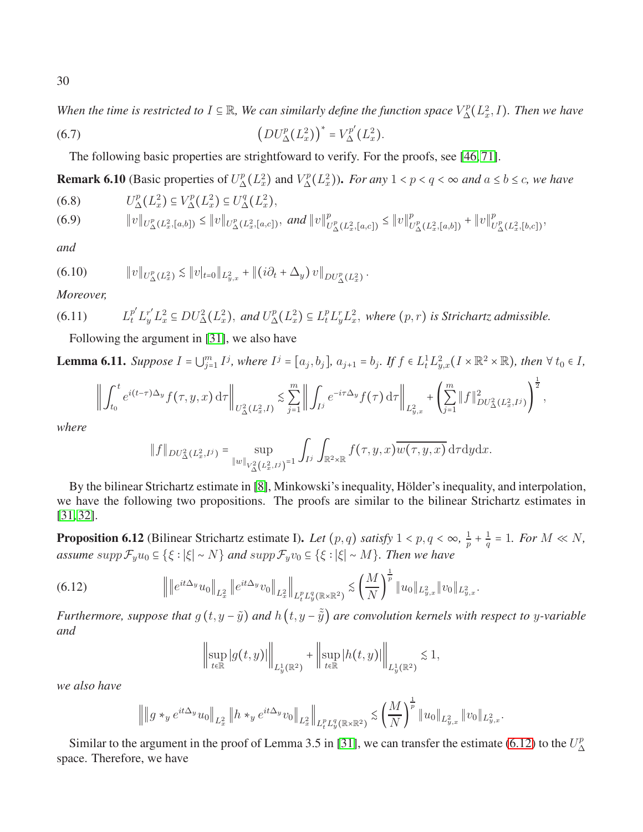<span id="page-29-3"></span>When the time is restricted to  $I \subseteq \mathbb{R}$ , We can similarly define the function space  $V^p_{\Delta}(L^2_x, I)$ . Then we have  $\left( DU_{\Delta}^{p}(L_{x}^{2}$  $\binom{2}{x}$ )<sup>\*</sup> =  $V_{\Delta}^{p'}(L_x^2)$ (6.7)  $\left(DU_{\Delta}^p(L_x^2)\right)^{\gamma} = V_{\Delta}^p(L_x^2).$ 

The following basic properties are strightfoward to verify. For the proofs, see [\[46,](#page-68-20) [71\]](#page-69-19).

**Remark 6.10** (Basic properties of  $U_{\Delta}^p(L_x^2)$  and  $V_{\Delta}^p(L_x^2)$ ). *For any*  $1 < p < q < \infty$  *and*  $a \le b \le c$ , we have

<span id="page-29-2"></span>
$$
(6.8) \tU^p_{\Delta}(L_x^2) \subseteq V^p_{\Delta}(L_x^2) \subseteq U^q_{\Delta}(L_x^2),
$$

<span id="page-29-5"></span>
$$
(6.9) \t\t ||v||_{U_{\Delta}^p(L_x^2,[a,b])} \le ||v||_{U_{\Delta}^p(L_x^2,[a,c])}, \text{ and } ||v||_{U_{\Delta}^p(L_x^2,[a,c])}^p \le ||v||_{U_{\Delta}^p(L_x^2,[a,b])}^p + ||v||_{U_{\Delta}^p(L_x^2,[b,c])}^p,
$$

*and*

<span id="page-29-1"></span>
$$
(6.10) \t\t\t ||v||_{U_{\Delta}^p(L_x^2)} \lesssim ||v|_{t=0}||_{L_{y,x}^2} + ||(i\partial_t + \Delta_y)v||_{DU_{\Delta}^p(L_x^2)}.
$$

*Moreover,*

<span id="page-29-4"></span>(6.11) 
$$
L_t^{p'} L_y^{r'} L_x^2 \subseteq DU_{\Delta}^2(L_x^2), \text{ and } U_{\Delta}^p(L_x^2) \subseteq L_t^p L_y^r L_x^2, \text{ where } (p, r) \text{ is Strichartz admissible.}
$$

Following the argument in [\[31\]](#page-68-1), we also have

<span id="page-29-7"></span>**Lemma 6.11.** Suppose  $I = \bigcup_{j=1}^{m} I^j$ , where  $I^j = [a_j, b_j]$ ,  $a_{j+1} = b_j$ . If  $f \in L^1_t L^2_{y,x}(I \times \mathbb{R}^2 \times \mathbb{R})$ , then  $\forall t_0 \in I$ ,

$$
\left\| \int_{t_0}^t e^{i(t-\tau)\Delta_y} f(\tau,y,x) \, \mathrm{d}\tau \right\|_{U^2_{\Delta}(L^2_x,I)} \lesssim \sum_{j=1}^m \left\| \int_{I^j} e^{-i\tau \Delta_y} f(\tau) \, \mathrm{d}\tau \right\|_{L^2_{y,x}} + \left( \sum_{j=1}^m \|f\|_{DU^2_{\Delta}(L^2_x,I^j)}^2 \right)^{\frac{1}{2}},
$$

*where*

$$
\|f\|_{DU_{\Delta}^2(L_x^2,I^j)}=\sup_{\|w\|_{V_{\Delta}^2(L_x^2,I^j)}=1}\int_{I^j}\int_{\mathbb{R}^2\times\mathbb{R}}f(\tau,y,x)\overline{w(\tau,y,x)}\,\mathrm{d}\tau\mathrm{d}y\mathrm{d}x.
$$

By the bilinear Strichartz estimate in [\[8\]](#page-67-22), Minkowski's inequality, Hölder's inequality, and interpolation, we have the following two propositions. The proofs are similar to the bilinear Strichartz estimates in [\[31,](#page-68-1) [32\]](#page-68-2).

<span id="page-29-6"></span>**Proposition 6.12** (Bilinear Strichartz estimate I). Let  $(p, q)$  satisfy  $1 < p, q < \infty$ ,  $\frac{1}{p}$  $\frac{1}{p} + \frac{1}{q}$  $\frac{1}{q}$  = 1*. For*  $M \ll N$ , *assume*  $supp \mathcal{F}_y u_0 \subseteq {\xi : |\xi| \sim N}$  *and*  $supp \mathcal{F}_y v_0 \subseteq {\xi : |\xi| \sim M}$ *. Then we have* 

<span id="page-29-0"></span>
$$
(6.12) \t\t\t\t\|\t\|e^{it\Delta_y}u_0\|_{L_x^2}\t\|e^{it\Delta_y}v_0\|_{L_x^2}\t\|_{L_t^pL_y^q(\mathbb{R}\times\mathbb{R}^2)} \lesssim \left(\frac{M}{N}\right)^{\frac{1}{p}}\|u_0\|_{L_{y,x}^2}\|v_0\|_{L_{y,x}^2}.
$$

*Furthermore, suppose that*  $g(t, y - \tilde{y})$  *and*  $h(t, y - \tilde{y})$  *are convolution kernels with respect to y-variable and*

$$
\left\| \sup_{t \in \mathbb{R}} |g(t, y)| \right\|_{L_y^1(\mathbb{R}^2)} + \left\| \sup_{t \in \mathbb{R}} |h(t, y)| \right\|_{L_y^1(\mathbb{R}^2)} \lesssim 1,
$$

*we also have*

$$
\left\| \left\| g \ast_y e^{i t \Delta_y } u_0 \right\|_{L^2_x} \left\| h \ast_y e^{i t \Delta_y } v_0 \right\|_{L^2_x} \right\|_{L^p_t L^q_y(\mathbb{R} \times \mathbb{R}^2)} \lesssim \left( \frac{M}{N} \right)^{\frac{1}{p}} \| u_0 \|_{L^2_{y,x}} \| v_0 \|_{L^2_{y,x}}.
$$

Similar to the argument in the proof of Lemma 3.5 in [\[31\]](#page-68-1), we can transfer the estimate [\(6.12\)](#page-29-0) to the  $U^p_{\Delta}$ space. Therefore, we have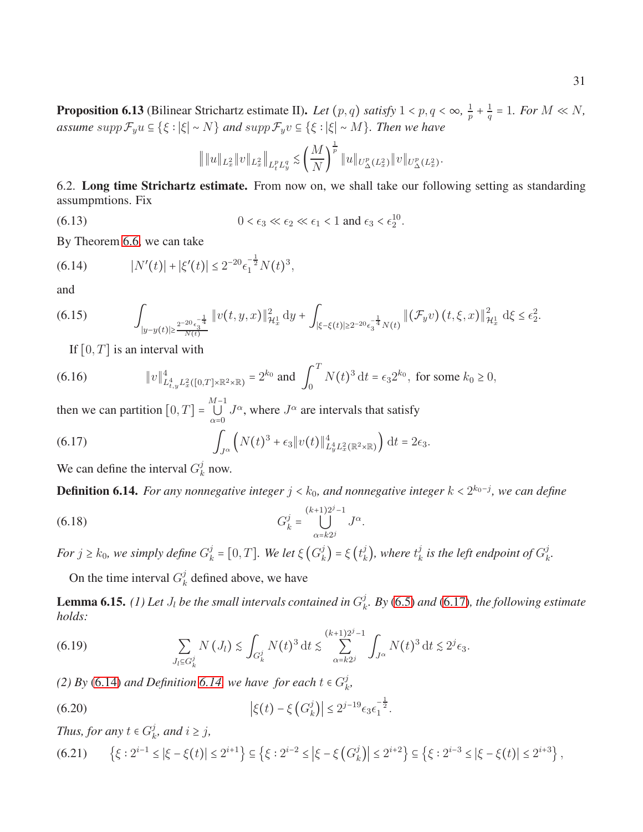<span id="page-30-12"></span>**Proposition 6.13** (Bilinear Strichartz estimate II). Let  $(p, q)$  satisfy  $1 < p, q < \infty$ ,  $\frac{1}{p}$  $\frac{1}{p} + \frac{1}{q}$  $\frac{1}{q}$  = 1*. For*  $M \ll N$ , *assume*  $supp \mathcal{F}_y u \subseteq {\xi : |\xi| \sim N}$  *and*  $supp \mathcal{F}_y v \subseteq {\xi : |\xi| \sim M}$ *. Then we have* 

$$
\| \|u\|_{L^2_x} \|v\|_{L^2_x} \|_{L^p_t L^q_y} \lesssim \left(\frac{M}{N}\right)^{\frac{1}{p}} \|u\|_{U^p_{\Delta}(L^2_x)} \|v\|_{U^p_{\Delta}(L^2_x)}.
$$

<span id="page-30-0"></span>6.2. Long time Strichartz estimate. From now on, we shall take our following setting as standarding assumpmtions. Fix

<span id="page-30-5"></span>(6.13) 
$$
0 < \epsilon_3 \ll \epsilon_2 \ll \epsilon_1 < 1 \text{ and } \epsilon_3 < \epsilon_2^{10}.
$$

By Theorem [6.6,](#page-27-1) we can take

<span id="page-30-2"></span>(6.14) 
$$
|N'(t)| + |\xi'(t)| \le 2^{-20} \epsilon_1^{-\frac{1}{2}} N(t)^3,
$$

and

<span id="page-30-4"></span>
$$
(6.15) \qquad \qquad \int_{|y-y(t)|\geq \frac{2^{-20}\epsilon_3^{-\frac{1}{4}}}{N(t)}} \|v(t,y,x)\|_{\mathcal{H}_x^1}^2 \, \mathrm{d}y + \int_{|\xi-\xi(t)|\geq 2^{-20}\epsilon_3^{-\frac{1}{4}}N(t)} \|(\mathcal{F}_y v)(t,\xi,x)\|_{\mathcal{H}_x^1}^2 \, \mathrm{d}\xi \leq \epsilon_2^2.
$$

If  $[0, T]$  is an interval with

<span id="page-30-6"></span>(6.16) 
$$
\|v\|_{L_{t,y}^{4}L_{x}^{2}([0,T]\times\mathbb{R}^{2}\times\mathbb{R})}^{4}=2^{k_{0}} \text{ and } \int_{0}^{T} N(t)^{3} dt = \epsilon_{3}2^{k_{0}}, \text{ for some } k_{0} \geq 0,
$$

then we can partition  $[0, T] = \bigcup_{n=1}^{M-1}$ ⋃  $\sum_{\alpha=0}$  $J^{\alpha}$ , where  $J^{\alpha}$  are intervals that satisfy

<span id="page-30-1"></span>(6.17) 
$$
\int_{J^{\alpha}} \left( N(t)^3 + \epsilon_3 \| v(t) \|_{L_y^4 L_x^2(\mathbb{R}^2 \times \mathbb{R})}^4 \right) dt = 2\epsilon_3.
$$

We can define the interval  $G_k^j$  $\frac{3}{k}$  now.

<span id="page-30-3"></span>**Definition 6.14.** For any nonnegative integer  $j < k_0$ , and nonnegative integer  $k < 2^{k_0-j}$ , we can define

<span id="page-30-7"></span>(6.18) 
$$
G_k^j = \bigcup_{\alpha = k2^j}^{(k+1)2^j - 1} J^{\alpha}.
$$

*For*  $j \geq k_0$ , we simply define  $G_k^j$  $\mathcal{L}_k^j$  =  $[0, T]$ *. We let*  $\xi$   $\left(G_k^j\right)$  $\binom{j}{k} = \xi \left(t_k^j\right)$  $\binom{j}{k}$ , where  $t_k^j$  $\frac{j}{k}$  is the left endpoint of  $G^j_k$ k *.*

On the time interval  $G_k^j$  $\frac{d}{dx}$  defined above, we have

<span id="page-30-9"></span>**Lemma 6.15.** (1) Let  $J_l$  be the small intervals contained in  $G_k^j$ k *. By* [\(6.5\)](#page-28-1) *and* [\(6.17\)](#page-30-1)*, the following estimate holds:*

<span id="page-30-10"></span>(6.19) 
$$
\sum_{J_l \in G_k^j} N(J_l) \lesssim \int_{G_k^j} N(t)^3 dt \lesssim \sum_{\alpha = k2^j}^{(k+1)2^j - 1} \int_{J^{\alpha}} N(t)^3 dt \lesssim 2^j \epsilon_3.
$$

*(2)* By [\(6.14\)](#page-30-2) and Definition [6.14,](#page-30-3) we have for each  $t \in G_k^j$ k *,*

<span id="page-30-11"></span>(6.20) 
$$
|\xi(t) - \xi(G_k^j)| \leq 2^{j-19} \epsilon_3 \epsilon_1^{-\frac{1}{2}}.
$$

*Thus, for any*  $t \in G^j_k$  $\sum_{k}^{j}$ *, and*  $i \geq j$ *,* 

<span id="page-30-8"></span>
$$
(6.21) \qquad \left\{ \xi : 2^{i-1} \le |\xi - \xi(t)| \le 2^{i+1} \right\} \subseteq \left\{ \xi : 2^{i-2} \le |\xi - \xi(G_k^j)| \le 2^{i+2} \right\} \subseteq \left\{ \xi : 2^{i-3} \le |\xi - \xi(t)| \le 2^{i+3} \right\},
$$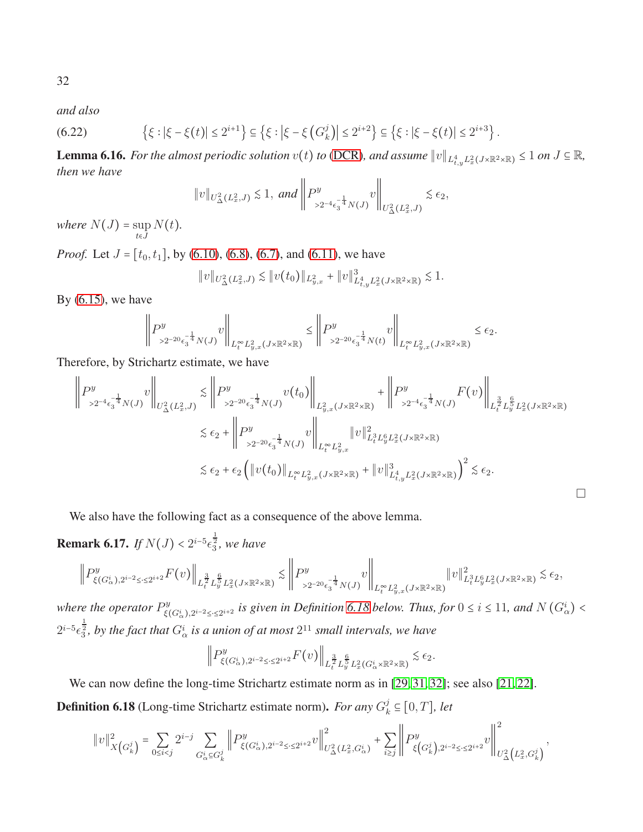*and also*

(6.22) 
$$
\left\{ \xi : |\xi - \xi(t)| \leq 2^{i+1} \right\} \subseteq \left\{ \xi : |\xi - \xi(G_k^j)| \leq 2^{i+2} \right\} \subseteq \left\{ \xi : |\xi - \xi(t)| \leq 2^{i+3} \right\}.
$$

<span id="page-31-1"></span>**Lemma 6.16.** For the almost periodic solution  $v(t)$  to [\(DCR\)](#page-4-2), and assume  $||v||_{L_{t,y}^4 L_x^2(J \times \mathbb{R}^2 \times \mathbb{R})} \leq 1$  on  $J \subseteq \mathbb{R}$ , *then we have*

$$
||v||_{U_{\Delta}^{2}(L_{x}^{2},J)} \lesssim 1
$$
, and  $||P_{>2^{-4}\epsilon_{3}^{-\frac{1}{4}}N(J)}^{y}v||_{U_{\Delta}^{2}(L_{x}^{2},J)} \lesssim \epsilon_{2}$ ,

*where*  $N(J) = \sup$ t∈J N(t)*.*

*Proof.* Let  $J = [t_0, t_1]$ , by [\(6.10\)](#page-29-1), [\(6.8\)](#page-29-2), [\(6.7\)](#page-29-3), and [\(6.11\)](#page-29-4), we have

$$
||v||_{U_{\Delta}^2(L_x^2, J)} \lesssim ||v(t_0)||_{L_{y,x}^2} + ||v||_{L_{t,y}^4 L_x^2(J \times \mathbb{R}^2 \times \mathbb{R})}^3 \lesssim 1.
$$

By  $(6.15)$ , we have

$$
\left\| P_{>2^{-20}\epsilon_3^{-\frac{1}{4}}N(J)}^y v \right\|_{L_t^\infty L_{y,x}^2(J\times\mathbb{R}^2\times\mathbb{R})} \leq \left\| P_{>2^{-20}\epsilon_3^{-\frac{1}{4}}N(t)}^y v \right\|_{L_t^\infty L_{y,x}^2(J\times\mathbb{R}^2\times\mathbb{R})} \leq \epsilon_2.
$$

Therefore, by Strichartz estimate, we have

$$
\left\| P_{>2^{-4}\epsilon_3^{-\frac{1}{4}}N(J)}^y v \right\|_{U^2_{\Delta}(L^2_x,J)} \lesssim \left\| P^y_{>2^{-20}\epsilon_3^{-\frac{1}{4}}N(J)} v(t_0) \right\|_{L^2_{t,x}(J\times \mathbb{R}^2 \times \mathbb{R})} + \left\| P^y_{>2^{-4}\epsilon_3^{-\frac{1}{4}}N(J)} F(v) \right\|_{L^{\frac{3}{2}}_tL^{\frac{6}{5}}_yL^2_x(J\times \mathbb{R}^2 \times \mathbb{R})} \n\lesssim \epsilon_2 + \left\| P^y_{>2^{-20}\epsilon_3^{-\frac{1}{4}}N(J)} v \right\|_{L^{\infty}_tL^2_{y,x}} \|v\|^2_{L^3_tL^6_yL^2_x(J\times \mathbb{R}^2 \times \mathbb{R})} \n\lesssim \epsilon_2 + \epsilon_2 \left( \|v(t_0)\|_{L^{\infty}_tL^2_{y,x}(J\times \mathbb{R}^2 \times \mathbb{R})} + \|v\|^3_{L^4_{t,y}L^2_x(J\times \mathbb{R}^2 \times \mathbb{R})} \right)^2 \lesssim \epsilon_2.
$$

 $\Box$ 

We also have the following fact as a consequence of the above lemma.

<span id="page-31-2"></span>**Remark 6.17.** *If*  $N(J) < 2^{i-5} \epsilon_3^{\frac{1}{2}}$ , we have

$$
\left\| P_{\xi(G_{\alpha}^{i}),2^{i-2}\leq \cdot\leq 2^{i+2}}^{y} F(v) \right\|_{L_{t}^{\frac{3}{2}} L_{y}^{\frac{6}{5}} L_{x}^{2}(J\times\mathbb{R}^{2}\times\mathbb{R})} \lesssim \left\| P_{>2^{-20}\epsilon_{3}^{-\frac{1}{4}} N(J)}^{y} v \right\|_{L_{t}^{\infty} L_{y,x}^{2}(J\times\mathbb{R}^{2}\times\mathbb{R})} \|v\|_{L_{t}^{3} L_{y}^{6} L_{x}^{2}(J\times\mathbb{R}^{2}\times\mathbb{R})}^{2} \lesssim \epsilon_{2},
$$

where the operator  $P_{\varepsilon}^{y}$  $\lim_{\xi(G_\alpha^i), 2^{i-2} \leq \cdot \leq 2^{i+2}}$  is given in Definition [6.18](#page-31-0) below. Thus, for  $0 \leq i \leq 11$ , and  $N(G_\alpha^i)$  $2^{i-5}\epsilon_3^{\frac{1}{2}}$ , by the fact that  $G_\alpha^i$  is a union of at most  $2^{11}$  small intervals, we have

$$
\left\|P^y_{\xi(G^i_{\alpha}),2^{i-2}\leq \cdot\leq 2^{i+2}}F(v)\right\|_{L^{\frac{3}{2}}_tL^{\frac{6}{5}}_yL^2_x(G^i_{\alpha}\times\mathbb{R}^2\times\mathbb{R})}\lesssim\epsilon_2.
$$

<span id="page-31-0"></span>We can now define the long-time Strichartz estimate norm as in [\[29,](#page-68-0) [31,](#page-68-1) [32\]](#page-68-2); see also [\[21,](#page-67-10) [22\]](#page-67-11). **Definition 6.18** (Long-time Strichartz estimate norm). *For any*  $G_k^j$  $k \subseteq [0, T]$ , let

$$
\|v\|_{X\left(G^j_{k}\right)}^2=\sum_{0\leq i
$$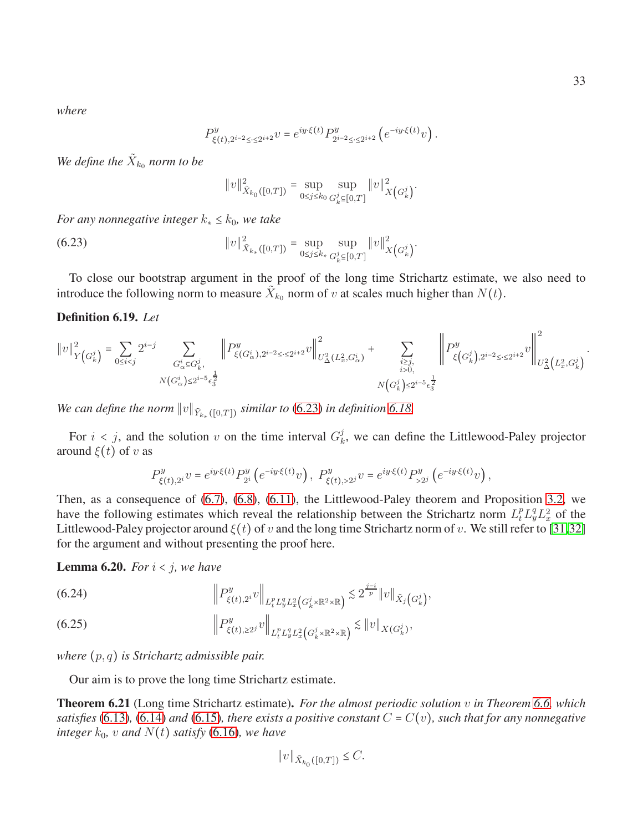*where*

$$
P^y_{\xi(t),2^{i-2}\leq t\leq 2^{i+2}}v = e^{iy\cdot\xi(t)}P^y_{2^{i-2}\leq t\leq 2^{i+2}}\left(e^{-iy\cdot\xi(t)}v\right).
$$

We define the  $\tilde{X}_{k_0}$  norm to be

$$
\|v\|_{\tilde{X}_{k_0}([0,T])}^2=\sup_{0\leq j\leq k_0}\sup_{G_k^j\in[0,T]}\|v\|_{X\big(G_k^j\big)}^2.
$$

*For any nonnegative integer*  $k_* \leq k_0$ *, we take* 

<span id="page-32-0"></span>(6.23) 
$$
\|v\|_{\tilde{X}_{k_*}([0,T])}^2 = \sup_{0 \le j \le k_*} \sup_{G_k^j \subseteq [0,T]} \|v\|_{X(G_k^j)}^2.
$$

To close our bootstrap argument in the proof of the long time Strichartz estimate, we also need to introduce the following norm to measure  $\tilde{X}_{k_0}$  norm of v at scales much higher than  $N(t)$ .

# <span id="page-32-2"></span>Definition 6.19. *Let*

$$
\|v\|_{Y\left(G^j_{\kappa}\right)}^2=\sum_{0\leq i0,\\N\left(G^j_{\kappa}\right)\leq 2^{i-5}\epsilon^{\frac{1}{2}}_3}}\left\|P^y_{\xi\left(G^j_{k}\right),2^{i-2}\leq \cdot \leq 2^{i+2}}v\right\|_{U^2_{\Delta}\left(L^2_x,G^j_{k}\right)}^2.
$$

*We can define the norm*  $||v||_{\tilde{Y}_{k_*}([0,T])}$  *similar to* [\(6.23\)](#page-32-0) *in definition* [6.18.](#page-31-0)

For  $i < j$ , and the solution v on the time interval  $G_k^j$  $\lambda_k^j$ , we can define the Littlewood-Paley projector around  $\xi(t)$  of v as

$$
P^y_{\xi(t),2^i}v = e^{iy\cdot\xi(t)} P^y_{2^i}\left(e^{-iy\cdot\xi(t)}v\right),\ P^y_{\xi(t),>2^j}v = e^{iy\cdot\xi(t)} P^y_{>2^j}\left(e^{-iy\cdot\xi(t)}v\right),
$$

Then, as a consequence of [\(6.7\)](#page-29-3), [\(6.8\)](#page-29-2), [\(6.11\)](#page-29-4), the Littlewood-Paley theorem and Proposition [3.2,](#page-9-2) we have the following estimates which reveal the relationship between the Strichartz norm  $L_t^p L_y^q L_x^2$  of the Littlewood-Paley projector around  $\xi(t)$  of v and the long time Strichartz norm of v. We still refer to [\[31,](#page-68-1)[32\]](#page-68-2) for the argument and without presenting the proof here.

<span id="page-32-3"></span>**Lemma 6.20.** *For*  $i < j$ *, we have* 

<span id="page-32-4"></span>(6.24) 
$$
\left\| P_{\xi(t),2^i}^y v \right\|_{L_t^p L_y^q L_x^2 \left( G_k^j \times \mathbb{R}^2 \times \mathbb{R} \right)} \lesssim 2^{\frac{j-i}{p}} \|v\|_{\tilde{X}_j \left( G_k^j \right)},
$$

<span id="page-32-5"></span>(6.25) 
$$
\left\| P_{\xi(t),\geq 2^{j}}^{y} v \right\|_{L_{t}^{p} L_{y}^{q} L_{x}^{2}(G_{k}^{j} \times \mathbb{R}^{2} \times \mathbb{R})} \lesssim \|v\|_{X(G_{k}^{j})},
$$

*where* (p, q) *is Strichartz admissible pair.*

Our aim is to prove the long time Strichartz estimate.

<span id="page-32-1"></span>Theorem 6.21 (Long time Strichartz estimate). *For the almost periodic solution* v *in Theorem [6.6,](#page-27-1) which satisfies* [\(6.13\)](#page-30-5)*,* [\(6.14\)](#page-30-2) *and* [\(6.15\)](#page-30-4)*, there exists a positive constant*  $C = C(v)$ *, such that for any nonnegative integer*  $k_0$ *, v and*  $N(t)$  *satisfy* [\(6.16\)](#page-30-6)*, we have* 

$$
||v||_{\tilde{X}_{k_0}([0,T])} \leq C.
$$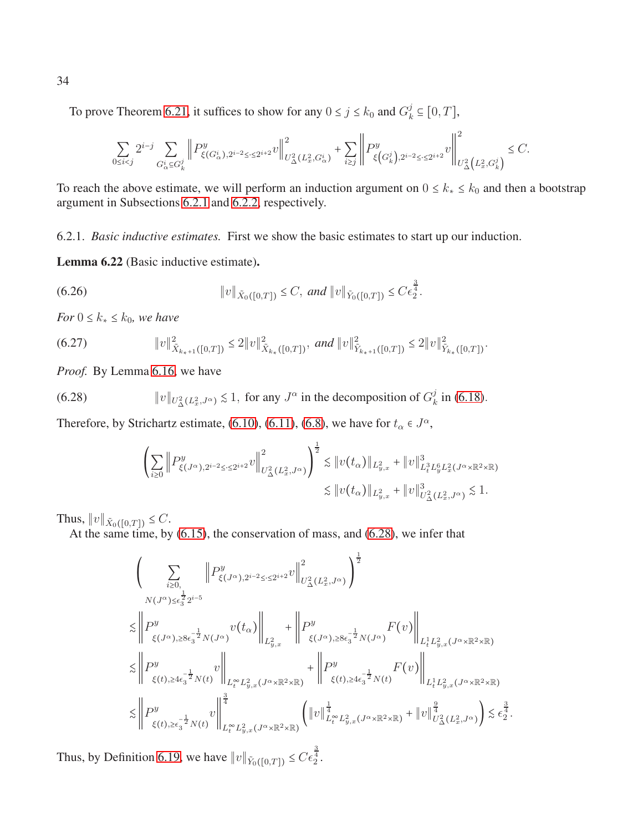To prove Theorem [6.21,](#page-32-1) it suffices to show for any  $0 \le j \le k_0$  and  $G_k^j$  $_{k}^{j} \in [0, T],$ 

$$
\sum_{0\leq i
$$

To reach the above estimate, we will perform an induction argument on  $0 \le k_* \le k_0$  and then a bootstrap argument in Subsections [6.2.1](#page-33-0) and [6.2.2,](#page-34-0) respectively.

<span id="page-33-0"></span>6.2.1. *Basic inductive estimates.* First we show the basic estimates to start up our induction.

<span id="page-33-2"></span>Lemma 6.22 (Basic inductive estimate).

<span id="page-33-4"></span>(6.26) 
$$
\|v\|_{\tilde{X}_0([0,T])}\leq C,\text{ and } \|v\|_{\tilde{Y}_0([0,T])}\leq C\epsilon_2^{\frac{3}{4}}.
$$

*For*  $0 \leq k_* \leq k_0$ *, we have* 

<span id="page-33-3"></span>
$$
(6.27) \t\t ||v||_{\tilde{X}_{k+1}([0,T])}^2 \leq 2||v||_{\tilde{X}_{k+}([0,T])}^2, \text{ and } ||v||_{\tilde{Y}_{k+1}([0,T])}^2 \leq 2||v||_{\tilde{Y}_{k+}([0,T])}^2.
$$

*Proof.* By Lemma [6.16,](#page-31-1) we have

<span id="page-33-1"></span> $||v||_{U^2_{\Delta}(L^2_x, J^{\alpha})}$  ≤ 1, for any  $J^{\alpha}$  in the decomposition of  $G^j_k$ (6.28)  $||v||_{U^2_{\Delta}(L^2_x, J^{\alpha})} \lesssim 1$ , for any  $J^{\alpha}$  in the decomposition of  $G^{\jmath}_k$  in [\(6.18\)](#page-30-7).

Therefore, by Strichartz estimate, [\(6.10\)](#page-29-1), [\(6.11\)](#page-29-4), [\(6.8\)](#page-29-2), we have for  $t_{\alpha} \in J^{\alpha}$ ,

$$
\left(\sum_{i\geq 0}\left\|P^y_{\xi(J^{\alpha}),2^{i-2}\leq \cdot\leq 2^{i+2}}v\right\|^2_{U^2_{\Delta}(L^2_x,J^{\alpha})}\right)^{\frac{1}{2}} \lesssim \|v(t_{\alpha})\|_{L^2_{y,x}} + \|v\|^3_{L^3_tL^6_yL^2_x(J^{\alpha}\times \mathbb{R}^2\times \mathbb{R})}\\ \lesssim \|v(t_{\alpha})\|_{L^2_{y,x}} + \|v\|^3_{U^2_{\Delta}(L^2_x,J^{\alpha})} \lesssim 1.
$$

Thus,  $||v||_{\tilde{X}_0([0,T])} \leq C$ .

At the same time, by [\(6.15\)](#page-30-4), the conservation of mass, and [\(6.28\)](#page-33-1), we infer that

$$
\begin{split} &\left(\sum_{\substack{i\geq0,\\ N(J^{\alpha})\leq\epsilon_{3}^{\frac{1}{2}}2^{i-5}}} \left\|P_{\xi(J^{\alpha}),2^{i-2}\leq \cdot \leq 2^{i+2}}^{y}v\right\|_{U_{\Delta}^{2}(L_{x}^{2},J^{\alpha})}^{2}\right)^{\frac{1}{2}}\\ &\lesssim \left\|P_{\xi(J^{\alpha}),\geq 8\epsilon_{3}^{-\frac{1}{2}}N(J^{\alpha})}^{y}v(t_{\alpha})\right\|_{L_{y,x}^{2}}+\left\|P_{\xi(J^{\alpha}),\geq 8\epsilon_{3}^{-\frac{1}{2}}N(J^{\alpha})}^{y}F(v)\right\|_{L_{t}^{1}L_{y,x}^{2}(J^{\alpha}\times\mathbb{R}^{2}\times\mathbb{R})}\\ &\lesssim \left\|P_{\xi(t),\geq 4\epsilon_{3}^{-\frac{1}{2}}N(t)}^{y}v\right\|_{L_{t}^{\infty}L_{y,x}^{2}(J^{\alpha}\times\mathbb{R}^{2}\times\mathbb{R})}+\left\|P_{\xi(t),\geq 4\epsilon_{3}^{-\frac{1}{2}}N(t)}^{y}F(v)\right\|_{L_{t}^{1}L_{y,x}^{2}(J^{\alpha}\times\mathbb{R}^{2}\times\mathbb{R})}\\ &\lesssim \left\|P_{\xi(t),\geq\epsilon_{3}^{-\frac{1}{2}}N(t)}^{y}v\right\|_{L_{t}^{\infty}L_{y,x}^{2}(J^{\alpha}\times\mathbb{R}^{2}\times\mathbb{R})}^{3}\left(\|v\|_{L_{t}^{\infty}L_{y,x}^{2}(J^{\alpha}\times\mathbb{R}^{2}\times\mathbb{R})}^{1}+ \|v\|_{U_{\Delta}^{2}(L_{x}^{2},J^{\alpha})}^{2}\right) \lesssim \epsilon_{2}^{\frac{3}{4}} \end{split}
$$

.

Thus, by Definition [6.19,](#page-32-2) we have  $||v||_{\tilde{Y}_0([0,T])} \leq C \epsilon_2^{\frac{3}{4}}$ .

34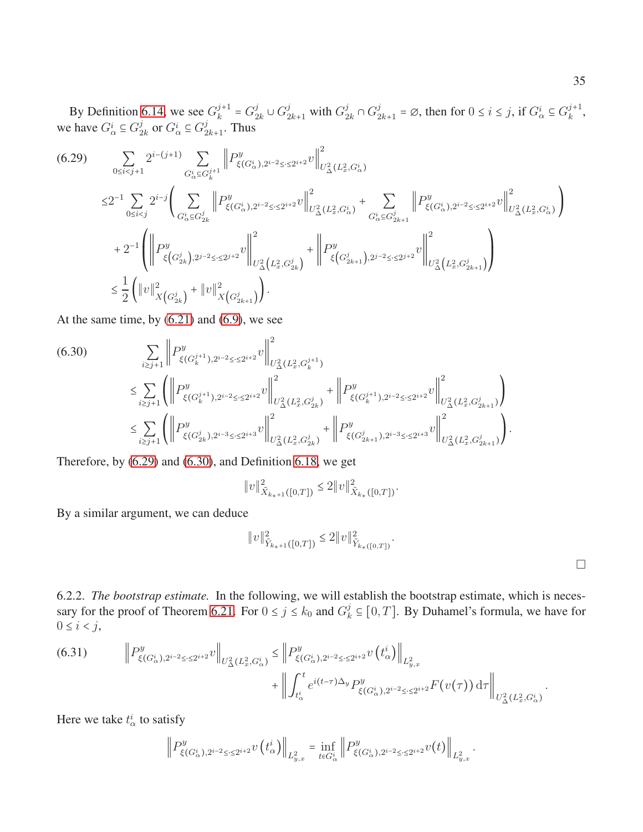By Definition [6.14,](#page-30-3) we see  $G_k^{j+1}$  $g_k^{j+1} = G_{2k}^j \cup G_{2k+1}^j$  with  $G_{2k}^j \cap G_{2k+1}^j = \emptyset$ , then for  $0 \le i \le j$ , if  $G_{\alpha}^i \subseteq G_k^{j+1}$  $\frac{j+1}{k}$ , we have  $G^i_\alpha \subseteq G^j_{2k}$  or  $G^i_\alpha \subseteq G^j_{2k+1}$ . Thus

<span id="page-34-1"></span>
$$
(6.29) \qquad \sum_{0 \le i < j+1} 2^{i - (j+1)} \sum_{G_{\alpha}^{i} \subseteq G_{k}^{j+1}} \left\| P_{\xi(G_{\alpha}^{i}), 2^{i-2} \le \cdot \le 2^{i+2}}^{y} v \right\|_{U_{\Delta}^{2}(L_{x}^{2}, G_{\alpha}^{i})}^{2}
$$
\n
$$
\le 2^{-1} \sum_{0 \le i < j} 2^{i - j} \left( \sum_{G_{\alpha}^{i} \subseteq G_{2k}^{j}} \left\| P_{\xi(G_{\alpha}^{i}), 2^{i-2} \le \cdot \le 2^{i+2}}^{y} v \right\|_{U_{\Delta}^{2}(L_{x}^{2}, G_{\alpha}^{i})}^{2} + \sum_{G_{\alpha}^{i} \subseteq G_{2k+1}^{j}} \left\| P_{\xi(G_{\alpha}^{i}), 2^{i-2} \le \cdot \le 2^{i+2}}^{y} v \right\|_{U_{\Delta}^{2}(L_{x}^{2}, G_{\alpha}^{i})}^{2}
$$
\n
$$
+ 2^{-1} \left( \left\| P_{\xi(G_{2k}^{j}), 2^{j-2} \le \cdot \le 2^{j+2}}^{y} v \right\|_{U_{\Delta}^{2}(L_{x}^{2}, G_{2k}^{j})}^{2} + \left\| P_{\xi(G_{2k+1}^{j}), 2^{j-2} \le \cdot \le 2^{j+2}}^{y} v \right\|_{U_{\Delta}^{2}(L_{x}^{2}, G_{2k+1}^{j})}^{2} \right)
$$
\n
$$
\le \frac{1}{2} \left( \left\| v \right\|_{X(G_{2k}^{j})}^{2} + \left\| v \right\|_{X(G_{2k+1}^{j})}^{2} \right).
$$

At the same time, by  $(6.21)$  and  $(6.9)$ , we see

<span id="page-34-2"></span>
$$
\begin{split} (6.30) \qquad & \sum_{i \geq j+1} \left\| P^y_{\xi(G_k^{j+1}), 2^{i-2} \leq \cdot \leq 2^{i+2}} v \right\|_{U^2_{\Delta}(L^2_x, G_k^{j+1})}^2 \\ & \leq \sum_{i \geq j+1} \left( \left\| P^y_{\xi(G_k^{j+1}), 2^{i-2} \leq \cdot \leq 2^{i+2}} v \right\|_{U^2_{\Delta}(L^2_x, G_{2k}^j)}^2 + \left\| P^y_{\xi(G_k^{j+1}), 2^{i-2} \leq \cdot \leq 2^{i+2}} v \right\|_{U^2_{\Delta}(L^2_x, G_{2k+1}^j)}^2 \right) \\ & \leq \sum_{i \geq j+1} \left( \left\| P^y_{\xi(G_{2k}^j), 2^{i-3} \leq \cdot \leq 2^{i+3}} v \right\|_{U^2_{\Delta}(L^2_x, G_{2k}^j)}^2 + \left\| P^y_{\xi(G_{2k+1}^j), 2^{i-3} \leq \cdot \leq 2^{i+3}} v \right\|_{U^2_{\Delta}(L^2_x, G_{2k+1}^j)}^2 \right). \end{split}
$$

Therefore, by [\(6.29\)](#page-34-1) and [\(6.30\)](#page-34-2), and Definition [6.18,](#page-31-0) we get

$$
||v||_{\tilde{X}_{k_*+1}([0,T])}^2 \leq 2||v||_{\tilde{X}_{k_*}([0,T])}^2.
$$

By a similar argument, we can deduce

$$
||v||_{\tilde{Y}_{k_*+1}([0,T])}^2 \le 2||v||_{\tilde{Y}_{k_*([0,T])}}^2.
$$

<span id="page-34-0"></span>6.2.2. *The bootstrap estimate.* In the following, we will establish the bootstrap estimate, which is neces-sary for the proof of Theorem [6.21.](#page-32-1) For  $0 \le j \le k_0$  and  $G_k^j$  $k \n\t\in [0, T]$ . By Duhamel's formula, we have for  $0 \leq i < j$ ,

<span id="page-34-3"></span>
$$
(6.31) \qquad \left\| P^y_{\xi(G^i_{\alpha}),2^{i-2}\leq s\leq 2^{i+2}} v \right\|_{U^2_{\Delta}(L^2_x, G^i_{\alpha})} \leq \left\| P^y_{\xi(G^i_{\alpha}),2^{i-2}\leq s\leq 2^{i+2}} v(t^i_{\alpha}) \right\|_{L^2_{y,x}} + \left\| \int_{t^i_{\alpha}}^t e^{i(t-\tau)\Delta_y} P^y_{\xi(G^i_{\alpha}),2^{i-2}\leq s\leq 2^{i+2}} F(v(\tau)) d\tau \right\|_{U^2_{\Delta}(L^2_x, G^i_{\alpha})}.
$$

Here we take  $t^i_\alpha$  to satisfy

$$
\left\| P^y_{\xi(G^i_{\alpha}),2^{i-2} \leq \cdot \leq 2^{i+2}} v(t^i_{\alpha}) \right\|_{L^2_{y,x}} = \inf_{t \in G^i_{\alpha}} \left\| P^y_{\xi(G^i_{\alpha}),2^{i-2} \leq \cdot \leq 2^{i+2}} v(t) \right\|_{L^2_{y,x}}.
$$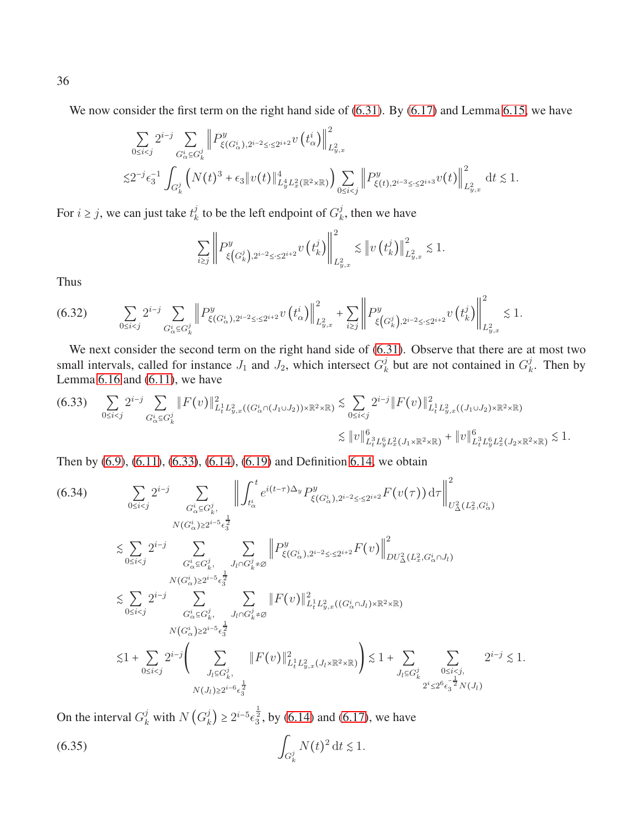We now consider the first term on the right hand side of  $(6.31)$ . By  $(6.17)$  and Lemma [6.15,](#page-30-9) we have

$$
\sum_{0 \le i < j} 2^{i-j} \sum_{G_{\alpha}^i \subseteq G_k^j} \left\| P^y_{\xi(G_{\alpha}^i), 2^{i-2} \le \cdot \le 2^{i+2}} v(t_\alpha^i) \right\|_{L^2_{y,x}}^2
$$
\n
$$
\lesssim 2^{-j} \epsilon_3^{-1} \int_{G_k^j} \left( N(t)^3 + \epsilon_3 \| v(t) \|_{L^4_y L^2_x(\mathbb{R}^2 \times \mathbb{R})}^4 \right) \sum_{0 \le i < j} \left\| P^y_{\xi(t), 2^{i-3} \le \cdot \le 2^{i+3}} v(t) \right\|_{L^2_{y,x}}^2 \, \mathrm{d}t \lesssim 1.
$$

For  $i \geq j$ , we can just take  $t_k^j$  $\frac{j}{k}$  to be the left endpoint of  $G_k^j$  $\frac{\partial}{\partial k}$ , then we have

$$
\sum_{i\geq j} \left\| P^y_{\xi\left(G^j_k\right),2^{i-2}\leq \cdot\leq 2^{i+2}} v\left(t^j_k\right) \right\|^2_{L^2_{y,x}} \lesssim \left\| v\left(t^j_k\right) \right\|^2_{L^2_{y,x}} \lesssim 1.
$$

Thus

<span id="page-35-2"></span>
$$
(6.32) \qquad \sum_{0 \le i < j} 2^{i-j} \sum_{G_{\alpha}^i \subseteq G_k^j} \left\| P^y_{\xi(G_{\alpha}^i), 2^{i-2} \le \cdot \le 2^{i+2}} v(t_{\alpha}^i) \right\|_{L^2_{y,x}}^2 + \sum_{i \ge j} \left\| P^y_{\xi(G_k^j), 2^{i-2} \le \cdot \le 2^{i+2}} v(t_k^j) \right\|_{L^2_{y,x}}^2 \lesssim 1.
$$

We next consider the second term on the right hand side of  $(6.31)$ . Observe that there are at most two small intervals, called for instance  $J_1$  and  $J_2$ , which intersect  $G_{\ell}^{j}$  $\frac{j}{k}$  but are not contained in  $G_k^j$  $\frac{J}{k}$ . Then by Lemma [6.16](#page-31-1) and [\(6.11\)](#page-29-4), we have

<span id="page-35-0"></span>
$$
(6.33) \quad \sum_{0 \le i < j} 2^{i-j} \sum_{G_{\alpha}^i \subseteq G_k^j} \|F(v)\|_{L_t^1 L_{y,x}^2((G_{\alpha}^i \cap (J_1 \cup J_2)) \times \mathbb{R}^2 \times \mathbb{R})}^2 \lesssim \sum_{0 \le i < j} 2^{i-j} \|F(v)\|_{L_t^1 L_{y,x}^2((J_1 \cup J_2) \times \mathbb{R}^2 \times \mathbb{R})}^2 \\
\lesssim \|v\|_{L_t^3 L_y^6 L_x^2(J_1 \times \mathbb{R}^2 \times \mathbb{R})}^6 + \|v\|_{L_t^3 L_y^6 L_x^2(J_2 \times \mathbb{R}^2 \times \mathbb{R})}^6 \lesssim 1.
$$

Then by [\(6.9\)](#page-29-5), [\(6.11\)](#page-29-4), [\(6.33\)](#page-35-0), [\(6.14\)](#page-30-2), [\(6.19\)](#page-30-10) and Definition [6.14,](#page-30-3) we obtain

<span id="page-35-3"></span>
$$
(6.34) \qquad \sum_{0 \leq i < j} 2^{i-j} \sum_{G_{\alpha}^{i} \subset G_{k}^{j}, \atop N(G_{\alpha}^{i}) \geq 2^{i-\delta} \epsilon_{3}^{\frac{1}{2}}} \left\| \int_{t_{\alpha}^{i}}^{t} e^{i(t-\tau)\Delta_{y}} P_{\xi(G_{\alpha}^{i}), 2^{i-2} \leq \cdot 2^{i+2}}^{y} F(v(\tau)) d\tau \right\|_{U_{\Delta}^{2}(L_{x}^{2}, G_{\alpha}^{i})}^{2}
$$
\n
$$
\lesssim \sum_{0 \leq i < j} 2^{i-j} \sum_{G_{\alpha}^{i} \subset G_{k}^{j}, \atop N(G_{\alpha}^{i}) \geq 2^{i-\delta} \epsilon_{3}^{\frac{1}{2}}} \sum_{J_{i} \cap G_{k}^{j} \neq \emptyset} \left\| P_{\xi(G_{\alpha}^{i}), 2^{i-2} \leq \cdot 2^{i+2}}^{y} F(v) \right\|_{DU_{\Delta}^{2}(L_{x}^{2}, G_{\alpha}^{i} \cap J_{i})}^{2}
$$
\n
$$
\lesssim \sum_{0 \leq i < j} 2^{i-j} \sum_{G_{\alpha}^{i} \subset G_{k}^{j}, \atop N(G_{\alpha}^{i}) \geq 2^{i-\delta} \epsilon_{3}^{\frac{1}{2}}} \sum_{J_{i} \cap G_{k}^{j} \neq \emptyset} \left\| F(v) \right\|_{L_{t}^{1} L_{y,x}^{2}((G_{\alpha}^{i} \cap J_{i}) \times \mathbb{R}^{2} \times \mathbb{R})}^{2}
$$
\n
$$
\lesssim 1 + \sum_{0 \leq i < j} 2^{i-j} \left( \sum_{J_{i} \subset G_{k}^{j}, \atop N(J_{i}) \geq 2^{i-\delta} \epsilon_{3}^{\frac{1}{2}}} \left\| F(v) \right\|_{L_{t}^{1} L_{y,x}^{2}(J_{i} \times \mathbb{R}^{2} \times \mathbb{R})}^{2} \right) \lesssim 1 + \sum_{J_{i} \subset G_{k}^{j}, \atop 2^{i} \leq 2^{6} \epsilon_{3}^{\frac{1}{2}}} 2^{i-j} \lesssim 1.
$$

On the interval  $G_k^j$  with  $N(G_k^j)$  $(k)$   $\geq 2^{i-5} \epsilon_3^{\frac{1}{2}}$ , by [\(6.14\)](#page-30-2) and [\(6.17\)](#page-30-1), we have

<span id="page-35-1"></span>
$$
\int_{G_k^j} N(t)^2 \, \mathrm{d}t \lesssim 1.
$$

36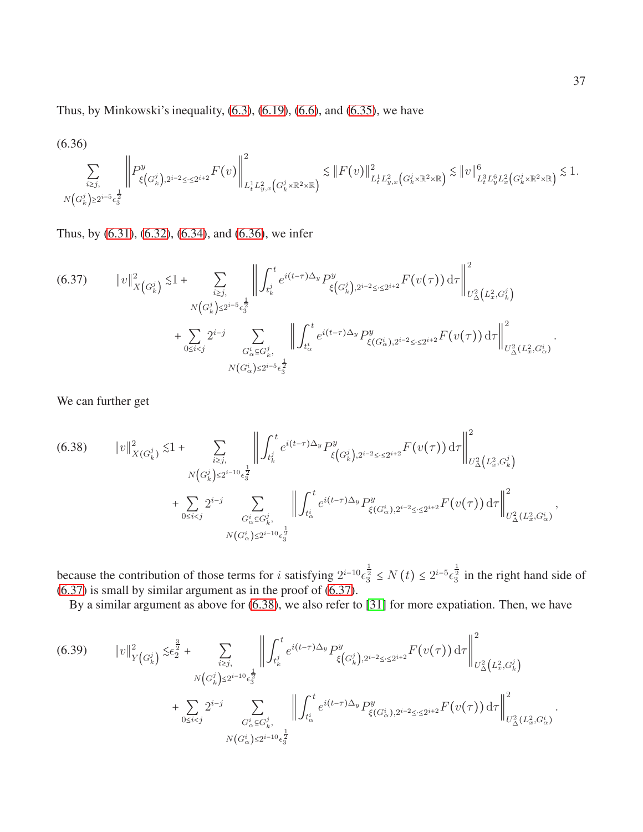Thus, by Minkowski's inequality,  $(6.3)$ ,  $(6.19)$ ,  $(6.6)$ , and  $(6.35)$ , we have

<span id="page-36-0"></span>
$$
(6.36)
$$

$$
\sum_{i\geq j, \atop {N\left(G^j_k\right)\geq 2^{i-5}\epsilon_3^{\frac{1}{2}}}}\left\| P^y_{\xi\left(G^j_k\right),2^{i-2}\leq \cdot \leq 2^{i+2}} F(v) \right\|^2_{L^1_tL^2_{y,x}\left(G^j_k\times \mathbb{R}^2\times \mathbb{R} \right)} \lesssim \|F(v)\|^2_{L^1_tL^2_{y,x}\left(G^j_k\times \mathbb{R}^2\times \mathbb{R} \right)} \lesssim \|v\|^6_{L^3_tL^6_yL^2_x\left(G^j_k\times \mathbb{R}^2\times \mathbb{R} \right)} \lesssim 1.
$$

Thus, by [\(6.31\)](#page-34-3), [\(6.32\)](#page-35-2), [\(6.34\)](#page-35-3), and [\(6.36\)](#page-36-0), we infer

<span id="page-36-1"></span>
$$
(6.37) \qquad \|v\|_{X\left(G_{k}^{j}\right)}^{2} \lesssim 1 + \sum_{i \geq j, \atop N\left(G_{k}^{j}\right) \leq 2^{i-5} \epsilon_{3}^{\frac{1}{2}}} \left\| \int_{t_{k}^{j}}^{t} e^{i(t-\tau)\Delta_{y}} P_{\xi\left(G_{k}^{j}\right),2^{i-2} \leq \cdot \leq 2^{i+2}}^{y} F(v(\tau)) d\tau \right\|_{U_{\Delta}^{2}\left(L_{x}^{2}, G_{k}^{j}\right)}^{2} + \sum_{0 \leq i < j} 2^{i-j} \sum_{G_{\alpha}^{i} \subseteq G_{k}^{j}, \atop N\left(G_{\alpha}^{i}\right) \leq 2^{i-5} \epsilon_{3}^{\frac{1}{2}}} \left\| \int_{t_{\alpha}^{i}}^{t} e^{i(t-\tau)\Delta_{y}} P_{\xi\left(G_{\alpha}^{i}\right),2^{i-2} \leq \cdot \leq 2^{i+2}}^{y} F(v(\tau)) d\tau \right\|_{U_{\Delta}^{2}\left(L_{x}^{2}, G_{\alpha}^{i}\right)}^{2}.
$$

We can further get

<span id="page-36-2"></span>
$$
(6.38) \qquad \|v\|_{X(G_k^j)}^2 \lesssim 1 + \sum_{i \ge j, \atop N(G_k^j) \le 2^{i-10} \epsilon_3^{\frac{1}{2}}} \left\| \int_{t_k^j}^t e^{i(t-\tau)\Delta_y} P_{\xi(G_k^j), 2^{i-2} \le \cdot \le 2^{i+2}}^y F(v(\tau)) d\tau \right\|_{U_{\Delta}^2(L_x^2, G_k^j)}^2 + \sum_{0 \le i < j} 2^{i-j} \sum_{G_{\alpha}^i \subseteq G_k^j, \atop N(G_{\alpha}^i) \le 2^{i-10} \epsilon_3^{\frac{1}{2}}} \left\| \int_{t_\alpha^i}^t e^{i(t-\tau)\Delta_y} P_{\xi(G_{\alpha}^i), 2^{i-2} \le \cdot \le 2^{i+2}}^y F(v(\tau)) d\tau \right\|_{U_{\Delta}^2(L_x^2, G_{\alpha}^i)}^2,
$$

because the contribution of those terms for i satisfying  $2^{i-10}\epsilon_3^{\frac{1}{2}} \le N(t) \le 2^{i-5}\epsilon_3^{\frac{1}{2}}$  in the right hand side of [\(6.37\)](#page-36-1) is small by similar argument as in the proof of [\(6.37\)](#page-36-1).

By a similar argument as above for [\(6.38\)](#page-36-2), we also refer to [\[31\]](#page-68-1) for more expatiation. Then, we have

<span id="page-36-3"></span>
$$
(6.39) \qquad \|v\|_{Y(G_k^j)}^2 \lesssim \epsilon_2^{\frac{3}{2}} + \sum_{\substack{i \ge j, \\ N(G_k^j) \le 2^{i-10} \epsilon_3^{\frac{1}{2}}}} \left\| \int_{t_k^j}^t e^{i(t-\tau)\Delta_y} P_{\xi(G_k^j), 2^{i-2} \le s \le 2^{i+2}}^y F(v(\tau)) d\tau \right\|_{U_{\Delta}^2(L_x^2, G_k^j)}^2 + \sum_{0 \le i < j} 2^{i-j} \sum_{\substack{G_\alpha^i \subseteq G_k^j, \\ N(G_\alpha^i) \le 2^{i-10} \epsilon_3^{\frac{1}{2}}}} \left\| \int_{t_\alpha^i}^t e^{i(t-\tau)\Delta_y} P_{\xi(G_\alpha^i), 2^{i-2} \le s \le 2^{i+2}}^y F(v(\tau)) d\tau \right\|_{U_{\Delta}^2(L_x^2, G_\alpha^i)}^2
$$

.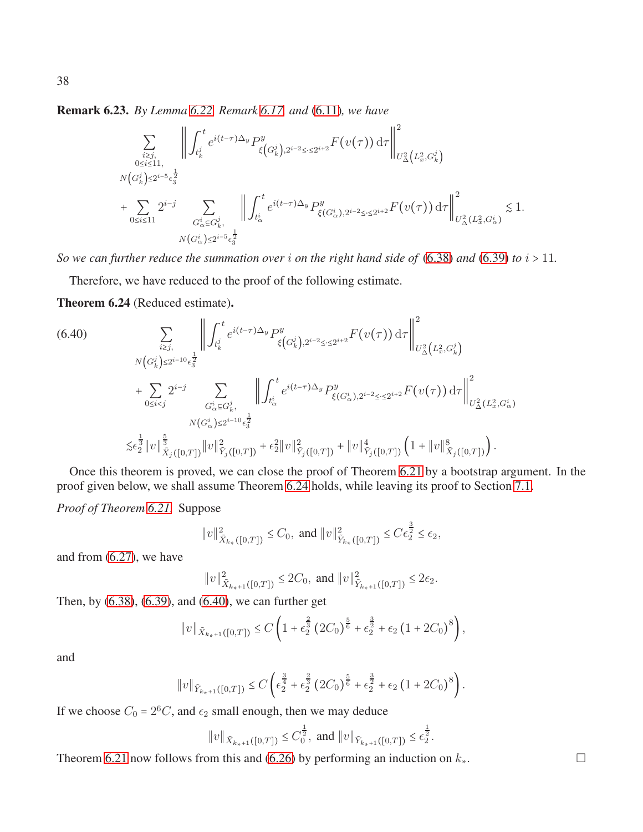Remark 6.23. *By Lemma [6.22,](#page-33-2) Remark [6.17,](#page-31-2) and* [\(6.11\)](#page-29-4)*, we have*

$$
\sum_{\substack{i \geq j, \\ 0 \leq i \leq 11, \\ 0 \leq i \leq 11}} \left\| \int_{t_k^j}^t e^{i(t-\tau)\Delta_y} P^y_{\xi\left(G_k^j\right), 2^{i-2} \leq \cdot \leq 2^{i+2}} F(v(\tau)) \, d\tau \right\|_{U^2_{\Delta}\left(L^2_x, G_k^j\right)}^2 \n+ \sum_{0 \leq i \leq 11} 2^{i-j} \sum_{\substack{G_k^i \subseteq G_k^j, \\ G_\alpha^{i} \leq 2^{i-5} \epsilon_3^{\frac{1}{2}}}} \left\| \int_{t_\alpha^i}^t e^{i(t-\tau)\Delta_y} P^y_{\xi\left(G_\alpha^i\right), 2^{i-2} \leq \cdot \leq 2^{i+2}} F(v(\tau)) \, d\tau \right\|_{U^2_{\Delta}\left(L^2_x, G_\alpha^i\right)}^2 \lesssim 1.
$$

*So we can further reduce the summation over* i *on the right hand side of* [\(6.38\)](#page-36-2) *and* [\(6.39\)](#page-36-3) *to* i > 11*.*

Therefore, we have reduced to the proof of the following estimate.

<span id="page-37-0"></span>Theorem 6.24 (Reduced estimate).

<span id="page-37-1"></span>
$$
(6.40) \qquad \qquad \sum_{i \geq j, \atop N(G_{k}^{j}) \leq 2^{i-10} \epsilon_{3}^{\frac{1}{2}}} \left\| \int_{t_{k}^{j}}^{t} e^{i(t-\tau)\Delta_{y}} P_{\xi(G_{k}^{j}), 2^{i-2} \leq \cdot \leq 2^{i+2}}^{y} F(v(\tau)) d\tau \right\|_{U_{\Delta}^{2}(L_{x}^{2}, G_{k}^{j})}^{2}
$$
\n
$$
+ \sum_{0 \leq i < j} 2^{i-j} \sum_{G_{\alpha}^{i} \subseteq G_{k}^{j}, \atop N(G_{\alpha}^{i}) \leq 2^{i-10} \epsilon_{3}^{\frac{1}{2}}} \left\| \int_{t_{\alpha}^{i}}^{t} e^{i(t-\tau)\Delta_{y}} P_{\xi(G_{\alpha}^{i}), 2^{i-2} \leq \cdot \leq 2^{i+2}}^{y} F(v(\tau)) d\tau \right\|_{U_{\Delta}^{2}(L_{x}^{2}, G_{\alpha}^{i})}^{2}
$$
\n
$$
\lesssim \epsilon_{3}^{\frac{1}{3}} \|v\|_{\tilde{X}_{j}([0, T])}^{\frac{5}{3}} \|v\|_{\tilde{X}_{j}([0, T])}^{2} \|v\|_{\tilde{Y}_{j}([0, T])}^{2} + \epsilon_{2}^{2} \|v\|_{\tilde{Y}_{j}([0, T])}^{2} + \|v\|_{\tilde{Y}_{j}([0, T])}^{4} \left(1 + \|v\|_{\tilde{X}_{j}([0, T])}^{8}\right).
$$

Once this theorem is proved, we can close the proof of Theorem [6.21](#page-32-1) by a bootstrap argument. In the proof given below, we shall assume Theorem [6.24](#page-37-0) holds, while leaving its proof to Section [7.1.](#page-40-1)

*Proof of Theorem [6.21.](#page-32-1)* Suppose

$$
||v||_{\tilde{X}_{k_*}([0,T])}^2 \leq C_0
$$
, and  $||v||_{\tilde{Y}_{k_*}([0,T])}^2 \leq C\epsilon_2^{\frac{3}{2}} \leq \epsilon_2$ ,

and from [\(6.27\)](#page-33-3), we have

$$
||v||_{\tilde{X}_{k_*+1}([0,T])}^2 \le 2C_0, \text{ and } ||v||_{\tilde{Y}_{k_*+1}([0,T])}^2 \le 2\epsilon_2.
$$

Then, by [\(6.38\)](#page-36-2), [\(6.39\)](#page-36-3), and [\(6.40\)](#page-37-1), we can further get

$$
||v||_{\tilde{X}_{k+1}([0,T])} \leq C \left( 1 + \epsilon_2^{\frac{2}{3}} \left( 2C_0 \right)^{\frac{5}{6}} + \epsilon_2^{\frac{3}{2}} + \epsilon_2 \left( 1 + 2C_0 \right)^8 \right),
$$

and

$$
||v||_{\tilde{Y}_{k+1}([0,T])} \leq C \left(\epsilon_2^{\frac{3}{4}} + \epsilon_2^{\frac{2}{3}} (2C_0)^{\frac{5}{6}} + \epsilon_2^{\frac{3}{2}} + \epsilon_2 (1 + 2C_0)^8\right).
$$

If we choose  $C_0 = 2^6C$ , and  $\epsilon_2$  small enough, then we may deduce

$$
||v||_{\tilde{X}_{k+1}([0,T])} \leq C_0^{\frac{1}{2}}, \text{ and } ||v||_{\tilde{Y}_{k+1}([0,T])} \leq \epsilon_2^{\frac{1}{2}}.
$$

Theorem [6.21](#page-32-1) now follows from this and [\(6.26\)](#page-33-4) by performing an induction on  $k<sub>*</sub>$ .

38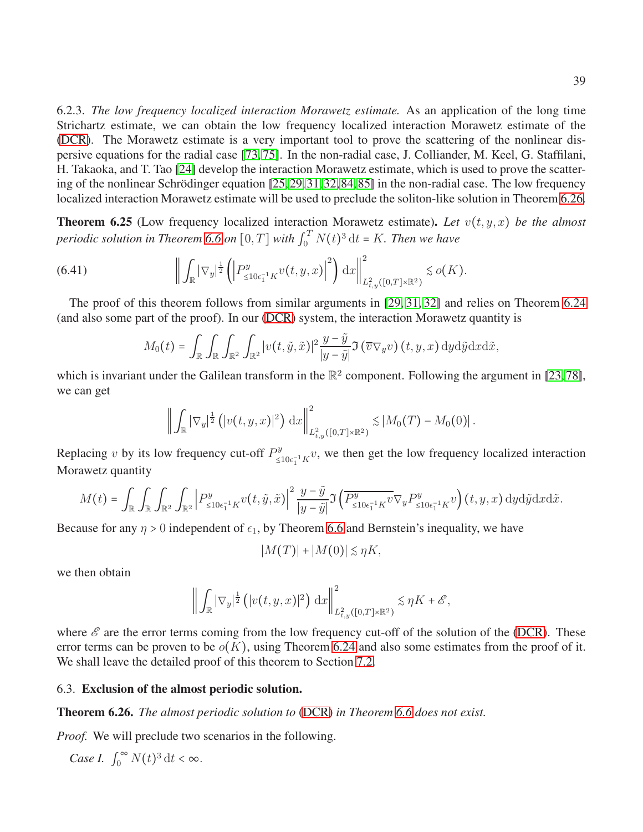6.2.3. *The low frequency localized interaction Morawetz estimate.* As an application of the long time Strichartz estimate, we can obtain the low frequency localized interaction Morawetz estimate of the [\(DCR\)](#page-4-2). The Morawetz estimate is a very important tool to prove the scattering of the nonlinear dispersive equations for the radial case [\[73,](#page-69-26) [75\]](#page-69-27). In the non-radial case, J. Colliander, M. Keel, G. Staffilani, H. Takaoka, and T. Tao [\[24\]](#page-67-14) develop the interaction Morawetz estimate, which is used to prove the scattering of the nonlinear Schrödinger equation  $[25, 29, 31, 32, 84, 85]$  $[25, 29, 31, 32, 84, 85]$  $[25, 29, 31, 32, 84, 85]$  $[25, 29, 31, 32, 84, 85]$  $[25, 29, 31, 32, 84, 85]$  $[25, 29, 31, 32, 84, 85]$  in the non-radial case. The low frequency localized interaction Morawetz estimate will be used to preclude the soliton-like solution in Theorem [6.26.](#page-38-1)

<span id="page-38-2"></span>**Theorem 6.25** (Low frequency localized interaction Morawetz estimate). Let  $v(t, y, x)$  be the almost *periodic solution in Theorem [6.6](#page-27-1) on*  $[0,T]$  *with*  $\int_0^T N(t)^3 \, \mathrm{d}t$  =  $K$ *. Then we have* 

<span id="page-38-3"></span>(6.41) 
$$
\left\| \int_{\mathbb{R}} |\nabla_{y}|^{\frac{1}{2}} \left( \left| P_{\leq 10\epsilon_{1}^{-1} K}^{y} v(t, y, x) \right|^{2} \right) dx \right\|_{L_{t,y}^{2}([0, T] \times \mathbb{R}^{2})}^{2} \lesssim o(K).
$$

The proof of this theorem follows from similar arguments in [\[29,](#page-68-0) [31,](#page-68-1) [32\]](#page-68-2) and relies on Theorem [6.24](#page-37-0) (and also some part of the proof). In our [\(DCR\)](#page-4-2) system, the interaction Morawetz quantity is

$$
M_0(t) = \int_{\mathbb{R}} \int_{\mathbb{R}} \int_{\mathbb{R}^2} \int_{\mathbb{R}^2} |v(t, \tilde{y}, \tilde{x})|^2 \frac{y - \tilde{y}}{|y - \tilde{y}|} \Im(\overline{v} \nabla_y v) (t, y, x) dy d\tilde{y} dxd\tilde{x},
$$

which is invariant under the Galilean transform in the  $\mathbb{R}^2$  component. Following the argument in [\[23,](#page-67-15) [78\]](#page-69-14), we can get

$$
\left\| \int_{\mathbb{R}} |\nabla_y|^{\frac{1}{2}} \left( |v(t,y,x)|^2 \right) dx \right\|_{L^2_{t,y}([0,T]\times \mathbb{R}^2)}^2 \lesssim |M_0(T) - M_0(0)|.
$$

Replacing v by its low frequency cut-off  $P_z^y$  $\sum_{\epsilon=1}^{30}$  = 10 $\epsilon_1^{-1}$  K<sup>v</sup>, we then get the low frequency localized interaction Morawetz quantity

$$
M(t) = \int_{\mathbb{R}} \int_{\mathbb{R}} \int_{\mathbb{R}^2} \int_{\mathbb{R}^2} \left| P_{\leq 10 \epsilon_1^{-1} K}^y v(t, \tilde{y}, \tilde{x}) \right|^2 \frac{y - \tilde{y}}{|y - \tilde{y}|} \Im \left( \overline{P_{\leq 10 \epsilon_1^{-1} K}^y v} \nabla_y P_{\leq 10 \epsilon_1^{-1} K}^y v \right) (t, y, x) \, dy \, d\tilde{y} \, dx \, d\tilde{x}.
$$

Because for any  $\eta > 0$  independent of  $\epsilon_1$ , by Theorem [6.6](#page-27-1) and Bernstein's inequality, we have

$$
|M(T)| + |M(0)| \lesssim \eta K,
$$

we then obtain

$$
\left\|\int_{\mathbb{R}}|\nabla_y|^{\frac{1}{2}}\left(|v(t,y,x)|^2\right)\,\mathrm{d}x\right\|_{L^2_{t,y}\left([0,T]\times\mathbb{R}^2\right)}^2\lesssim \eta K+\mathscr{E},
$$

where  $\mathscr E$  are the error terms coming from the low frequency cut-off of the solution of the [\(DCR\)](#page-4-2). These error terms can be proven to be  $o(K)$ , using Theorem [6.24](#page-37-0) and also some estimates from the proof of it. We shall leave the detailed proof of this theorem to Section [7.2.](#page-60-0)

## <span id="page-38-0"></span>6.3. Exclusion of the almost periodic solution.

<span id="page-38-1"></span>Theorem 6.26. *The almost periodic solution to* [\(DCR\)](#page-4-2) *in Theorem [6.6](#page-27-1) does not exist.*

*Proof.* We will preclude two scenarios in the following.

*Case I.*  $\int_0^\infty N(t)^3 dt < \infty$ .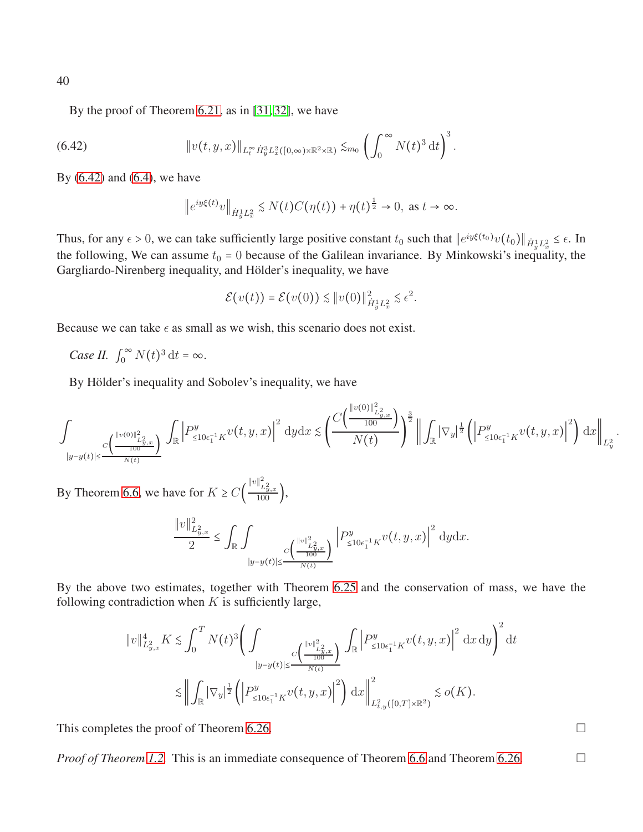By the proof of Theorem [6.21,](#page-32-1) as in [\[31,](#page-68-1) [32\]](#page-68-2), we have

<span id="page-39-0"></span>(6.42) 
$$
\|v(t,y,x)\|_{L_t^{\infty}\dot{H}_y^3L_x^2([0,\infty)\times\mathbb{R}^2\times\mathbb{R})}\lesssim_{m_0}\left(\int_0^{\infty}N(t)^3\,\mathrm{d}t\right)^3.
$$

By [\(6.42\)](#page-39-0) and [\(6.4\)](#page-27-2), we have

$$
\left\|e^{iy\xi(t)}v\right\|_{\dot{H}_y^1L_x^2} \lesssim N(t)C(\eta(t))+\eta(t)^{\frac{1}{2}} \to 0, \text{ as } t \to \infty.
$$

Thus, for any  $\epsilon > 0$ , we can take sufficiently large positive constant  $t_0$  such that  $||e^{iy\xi(t_0)}v(t_0)||_{\dot{H}^1_y L^2_x} \leq \epsilon$ . In the following, We can assume  $t_0 = 0$  because of the Galilean invariance. By Minkowski's inequality, the Gargliardo-Nirenberg inequality, and Hölder's inequality, we have

$$
\mathcal{E}(v(t)) = \mathcal{E}(v(0)) \lesssim ||v(0)||_{\dot{H}_y^1 L_x^2}^2 \lesssim \epsilon^2.
$$

Because we can take  $\epsilon$  as small as we wish, this scenario does not exist.

*Case II.*  $\int_0^\infty N(t)^3 dt = \infty$ .

By Hölder's inequality and Sobolev's inequality, we have

$$
\int\limits_{|y-y(t)|\leq}\frac{C\Big(\frac{\|v(0)\|_{L^2_{y,x}}^2}{100}\Big)}{N(t)}\int_{\mathbb{R}}\Big|P^y_{\leq 10\epsilon_1^{-1}K}v(t,y,x)\Big|^2\; \mathrm{d}y\mathrm{d}x\lesssim \left(\frac{C\Big(\frac{\|v(0)\|_{L^2_{y,x}}^2}{100}\Big)}{N(t)}\right)^{\frac{3}{2}}\Big\|\int_{\mathbb{R}}|\nabla_y|^{\frac{1}{2}}\Big(\Big|P^y_{\leq 10\epsilon_1^{-1}K}v(t,y,x)\Big|^2\Big)\; \mathrm{d}x\Big\|_{L^2_{y,x}}.
$$

<sup>∥</sup>v(0)∥<sup>2</sup>

By Theorem [6.6,](#page-27-1) we have for  $K \ge C \Big( \frac{\|v\|_{L^2_{y,x}}^2}{100} \Big)$ ,

$$
\frac{\|v\|_{L_{y,x}^2}^2}{2} \leq \int_{\mathbb{R}} \int_{\substack{|y-y(t)| \leq \frac{C\left(\frac{\|v\|_{L_{y,x}^2}^2}{100}\right)}{N(t)}}} \left| P_{\leq 10\epsilon_1^{-1}K}^yv(t,y,x) \right|^2 \, \mathrm{d} y \mathrm{d} x.
$$

By the above two estimates, together with Theorem [6.25](#page-38-2) and the conservation of mass, we have the following contradiction when  $K$  is sufficiently large,

$$
\begin{aligned} \|v\|_{L^2_{y,x}}^4 &\ K\lesssim \int_0^T N(t)^3\Bigg( \int_{|y-y(t)|\leq \frac{C\Big(\frac{\|v\|_{L^2_{y,x}}^2}{100}\Big)}{N(t)^2}} \int_{\mathbb{R}} \Big| P^y_{\leq 10\epsilon_1^{-1}K} v(t,y,x)\Big|^2 \,\mathrm{d}x \,\mathrm{d}y \Bigg)^2 \,\mathrm{d}t \\ &\lesssim \left\| \int_{\mathbb{R}} |\nabla_y|^{\frac{1}{2}} \left( \Big| P^y_{\leq 10\epsilon_1^{-1}K} v(t,y,x)\Big|^2 \right) \,\mathrm{d}x \right\|^2_{L^2_{t,y}([0,T]\times \mathbb{R}^2)} \lesssim o(K). \end{aligned}
$$

This completes the proof of Theorem [6.26.](#page-38-1)  $\Box$ 

*Proof of Theorem [1.2.](#page-4-0)* This is an immediate consequence of Theorem [6.6](#page-27-1) and Theorem [6.26.](#page-38-1) □

.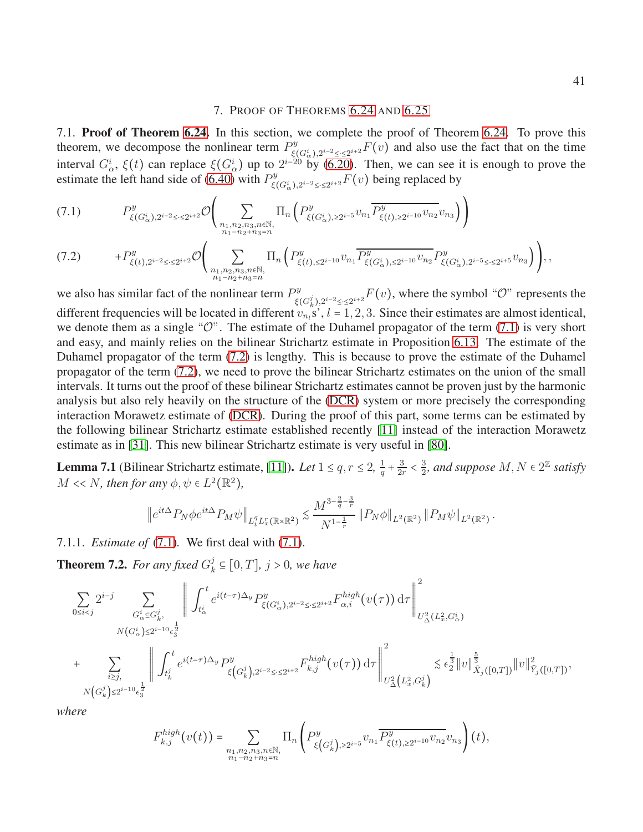## 7. PROOF OF THEOREMS [6.24](#page-37-0) AND [6.25](#page-38-2)

<span id="page-40-1"></span><span id="page-40-0"></span>7.1. Proof of Theorem [6.24.](#page-37-0) In this section, we complete the proof of Theorem [6.24.](#page-37-0) To prove this theorem, we decompose the nonlinear term  $P^y_{\epsilon}$  $\zeta(G^i_\alpha)$ , $2^{i-2} \leq 2^{i+2} F(v)$  and also use the fact that on the time interval  $G^i_\alpha$ ,  $\xi(t)$  can replace  $\xi(G^i_\alpha)$  up to  $2^{i-20}$  by [\(6.20\)](#page-30-11). Then, we can see it is enough to prove the estimate the left hand side of  $(6.40)$  with  $P_{\epsilon}^{y}$  $\zeta_{\mathcal{E}(G_{\alpha}^{i}),2^{i-2} \leq \cdot \leq 2^{i+2}}F(v)$  being replaced by

<span id="page-40-2"></span>
$$
(7.1) \qquad P^y_{\xi(G^i_{\alpha}),2^{i-2}\leq \cdot \leq 2^{i+2}} \mathcal{O}\left(\sum_{\substack{n_1,n_2,n_3,n \in \mathbb{N},\\n_1-n_2+n_3=n}} \prod_n \left(P^y_{\xi(G^i_{\alpha}),\geq 2^{i-5}} v_{n_1} \overline{P^y_{\xi(t),\geq 2^{i-10}} v_{n_2}} v_{n_3}\right)\right)
$$

<span id="page-40-3"></span>
$$
(7.2) \qquad +P^y_{\xi(t),2^{i-2}\leq s\leq 2^{i+2}}\mathcal{O}\bigg(\sum_{\substack{n_1,n_2,n_3,n\in\mathbb{N},\\n_1-n_2+n_3=n}}\prod_n\bigg(P^y_{\xi(t),\leq 2^{i-10}}v_{n_1}\overline{P^y_{\xi(G^i_{\alpha}),\leq 2^{i-10}}v_{n_2}}P^y_{\xi(G^i_{\alpha}),2^{i-5}\leq s\leq 2^{i+5}}v_{n_3}\bigg)\bigg),
$$

we also has similar fact of the nonlinear term  $P_{\epsilon}^{y}$  $\mathcal{E}_{\xi(G_k^j),2^{i-2} \leq \cdot \leq 2^{i+2}}F(v)$ , where the symbol "O" represents the different frequencies will be located in different  $v_{n}$  s',  $l = 1, 2, 3$ . Since their estimates are almost identical, we denote them as a single " $\mathcal{O}$ ". The estimate of the Duhamel propagator of the term [\(7.1\)](#page-40-2) is very short and easy, and mainly relies on the bilinear Strichartz estimate in Proposition [6.13.](#page-30-12) The estimate of the Duhamel propagator of the term [\(7.2\)](#page-40-3) is lengthy. This is because to prove the estimate of the Duhamel propagator of the term [\(7.2\)](#page-40-3), we need to prove the bilinear Strichartz estimates on the union of the small intervals. It turns out the proof of these bilinear Strichartz estimates cannot be proven just by the harmonic analysis but also rely heavily on the structure of the [\(DCR\)](#page-4-2) system or more precisely the corresponding interaction Morawetz estimate of [\(DCR\)](#page-4-2). During the proof of this part, some terms can be estimated by the following bilinear Strichartz estimate established recently [\[11\]](#page-67-23) instead of the interaction Morawetz estimate as in [\[31\]](#page-68-1). This new bilinear Strichartz estimate is very useful in [\[80\]](#page-69-28).

<span id="page-40-5"></span>**Lemma 7.1** (Bilinear Strichartz estimate, [\[11\]](#page-67-23)). *Let*  $1 \le q, r \le 2, \frac{1}{q}$  $\frac{1}{q} + \frac{3}{2n}$  $\frac{3}{2r} < \frac{3}{2}$  $\frac{3}{2}$ , and suppose  $M, N \in 2^{\mathbb{Z}}$  satisfy  $M \ll N$ *, then for any*  $\phi, \psi \in L^2(\mathbb{R}^2)$ *,* 

$$
\left\|e^{it\Delta} P_N \phi e^{it\Delta} P_M \psi \right\|_{L^q_t L^r_x(\mathbb{R} \times \mathbb{R}^2)} \lesssim \frac{M^{3-\frac{2}{q}-\frac{3}{r}}}{N^{1-\frac{1}{r}}} \left\|P_N \phi \right\|_{L^2(\mathbb{R}^2)} \left\|P_M \psi \right\|_{L^2(\mathbb{R}^2)}.
$$

7.1.1. *Estimate of* [\(7.1\)](#page-40-2)*.* We first deal with [\(7.1\)](#page-40-2).

<span id="page-40-4"></span>**Theorem 7.2.** For any fixed  $G_k^j$  $\mathbf{z}_k^j \in [0,T]$ ,  $j > 0$ , we have

$$
\begin{split} & \sum_{0 \leq i < j} 2^{i-j} \sum_{\substack{G_{\alpha}^i \subseteq G_k^j, \\ N(G_{\alpha}^i) \leq 2^{i-10} \epsilon_3^{\frac{1}{2}}}} \left\| \int_{t_\alpha^i}^t e^{i(t-\tau)\Delta_y} P_{\xi(G_{\alpha}^i), 2^{i-2} \leq \cdot \leq 2^{i+2}}^y F_{\alpha, i}^{high}(v(\tau)) \, d\tau \right\|^2_{U_{\Delta}^2(L_x^2, G_{\alpha}^i)} \\ & + \sum_{i \geq j, \\ N(G_k^j) \leq 2^{i-10} \epsilon_3^{\frac{1}{2}}} \left\| \int_{t_k^j}^t e^{i(t-\tau)\Delta_y} P_{\xi(G_k^j), 2^{i-2} \leq \cdot \leq 2^{i+2}}^y F_{k,j}^{high}(v(\tau)) \, d\tau \right\|^2_{U_{\Delta}^2(L_x^2, G_k^j)} \lesssim \epsilon_2^{\frac{1}{3}} \|v\|_{\tilde{X}_j([0, T])}^{\frac{5}{3}} \|v\|_{\tilde{Y}_j([0, T])}^2, \end{split}
$$

*where*

$$
F_{k,j}^{high}(v(t)) = \sum_{\substack{n_1, n_2, n_3, n \in \mathbb{N}, \\ n_1 - n_2 + n_3 = n}} \Pi_n \left( P_{\xi(G_k^j), \ge 2^{i-5}}^y v_{n_1} \overline{P_{\xi(t), \ge 2^{i-10}}^y v_{n_2}} v_{n_3} \right)(t),
$$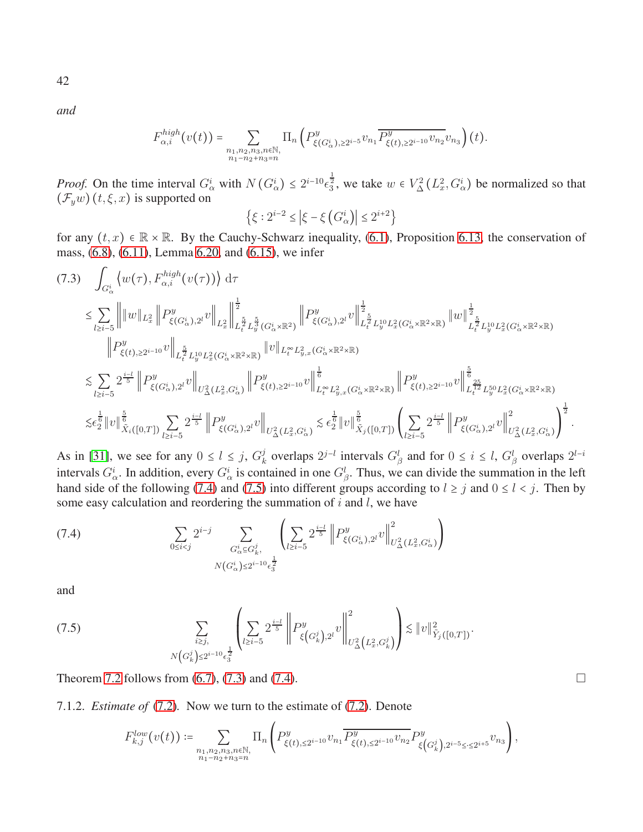*and*

$$
F_{\alpha,i}^{high}(v(t)) = \sum_{\substack{n_1,n_2,n_3,n \in \mathbb{N}, \\ n_1 - n_2 + n_3 = n}} \Pi_n\left(P_{\xi(G_{\alpha}^i), \geq 2^{i-5}}^y v_{n_1} \overline{P_{\xi(t), \geq 2^{i-10}}^y v_{n_2}} v_{n_3}\right)(t).
$$

*Proof.* On the time interval  $G^i_\alpha$  with  $N(G^i_\alpha) \leq 2^{i-10} \epsilon_3^{\frac{1}{2}}$ , we take  $w \in V^2_\Delta(L^2_x, G^i_\alpha)$  be normalized so that  $(\mathcal{F}_{y}w)(t,\xi,x)$  is supported on

$$
\left\{ \xi: 2^{i-2} \le \left| \xi - \xi \left( G_{\alpha}^{i} \right) \right| \le 2^{i+2} \right\}
$$

for any  $(t, x) \in \mathbb{R} \times \mathbb{R}$ . By the Cauchy-Schwarz inequality, [\(6.1\)](#page-25-3), Proposition [6.13,](#page-30-12) the conservation of mass, [\(6.8\)](#page-29-2), [\(6.11\)](#page-29-4), Lemma [6.20,](#page-32-3) and [\(6.15\)](#page-30-4), we infer

<span id="page-41-2"></span>
$$
(7.3) \quad \int_{G_{\alpha}^{i}} \left\langle w(\tau), F_{\alpha,i}^{high}(v(\tau)) \right\rangle d\tau
$$
\n
$$
\leq \sum_{l \geq i-5} \left\| \|w\|_{L_{x}^{2}} \left\| P_{\xi(G_{\alpha}^{i}),2^{l}}^{y} v \right\|_{L_{x}^{2}} \right\|_{L_{t}^{\frac{5}{2}} L_{y}^{10}(G_{\alpha}^{i} \times \mathbb{R}^{2})} \left\| P_{\xi(G_{\alpha}^{i}),2^{l}}^{y} v \right\|_{L_{t}^{\frac{5}{2}} L_{y}^{10} L_{x}^{2}(G_{\alpha}^{i} \times \mathbb{R}^{2} \times \mathbb{R})} \left\| w \right\|_{L_{t}^{\frac{5}{2}} L_{y}^{10} L_{x}^{2}(G_{\alpha}^{i} \times \mathbb{R}^{2} \times \mathbb{R})} \right\|_{L_{t}^{\frac{5}{2}} L_{y}^{10} L_{x}^{2}(G_{\alpha}^{i} \times \mathbb{R}^{2} \times \mathbb{R})} \left\| v \right\|_{L_{t}^{\frac{5}{2}} L_{y}^{10} L_{x}^{2}(G_{\alpha}^{i} \times \mathbb{R}^{2} \times \mathbb{R})} \left\| v \right\|_{L_{t}^{\frac{5}{2}} L_{y}^{10} L_{x}^{2}(G_{\alpha}^{i} \times \mathbb{R}^{2} \times \mathbb{R})} \left\| v \right\|_{L_{t}^{\infty} L_{y,x}^{2}(G_{\alpha}^{i} \times \mathbb{R}^{2} \times \mathbb{R})} \left\| P_{\xi(t),2^{2^{i-1}0}}^{y} v \right\|_{L_{t}^{\frac{5}{2}} L_{y}^{10} L_{x}^{2}(G_{\alpha}^{i} \times \mathbb{R}^{2} \times \mathbb{R})} \left\| P_{\xi(t),2^{2^{i-1}0}}^{y} v \right\|_{L_{t}^{\frac{5}{2}} L_{y}^{10} L_{x}^{2}(G_{\alpha}^{i} \times \mathbb{R}^{2} \times \mathbb{R})} \left\| P_{\xi(t),2^{2^{i-1}0}}^{y} v \right\|_{L_{t
$$

As in [\[31\]](#page-68-1), we see for any  $0 \le l \le j$ ,  $G_k^j$  $k$  overlaps  $2^{j-l}$  intervals  $G_{\beta}^{l}$  and for  $0 \leq i \leq l$ ,  $G_{\beta}^{l}$  overlaps  $2^{l-i}$ intervals  $G^i_\alpha$ . In addition, every  $G^i_\alpha$  is contained in one  $G^l_\beta$ . Thus, we can divide the summation in the left hand side of the following [\(7.4\)](#page-41-0) and [\(7.5\)](#page-41-1) into different groups according to  $l \ge j$  and  $0 \le l \le j$ . Then by some easy calculation and reordering the summation of  $i$  and  $l$ , we have

<span id="page-41-0"></span>(7.4) 
$$
\sum_{0 \le i < j} 2^{i-j} \sum_{\substack{G_{\alpha}^i \subseteq G_k^j, \\ N(G_{\alpha}^i) \le 2^{i-10} \epsilon_3^{\frac{1}{2}}}} \left( \sum_{l \ge i-5} 2^{\frac{i-l}{5}} \left\| P_{\xi(G_{\alpha}^i), 2^l}^y v \right\|_{U_{\Delta}^2(L_x^2, G_{\alpha}^i)}^2 \right)
$$

and

<span id="page-41-1"></span>
$$
(7.5) \qquad \qquad \sum_{i \geq j, \atop N\left(G_k^j\right) \leq 2^{i-10} \epsilon_3^{\frac{1}{2}}} \left( \sum_{l \geq i-5} 2^{\frac{i-l}{5}} \left\| P^y_{\xi\left(G_k^j\right),2^l} v \right\|^2_{U^2_{\Delta}\left(L^2_x, G^j_k\right)} \right) \lesssim \|v\|^2_{\tilde{Y}_j\left([0,T]\right)}.
$$

Theorem [7.2](#page-40-4) follows from  $(6.7)$ ,  $(7.3)$  and  $(7.4)$ .

7.1.2. *Estimate of* [\(7.2\)](#page-40-3)*.* Now we turn to the estimate of [\(7.2\)](#page-40-3). Denote

$$
F_{k,j}^{low}(v(t)) \coloneqq \sum_{\substack{n_1, n_2, n_3, n \in \mathbb{N}, \\ n_1 - n_2 + n_3 = n}} \prod_n \left( P_{\xi(t), \leq 2^{i-10}}^y v_{n_1} \overline{P_{\xi(t), \leq 2^{i-10}}^y v_{n_2}} P_{\xi(G_k^j), 2^{i-5} \leq \cdot \leq 2^{i+5}}^y v_{n_3} \right),
$$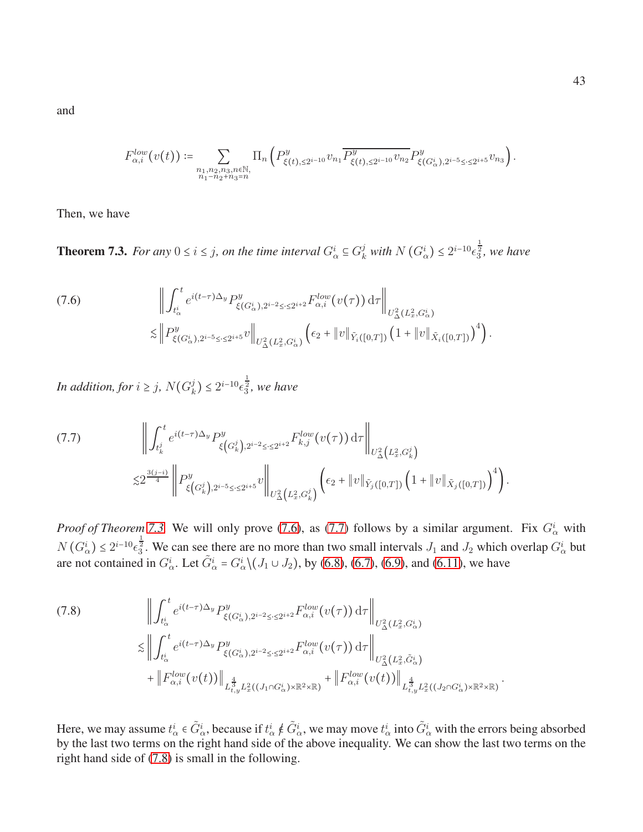and

F low α,i (v(t)) ∶= ∑ n1,n2,n3,n∈N, n1−n2+n3=n Π<sup>n</sup> (P y ξ(t),≤2 <sup>i</sup>−<sup>10</sup> v<sup>n</sup>1P y ξ(t),≤2 <sup>i</sup>−<sup>10</sup> v<sup>n</sup>2P y ξ(G<sup>i</sup> <sup>α</sup>),2 <sup>i</sup>−5≤⋅≤<sup>2</sup> <sup>i</sup>+<sup>5</sup>v<sup>n</sup><sup>3</sup> ) .

Then, we have

<span id="page-42-0"></span>**Theorem 7.3.** For any  $0 \le i \le j$ , on the time interval  $G^i_\alpha \subseteq G^j_k$  with  $N(G^i_\alpha) \le 2^{i-10} \epsilon_3^{\frac{1}{2}}$ , we have

<span id="page-42-1"></span>
$$
(7.6) \qquad \qquad \left\| \int_{t_{\alpha}^{i}}^{t} e^{i(t-\tau)\Delta_{y}} P_{\xi(G_{\alpha}^{i}),2^{i-2} \leq \cdot \leq 2^{i+2}}^{y} F_{\alpha,i}^{low}(v(\tau)) d\tau \right\|_{U_{\Delta}^{2}(L_{x}^{2}, G_{\alpha}^{i})}
$$

$$
\lesssim \left\| P_{\xi(G_{\alpha}^{i}),2^{i-5} \leq \cdot \leq 2^{i+5}}^{y} v \right\|_{U_{\Delta}^{2}(L_{x}^{2}, G_{\alpha}^{i})} \left( \epsilon_{2} + \left\| v \right\|_{\tilde{Y}_{i}([0,T])} \left( 1 + \left\| v \right\|_{\tilde{X}_{i}([0,T])} \right)^{4} \right).
$$

*In addition, for*  $i \geq j$ *,*  $N(G_k^j)$  $(\frac{j}{k})$  ≤  $2^{i-10}$  $\epsilon_3^{\frac{1}{2}}$ *, we have* 

<span id="page-42-2"></span>
$$
(7.7) \qquad \left\| \int_{t_k^j}^t e^{i(t-\tau)\Delta_y} P^y_{\xi(G_k^j), 2^{i-2} \leq \cdot \leq 2^{i+2}} F_{k,j}^{low}(v(\tau)) d\tau \right\|_{U^2_{\Delta}\left(L^2_x, G_k^j\right)} \leq 2^{\frac{3(j-i)}{4}} \left\| P^y_{\xi(G_k^j), 2^{i-5} \leq \cdot \leq 2^{i+5}} v \right\|_{U^2_{\Delta}\left(L^2_x, G_k^j\right)} \left(\epsilon_2 + \|v\|_{\tilde{Y}_j([0,T])} \left(1 + \|v\|_{\tilde{X}_j([0,T])}\right)^4\right).
$$

*Proof of Theorem [7.3.](#page-42-0)* We will only prove [\(7.6\)](#page-42-1), as [\(7.7\)](#page-42-2) follows by a similar argument. Fix  $G^i_{\alpha}$  with  $N(G_{\alpha}^{i}) \leq 2^{i-10}\epsilon_3^{\frac{1}{2}}$ . We can see there are no more than two small intervals  $J_1$  and  $J_2$  which overlap  $G_{\alpha}^{i}$  but are not contained in  $G^i_\alpha$ . Let  $\tilde{G}^i_\alpha = G^i_\alpha \setminus (J_1 \cup J_2)$ , by [\(6.8\)](#page-29-2), [\(6.7\)](#page-29-3), [\(6.9\)](#page-29-5), and [\(6.11\)](#page-29-4), we have

<span id="page-42-3"></span>
$$
(7.8) \qquad \qquad \left\| \int_{t^i_{\alpha}}^t e^{i(t-\tau)\Delta_y} P^y_{\xi(G^i_{\alpha}),2^{i-2} \leq \cdot \leq 2^{i+2}} F^{low}_{\alpha,i}(v(\tau)) d\tau \right\|_{U^2_{\Delta}(L^2_x, G^i_{\alpha})}
$$
  

$$
\lesssim \left\| \int_{t^i_{\alpha}}^t e^{i(t-\tau)\Delta_y} P^y_{\xi(G^i_{\alpha}),2^{i-2} \leq \cdot \leq 2^{i+2}} F^{low}_{\alpha,i}(v(\tau)) d\tau \right\|_{U^2_{\Delta}(L^2_x, \tilde{G}^i_{\alpha})}
$$
  

$$
+ \left\| F^{low}_{\alpha,i}(v(t)) \right\|_{L^{\frac{4}{3}}_{t,y} L^2_x((J_1 \cap G^i_{\alpha}) \times \mathbb{R}^2 \times \mathbb{R})} + \left\| F^{low}_{\alpha,i}(v(t)) \right\|_{L^{\frac{4}{3}}_{t,y} L^2_x((J_2 \cap G^i_{\alpha}) \times \mathbb{R}^2 \times \mathbb{R})}
$$

Here, we may assume  $t^i_\alpha \in \tilde{G}^i_\alpha$ , because if  $t^i_\alpha \notin \tilde{G}^i_\alpha$ , we may move  $t^i_\alpha$  into  $\tilde{G}^i_\alpha$  with the errors being absorbed by the last two terms on the right hand side of the above inequality. We can show the last two terms on the right hand side of [\(7.8\)](#page-42-3) is small in the following.

.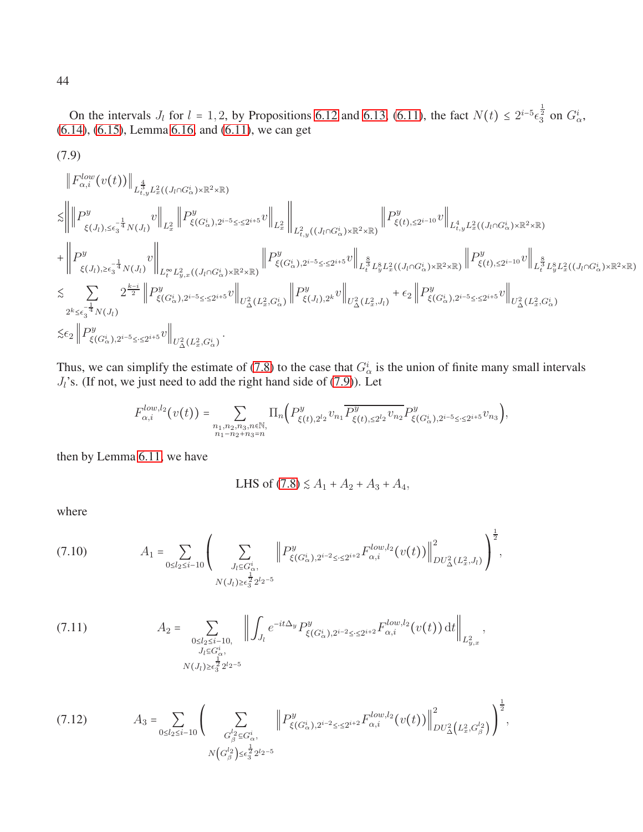On the intervals  $J_l$  for  $l = 1, 2$ , by Propositions [6.12](#page-29-6) and [6.13,](#page-30-12) [\(6.11\)](#page-29-4), the fact  $N(t) \leq 2^{i-5} \epsilon_3^{\frac{1}{2}}$  on  $G_{\alpha}^i$ , [\(6.14\)](#page-30-2), [\(6.15\)](#page-30-4), Lemma [6.16,](#page-31-1) and [\(6.11\)](#page-29-4), we can get

<span id="page-43-0"></span>
$$
\label{eq:20} \begin{split} &\left. \begin{aligned} &\left. (7.9) \right. \\ &\left. \begin{aligned} &\left. \begin{aligned} &\left. \begin{aligned} &F^{low}_{\alpha,i}\left(v(t)\right) \right\|_{L_{t,y}^{\frac{4}{3}}L_{x}^{2}((J_{l}\cap G_{\alpha}^{i})\times \mathbb{R}^{2}\times \mathbb{R})} \\ &\lesssim \left\| \left. \begin{aligned} &P^{y} \right. \\ &P^{y} \left. \begin{aligned} &\lesssim \end{aligned} \right\| P^{y}_{\xi(J_{l}),\leq \epsilon_{3}^{-\frac{1}{4}}N(J_{l})} \left. v \right\|_{L_{x}^{2}} \left\| P^{y}_{\xi\left(G_{\alpha}^{i}),2^{i-5}\leq \cdot\leq 2^{i+5}}v \right\|_{L_{x}^{2}} \right\|_{L_{t,y}^{2}((J_{l}\cap G_{\alpha}^{i})\times \mathbb{R}^{2}\times \mathbb{R})} \left\| P^{y}_{\xi(t),\leq 2^{i-10}}v \right\|_{L_{t,y}^{4}L_{x}^{2}((J_{l}\cap G_{\alpha}^{i})\times \mathbb{R}^{2}\times \mathbb{R})} \\ &+ \left\| P^{y} \right\|_{\xi(J_{l}),\geq \epsilon_{3}^{-\frac{1}{4}}N(J_{l})} \left. v \right\|_{L_{t}^{\infty}L_{y,x}^{2}((J_{l}\cap G_{\alpha}^{i})\times \mathbb{R}^{2}\times \mathbb{R})} \left\| P^{y}_{\xi\left(G_{\alpha}^{i}),2^{i-5}\leq \cdot\leq 2^{i+5}}v \right\|_{L_{t}^{\frac{8}{3}}L_{y}^{8}L_{x}^{2}((J_{l}\cap G_{\alpha}^{i})\times \mathbb{R}^{2}\times \mathbb{R})} \right\| P^{y}_{\xi(t),\leq 2^{i-10}}v \right\|_{L_{t}^{\frac{8}{3}}L_{y}^{8}L_{x}^{2}((J_{l}\cap G_{\alpha}^{i})\times \mathbb{R}^{2}\times \mathbb{R})} \\ &\lesssim \sum_{2^{k}\leq \epsilon_{3}^{-\frac{1}{4}}N(J_{l})} 2^{k}\frac{2^{\frac{k-i}{2}}}{
$$

Thus, we can simplify the estimate of [\(7.8\)](#page-42-3) to the case that  $G^i_{\alpha}$  is the union of finite many small intervals  $J_l$ 's. (If not, we just need to add the right hand side of [\(7.9\)](#page-43-0)). Let

$$
F_{\alpha,i}^{low,l_2}(v(t)) = \sum_{\substack{n_1,n_2,n_3,n \in \mathbb{N}, \\ n_1 - n_2 + n_3 = n}} \Pi_n \Big( P_{\xi(t),2^{l_2}}^y v_{n_1} \overline{P_{\xi(t),\leq 2^{l_2}}^y v_{n_2}} P_{\xi(G_{\alpha}^i),2^{i-5} \leq \cdot \leq 2^{i+5}}^y v_{n_3} \Big),
$$

then by Lemma [6.11,](#page-29-7) we have

LHS of (7.8) 
$$
\leq A_1 + A_2 + A_3 + A_4
$$
,

where

<span id="page-43-1"></span>
$$
(7.10) \hspace{1cm} A_1 = \sum_{0 \leq l_2 \leq i-10} \left( \sum_{\substack{J_l \in G_{\alpha}^i, \\ N(J_l) \geq \epsilon_3^{\frac{1}{2}} 2^{l_2-5}}} \left\| P^y_{\xi(G_{\alpha}^i), 2^{i-2} \leq \cdot \leq 2^{i+2}} F_{\alpha, i}^{low, l_2}(v(t)) \right\|^2_{DU_{\Delta}^2(L_x^2, J_l)} \right)^{\frac{1}{2}},
$$

<span id="page-43-2"></span>(7.11) 
$$
A_2 = \sum_{\substack{0 \le l_2 \le i-10, \\ J_l \in G_{\alpha}^i, \\N(J_l) \ge \epsilon_3^{\frac{1}{2}} 2^{l_2-5}}} \left\| \int_{J_l} e^{-it\Delta_y} P^y_{\xi(G_{\alpha}^i), 2^{i-2} \le \cdot \le 2^{i+2}} F_{\alpha, i}^{low, l_2}(v(t)) dt \right\|_{L^2_{y,x}},
$$

<span id="page-43-3"></span>
$$
(7.12) \tA_3 = \sum_{0 \le l_2 \le i-10} \left( \sum_{\substack{G_\beta^{l_2} \subseteq G_\alpha^i, \\ \dots \\ N\left(G_\beta^{l_2}\right) \le \epsilon_3^{\frac{1}{2}} 2^{l_2-5}}} \left\| P_{\xi(G_\alpha^i), 2^{i-2} \le \cdot \le 2^{i+2}}^y F_{\alpha,i}^{low,l_2}(v(t)) \right\|_{DU_\Delta^2\left(L_x^2, G_\beta^{l_2}\right)}^2 \right)^{\frac{1}{2}},
$$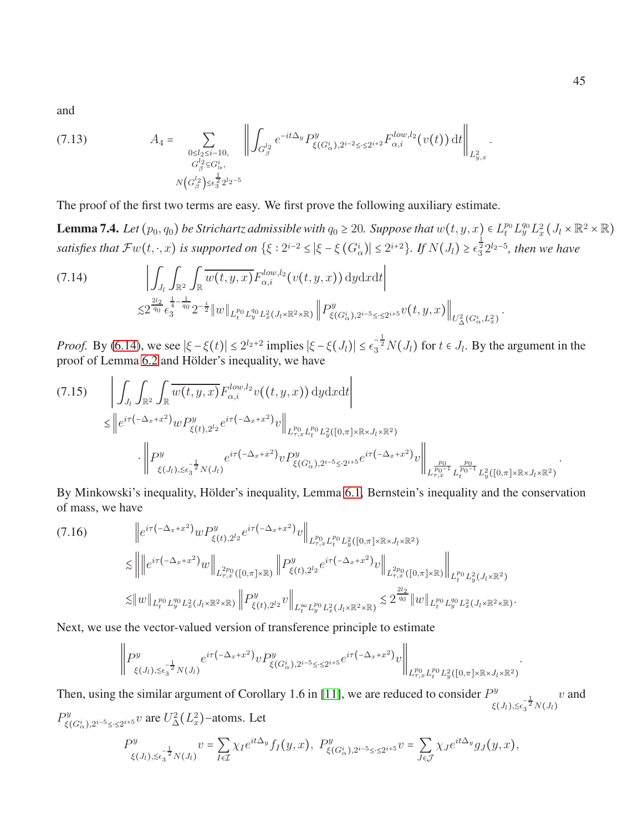and

<span id="page-44-4"></span>(7.13) 
$$
A_4 = \sum_{\substack{0 \le l_2 \le i-10, \ G_\beta^l \le G_\alpha^i, \\ G_\beta^l \le G_\alpha^l, \\N(G_\beta^l) \le \epsilon_3^{\frac{1}{2}} 2^{l_2-5}}} \left\| \int_{G_\beta^l} e^{-it\Delta_y} P_{\xi(G_\alpha^i), 2^{i-2} \le \cdot \le 2^{i+2}}^y F_{\alpha, i}^{low, l_2}(v(t)) dt \right\|_{L_{y,x}^2}.
$$

The proof of the first two terms are easy. We first prove the following auxiliary estimate.

<span id="page-44-3"></span>**Lemma 7.4.** Let  $(p_0, q_0)$  be Strichartz admissible with  $q_0 \ge 20$ . Suppose that  $w(t, y, x) \in L_t^{p_0} L_y^{q_0} L_x^2$   $(J_l \times \mathbb{R}^2 \times \mathbb{R})$  $satisfies that \mathcal{F}w(t,\cdot,x)$  is supported on  $\{\xi : 2^{i-2} \leq |\xi-\xi(G_\alpha^i)| \leq 2^{i+2}\}$ . If  $N(J_l) \geq \epsilon_3^{\frac{1}{2}} 2^{l_2-5}$ , then we have

<span id="page-44-0"></span>(7.14) 
$$
\left\| \int_{J_l} \int_{\mathbb{R}^2} \int_{\mathbb{R}} \overline{w(t,y,x)} F_{\alpha,i}^{low,l_2}(v(t,y,x)) \,dy \,dx \,dt \right\|_{\mathcal{Z}^{\frac{2l_2}{q_0}} \epsilon_3^{\frac{1}{4} - \frac{1}{q_0}} 2^{-\frac{i}{2}} \|w\|_{L_t^{p_0} L_y^{q_0} L_x^2(J_l \times \mathbb{R}^2 \times \mathbb{R})} \|P_{\xi(G_{\alpha}^i), 2^{i-5} \leq \cdot \leq 2^{i+5}}^{y} v(t,y,x) \|_{U_{\Delta}^2(G_{\alpha}^i, L_x^2)}.
$$

*Proof.* By [\(6.14\)](#page-30-2), we see  $|\xi - \xi(t)| \le 2^{l_2+2}$  implies  $|\xi - \xi(J_l)| \le \epsilon_3^{-\frac{1}{2}} N(J_l)$  for  $t \in J_l$ . By the argument in the proof of Lemma [6.2](#page-25-1) and Hölder's inequality, we have

<span id="page-44-1"></span>
$$
(7.15) \qquad \left| \int_{J_l} \int_{\mathbb{R}^2} \int_{\mathbb{R}} \overline{w(t, y, x)} F_{\alpha,i}^{low, l_2} v((t, y, x)) \, dy \, dx \, dt \right|
$$
  
\n
$$
\leq \left\| e^{i\tau \left( -\Delta_x + x^2 \right)} w P_{\xi(t),2^{l_2}}^y e^{i\tau \left( -\Delta_x + x^2 \right)} v \right\|_{L_{\tau,x}^{p_0} L_t^{p_0} L_x^{2}([0, \pi] \times \mathbb{R} \times J_l \times \mathbb{R}^2)} \cdot \left\| P_{\xi(J_l),\leq \epsilon_3^{-\frac{1}{2}} N(J_l)}^y e^{i\tau \left( -\Delta_x + x^2 \right)} v P_{\xi(G_{\alpha}^i),2^{i-5} \leq 2^{i+5}}^y e^{i\tau \left( -\Delta_x + x^2 \right)} v \right\|_{L_{\tau,x}^{\frac{p_0}{p_0 - 1}} L_t^{\frac{p_0}{p_0 - 1}} L_y^{2}([0, \pi] \times \mathbb{R} \times J_l \times \mathbb{R}^2)} \cdot (1 + \epsilon_3) e^{i\tau \left( -\Delta_x + x^2 \right)} v P_{\xi(G_{\alpha}^i),2^{i-5} \leq 2^{i+5} \leq 2^{i+5} \epsilon_3}^y e^{i\tau \left( -\Delta_x + x^2 \right)} v P_{\xi(G_{\alpha}^i),2^{i-5} \leq 2^{i+5} \epsilon_3}^y e^{i\tau \left( -\Delta_x + x^2 \right)} v P_{\xi(G_{\alpha}^i),2^{i-5} \leq 2^{i+5} \epsilon_3}^y e^{i\tau \left( -\Delta_x + x^2 \right)} v P_{\xi(G_{\alpha}^i),2^{i-5} \leq 2^{i+5} \epsilon_3}^y e^{i\tau \left( -\Delta_x + x^2 \right)} v P_{\xi(G_{\alpha}^i),2^{i-5} \leq 2^{i+5} \epsilon_3}^y e^{i\tau \left( -\Delta_x + x^2 \right)} v P_{\xi(G_{\alpha}^i),2^{i-5} \leq 2^{i+5} \epsilon_3}^y e^{i\tau \left( -\Delta_x + x^2 \
$$

By Minkowski's inequality, Hölder's inequality, Lemma [6.1,](#page-25-2) Bernstein's inequality and the conservation of mass, we have

<span id="page-44-2"></span>
$$
(7.16) \qquad \qquad \left\|e^{i\tau(-\Delta_x+x^2)}wP^y_{\xi(t),2^{l_2}}e^{i\tau(-\Delta_x+x^2)}v\right\|_{L^{p_0}_{\tau,x}L^{p_0}_tL^2_y([0,\pi]\times\mathbb{R}\times J_l\times\mathbb{R}^2)}\right\|_{L^{2p_0}_{\tau,x}([0,\pi]\times\mathbb{R})}\left\|P^y_{\xi(t),2^{l_2}}e^{i\tau(-\Delta_x+x^2)}v\right\|_{L^{2p_0}_{\tau,x}([0,\pi]\times\mathbb{R})}\left\|P^y_{\xi(t),2^{l_2}}e^{i\tau(-\Delta_x+x^2)}v\right\|_{L^{2p_0}_{\tau,x}([0,\pi]\times\mathbb{R})}\left\|P^y_{\xi(t),2^{l_2}}v\right\|_{L^{p_0}_\tau L^q_y(L^2_x(J_l\times\mathbb{R}^2\times\mathbb{R})}\right\|_{L^{p_0}_tL^q_y(L^q_y(J_l\times\mathbb{R}^2\times\mathbb{R})}.
$$

Next, we use the vector-valued version of transference principle to estimate

$$
\left\| P_{\xi(J_l),\leq \epsilon_3^{-\frac{1}{2}} N(J_l)}^y e^{i\tau(-\Delta_x+x^2)} v P_{\xi(G_{\alpha}^i),2^{i-5} \leq \cdot \leq 2^{i+5}}^y e^{i\tau(-\Delta_x+x^2)} v \right\|_{L_{\tau,x}^{p_0} L_{\xi}^{p_0} L_y^{2}([0,\pi] \times \mathbb{R} \times J_l \times \mathbb{R}^2)}.
$$

Then, using the similar argument of Corollary 1.6 in [\[11\]](#page-67-23), we are reduced to consider  $P<sup>y</sup>$  $\xi(J_l),\leq \epsilon_3^{-\tfrac{1}{2}} N(J_l)$  $v$  and  $P^y_{\epsilon}$  $\chi^{\mathcal{Y}}_{\xi(G^i_{\alpha}),2^{i-5} \leq \cdot \leq 2^{i+5}} v$  are  $U^2_{\Delta}(L^2_x)$  –atoms. Let

$$
P^y_{\xi(J_l),\leq \epsilon_3^{-\frac{1}{2}} N(J_l)}v = \sum_{I\in\mathcal{I}}\chi_I e^{it\Delta_y} f_I(y,x), \ P^y_{\xi(G^i_\alpha),2^{i-5}\leq \cdot \leq 2^{i+5}}v = \sum_{J\in\mathcal{J}}\chi_J e^{it\Delta_y} g_J(y,x),
$$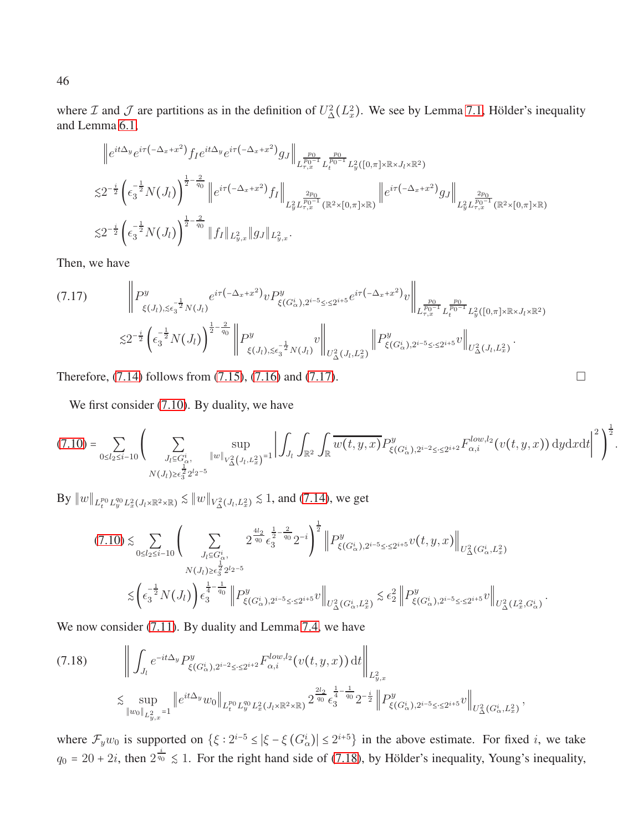where  $\mathcal I$  and  $\mathcal J$  are partitions as in the definition of  $U^2(\mathcal L^2_x)$ . We see by Lemma [7.1,](#page-40-5) Hölder's inequality and Lemma [6.1,](#page-25-2)

$$
\|e^{it\Delta_y}e^{i\tau(-\Delta_x+x^2)}f_I e^{it\Delta_y}e^{i\tau(-\Delta_x+x^2)}g_J\|_{L_{\tau,x}^{\frac{p_0}{p_0-1}}L_t^{\frac{p_0}{p_0-1}}L_y^{2}([0,\pi]\times\mathbb{R}\times J_l\times\mathbb{R}^2)}\n\n\lesssim 2^{-\frac{i}{2}}\left(\epsilon_3^{-\frac{1}{2}}N(J_l)\right)^{\frac{1}{2}-\frac{2}{q_0}}\|e^{i\tau(-\Delta_x+x^2)}f_I\|_{L_y^2L_{\tau,x}^{\frac{2p_0}{p_0-1}}(\mathbb{R}^2\times[0,\pi]\times\mathbb{R})}\|e^{i\tau(-\Delta_x+x^2)}g_J\|_{L_y^2L_{\tau,x}^{\frac{2p_0}{p_0-1}}(\mathbb{R}^2\times[0,\pi]\times\mathbb{R})}\n\n\lesssim 2^{-\frac{i}{2}}\left(\epsilon_3^{-\frac{1}{2}}N(J_l)\right)^{\frac{1}{2}-\frac{2}{q_0}}\|f_I\|_{L_{y,x}^2}\|g_J\|_{L_{y,x}^2}.
$$

Then, we have

<span id="page-45-0"></span>
$$
(7.17) \qquad \left\| P^y_{\xi(J_l),\leq \epsilon_3^{-\frac{1}{2}} N(J_l)} e^{i\tau(-\Delta_x+x^2)} v P^y_{\xi(G^i_{\alpha}),2^{i-5} \leq \cdot \leq 2^{i+5}} e^{i\tau(-\Delta_x+x^2)} v \right\|_{L_{\tau,x}^{\frac{p_0}{p_0-1}} L_v^{\frac{p_0}{p_0-1}} L_v^{\frac{p_0}{p_0-1}} L_v^{\frac{p_0}{p_0-1}} L_v^{\frac{p_0}{p_0-1}} L_v^{\frac{p_0}{p_0-1}} L_v^{\frac{p_0}{p_0-1}} L_v^{\frac{p_0}{p_0-1}} L_v^{\frac{p_0}{p_0-1}} L_v^{\frac{p_0}{p_0-1}} L_v^{\frac{p_0}{p_0-1}} L_v^{\frac{p_0}{p_0-1}} L_v^{\frac{p_0}{p_0-1}} L_v^{\frac{p_0}{p_0-1}} L_v^{\frac{p_0}{p_0-1}} L_v^{\frac{p_0}{p_0-1}} L_v^{\frac{p_0}{p_0-1}} L_v^{\frac{p_0}{p_0-1}} L_v^{\frac{p_0}{p_0-1}} L_v^{\frac{p_0}{p_0-1}} L_v^{\frac{p_0}{p_0-1}} L_v^{\frac{p_0}{p_0-1}} L_v^{\frac{p_0}{p_0-1}} L_v^{\frac{p_0}{p_0-1}} L_v^{\frac{p_0}{p_0-1}} L_v^{\frac{p_0}{p_0-1}} L_v^{\frac{p_0}{p_0-1}} L_v^{\frac{p_0}{p_0-1}} L_v^{\frac{p_0}{p_0-1}} L_v^{\frac{p_0}{p_0-1}} L_v^{\frac{p_0}{p_0-1}} L_v^{\frac{p_0}{p_0-1}} L_v^{\frac{p_0}{p_0-1}} L_v^{\frac{p_0}{p_0-1}} L_v^{\frac{p_0}{p_0-1}} L_v^{\frac{p_0}{p_0-1}} L_v^{\frac{p_0}{p_0-1}} L_v^{\frac{p_0}{p_0-1}} L_v^{\frac{p_0}{p_0-1}} L_v^{\frac{p_0}{p_0-1}} L_v^{\frac{p_
$$

Therefore,  $(7.14)$  follows from  $(7.15)$ ,  $(7.16)$  and  $(7.17)$ .

We first consider  $(7.10)$ . By duality, we have

$$
(7.10)=\sum_{0\leq l_2\leq i-10}\left(\sum_{\substack{J_l\in G_{\alpha}^i,\\ N(J_l)\geq \epsilon_3^{\frac{1}{2}}2^{l_2-5}}}\sup_{\|w\|_{V_{\Delta}^2\left(J_l,L_x^2\right)^{=1}}}\left|\int_{J_l}\int_{\mathbb{R}^2}\int_{\mathbb{R}}\overline{w(t,y,x)}P_{\xi(G_{\alpha}^i),2^{i-2}\leq \cdot\leq 2^{i+2}}^yF_{\alpha,i}^{low,l_2}\big(v(t,y,x)\big)\,\mathrm{d}y\mathrm{d}x\mathrm{d}t\right|^2\right)^{\frac{1}{2}}.
$$

 $\text{By } \|w\|_{L^{p_0}_tL^{q_0}_yL^2_x(J_l\times \mathbb{R}^2\times \mathbb{R})}\lesssim \|w\|_{V^2_{\Delta}(J_l,L^2_x)}\lesssim 1, \text{ and } (7.14), \text{ we get}$  $\text{By } \|w\|_{L^{p_0}_tL^{q_0}_yL^2_x(J_l\times \mathbb{R}^2\times \mathbb{R})}\lesssim \|w\|_{V^2_{\Delta}(J_l,L^2_x)}\lesssim 1, \text{ and } (7.14), \text{ we get}$  $\text{By } \|w\|_{L^{p_0}_tL^{q_0}_yL^2_x(J_l\times \mathbb{R}^2\times \mathbb{R})}\lesssim \|w\|_{V^2_{\Delta}(J_l,L^2_x)}\lesssim 1, \text{ and } (7.14), \text{ we get}$ 

$$
(7.10) \lesssim \sum_{0 \le l_2 \le i-10} \left( \sum_{\substack{J_l \in G_{\alpha}^i, \\ N(J_l) \ge \epsilon_3^{\frac{1}{2}} 2^{l_2 - 5}}} 2^{\frac{4l_2}{q_0}} \epsilon_3^{\frac{1}{2} - \frac{2}{q_0}} 2^{-i} \right)^{\frac{1}{2}} \left\| P^y_{\xi(G_{\alpha}^i), 2^{i-5} \le \cdot \le 2^{i+5}} v(t, y, x) \right\|_{U_{\Delta}^2(G_{\alpha}^i, L_x^2)}
$$

$$
\lesssim \left( \epsilon_3^{-\frac{1}{2}} N(J_l) \right) \epsilon_3^{\frac{1}{4} - \frac{1}{q_0}} \left\| P^y_{\xi(G_{\alpha}^i), 2^{i-5} \le \cdot \le 2^{i+5}} v \right\|_{U_{\Delta}^2(G_{\alpha}^i, L_x^2)} \lesssim \epsilon_2^2 \left\| P^y_{\xi(G_{\alpha}^i), 2^{i-5} \le \cdot \le 2^{i+5}} v \right\|_{U_{\Delta}^2(L_x^2, G_{\alpha}^i)}
$$

.

We now consider [\(7.11\)](#page-43-2). By duality and Lemma [7.4,](#page-44-3) we have

<span id="page-45-1"></span>
$$
(7.18) \qquad \left\| \int_{J_l} e^{-it\Delta_y} P^y_{\xi(G^i_{\alpha}),2^{i-2} \leq \cdot \leq 2^{i+2}} F^{low,l_2}_{\alpha,i}(v(t,y,x)) dt \right\|_{L^2_{y,x}} \leq \sup_{\|w_0\|_{L^2_{y,x}}=1} \|e^{it\Delta_y} w_0\|_{L^p_t L^{p_0}_y L^q_x(J_l \times \mathbb{R}^2 \times \mathbb{R})} 2^{\frac{2l_2}{q_0}} \epsilon_3^{\frac{1}{4} - \frac{1}{q_0}} 2^{-\frac{i}{2}} \left\| P^y_{\xi(G^i_{\alpha}),2^{i-5} \leq \cdot \leq 2^{i+5}} v \right\|_{U^2_{\Delta}(G^i_{\alpha},L^2_x)},
$$

where  $\mathcal{F}_y w_0$  is supported on  $\{\xi : 2^{i-5} \leq |\xi - \xi(G_\alpha^i)| \leq 2^{i+5}\}\$ in the above estimate. For fixed i, we take  $q_0 = 20 + 2i$ , then  $2^{\frac{i}{q_0}} \leq 1$ . For the right hand side of [\(7.18\)](#page-45-1), by Hölder's inequality, Young's inequality,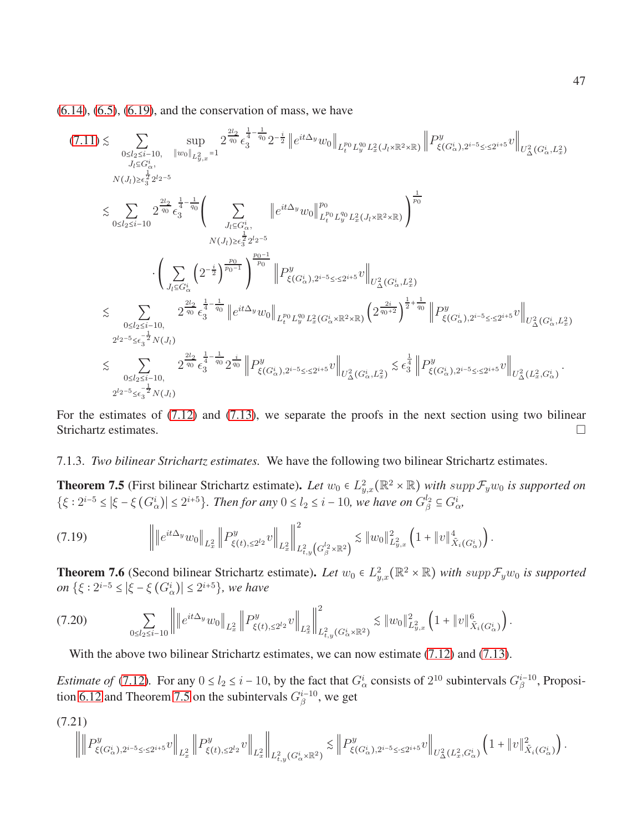$(6.14)$ ,  $(6.5)$ ,  $(6.19)$ , and the conservation of mass, we have

$$
(7.11) \leq \sum_{\substack{0 \leq l_2 \leq i-10, \\ J_l \subseteq G_{\alpha}^i, \\ N(J_l) \geq \varepsilon_3^2 \geq i^2-10}} \sup_{\substack{w \in G_{\alpha}^i, \\ w_{\alpha} = 1}} 2^{\frac{2l_2}{q_0} \frac{1}{\varepsilon_3} - \frac{1}{q_0}} \left( \sum_{\substack{J_l \subseteq G_{\alpha}^i, \\ J_l \subseteq G_{\alpha}^i, \\ N(J_l) \geq \varepsilon_3^2 \geq i^2-5}} \left\| e^{it\Delta_y} w_0 \right\|_{L_t^{p_0} L_y^{q_0} L_x^{2}(J_l \times \mathbb{R}^2 \times \mathbb{R})}^{\mathcal{P}_0} \right\|_{L_t^{p_0} L_y^{q_0} L_x^{2}(J_l \times \mathbb{R}^2 \times \mathbb{R})}^{\mathcal{P}_0} \right\|_{L_t^{p_0} L_y^{q_0} L_x^{2}(J_l \times \mathbb{R}^2 \times \mathbb{R})}^{\mathcal{P}_0} \left\| \sum_{\substack{0 \leq l_2 \leq i-10 \\ N(J_l) \geq \varepsilon_3^2 \geq i^2-5}} \left\| e^{it\Delta_y} w_0 \right\|_{L_t^{p_0} L_y^{q_0} L_x^{2}(J_l \times \mathbb{R}^2 \times \mathbb{R})}^{\mathcal{P}_0} \right\|_{L_t^{p_0} L_y^{q_0} L_x^{2}(J_l \times \mathbb{R}^2 \times \mathbb{R})}^{\mathcal{P}_0} \right\|_{L_t^{p_0} L_y^{q_0} L_x^{2}(J_l \times \mathbb{R}^2 \times \mathbb{R})}^{\mathcal{P}_0} \left\| \sum_{\substack{0 \leq l_2 \leq i-10, \\ 0 \leq l_2 \leq i-10, \\ 0 \leq l_2 \leq i-10, \\ 0 \leq l_2 \leq i-10, \\ 0 \leq l_2 \leq i-10, \\ 0 \leq l_2 \leq i-10, \\ 2^{l_2 - 5} \leq \varepsilon_3^{-\frac{1}{2}} N(J_l) \right\|_{L_t^{q_0} L_y^{q_0} L
$$

For the estimates of [\(7.12\)](#page-43-3) and [\(7.13\)](#page-44-4), we separate the proofs in the next section using two bilinear Strichartz estimates.

## 7.1.3. *Two bilinear Strichartz estimates.* We have the following two bilinear Strichartz estimates.

<span id="page-46-0"></span>**Theorem 7.5** (First bilinear Strichartz estimate). Let  $w_0 \in L^2_{y,x}(\mathbb{R}^2 \times \mathbb{R})$  with  $supp \mathcal{F}_y w_0$  is supported on  $\{\xi : 2^{i-5} \leq |\xi - \xi(G^i_\alpha)| \leq 2^{i+5}\}$ . Then for any 0 ≤  $l_2$  ≤ i − 10*, we have on*  $G^{l_2}_\beta$  $l_2^l \subseteq G_\alpha^i$ ,

<span id="page-46-4"></span>
$$
(7.19) \t\t\t\t\|\t\|e^{it\Delta_y}w_0\|_{L_x^2}\t\|P^y_{\xi(t),\leq 2^{l_2}}v\|_{L_x^2}\bigg\|_{L_{t,y}^2\left(G_{\beta}^{l_2}\times\mathbb{R}^2\right)}^2\lesssim \|w_0\|_{L_{y,x}^2}^2\left(1+\|v\|_{\tilde{X}_i(G_{\alpha}^i)}^4\right).
$$

<span id="page-46-3"></span>**Theorem 7.6** (Second bilinear Strichartz estimate). Let  $w_0 \in L^2_{y,x}(\mathbb{R}^2 \times \mathbb{R})$  *with supp*  $\mathcal{F}_y w_0$  *is supported on*  $\{\xi : 2^{i-5} \leq |\xi - \xi(G_\alpha^i)| \leq 2^{i+5}\}$ *, we have* 

<span id="page-46-2"></span>
$$
(7.20) \qquad \qquad \sum_{0 \leq l_2 \leq i-10} \left\| \left\| e^{it\Delta_y} w_0 \right\|_{L_x^2} \left\| P^y_{\xi(t),\leq 2^{l_2}} v \right\|_{L_x^2} \right\|_{L_{t,y}^2(G_\alpha^i \times \mathbb{R}^2)}^2 \lesssim \|w_0\|_{L_{y,x}^2}^2 \left(1 + \|v\|_{\tilde{X}_i(G_\alpha^i)}^6\right).
$$

With the above two bilinear Strichartz estimates, we can now estimate [\(7.12\)](#page-43-3) and [\(7.13\)](#page-44-4).

*Estimate of* [\(7.12\)](#page-43-3). For any  $0 \le l_2 \le i - 10$ , by the fact that  $G^i_\alpha$  consists of  $2^{10}$  subintervals  $G^{i-10}_\beta$ , Proposi-tion [6.12](#page-29-6) and Theorem [7.5](#page-46-0) on the subintervals  $G^{i-10}_{\beta}$ , we get

<span id="page-46-1"></span>
$$
(7.21)
$$

$$
\left\| \left\| P^y_{\xi(G^i_\alpha),2^{i-5} \leq \cdot \leq 2^{i+5}} v \right\|_{L^2_x} \left\| P^y_{\xi(t),\leq 2^{l_2}} v \right\|_{L^2_x} \right\|_{L^2_{t,y}(G^i_\alpha \times \mathbb{R}^2)} \lesssim \left\| P^y_{\xi(G^i_\alpha),2^{i-5} \leq \cdot \leq 2^{i+5}} v \right\|_{U^2_\Delta(L^2_x,G^i_\alpha)} \left( 1 + \|v\|^2_{\tilde X_i(G^i_\alpha)} \right).
$$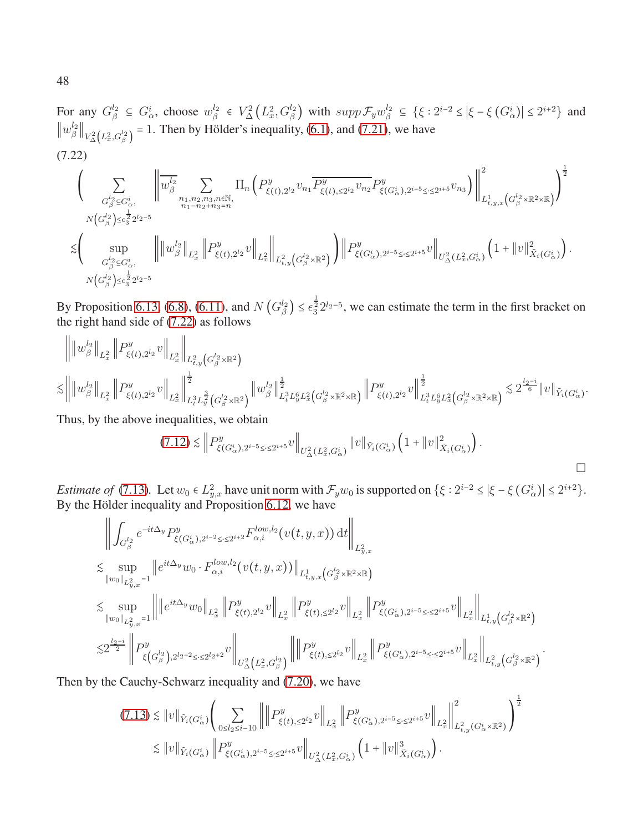<span id="page-47-0"></span>For any 
$$
G_{\beta}^{l_2} \\\subseteq G_{\alpha}^{i}
$$
, choose  $w_{\beta}^{l_2} \\in V_{\Delta}^{2}(L_x^2, G_{\beta}^{l_2})$  with  $supp \mathcal{F}_y w_{\beta}^{l_2} \\subseteq \\{g : 2^{i-2} \\leq |\\xi - \xi (G_{\alpha}^{i})| \\leq 2^{i+2}}$  and  $||w_{\beta}^{l_2}||_{V_{\Delta}^{2}(L_x^2, G_{\beta}^{l_2})} = 1$ . Then by Hölder's inequality, (6.1), and (7.21), we have  
\n(7.22)  
\n
$$
\left(\sum_{G_{\beta}^{l_2} \\subseteq G_{\alpha}^{i}} \left\| \overline{w_{\beta}^{l_2}} \sum_{\substack{n_1, n_2, n_3, n \in \mathbb{N}, \\ n_1 - n_2 + n_3 = n}} \Pi_n \left( P_{\xi(t), 2^{l_2}}^{y} v_{n_1} \overline{P_{\xi(t), \leq 2^{l_2}}^{y} v_{n_2}} P_{\xi(G_{\alpha}^{i}), 2^{i-5} \\leq \cdot \\leq 2^{i+5}} v_{n_3} \right) \right\|_{L^1_{t,y,x}\left(G_{\beta}^{l_2} \times \mathbb{R}^2 \times \mathbb{R}\right)}^2
$$
\n
$$
\lesssim \left(\sup_{G_{\beta}^{l_2} \\subseteq G_{\alpha}^{i}} \left\| \left\| w_{\beta}^{l_2} \right\|_{L^2_x} \left\| P_{\xi(t), 2^{l_2}}^{y} v \right\|_{L^2_x} \right\|_{L^2_{t,y}\left(G_{\beta}^{l_2} \times \mathbb{R}^2\right)} \right) \left\| P_{\xi(G_{\alpha}^{i}), 2^{i-5} \\leq \cdot \\leq 2^{i+5}} v \right\|_{U_{\Delta}^{2}(L_x^2, G_{\alpha}^{i})} \left( 1 + ||v||_{\tilde{X}_i(G_{\alpha}^{i})}^2 \right).
$$

By Proposition [6.13,](#page-30-12) [\(6.8\)](#page-29-2), [\(6.11\)](#page-29-4), and  $N(G_\beta^l)$  $\binom{l_2}{\beta} \leq \epsilon_3^{\frac{1}{2}} 2^{l_2-5}$ , we can estimate the term in the first bracket on the right hand side of [\(7.22\)](#page-47-0) as follows

$$
\begin{split} &\left\|\left\|w_{\beta}^{l_2}\right\|_{L_x^2}\left\|P_{\xi(t),2^{l_2}}^y v\right\|_{L_x^2}\right\|_{L_{t,y}^2\left(G_{\beta}^{l_2}\times\mathbb{R}^2\right)}\\ &\lesssim \left\|\left\|w_{\beta}^{l_2}\right\|_{L_x^2}\left\|P_{\xi(t),2^{l_2}}^y v\right\|_{L_x^2}\right\|_{L_t^3L_y^{\frac{3}{2}}\left(G_{\beta}^{l_2}\times\mathbb{R}^2\right)}\left\|w_{\beta}^{l_2}\right\|_{L_t^3L_y^6L_x^2\left(G_{\beta}^{l_2}\times\mathbb{R}^2\times\mathbb{R}\right)}\left\|P_{\xi(t),2^{l_2}}^y v\right\|_{L_t^3L_y^6L_x^2\left(G_{\beta}^{l_2}\times\mathbb{R}^2\times\mathbb{R}\right)}^{\frac{1}{2}} \lesssim 2^{\frac{l_2-i}{6}}\|v\|_{\tilde{Y}_i\left(G_{\alpha}^{i}\right)}. \end{split}
$$

Thus, by the above inequalities, we obtain

$$
(7.12) \lesssim \left\| P^y_{\xi(G^i_{\alpha}),2^{i-5} \leq \cdot \leq 2^{i+5}} v \right\|_{U^2_{\Delta}(L^2_x, G^i_{\alpha})} \left\| v \right\|_{\tilde{Y}_i(G^i_{\alpha})} \left( 1 + \left\| v \right\|_{\tilde{X}_i(G^i_{\alpha})}^2 \right).
$$

*Estimate of* [\(7.13\)](#page-44-4). Let  $w_0 \in L^2_{y,x}$  have unit norm with  $\mathcal{F}_y w_0$  is supported on  $\{\xi : 2^{i-2} \le |\xi - \xi(G^i_\alpha)| \le 2^{i+2}\}$ . By the Hölder inequality and Proposition [6.12,](#page-29-6) we have

$$
\begin{split} &\left\|\int_{G_{\beta}^{l_2}}e^{-it\Delta_y}P_{\xi(G_{\alpha}^{i}),2^{i-2}\leq \cdot \leq 2^{i+2}}^{y}F_{\alpha,i}^{low,l_2}(v(t,y,x))\,\mathrm{d} t\right\|_{L_{y,x}^2}\\ &\lesssim \sup_{\|w_0\|_{L_{y,x}^2=1}}\left\|e^{it\Delta_y}w_0\cdot F_{\alpha,i}^{low,l_2}(v(t,y,x))\right\|_{L_{t,y,x}^1(G_{\beta}^{l_2}\times\mathbb{R}^2\times\mathbb{R})}\\ &\lesssim \sup_{\|w_0\|_{L_{y,x}^2=1}}\left\|\left\|e^{it\Delta_y}w_0\right\|_{L_x^2}\left\|P_{\xi(t),2^{l_2}}^yv\right\|_{L_x^2}\left\|P_{\xi(t),\leq 2^{l_2}}^yv\right\|_{L_x^2}\left\|P_{\xi(G_{\alpha}^{i}),2^{i-5}\leq \cdot \leq 2^{i+5}}^yv\right\|_{L_x^2}\right\|_{L_{t,y}^1(G_{\beta}^{l_2}\times\mathbb{R}^2)}\\ &\lesssim 2^{\frac{l_2-i}{2}}\left\|P_{y}^y\right\|_{\xi(G_{\beta}^{l_2}),2^{l_2-2}\leq \cdot \leq 2^{l_2+2}}v\right\|_{U_{\Delta}^2\left(L_x^2,G_{\beta}^{l_2}\right)}\left\|\left\|P_{\xi(t),\leq 2^{l_2}}^yv\right\|_{L_x^2}\left\|P_{\xi(G_{\alpha}^{i}),2^{i-5}\leq \cdot \leq 2^{i+5}}^{y}v\right\|_{L_x^2}\right\|_{L_{t,y}^2(G_{\beta}^{l_2}\times\mathbb{R}^2)}.\end{split}
$$

Then by the Cauchy-Schwarz inequality and [\(7.20\)](#page-46-2), we have

$$
(7.13) \lesssim \|v\|_{\tilde{Y}_i(G_{\alpha}^i)} \left( \sum_{0 \le l_2 \le i-10} \left\| \left\| P^y_{\xi(t),\le 2^{l_2}} v \right\|_{L_x^2} \left\| P^y_{\xi(G_{\alpha}^i),2^{i-5} \le \cdot \le 2^{i+5}} v \right\|_{L_x^2} \right\|_{L_{t,y}^2(G_{\alpha}^i \times \mathbb{R}^2)}^2 \right)^{\frac{1}{2}}
$$
  

$$
\lesssim \|v\|_{\tilde{Y}_i(G_{\alpha}^i)} \| P^y_{\xi(G_{\alpha}^i),2^{i-5} \le \cdot \le 2^{i+5}} v \right\|_{U_{\Delta}^2(L_x^2,G_{\alpha}^i)} \left( 1 + \|v\|_{\tilde{X}_i(G_{\alpha}^i)}^3 \right).
$$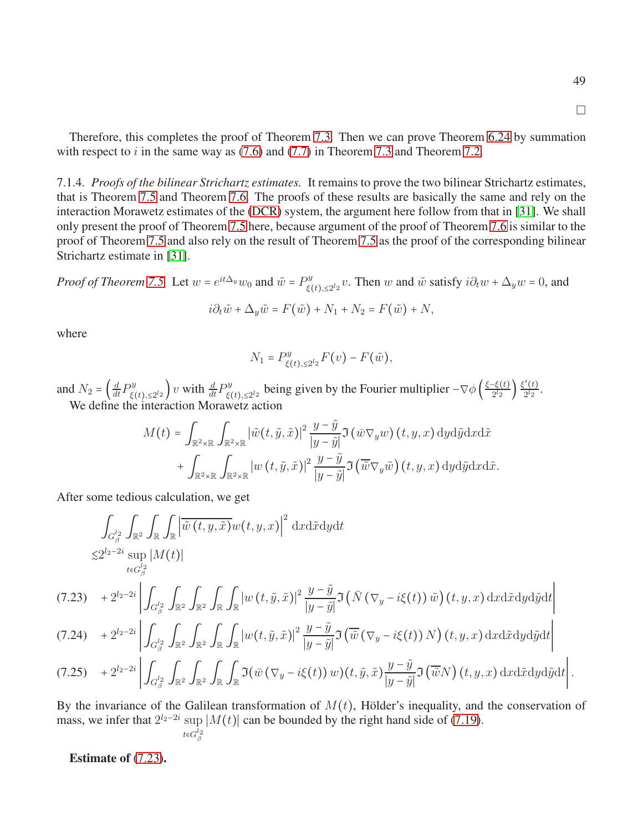$\Box$ 

Therefore, this completes the proof of Theorem [7.3.](#page-42-0) Then we can prove Theorem [6.24](#page-37-0) by summation with respect to  $i$  in the same way as [\(7.6\)](#page-42-1) and [\(7.7\)](#page-42-2) in Theorem [7.3](#page-42-0) and Theorem [7.2.](#page-40-4)

7.1.4. *Proofs of the bilinear Strichartz estimates.* It remains to prove the two bilinear Strichartz estimates, that is Theorem [7.5](#page-46-0) and Theorem [7.6.](#page-46-3) The proofs of these results are basically the same and rely on the interaction Morawetz estimates of the [\(DCR\)](#page-4-2) system, the argument here follow from that in [\[31\]](#page-68-1). We shall only present the proof of Theorem [7.5](#page-46-0) here, because argument of the proof of Theorem [7.6](#page-46-3) is similar to the proof of Theorem [7.5](#page-46-0) and also rely on the result of Theorem [7.5](#page-46-0) as the proof of the corresponding bilinear Strichartz estimate in [\[31\]](#page-68-1).

*Proof of Theorem [7.5.](#page-46-0)* Let  $w = e^{it\Delta_y} w_0$  and  $\tilde{w} = P^y_{\epsilon_0}$  $\sum_{k \in \mathcal{K}} g(y_k, z_1, z_2, z_3, z_4)$  and we and we satisfy  $i\partial_t w + \Delta_y w = 0$ , and

$$
i\partial_t \tilde{w} + \Delta_y \tilde{w} = F(\tilde{w}) + N_1 + N_2 = F(\tilde{w}) + N,
$$

where

$$
N_1 = P^y_{\xi(t), \leq 2^{l_2}} F(v) - F(\tilde{w}),
$$

and  $N_2 = \left(\frac{d}{dt}P_{\xi}^y\right)$  $\left( \frac{\partial y}{\partial \xi(t), \leq 2^l 2} \right) v$  with  $\frac{d}{dt} P^y_{\xi(t)}$  $\mathcal{L}_{\xi(t),\leq 2^{l_2}}$  being given by the Fourier multiplier  $-\nabla \phi\left(\frac{\xi-\xi(t)}{2^{l_2}}\right) \frac{\xi'(t)}{2^{l_2}}$ . We define the interaction Morawetz action

$$
M(t) = \int_{\mathbb{R}^2 \times \mathbb{R}} \int_{\mathbb{R}^2 \times \mathbb{R}} |\tilde{w}(t, \tilde{y}, \tilde{x})|^2 \frac{y - \tilde{y}}{|y - \tilde{y}|} \Im(\bar{w} \nabla_y w)(t, y, x) dy d\tilde{y} dxd\tilde{x}
$$
  
+ 
$$
\int_{\mathbb{R}^2 \times \mathbb{R}} \int_{\mathbb{R}^2 \times \mathbb{R}} |w(t, \tilde{y}, \tilde{x})|^2 \frac{y - \tilde{y}}{|y - \tilde{y}|} \Im(\overline{\tilde{w}} \nabla_y \tilde{w})(t, y, x) dy d\tilde{y} dxd\tilde{x}.
$$

After some tedious calculation, we get

<span id="page-48-0"></span>
$$
\int_{G_{\beta}^{l_2}} \int_{\mathbb{R}^2} \int_{\mathbb{R}} \int_{\mathbb{R}} \left| \overline{\tilde{w}(t,y,\tilde{x})} w(t,y,x) \right|^2 dx d\tilde{x} dy dt
$$
\n
$$
\lesssim 2^{l_2-2i} \sup_{t \in G_{\beta}^{l_2}} |M(t)|
$$
\n(7.23) 
$$
+ 2^{l_2-2i} \left| \int_{G_{\beta}^{l_2}} \int_{\mathbb{R}^2} \int_{\mathbb{R}^2} \int_{\mathbb{R}^2} \int_{\mathbb{R}} \int_{\mathbb{R}} |w(t,\tilde{y},\tilde{x})|^2 \frac{y-\tilde{y}}{|y-\tilde{y}|} \mathfrak{I} \left( \overline{N} \left( \nabla_y - i\xi(t) \right) \tilde{w} \right)(t,y,x) dx d\tilde{x} dy d\tilde{y} dt \right|
$$
\n(7.24) 
$$
+ 2^{l_2-2i} \left| \int_{G_{\beta}^{l_2}} \int_{\mathbb{R}^2} \int_{\mathbb{R}^2} \int_{\mathbb{R}^2} \int_{\mathbb{R}} \int_{\mathbb{R}} |w(t,\tilde{y},\tilde{x})|^2 \frac{y-\tilde{y}}{|y-\tilde{y}|} \mathfrak{I} \left( \overline{\tilde{w}} \left( \nabla_y - i\xi(t) \right) N \right)(t,y,x) dx d\tilde{x} dy d\tilde{y} dt \right|
$$
\n(7.25) 
$$
+ 2^{l_2-2i} \left| \int_{G_{\beta}^{l_2}} \int_{\mathbb{R}^2} \int_{\mathbb{R}^2} \int_{\mathbb{R}} \int_{\mathbb{R}} \mathfrak{I} \left( \overline{w} \left( \nabla_y - i\xi(t) \right) w \right)(t,\tilde{y},\tilde{x}) \frac{y-\tilde{y}}{|y-\tilde{y}|} \mathfrak{I} \left( \overline{\tilde{w}} N \right)(t,y,x) dx d\tilde{x} dy d\tilde{y} dt \right|.
$$

<span id="page-48-2"></span><span id="page-48-1"></span>By the invariance of the Galilean transformation of  $M(t)$ , Hölder's inequality, and the conservation of mass, we infer that  $2^{l_2-2i}$  sup  $|M(t)|$  can be bounded by the right hand side of [\(7.19\)](#page-46-4). t∈G ${}_{\beta}^{l_2}$ 

Estimate of [\(7.23\)](#page-48-0).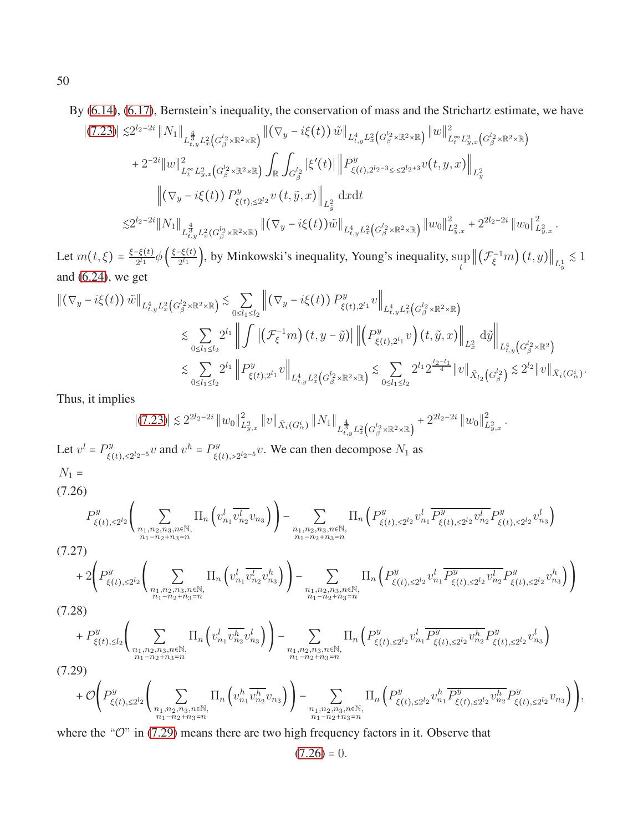By [\(6.14\)](#page-30-2), [\(6.17\)](#page-30-1), Bernstein's inequality, the conservation of mass and the Strichartz estimate, we have

$$
\begin{split}\n\left| (7.23) \right| \lesssim & 2^{l_2 - 2i} \left\| N_1 \right\|_{L^{\frac{4}{3}}_{t,y} L^2_x \left( G^{\frac{l_2}{3}}_{\beta} \times \mathbb{R}^2 \times \mathbb{R} \right)} \left\| (\nabla_y - i\xi(t)) \tilde{w} \right\|_{L^4_{t,y} L^2_x \left( G^{\frac{l_2}{3}}_{\beta} \times \mathbb{R}^2 \times \mathbb{R} \right)} \left\| w \right\|_{L^\infty_t L^2_{y,x} \left( G^{\frac{l_2}{3}}_{\beta} \times \mathbb{R}^2 \times \mathbb{R} \right)} \right. \\
& \left. + 2^{-2i} \left\| w \right\|_{L^\infty_t L^2_{y,x} \left( G^{\frac{l_2}{3}}_{\beta} \times \mathbb{R}^2 \times \mathbb{R} \right)} \int_{\mathbb{R}} \int_{G^{\frac{l_2}{3}}_{\beta}} \left| \xi'(t) \right| \left\| P^y_{\xi(t),2^{l_2 - 3} \leq \cdot \leq 2^{l_2 + 3}} v(t,y,x) \right\|_{L^2_y} \\
& \left\| (\nabla_y - i\xi(t)) P^y_{\xi(t),\leq 2^{l_2}} v(t,\tilde{y},x) \right\|_{L^2_{\tilde{y}}} \mathrm{d}x \mathrm{d}t \\
& \lesssim & 2^{l_2 - 2i} \left\| N_1 \right\|_{L^{\frac{4}{3}}_{t,y} L^2_x \left( G^{\frac{l_2}{3}}_{\beta} \times \mathbb{R}^2 \times \mathbb{R} \right)} \left\| (\nabla_y - i\xi(t)) \tilde{w} \right\|_{L^4_{t,y} L^2_x \left( G^{\frac{l_2}{3}}_{\beta} \times \mathbb{R}^2 \times \mathbb{R} \right)} \left\| w_0 \right\|_{L^2_{y,x}}^2 + 2^{2l_2 - 2i} \left\| w_0 \right\|_{L^2_{y,x}}^2.\n\end{split}
$$

Let  $m(t,\xi) = \frac{\xi-\xi(t)}{2^{l_1}} \phi\left(\frac{\xi-\xi(t)}{2^{l_1}}\right)$ , by Minkowski's inequality, Young's inequality,  $\sup_t \left\|\left(\mathcal{F}_{\xi}^{-1}m\right)(t,y)\right\|_{L_y^1} \lesssim 1$ and [\(6.24\)](#page-32-4), we get

$$
\begin{split} \left\| \left( \nabla_y - i \xi(t) \right) \tilde{w} \right\|_{L^4_{t,y} L^2_x \left( G_\beta^{l_2} \times \mathbb{R}^2 \times \mathbb{R} \right)} &\lesssim \sum_{0 \le l_1 \le l_2} \left\| \left( \nabla_y - i \xi(t) \right) P^y_{\xi(t),2^{l_1}} v \right\|_{L^4_{t,y} L^2_x \left( G_\beta^{l_2} \times \mathbb{R}^2 \times \mathbb{R} \right)} \\ &\lesssim \sum_{0 \le l_1 \le l_2} 2^{l_1} \left\| \int \left| \left( \mathcal{F}_\xi^{-1} m \right) (t, y - \tilde{y}) \right| \right\| \left( P^y_{\xi(t),2^{l_1}} v \right) (t, \tilde{y}, x) \right\|_{L^2_x} d\tilde{y} \right\|_{L^4_{t,y} \left( G_\beta^{l_2} \times \mathbb{R}^2 \right)} \\ &\lesssim \sum_{0 \le l_1 \le l_2} 2^{l_1} \left\| P^y_{\xi(t),2^{l_1}} v \right\|_{L^4_{t,y} L^2_x \left( G_\beta^{l_2} \times \mathbb{R}^2 \times \mathbb{R} \right)} \lesssim \sum_{0 \le l_1 \le l_2} 2^{l_1} 2^{\frac{l_2-l_1}{4}} \| v \|_{\tilde{X}_{l_2} \left( G_\beta^{l_2} \right)} \lesssim 2^{l_2} \| v \|_{\tilde{X}_{i} \left( G_\alpha^{i} \right)} . \end{split}
$$

Thus, it implies

$$
|(7.23)| \lesssim 2^{2l_2-2i} \|w_0\|_{L_{y,x}^2}^2 \|v\|_{\tilde{X}_i(G_\alpha^i)} \|N_1\|_{L_{t,y}^{\frac{4}{3}} L_x^2(G_\beta^{l_2} \times \mathbb{R}^2 \times \mathbb{R})} + 2^{2l_2-2i} \|w_0\|_{L_{y,x}^2}^2.
$$

Let  $v^l = P^y_{\epsilon_l}$  $g_{\xi(t),\leq 2^{l_2-5}}^{y}v$  and  $v^h = P_{\xi(t)}^y$  $\zeta(t), z^{i_2 - 5}$ *v*. We can then decompose  $N_1$  as  $N_1 =$ 

<span id="page-49-1"></span>
$$
(7.26)
$$
\n
$$
P_{\xi(t),\leq 2^{l_2}}^y \left( \sum_{\substack{n_1,n_2,n_3,n \in \mathbb{N},\\n_1-n_2+n_3=n}} \Pi_n \left( v_{n_1}^l \overline{v_{n_2}^l} v_{n_3} \right) \right) - \sum_{\substack{n_1,n_2,n_3,n \in \mathbb{N},\\n_1-n_2+n_3=n}} \Pi_n \left( P_{\xi(t),\leq 2^{l_2}}^y v_{n_1}^l \overline{P_{\xi(t),\leq 2^{l_2}}^y} v_{n_2}^l P_{\xi(t),\leq 2^{l_2}}^y v_{n_3}^l \right)
$$
\n
$$
(7.27)
$$
\n
$$
+ 2 \left( P_{\xi(t),\leq 2^{l_2}}^y \left( \sum_{n_1,n_2,n_3,n \in \mathbb{N},n \atop n_1-n_2+n_3=n} \Pi_n \left( P_{\xi(t),\leq 2^{l_2}}^y v_{n_1}^l \overline{P_{\xi(t),\leq 2^{l_2}}^y} v_{n_2}^l P_{\xi(t),\leq 2^{l_2}}^y v_{n_3}^l \right) \right)
$$

<span id="page-49-2"></span>
$$
+2\left(P_{\xi(t),\leq 2^{l_2}}^{y}\left(\sum_{\substack{n_1,n_2,n_3,n\in\mathbb{N},\\n_1-n_2+n_3=n}}\Pi_n\left(v_{n_1}^l\overline{v_{n_2}^l}v_{n_3}^h\right)\right)-\sum_{\substack{n_1,n_2,n_3,n\in\mathbb{N},\\n_1-n_2+n_3=n}}\Pi_n\left(P_{\xi(t),\leq 2^{l_2}}^{y}v_{n_1}^l\overline{P_{\xi(t),\leq 2^{l_2}}^{y}v_{n_2}^l}P_{\xi(t),\leq 2^{l_2}}^{y}v_{n_3}^h\right)\right)
$$

<span id="page-49-3"></span>(7.28)

$$
+ P_{\xi(t),\leq l_2}^{y} \left( \sum_{\substack{n_1,n_2,n_3,n \in \mathbb{N},\\n_1-n_2+n_3=n}} \Pi_n \left( v_{n_1}^l \overline{v_{n_2}^h} v_{n_3}^l \right) \right) - \sum_{\substack{n_1,n_2,n_3,n \in \mathbb{N},\\n_1-n_2+n_3=n}} \Pi_n \left( P_{\xi(t),\leq 2^{l_2}}^{y} v_{n_1}^l \overline{P_{\xi(t),\leq 2^{l_2}}}^{y} v_{n_2}^h P_{\xi(t),\leq 2^{l_2}}^{y} v_{n_3}^l \right)
$$

<span id="page-49-0"></span>
$$
(7.29)
$$

$$
+ \, \mathcal{O}\Bigg(P^y_{\xi(t),\leq 2^{l_2}}\Bigg(\sum_{\substack{n_1,n_2,n_3,n\in \mathbb{N},\\ n_1-n_2+n_3=n}}\Pi_n\Big(v^h_{n_1}\overline{v^h_{n_2}}v_{n_3}\Big)\Bigg) - \sum_{\substack{n_1,n_2,n_3,n\in \mathbb{N},\\ n_1-n_2+n_3=n}}\Pi_n\Big(P^y_{\xi(t),\leq 2^{l_2}}v^h_{n_1}\overline{P^y_{\xi(t),\leq 2^{l_2}}v^h_{n_2}}P^y_{\xi(t),\leq 2^{l_2}}v_{n_3}\Big)\Bigg),
$$

where the " $\mathcal{O}$ " in [\(7.29\)](#page-49-0) means there are two high frequency factors in it. Observe that

$$
(7.26)=0.
$$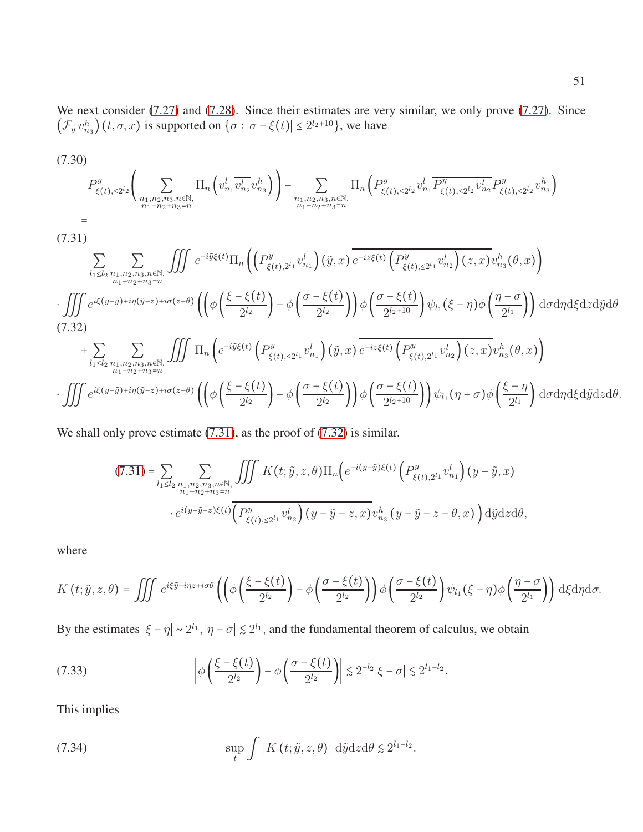We next consider [\(7.27\)](#page-49-2) and [\(7.28\)](#page-49-3). Since their estimates are very similar, we only prove (7.27). Since  $(\mathcal{F}_y v_{n_3}^h)(t, \sigma, x)$  is supported on  $\{\sigma : |\sigma - \xi(t)| \le 2^{l_2+10}\}$ , we have

<span id="page-50-3"></span><span id="page-50-0"></span>
$$
(7.30)
$$
\n
$$
P_{\xi(t),\leq 2^{l_{2}}}^{\mathcal{Y}}\left(\sum_{\substack{n_{1},n_{2},n_{3},n\in\mathbb{N},\\n_{1}-n_{2}+n_{3}=n}}\Pi_{n}\left(v_{n_{1}}^{l}\overline{v_{n_{2}}^{l}}v_{n_{3}}^{h}\right)\right) - \sum_{\substack{n_{1},n_{2},n_{3},n\in\mathbb{N},\\n_{1}-n_{2}+n_{3}=n}}\Pi_{n}\left(P_{\xi(t),\leq 2^{l_{2}}}^{\mathcal{Y}}v_{n_{1}}^{l}\overline{P}_{\xi(t),\leq 2^{l_{2}}}^{\mathcal{Y}}v_{n_{2}}^{l}\overline{P}_{\xi(t),\leq 2^{l_{2}}}^{\mathcal{Y}}v_{n_{3}}^{h}\right)
$$
\n
$$
= (7.31)
$$
\n
$$
\sum_{\substack{l_{1}\leq l_{2}}} \sum_{\substack{n_{1},n_{2},n_{3},n\in\mathbb{N},\\n_{1}-n_{2}+n_{3}=n}}\iiint e^{-i\tilde{y}\xi(t)}\Pi_{n}\left(\left(P_{\xi(t),2^{l_{1}}}^{\mathcal{Y}}v_{n_{1}}^{l}\right)(\tilde{y},x)\overline{e^{-iz\xi(t)}\left(P_{\xi(t),\leq 2^{l_{1}}}^{\mathcal{Y}}v_{n_{2}}^{l}\right)(z,x)}v_{n_{3}}^{h}(\theta,x)\right)
$$
\n
$$
\cdot \iiint e^{i\xi(\mathcal{Y}-\tilde{y})+i\eta(\tilde{y}-z)+i\sigma(z-\theta)}\left(\left(\phi\left(\frac{\xi-\xi(t)}{2^{l_{2}}}\right)-\phi\left(\frac{\sigma-\xi(t)}{2^{l_{2}}}\right)\right)\phi\left(\frac{\sigma-\xi(t)}{2^{l_{2}+10}}\right)\psi_{l_{1}}(\xi-\eta)\phi\left(\frac{\eta-\sigma}{2^{l_{1}}}\right)\right)\mathrm{d}\sigma\mathrm{d}\eta\mathrm{d}\xi\mathrm{d}z\mathrm{d}\tilde{y}\mathrm{d}\theta
$$
\n
$$
+ \sum_{l_{1}\leq l_{2}} \sum_{\substack{n_{1},n_{2},n_{3},n\in\mathbb{N},\\n_{1}-n_{2}+n_{3}=n}}\iiint \Pi_{n}\left(e^{-i\til
$$

<span id="page-50-1"></span>We shall only prove estimate  $(7.31)$ , as the proof of  $(7.32)$  is similar.

$$
(7.31) = \sum_{l_1 \le l_2} \sum_{\substack{n_1, n_2, n_3, n \in \mathbb{N}, \\ n_1 - n_2 + n_3 = n}} \iiint_{K(t; \tilde{y}, z, \theta) \prod_n \left( e^{-i(y - \tilde{y})\xi(t)} \left( P^y_{\xi(t), 2^{l_1}} v^l_{n_1} \right) (y - \tilde{y}, x) \right. \\ \left. \cdot e^{i(y - \tilde{y} - z)\xi(t)} \overline{\left( P^y_{\xi(t), \le 2^{l_1}} v^l_{n_2} \right) (y - \tilde{y} - z, x)} v^h_{n_3} (y - \tilde{y} - z - \theta, x) \right) d\tilde{y} dz d\theta,
$$

where

$$
K(t; \tilde{y}, z, \theta) = \iiint e^{i\xi \tilde{y} + i\eta z + i\sigma \theta} \left( \left( \phi \left( \frac{\xi - \xi(t)}{2^{l_2}} \right) - \phi \left( \frac{\sigma - \xi(t)}{2^{l_2}} \right) \right) \phi \left( \frac{\sigma - \xi(t)}{2^{l_2}} \right) \psi_{l_1}(\xi - \eta) \phi \left( \frac{\eta - \sigma}{2^{l_1}} \right) \right) d\xi d\eta d\sigma.
$$

By the estimates  $|\xi - \eta| \sim 2^{l_1}$ ,  $|\eta - \sigma| \leq 2^{l_1}$ , and the fundamental theorem of calculus, we obtain

<span id="page-50-4"></span>
$$
(7.33) \qquad \qquad \left|\phi\left(\frac{\xi-\xi(t)}{2^{l_2}}\right)-\phi\left(\frac{\sigma-\xi(t)}{2^{l_2}}\right)\right|\lesssim 2^{-l_2}|\xi-\sigma|\lesssim 2^{l_1-l_2}.
$$

This implies

<span id="page-50-2"></span>(7.34) 
$$
\sup_{t} \int |K(t;\tilde{y},z,\theta)| \, \mathrm{d}\tilde{y} \mathrm{d}z \mathrm{d}\theta \lesssim 2^{l_1-l_2}.
$$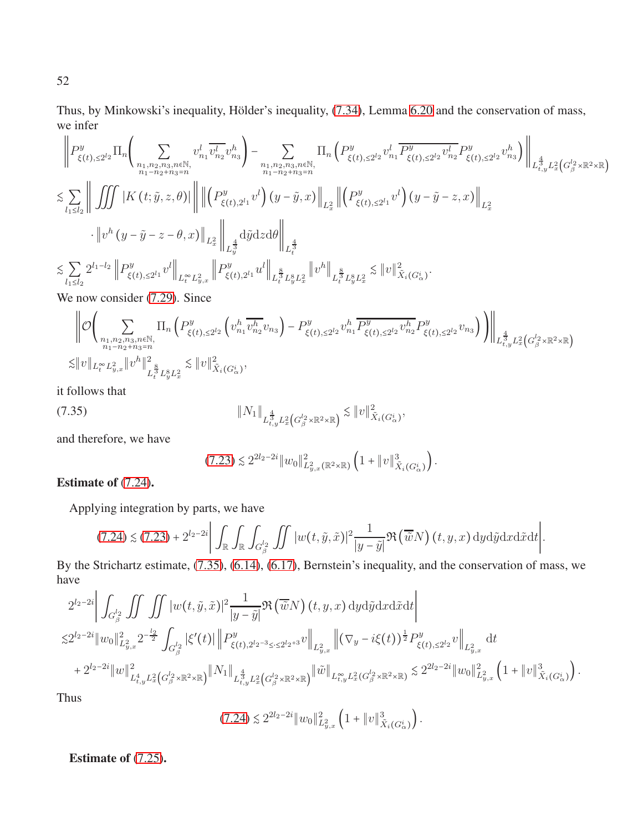$$
\left\| P_{\xi(t),\leq 2^{l_2}}^{y} \Pi_n \left( \sum_{\substack{n_1,n_2,n_3,n \in \mathbb{N}, \\ n_1-n_2+n_3=n}} v_{n_1}^l \overline{v_{n_2}^l} v_{n_3}^h \right) - \sum_{\substack{n_1,n_2,n_3,n \in \mathbb{N}, \\ n_1-n_2+n_3=n}} \Pi_n \left( P_{\xi(t),\leq 2^{l_2}}^{y} v_{n_1}^l \overline{P_{\xi(t),\leq 2^{l_2}}^{y} v_{n_2}^l} P_{\xi(t),\leq 2^{l_2}}^{y} v_{n_3}^h \right) \right\|_{L^{\frac{4}{3}}_{t, y} L^2_{x} \left( G_{\beta}^{l_2} \times \mathbb{R}^2 \times \mathbb{R} \right)} \times \sum_{\substack{n_1,n_2,n_3,n \in \mathbb{N}, \\ n_1 \leq l_2}} \left\| \iiint \left| K\left(t;\tilde{y},z,\theta\right) \right| \left\| \left\| \left( P_{\xi(t),2^{l_1}}^{y} v^l \right) (y-\tilde{y},x) \right\|_{L^2_x} \left\| \left( P_{\xi(t),\leq 2^{l_1}}^{y} v^l \right) (y-\tilde{y}-z,x) \right\|_{L^2_x} \right\|_{L^2_x} \times \left\| v^h \left( y-\tilde{y}-z-\theta,x \right) \right\|_{L^2_x} \left\| \sum_{\substack{j=1 \\ l_1 \leq l_2}} \left\| \left| P_{\xi(t),\leq 2^{l_1}}^{y} v^l \right\| \right\|_{L^{\infty}_t L^2_{y,x}} \left\| P_{\xi(t),2^{l_1}}^{y} u^l \right\|_{L^{\frac{4}{3}}_t L^{\frac{4}{3}}_y L^2_x} \right\| v^h \right\|_{L^{\frac{8}{3}}_t L^{\frac{6}{3}}_y L^2_x} \lesssim \| v \|^2_{X_i(G_{\alpha}^i)}.
$$
\nWe now consider (7.20). Since

We now consider [\(7.29\)](#page-49-0). Since

$$
\left\| \mathcal{O} \left( \sum_{\substack{n_1, n_2, n_3, n \in \mathbb{N}, \\ n_1 - n_2 + n_3 = n}} \Pi_n \left( P_{\xi(t), \leq 2^{l_2}}^y \left( v_{n_1}^h \overline{v_{n_2}^h} v_{n_3} \right) - P_{\xi(t), \leq 2^{l_2}}^y v_{n_1}^h \overline{P_{\xi(t), \leq 2^{l_2}}^y} v_{n_2}^h P_{\xi(t), \leq 2^{l_2}}^y v_{n_3} \right) \right) \right\|_{L^{\frac{4}{3}}_{t, y} L^2_x \left( G_\beta^{l_2} \times \mathbb{R}^2 \times \mathbb{R} \right)} \times \|v\|_{L^{\infty}_t L^2_{y, x}} \|v^h\|_{L^{\frac{8}{3}}_t L^{\frac{8}{3}}_x L^{\frac{8}{3}}_x L^{\frac{8}{3}}_x} \lesssim \|v\|_{\tilde{X}_i(G_\alpha^i)}^2,
$$

it follows that

<span id="page-51-0"></span>
$$
(7.35) \t\t\t \|N_1\|_{L^{\frac{4}{3}}_{t,y}L^2_x\left(G^{\frac{1}{2}}_{\beta}\times\mathbb{R}^2\times\mathbb{R}\right)} \lesssim \|v\|^2_{\tilde{X}_i(G^i_{\alpha})},
$$

and therefore, we have

$$
(7.23) \lesssim 2^{2l_2 - 2i} \|w_0\|_{L_{y,x}^2(\mathbb{R}^2 \times \mathbb{R})}^2 \left(1 + \|v\|_{\tilde{X}_i(G_\alpha^i)}^3\right).
$$

# Estimate of [\(7.24\)](#page-48-1).

Applying integration by parts, we have

$$
(7.24) \lesssim (7.23) + 2^{l_2 - 2i} \left| \int_{\mathbb{R}} \int_{\mathbb{R}} \int_{G_{\beta}^{l_2}} \iint |w(t, \tilde{y}, \tilde{x})|^2 \frac{1}{|y - \tilde{y}|} \Re(\overline{\tilde{w}} N)(t, y, x) \, dy \, d\tilde{y} \, dx \, d\tilde{x} \, dt \right|.
$$

By the Strichartz estimate, [\(7.35\)](#page-51-0), [\(6.14\)](#page-30-2), [\(6.17\)](#page-30-1), Bernstein's inequality, and the conservation of mass, we have  $\mathbf{r}$ 

$$
\begin{split} &2^{l_2-2i}\bigg|\int_{G_{\beta}^{l_2}}\iint\int |w(t,\tilde{y},\tilde{x})|^2\frac{1}{|y-\tilde{y}|}\Re\left(\overline{\tilde{w}}N\right)(t,y,x)\,\mathrm{d}y\mathrm{d}\tilde{y}\mathrm{d}x\mathrm{d}\tilde{x}\mathrm{d}t\bigg|\\ \lesssim&2^{l_2-2i}\|w_0\|_{L_{y,x}^2}^22^{-\frac{l_2}{2}}\int_{G_{\beta}^{l_2}}|\xi'(t)|\left\|P_{\xi(t),2^{l_2-3}\leq \cdot\leq 2^{l_2+3}}^y v\right\|_{L_{y,x}^2}\left\|(\nabla_y-i\xi(t))^{\frac{1}{2}}P_{\xi(t),\leq 2^{l_2}}^y v\right\|_{L_{y,x}^2}\mathrm{d}t\\ &+2^{l_2-2i}\|w\|_{L_{t,y}^4L_x^2\left(G_{\beta}^{l_2}\times\mathbb{R}^2\times\mathbb{R}\right)}^2\|N_1\|_{L_{t,y}^{\frac{4}{3}}L_x^2\left(G_{\beta}^{l_2}\times\mathbb{R}^2\times\mathbb{R}\right)}\|\tilde{w}\|_{L_{t,y}^\infty L_x^2\left(G_{\beta}^{l_2}\times\mathbb{R}^2\times\mathbb{R}\right)}\lesssim&2^{2l_2-2i}\|w_0\|_{L_{y,x}^2}^2\left(1+\|v\|_{\tilde{X}_i(G_{\alpha}^i)}^3\right).\\ \end{split}
$$

Thus

$$
(7.24) \lesssim 2^{2l_2 - 2i} \|w_0\|_{L^2_{y,x}}^2 \left(1 + \|v\|_{\tilde{X}_i(G_\alpha^i)}^3\right).
$$

Estimate of [\(7.25\)](#page-48-2).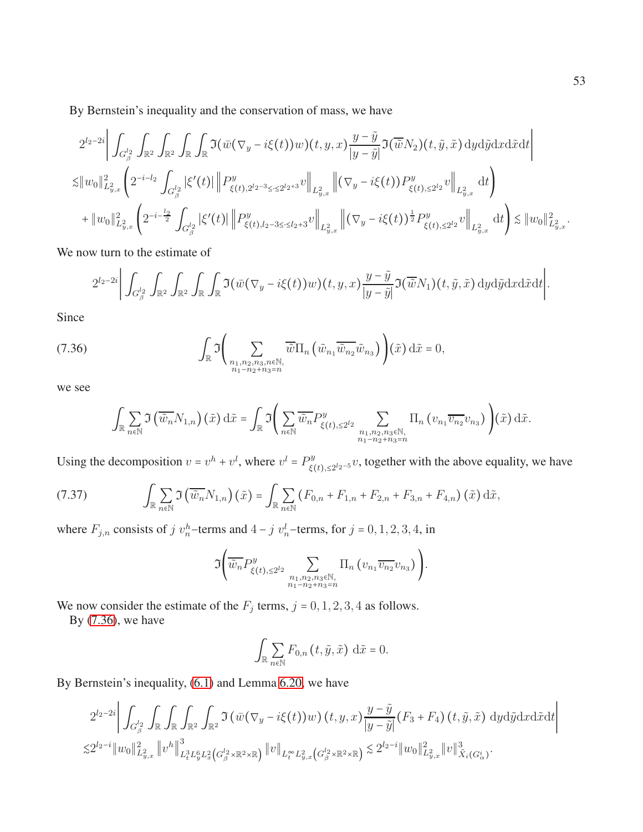By Bernstein's inequality and the conservation of mass, we have

$$
2^{l_2-2i} \Bigg| \int_{G_{\beta}^{l_2}} \int_{\mathbb{R}^2} \int_{\mathbb{R}^2} \int_{\mathbb{R}^2} \int_{\mathbb{R}^2} \int_{\mathbb{R}^2} \int_{\mathbb{R}^2} \mathfrak{I}(\bar{w}(\nabla_y - i\xi(t))w)(t, y, x) \frac{y - \tilde{y}}{|y - \tilde{y}|} \mathfrak{I}(\bar{w}N_2)(t, \tilde{y}, \tilde{x}) dyd\tilde{y} dx d\tilde{x} dt \Bigg|
$$
  
\n
$$
\lesssim \|w_0\|_{L_{y,x}^2}^2 \Bigg( 2^{-i-l_2} \int_{G_{\beta}^{l_2}} |\xi'(t)| \left\| P^y_{\xi(t), 2^{l_2-3} \leq \cdot \leq 2^{l_2+3}} v \right\|_{L_{y,x}^2} \left\| (\nabla_y - i\xi(t)) P^y_{\xi(t), \leq 2^{l_2}} v \right\|_{L_{y,x}^2} dt \Bigg) + \|w_0\|_{L_{y,x}^2}^2 \Bigg( 2^{-i-\frac{l_2}{2}} \int_{G_{\beta}^{l_2}} |\xi'(t)| \left\| P^y_{\xi(t), l_2 - 3 \leq \cdot \leq l_2+3} v \right\|_{L_{y,x}^2} \left\| (\nabla_y - i\xi(t))^{\frac{1}{2}} P^y_{\xi(t), \leq 2^{l_2}} v \right\|_{L_{y,x}^2} dt \Bigg) \lesssim \|w_0\|_{L_{y,x}^2}^2.
$$

We now turn to the estimate of

$$
2^{l_2-2i}\left|\int_{G_{\beta}^{l_2}}\int_{\mathbb{R}^2}\int_{\mathbb{R}^2}\int_{\mathbb{R}}\int_{\mathbb{R}}\mathfrak{I}(\bar{w}(\nabla_y-i\xi(t))w)(t,y,x)\frac{y-\tilde{y}}{|y-\tilde{y}|}\mathfrak{I}(\overline{\tilde{w}}N_1)(t,\tilde{y},\tilde{x})\,\mathrm{d}y\mathrm{d}\tilde{y}\mathrm{d}x\mathrm{d}\tilde{x}\mathrm{d}t\right|.
$$

Since

<span id="page-52-0"></span>(7.36) 
$$
\int_{\mathbb{R}} \mathfrak{I}\left(\sum_{\substack{n_1,n_2,n_3,n \in \mathbb{N},\\ n_1-n_2+n_3=n}}\overline{\tilde{w}}\Pi_n\left(\tilde{w}_{n_1}\overline{\tilde{w}_{n_2}}\tilde{w}_{n_3}\right)\right)(\tilde{x})\,\mathrm{d}\tilde{x}=0,
$$

we see

$$
\int_{\mathbb{R}} \sum_{n \in \mathbb{N}} \Im \left( \overline{\tilde{w}_n} N_{1,n} \right) (\tilde{x}) \, d\tilde{x} = \int_{\mathbb{R}} \Im \left( \sum_{n \in \mathbb{N}} \overline{\tilde{w}_n} P_{\xi(t), \leq 2^{l_2}}^y \sum_{\substack{n_1, n_2, n_3 \in \mathbb{N}, \\ n_1 - n_2 + n_3 = n}} \Pi_n \left( v_{n_1} \overline{v_{n_2}} v_{n_3} \right) \right) (\tilde{x}) \, d\tilde{x}.
$$

Using the decomposition  $v = v^h + v^l$ , where  $v^l = P_{\epsilon}^y$  $\zeta(t), \leq 2^{l_2-5}$ *v*, together with the above equality, we have

<span id="page-52-1"></span>
$$
(7.37) \qquad \qquad \int_{\mathbb{R}} \sum_{n\in\mathbb{N}} \mathfrak{I}\left(\overline{\tilde{w}_n} N_{1,n}\right)(\tilde{x}) = \int_{\mathbb{R}} \sum_{n\in\mathbb{N}} \left(F_{0,n} + F_{1,n} + F_{2,n} + F_{3,n} + F_{4,n}\right)(\tilde{x}) d\tilde{x},
$$

where  $F_{j,n}$  consists of j  $v_n^h$ -terms and  $4 - j v_n^l$ -terms, for  $j = 0, 1, 2, 3, 4$ , in

$$
\mathfrak{I}\bigg(\overline{\tilde{w}_n}P^y_{\xi(t),\leq 2^{l_2}}\sum_{\substack{n_1,n_2,n_3\in\mathbb{N},\\n_1-n_2+n_3=n}}\Pi_n(v_{n_1}\overline{v_{n_2}}v_{n_3})\bigg).
$$

We now consider the estimate of the  $F_j$  terms,  $j = 0, 1, 2, 3, 4$  as follows.

By [\(7.36\)](#page-52-0), we have

$$
\int_{\mathbb{R}} \sum_{n \in \mathbb{N}} F_{0,n}(t, \tilde{y}, \tilde{x}) \, d\tilde{x} = 0.
$$

By Bernstein's inequality, [\(6.1\)](#page-25-3) and Lemma [6.20,](#page-32-3) we have

$$
\begin{aligned} &2^{l_2-2i}\bigg|\int_{G_{\beta}^{l_2}}\int_{\mathbb{R}}\int_{\mathbb{R}}\int_{\mathbb{R}^2}\int_{\mathbb{R}^2}\int_{\mathbb{R}^2}\Im\left(\bar{w}(\nabla_y-i\xi(t))w\right)(t,y,x)\frac{y-\tilde{y}}{|y-\tilde{y}|}(F_3+F_4)\left(t,\tilde{y},\tilde{x}\right)\mathrm{d}y\mathrm{d}\tilde{y}\mathrm{d}x\mathrm{d}\tilde{x}\mathrm{d}t\bigg|\\ \lesssim&2^{l_2-i}\|w_0\|_{L_{y,x}^2}^2\left\|v^h\right\|_{L_t^3L_y^6L_x^2\left(G_{\beta}^{l_2}\times\mathbb{R}^2\times\mathbb{R}\right)}\|v\|_{L_t^\infty L_{y,x}^2\left(G_{\beta}^{l_2}\times\mathbb{R}^2\times\mathbb{R}\right)}\lesssim&2^{l_2-i}\|w_0\|_{L_{y,x}^2}^2\|v\|_{\tilde{X}_i(G_{\alpha}^i)}^3.\end{aligned}
$$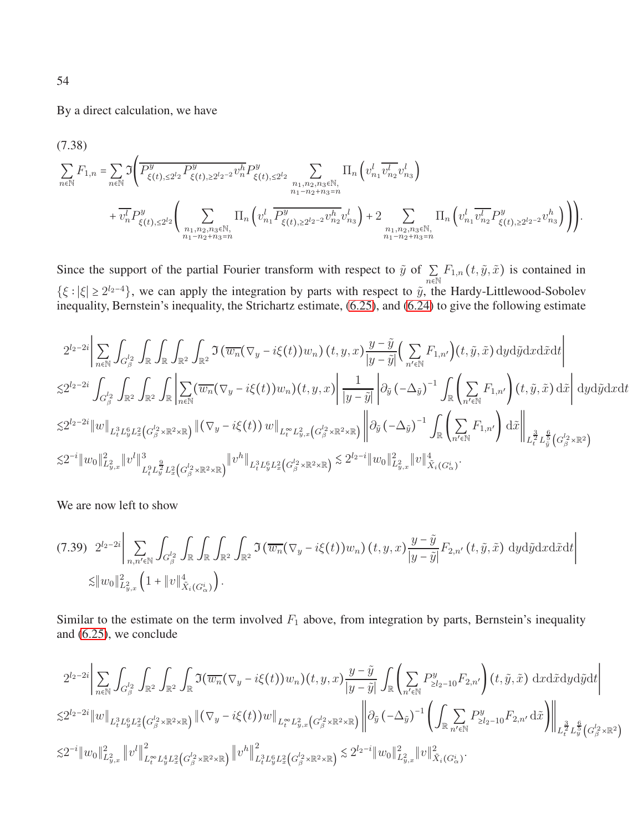By a direct calculation, we have

<span id="page-53-1"></span>(7.38)

$$
\sum_{n \in \mathbb{N}} F_{1,n} = \sum_{n \in \mathbb{N}} \Im \left( \overline{P^y_{\xi(t),\le 2^{l_2}} P^y_{\xi(t),\ge 2^{l_2-2}} v_n^h P^y_{\xi(t),\le 2^{l_2}} \sum_{\substack{n_1,n_2,n_3 \in \mathbb{N},\\ n_1-n_2+n_3=n}} \Pi_n \left( v_{n_1}^l \overline{v_{n_2}^l} v_{n_3}^l \right) \right) + \\ + \overline{v_n^l} P^y_{\xi(t),\le 2^{l_2}} \left( \sum_{\substack{n_1,n_2,n_3 \in \mathbb{N},\\ n_1-n_2+n_3=n}} \Pi_n \left( v_{n_1}^l \overline{P^y_{\xi(t),\ge 2^{l_2-2}} v_{n_2}^h v_{n_3}^l} \right) + 2 \sum_{\substack{n_1,n_2,n_3 \in \mathbb{N},\\ n_1-n_2+n_3=n}} \Pi_n \left( v_{n_1}^l \overline{v_{n_2}^l} P^y_{\xi(t),\ge 2^{l_2-2}} v_{n_3}^h \right) \right).
$$

Since the support of the partial Fourier transform with respect to  $\tilde{y}$  of  $\Sigma$  $\bar{n}$ ∈N  $F_{1,n}(t, \tilde{y}, \tilde{x})$  is contained in  $\{\xi : |\xi| \ge 2^{l_2-4}\}$ , we can apply the integration by parts with respect to  $\tilde{y}$ , the Hardy-Littlewood-Sobolev inequality, Bernstein's inequality, the Strichartz estimate,  $(6.25)$ , and  $(6.24)$  to give the following estimate

$$
2^{l_2-2i}\left|\sum_{n\in\mathbb{N}}\int_{G_{\beta}^{l_2}}\int_{\mathbb{R}}\int_{\mathbb{R}^2}\int_{\mathbb{R}^2}\int_{\mathbb{R}^2}\int_{\mathbb{R}^2}\int_{\mathbb{R}^2}\int_{\mathbb{R}^2}\int_{\mathbb{R}^2}\int_{\mathbb{R}^2}\int_{\mathbb{R}^2}\int_{\mathbb{R}^2}\int_{\mathbb{R}^2}\int_{\mathbb{R}^2}\int_{\mathbb{R}^2}\int_{\mathbb{R}^2}\int_{\mathbb{R}^2}\int_{\mathbb{R}^2}\int_{\mathbb{R}^2}\int_{\mathbb{R}^2}\int_{\mathbb{R}^2}\int_{\mathbb{R}^2}\int_{\mathbb{R}^2}\int_{\mathbb{R}^2}\left|\sum_{n\in\mathbb{N}}(w_n(\nabla_y-i\xi(t))w_n)(t,y,x)\right|\frac{1}{|y-\tilde{y}|}\left|\partial_{\tilde{y}}(-\Delta_{\tilde{y}})^{-1}\int_{\mathbb{R}}\left(\sum_{n'\in\mathbb{N}}F_{1,n'}\right)(t,\tilde{y},\tilde{x})\,d\tilde{x}\right|\,dyd\tilde{y}dxdt
$$
  
\n
$$
\lesssim 2^{l_2-2i}\|w\|_{L^3_tL^6_yL^2_x(G_{\beta}^{l_2}\times\mathbb{R}^2\times\mathbb{R})}\|(\nabla_y-i\xi(t))w\|_{L^{\infty}_tL^2_{y,x}(G_{\beta}^{l_2}\times\mathbb{R}^2\times\mathbb{R})}\left\|\partial_{\tilde{y}}(-\Delta_{\tilde{y}})^{-1}\int_{\mathbb{R}}\left(\sum_{n'\in\mathbb{N}}F_{1,n'}\right)d\tilde{x}\right\|_{L^{\frac{3}{2}}_tL^{\frac{6}{2}}_y(G_{\beta}^{l_2}\times\mathbb{R}^2\times\mathbb{R})}
$$
  
\n
$$
\lesssim 2^{-i}\|w_0\|_{L^2_{y,x}}^2\|v^l\|_{L^3_tL^6_yL^2_x(G_{\beta}^{l_2}\times\mathbb{R}^2\times\mathbb{R})}\|v^h\|_{L^3_tL^
$$

We are now left to show

<span id="page-53-0"></span>
$$
(7.39) \quad 2^{l_2-2i} \Bigg| \sum_{n,n' \in \mathbb{N}} \int_{G_{\beta}^{l_2}} \int_{\mathbb{R}} \int_{\mathbb{R}} \int_{\mathbb{R}^2} \int_{\mathbb{R}^2} \int_{\mathbb{R}^2} \mathfrak{I} \left( \overline{w_n} (\nabla_y - i\xi(t)) w_n \right) (t, y, x) \frac{y - \tilde{y}}{|y - \tilde{y}|} F_{2,n'}(t, \tilde{y}, \tilde{x}) \, dy \, dy \, dx \, dx \, dt \Bigg|
$$
  

$$
\lesssim ||w_0||_{L_{y,x}^2}^2 \Big( 1 + ||v||_{\tilde{X}_i(G_{\alpha}^i)}^4 \Big).
$$

Similar to the estimate on the term involved  $F_1$  above, from integration by parts, Bernstein's inequality and [\(6.25\)](#page-32-5), we conclude

$$
2^{l_2-2i} \Big| \sum_{n \in \mathbb{N}} \int_{G_{\beta}^{l_2}} \int_{\mathbb{R}^2} \int_{\mathbb{R}^2} \int_{\mathbb{R}^2} \int_{\mathbb{R}^2} \int_{\mathbb{R}^2} \mathfrak{I}(\overline{w_n}(\nabla_y - i\xi(t))w_n)(t, y, x) \frac{y - \tilde{y}}{|y - \tilde{y}|} \int_{\mathbb{R}} \left( \sum_{n' \in \mathbb{N}} P_{\geq l_2 - 10}^y F_{2,n'} \right) (t, \tilde{y}, \tilde{x}) \, dx \, dx \, dy \, dy \, dt \Big|
$$
  
\n
$$
\lesssim 2^{l_2-2i} \|w\|_{L_t^3 L_y^6 L_x^2(G_{\beta}^{l_2} \times \mathbb{R}^2 \times \mathbb{R})} \|(\nabla_y - i\xi(t))w\|_{L_t^{\infty} L_y^2, x}(G_{\beta}^{l_2} \times \mathbb{R}^2 \times \mathbb{R})} \Big\| \partial_{\tilde{y}} (-\Delta_{\tilde{y}})^{-1} \Big( \int_{\mathbb{R}} \sum_{n' \in \mathbb{N}} P_{\geq l_2 - 10}^y F_{2,n'} \, dx \Big) \Big\|_{L_t^{\frac{3}{2}} L_y^{\frac{6}{5}}(G_{\beta}^{l_2} \times \mathbb{R}^2)} \Big\|_{L_t^{\frac{3}{2}} L_y^{\frac{6}{5}}(G_{\beta}^{l_2} \times \mathbb{R}^2 \times \mathbb{R})} \Big\| v^h \Big\|_{L_t^3 L_y^6 L_x^2(G_{\beta}^{l_2} \times \mathbb{R}^2 \times \mathbb{R})}^2 \lesssim 2^{l_2 - i} \|w_0\|_{L_{y,x}}^2 \|v\|_{\tilde{X}_i(G_{\alpha}^i)}^2.
$$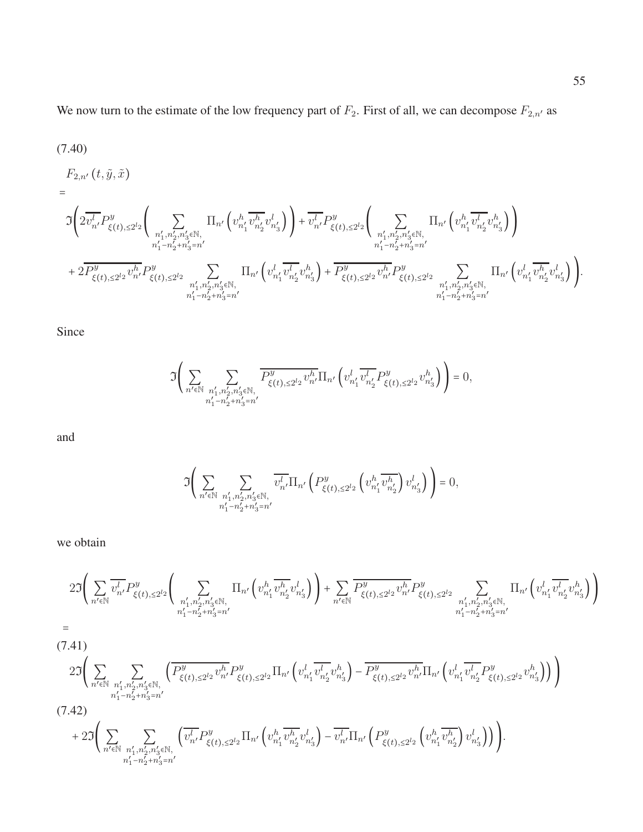We now turn to the estimate of the low frequency part of  $F_2$ . First of all, we can decompose  $F_{2,n'}$  as

<span id="page-54-2"></span>
$$
(7.40)
$$
\n
$$
F_{2,n'}(t, \tilde{y}, \tilde{x}) = \int_{\tilde{z}(t), \leq 2^{l_2}} \left( \sum_{\substack{n'_1, n'_2, n'_3 \in \mathbb{N}, \\ n'_1 - n'_2 + n'_3 = n'}} \Pi_{n'} \left( v_{n'_1}^{h} \overline{v_{n'_2}^{h}} v_{n'_3}^{l} \right) \right) + \overline{v_{n'}^{l}} P_{\xi(t), \leq 2^{l_2}}^{y} \left( \sum_{\substack{n'_1, n'_2, n'_3 \in \mathbb{N}, \\ n'_1 - n'_2 + n'_3 = n'}} \Pi_{n'} \left( v_{n'_1}^{h} \overline{v_{n'_2}^{l}} v_{n'_3}^{h} \right) \right) + \frac{1}{2^{l_1}} P_{\xi(t), \leq 2^{l_2}}^{y} \left( \sum_{\substack{n'_1, n'_2, n'_3 \in \mathbb{N}, \\ n'_1 - n'_2 + n'_3 = n'}} \Pi_{n'} \left( v_{n'_1}^{h} \overline{v_{n'_2}^{l}} v_{n'_3}^{h} \right) + \overline{P_{\xi(t), \leq 2^{l_2}}^{y} v_{n'}^{h}} P_{\xi(t), \leq 2^{l_2}}^{y} \sum_{\substack{n'_1, n'_2, n'_3 \in \mathbb{N}, \\ n'_1 - n'_2 + n'_3 = n'}} \Pi_{n'} \left( v_{n'_1}^{l} \overline{v_{n'_2}^{l}} v_{n'_3}^{h} \right) + \overline{P_{\xi(t), \leq 2^{l_2}}^{y} v_{n'}^{h}} P_{\xi(t), \leq 2^{l_2}}^{y} \sum_{\substack{n'_1, n'_2, n'_3 \in \mathbb{N}, \\ n'_1 - n'_2 + n'_3 = n'}} \Pi_{n'} \left( v_{n'_1}^{l} \overline{v_{n'_2}^{h}} v_{n'_3}^{l} \right) \right).
$$

Since

$$
\Im \left( \sum_{n' \in \mathbb{N}} \sum_{\substack{n'_1, n'_2, n'_3 \in \mathbb{N}, \\ n'_1 - n'_2 + n'_3 = n'}} \overline{P^y_{\xi(t), \le 2^{l_2}} v^h_{n'}} \Pi_{n'} \left( v^l_{n'_1} \overline{v^l_{n'_2}} P^y_{\xi(t), \le 2^{l_2}} v^h_{n'_3} \right) \right) = 0,
$$

and

$$
\Im \Bigg(\sum_{n' \in \mathbb{N}}\sum_{\substack{n'_1,n'_2,n'_3 \in \mathbb{N}, \\ n'_1-n'_2+n'_3 = n'}}\overline{\upsilon_{n'}^l}\Pi_{n'}\left(P^y_{\xi(t),\leq 2^{l_2}}\left(\upsilon_{n'_1}^h\overline{\upsilon_{n'_2}^h}\right)\upsilon_{n'_3}^l\right)\Bigg) = 0,
$$

we obtain

<span id="page-54-1"></span><span id="page-54-0"></span>
$$
2\Im\left(\sum_{n'\in\mathbb{N}}\overline{v_{n'}^l}P_{\xi(t),\leq 2^{l_2}}^{y}\left(\sum_{n'_1,n'_2,n'_3\in\mathbb{N},\atop n'_1-n'_2+n'_3=n'}\Pi_{n'}\left(v_{n'_1}^{h}\overline{v_{n'_2}^{h}}v_{n'_3}^{l}\right)\right)+\sum_{n'\in\mathbb{N}}\overline{P}_{\xi(t),\leq 2^{l_2}}^{y}\overline{v_{n'}^{h}}P_{\xi(t),\leq 2^{l_2}}^{y}\sum_{n'_1,n'_2,n'_3\in\mathbb{N},\atop n'_1-n'_2+n'_3=n'}\Pi_{n'}\left(v_{n'_1}^{l}\overline{v_{n'_2}^{l}}v_{n'_3}^{h}\right)\right)
$$
\n
$$
=
$$
\n(7.41)  
\n2
$$
2\Im\left(\sum_{n'\in\mathbb{N}}\sum_{n'_1,n'_2,n'_3\in\mathbb{N},\atop n'_1-n'_2+n'_3=n'}\left(\overline{P_{\xi(t),\leq 2^{l_2}}^{y}v_{n'}^{h}}P_{\xi(t),\leq 2^{l_2}}^{y}\Pi_{n'}\left(v_{n'_1}^{l}\overline{v_{n'_2}^{l}}v_{n'_3}^{h}\right)-\overline{P_{\xi(t),\leq 2^{l_2}}^{y}v_{n'}^{h}}\Pi_{n'}\left(v_{n'_1}^{l}\overline{v_{n'_2}^{l}}P_{\xi(t),\leq 2^{l_2}}^{y}v_{n'_3}^{h}\right)\right)\right)
$$
\n(7.42)  
\n+2
$$
2\Im\left(\sum_{n'\in\mathbb{N}}\sum_{n'_1,n'_2,n'_3\in\mathbb{N},\atop n'_1-n'_2+n'_3=n'}\left(\overline{v_{n'}^l}P_{\xi(t),\leq 2^{l_2}}^{y}\Pi_{n'}\left(v_{n'_1}^{h}\overline{v_{n'_2}^{h}}v_{n'_3}^{l}\right)-\overline{v_{n'}^l}\Pi_{n'}\left(P_{\xi(t),\leq 2^{l_2}}^{y}\left(v_{n'_1}^{h}\overline{v_{n'_2}^{h}}\right)v_{n'_3}^{l}\right)\right)\right).
$$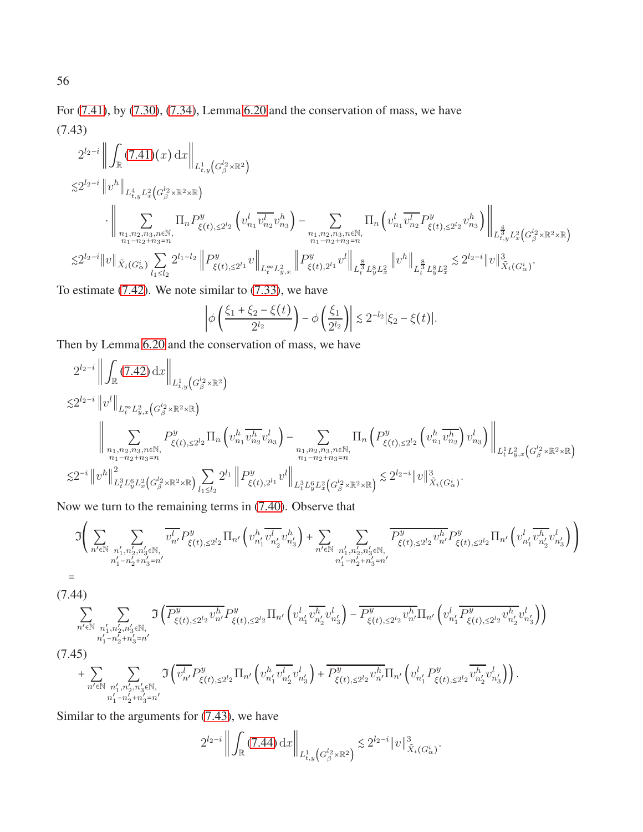<span id="page-55-0"></span>For [\(7.41\)](#page-54-0), by [\(7.30\)](#page-50-3), [\(7.34\)](#page-50-2), Lemma [6.20](#page-32-3) and the conservation of mass, we have (7.43)

$$
2^{l_2-i}\left\|\int_{\mathbb{R}} (7.41)(x) dx \right\|_{L^1_{t,y}\left(G_\beta^{l_2} \times \mathbb{R}^2\right)}\leq 2^{l_2-i}\left\|v^h\right\|_{L^4_{t,y}L^2_x\left(G_\beta^{l_2} \times \mathbb{R}^2 \times \mathbb{R}\right)}\cdot \left\|\sum_{\substack{n_1,n_2,n_3,n \in \mathbb{N},\\ n_1-n_2+n_3=n}} \prod_{n} P^y_{\xi(t),\leq 2^{l_2}} \left(v^l_{n_1} \overline{v^l_{n_2}} v^h_{n_3}\right) - \sum_{\substack{n_1,n_2,n_3,n \in \mathbb{N},\\ n_1-n_2+n_3=n}} \prod_{n} \left(v^l_{n_1} \overline{v^l_{n_2}} P^y_{\xi(t),\leq 2^{l_2}} v^h_{n_3}\right)\right\|_{L^{\frac{4}{3}}_{t,y}L^2_x\left(G_\beta^{l_2} \times \mathbb{R}^2 \times \mathbb{R}\right)}\leq 2^{l_2-i}\left\|v\right\|_{\tilde{X}_i(G_\alpha^i)} \sum_{l_1 \leq l_2} 2^{l_1-l_2} \left\|P^y_{\xi(t),\leq 2^{l_1}} v\right\|_{L^\infty_t L^2_{y,x}} \left\|P^y_{\xi(t),2^{l_1}} v^l\right\|_{L^{\frac{8}{3}}_t L^8_y L^2_x} \left\|v^h\right\|_{L^{\frac{8}{3}}_t L^8_y L^2_x} \leq 2^{l_2-i}\left\|v\right\|_{\tilde{X}_i(G_\alpha^i)}^3.
$$

To estimate [\(7.42\)](#page-54-1). We note similar to [\(7.33\)](#page-50-4), we have

$$
\left| \phi \left( \frac{\xi_1 + \xi_2 - \xi(t)}{2^{l_2}} \right) - \phi \left( \frac{\xi_1}{2^{l_2}} \right) \right| \lesssim 2^{-l_2} |\xi_2 - \xi(t)|.
$$

Then by Lemma [6.20](#page-32-3) and the conservation of mass, we have

$$
2^{l_2-i}\left\|\int_{\mathbb{R}} (7.42) \, dx\right\|_{L^1_{t,y}\left(G_\beta^{l_2} \times \mathbb{R}^2\right)}\leq 2^{l_2-i}\left\|v^l\right\|_{L^\infty_t L^2_{y,x}\left(G_\beta^{l_2} \times \mathbb{R}^2 \times \mathbb{R}\right)}\left\|\sum_{\substack{n_1,n_2,n_3,n \in \mathbb{N},\\ n_1-n_2+n_3=n}} P^y_{\xi(t),\leq 2^{l_2}} \Pi_n\left(v^h_{n_1}\overline{v^h_{n_2}}v^l_{n_3}\right) - \sum_{\substack{n_1,n_2,n_3,n \in \mathbb{N},\\ n_1-n_2+n_3=n}} \Pi_n\left(P^y_{\xi(t),\leq 2^{l_2}}\left(v^h_{n_1}\overline{v^h_{n_2}}\right)v^l_{n_3}\right)\right\|_{L^1_t L^2_{y,x}\left(G_\beta^{l_2} \times \mathbb{R}^2 \times \mathbb{R}\right)}\leq 2^{-i}\left\|v^h\right\|_{L^3_t L^6_y L^2_x\left(G_\beta^{l_2} \times \mathbb{R}^2 \times \mathbb{R}\right)}^2 \sum_{l_1 \leq l_2} 2^{l_1}\left\|P^y_{\xi(t),2^{l_1}}v^l\right\|_{L^3_t L^6_y L^2_x\left(G_\beta^{l_2} \times \mathbb{R}^2 \times \mathbb{R}\right)} \lesssim 2^{l_2-i}\|v\|_{\tilde{X}_i(G_\alpha^i)}^3.
$$

Now we turn to the remaining terms in [\(7.40\)](#page-54-2). Observe that

<span id="page-55-1"></span>
$$
\begin{split}\n& \mathfrak{I}\left(\sum_{n'\in\mathbb{N}}\sum_{n'_1,n'_2,n'_3\in\mathbb{N},\atop n'_1-n'_2+n'_3=n'}\overline{v_{n'}^l}P_{\xi(t),\leq 2^{l_2}}^{y}\Pi_{n'}\left(v_{n'_1}^{h}\overline{v_{n'_2}^{l}}v_{n'_3}^{h}\right)+\sum_{n'\in\mathbb{N}}\sum_{n'_1,n'_2,n'_3\in\mathbb{N},\atop n'_1-n'_2+n'_3=n'}\overline{P_{\xi(t),\leq 2^{l_2}}^{y}\overline{v_{n'}^h}P_{\xi(t),\leq 2^{l_2}}^{y}\Pi_{n'}\left(v_{n'_1}^{l}\overline{v_{n'_2}^{l}}v_{n'_3}^{l}\right)\right) \\
&= \\
& (7.44) \\
& \sum_{n'\in\mathbb{N}}\sum_{n'_1,n'_2,n'_3\in\mathbb{N},\atop n'_1-n'_2+n'_3=n'}\mathfrak{I}\left(\overline{P_{\xi(t),\leq 2^{l_2}}^{y}\overline{v_{n'}}P_{\xi(t),\leq 2^{l_2}}^{y}\Pi_{n'}\left(v_{n'_1}^{l}\overline{v_{n'_2}^{h}}v_{n'_3}^{l}\right)-\overline{P_{\xi(t),\leq 2^{l_2}}^{y}\overline{v_{n'}^h}\Pi_{n'}\left(v_{n'_1}^{l}\overline{P_{\xi(t),\leq 2^{l_2}}^{y}\overline{v_{n'_2}^{h}}v_{n'_3}^{l}\right)\right) \\
&+ \sum_{n'\in\mathbb{N}}\sum_{n'\in\mathbb{N},\atop n'\in\mathbb{N}}\mathfrak{I}\left(\overline{v_{n'}^l}\overline{P_{\xi(t),\leq 2^{l_2}}^{y}\Pi_{n'}\left(v_{n'_1}^{h}\overline{v_{n'_2}^{l}}v_{n'_3}^{l}\right)+\overline{P_{\xi(t),\leq 2^{l_2}}^{y}\overline{v_{n'}^h}\Pi_{n'}\left(v_{n'_1}^{l}\overline{P_{\xi(t),\leq 2^{l_2}}^{y}\overline{v_{n'_2}^{h}}v_{n'_3}^{l}\right)\right).\n\end{split}
$$

Similar to the arguments for [\(7.43\)](#page-55-0), we have

<span id="page-55-2"></span> $\overline{n' \epsilon}$ N

 $n_1', n_2', n_3' \in \mathbb{N},$  $n'_1 - n'_2 + n'_3 = n'$ 

$$
2^{l_2-i} \left\| \int_{\mathbb{R}} (7.44) \, dx \right\|_{L^1_{t,y}\left(G_\beta^{l_2} \times \mathbb{R}^2\right)} \lesssim 2^{l_2-i} \|v\|_{\tilde{X}_i(G_\alpha^i)}^3
$$

.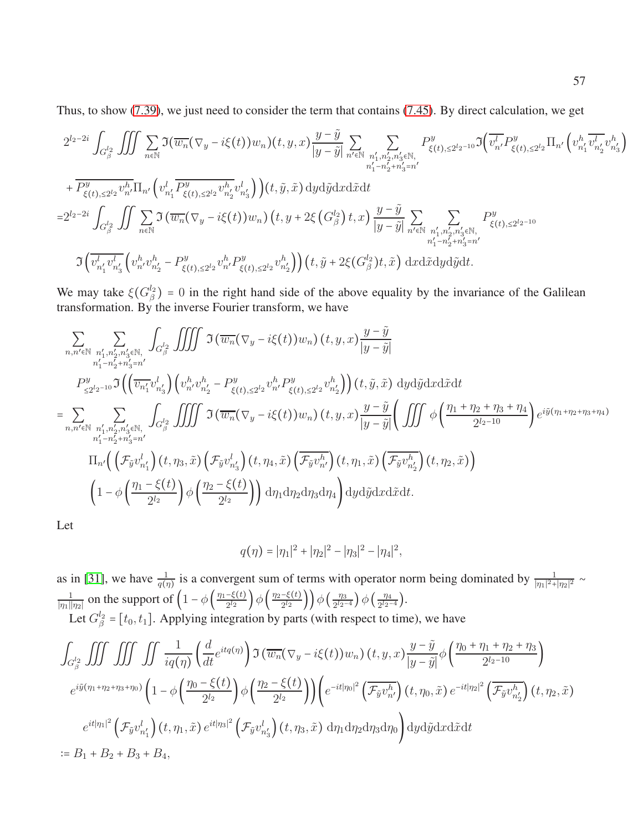Thus, to show [\(7.39\)](#page-53-0), we just need to consider the term that contains [\(7.45\)](#page-55-2). By direct calculation, we get

$$
2^{l_{2}-2i} \int_{G_{\beta}^{l_{2}}} \iiint \sum_{n\in\mathbb{N}} \Im(\overline{w_{n}}(\nabla_{y}-i\xi(t))w_{n})(t,y,x) \frac{y-\tilde{y}}{|y-\tilde{y}|} \sum_{n'\in\mathbb{N}} \sum_{n'_{1},n'_{2},n'_{3}\in\mathbb{N}} P_{\xi(t),\leq 2^{l_{2}-10}}^{y} \Im(\overline{v_{n'}^{l_{1}}}P_{\xi(t),\leq 2^{l_{2}}}^{y} \Pi_{n'}(v_{n'_{1}}^{h} \overline{v_{n'_{2}}}^{h}v_{n'_{3}}^{h})
$$
  
+ 
$$
\overline{P_{\xi(t),\leq 2^{l_{2}}}^{y}v_{n'}^{h}}\Pi_{n'}(v_{n'_{1}}^{l}\overline{P_{\xi(t),\leq 2^{l_{2}}}^{y}v_{n'_{2}}^{h}v_{n'_{3}}^{l})\Big)(t,\tilde{y},\tilde{x}) dyd\tilde{y}dxd\tilde{x}dt
$$
  
= 
$$
2^{l_{2}-2i} \int_{G_{\beta}^{l_{2}}} \iint \sum_{n\in\mathbb{N}} \Im(\overline{w_{n}}(\nabla_{y}-i\xi(t))w_{n})(t,y+2\xi(G_{\beta}^{l_{2}})t,x) \frac{y-\tilde{y}}{|y-\tilde{y}|} \sum_{n'\in\mathbb{N}} \sum_{n'_{1},n'_{2},n'_{3}\in\mathbb{N}, P_{\xi(t),\leq 2^{l_{2}-10}}^{y} P_{\xi(t),\leq 2^{l_{2}-10}}^{y}
$$
  

$$
\Im(\overline{v_{n'_{1}}^{l_{1}}v_{n'_{3}}^{l_{1}}}(v_{n'}^{h}v_{n'_{2}}^{h}-P_{\xi(t),\leq 2^{l_{2}}}^{y}v_{n'}^{h}P_{\xi(t),\leq 2^{l_{2}}}^{y}v_{n'_{2}}^{h})\Big)(t,\tilde{y}+2\xi(G_{\beta}^{l_{2}})t,\tilde{x}) dxd\tilde{x}dyd\tilde{y}dt.
$$

We may take  $\xi(G_\beta^{l_2})$  $\binom{l_2}{\beta}$  = 0 in the right hand side of the above equality by the invariance of the Galilean transformation. By the inverse Fourier transform, we have

$$
\sum_{n,n'\in\mathbb{N}}\sum_{n'\atop n'_1,n'_2,n'_3\in\mathbb{N},\atop n'_1,n'_2,n'_3\in\mathbb{N},\atop n'_1,n'_2,n'_3\in\mathbb{N},\atop n'_1,n'_2,n'_3\in\mathbb{N},\atop n'_1,n'_2,n'_3\in\mathbb{N},\atop n'_1,n'_2,n'_3\in\mathbb{N},\atop n'_1,n'_2,n'_3\in\mathbb{N},\atop n'_1,n'_2,n'_3\in\mathbb{N},\atop n'_1,n'_2,n'_3\in\mathbb{N},\atop n'_1,n'_2,n'_3\in\mathbb{N},\atop n'_1,n'_2,n'_3\in\mathbb{N},\atop n'_1,n'_2,n'_3\in\mathbb{N},\atop n'_1,n'_2,n'_3\in\mathbb{N},\atop n'_1,n'_2,n'_3\in\mathbb{N},\atop n'_1,n'_2,n'_3\in\mathbb{N},\atop n'_1,n'_2,n'_3\in\mathbb{N},\atop n'_1,n'_2,n'_3\in\mathbb{N},\atop n'_1,n'_2,n'_3\in\mathbb{N},\atop n'_1,n'_2,n'_3\in\mathbb{N},\atop n'_1,n'_2,n'_3\in\mathbb{N},\atop n'_1,n'_2,n'_3\in\mathbb{N},\atop n'_1,n'_2,n'_3\in\mathbb{N},\atop n'_2,n'_3\in\mathbb{N},\atop n'_1,n'_2,n'_3\in\mathbb{N},\atop n'_1,n'_2,n'_3\in\mathbb{N},\atop n'_1,n'_2,n'_3\in\mathbb{N},\atop n'_1,n'_2,n'_3\in\mathbb{N},\atop n'_1,n'_2,n'_3\in\mathbb{N},\atop n'_1,n'_2,n'_3\in\mathbb{N},\atop n'_1,n'_2,n'_3\in\mathbb{N},\atop n'_1,n'_2,n'_3\in\mathbb{N},\atop n'_1,n'_2,n'_3\in\mathbb{N},\atop n'_1,n'_2,n'_3\in\mathbb{N},\atop n'_1,n'_2,n'_3\in\mathbb{N},\atop n'_1,n'_2,n'_3\in\mathbb{N},\atop n'_1,n'_2,n'_3\in\mathbb{N},\atop n'_1,n'_2,n'_3\in\mathbb{N},\atop n'_1
$$

Let

$$
q(\eta) = |\eta_1|^2 + |\eta_2|^2 - |\eta_3|^2 - |\eta_4|^2,
$$

as in [\[31\]](#page-68-1), we have  $\frac{1}{q(\eta)}$  is a convergent sum of terms with operator norm being dominated by  $\frac{1}{|\eta_1|^2+|\eta_2|^2} \sim$ 1  $\frac{1}{|\eta_1||\eta_2|}$  on the support of  $\left(1-\phi\left(\frac{\eta_1-\xi(t)}{2^{l_2}}\right)\phi\left(\frac{\eta_2-\xi(t)}{2^{l_2}}\right)\right)\phi\left(\frac{\eta_3}{2^{l_2-1}}\right)$  $\frac{\eta_3}{2^{l_2-4}}\right)\phi\left(\frac{\eta_4}{2^{l_2-4}}\right)$  $\frac{\eta_4}{2^{l_2-4}}$ ). Let  $G^{l_2}_{\beta}$  $\mathbf{R}_{\beta}^{l_2} = [t_0, t_1]$ . Applying integration by parts (with respect to time), we have

$$
\int_{G_{\beta}^{l_2}} \iiint \iiint \iiint \frac{1}{iq(\eta)} \left(\frac{d}{dt}e^{itq(\eta)}\right) \Im\left(\overline{w_n}(\nabla_y - i\xi(t))w_n\right)(t, y, x) \frac{y - \tilde{y}}{|y - \tilde{y}|} \phi\left(\frac{\eta_0 + \eta_1 + \eta_2 + \eta_3}{2^{l_2 - 10}}\right)
$$
\n
$$
e^{i\tilde{y}(\eta_1 + \eta_2 + \eta_3 + \eta_0)} \left(1 - \phi\left(\frac{\eta_0 - \xi(t)}{2^{l_2}}\right) \phi\left(\frac{\eta_2 - \xi(t)}{2^{l_2}}\right)\right) \left(e^{-it|\eta_0|^2} \left(\overline{\mathcal{F}_{\tilde{y}}v_{n'}^h}\right)(t, \eta_0, \tilde{x}) e^{-it|\eta_2|^2} \left(\overline{\mathcal{F}_{\tilde{y}}v_{n'_2}^h}\right)(t, \eta_2, \tilde{x})\right)
$$
\n
$$
e^{it|\eta_1|^2} \left(\mathcal{F}_{\tilde{y}}v_{n'_1}^l\right)(t, \eta_1, \tilde{x}) e^{it|\eta_3|^2} \left(\mathcal{F}_{\tilde{y}}v_{n'_3}^l\right)(t, \eta_3, \tilde{x}) d\eta_1 d\eta_2 d\eta_3 d\eta_0\right) dy d\tilde{y} dx d\tilde{x} dt
$$
\n
$$
:= B_1 + B_2 + B_3 + B_4,
$$

)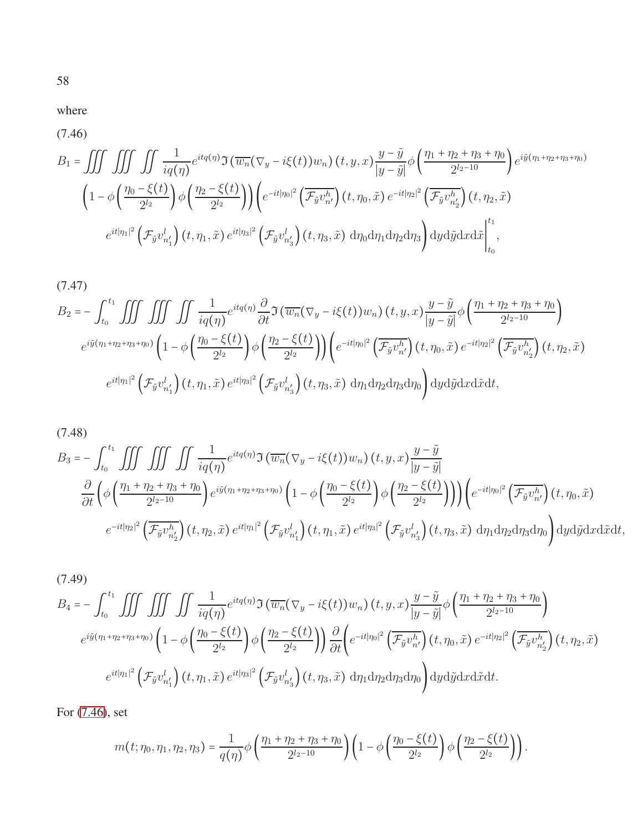where

<span id="page-57-0"></span>
$$
(7.46)
$$
\n
$$
B_1 = \iiint \iiint \iiint \frac{1}{iq(\eta)} e^{itq(\eta)} \mathfrak{I}(\overline{w_n}(\nabla_y - i\xi(t))w_n) (t, y, x) \frac{y - \tilde{y}}{|y - \tilde{y}|} \phi\left(\frac{\eta_1 + \eta_2 + \eta_3 + \eta_0}{2^{l_2 - 10}}\right) e^{i\tilde{y}(\eta_1 + \eta_2 + \eta_3 + \eta_0)} \left(1 - \phi\left(\frac{\eta_0 - \xi(t)}{2^{l_2}}\right) \phi\left(\frac{\eta_2 - \xi(t)}{2^{l_2}}\right)\right) \left(e^{-it|\eta_0|^2} \left(\overline{\mathcal{F}_{\tilde{y}} v_{n'}^h}\right)(t, \eta_0, \tilde{x}) e^{-it|\eta_2|^2} \left(\overline{\mathcal{F}_{\tilde{y}} v_{n'_2}^h}\right)(t, \eta_2, \tilde{x})\right)
$$
\n
$$
e^{it|\eta_1|^2} \left(\mathcal{F}_{\tilde{y}} v_{n'_1}^l\right)(t, \eta_1, \tilde{x}) e^{it|\eta_3|^2} \left(\mathcal{F}_{\tilde{y}} v_{n'_3}^l\right)(t, \eta_3, \tilde{x}) d\eta_0 d\eta_1 d\eta_2 d\eta_3\right) dy d\tilde{y} dx d\tilde{x} \Big|_{t_0}^{t_1},
$$

<span id="page-57-1"></span>
$$
(7.47)
$$
\n
$$
B_2 = -\int_{t_0}^{t_1} \iiint \iiint \iiint \frac{1}{iq(\eta)} e^{itq(\eta)} \frac{\partial}{\partial t} \mathfrak{I} \left( \overline{w_n} (\nabla_y - i\xi(t)) w_n \right) (t, y, x) \frac{y - \tilde{y}}{|y - \tilde{y}|} \phi \left( \frac{\eta_1 + \eta_2 + \eta_3 + \eta_0}{2^{l_2 - 10}} \right)
$$
\n
$$
e^{i\tilde{y}(\eta_1 + \eta_2 + \eta_3 + \eta_0)} \left( 1 - \phi \left( \frac{\eta_0 - \xi(t)}{2^{l_2}} \right) \phi \left( \frac{\eta_2 - \xi(t)}{2^{l_2}} \right) \right) \left( e^{-it|\eta_0|^2} \left( \overline{\mathcal{F}_{\tilde{y}} v_{n'}^h} \right) (t, \eta_0, \tilde{x}) e^{-it|\eta_2|^2} \left( \overline{\mathcal{F}_{\tilde{y}} v_{n'_2}^h} \right) (t, \eta_2, \tilde{x}) \right)
$$
\n
$$
e^{it|\eta_1|^2} \left( \mathcal{F}_{\tilde{y}} v_{n'_1}^l \right) (t, \eta_1, \tilde{x}) e^{it|\eta_3|^2} \left( \mathcal{F}_{\tilde{y}} v_{n'_3}^l \right) (t, \eta_3, \tilde{x}) d\eta_1 d\eta_2 d\eta_3 d\eta_0 \right) dy d\tilde{y} dx d\tilde{x} dt,
$$

<span id="page-57-2"></span>
$$
(7.48)
$$
\n
$$
B_{3} = -\int_{t_{0}}^{t_{1}} \iiint \iiint \iiint \frac{1}{iq(\eta)} e^{itq(\eta)} \mathfrak{I}(\overline{w_{n}}(\nabla_{y} - i\xi(t))w_{n}) (t, y, x) \frac{y - \tilde{y}}{|y - \tilde{y}|}
$$
\n
$$
\frac{\partial}{\partial t} \left( \phi \left( \frac{\eta_{1} + \eta_{2} + \eta_{3} + \eta_{0}}{2^{l_{2} - 10}} \right) e^{i\tilde{y}(\eta_{1} + \eta_{2} + \eta_{3} + \eta_{0})} \left( 1 - \phi \left( \frac{\eta_{0} - \xi(t)}{2^{l_{2}}} \right) \phi \left( \frac{\eta_{2} - \xi(t)}{2^{l_{2}}} \right) \right) \right) \left( e^{-it|\eta_{0}|^{2}} \left( \overline{\mathcal{F}_{\tilde{y}} v_{n'}^{h}} \right) (t, \eta_{0}, \tilde{x}) \right)
$$
\n
$$
e^{-it|\eta_{2}|^{2}} \left( \overline{\mathcal{F}_{\tilde{y}} v_{n'_{2}}^{h}} \right) (t, \eta_{2}, \tilde{x}) e^{it|\eta_{1}|^{2}} \left( \mathcal{F}_{\tilde{y}} v_{n'_{1}}^{l} \right) (t, \eta_{1}, \tilde{x}) e^{it|\eta_{3}|^{2}} \left( \mathcal{F}_{\tilde{y}} v_{n'_{3}}^{l} \right) (t, \eta_{3}, \tilde{x}) d\eta_{1} d\eta_{2} d\eta_{3} d\eta_{0} \right) dyd\tilde{y}dxd\tilde{x}dt,
$$

<span id="page-57-3"></span>
$$
(7.49)
$$
\n
$$
B_4 = -\int_{t_0}^{t_1} \iiint \iiint \iiint \frac{1}{iq(\eta)} e^{itq(\eta)} \mathfrak{I}(\overline{w_n}(\nabla_y - i\xi(t))w_n) (t, y, x) \frac{y - \tilde{y}}{|y - \tilde{y}|} \phi\left(\frac{\eta_1 + \eta_2 + \eta_3 + \eta_0}{2^{l_2 - 10}}\right)
$$
\n
$$
e^{i\tilde{y}(\eta_1 + \eta_2 + \eta_3 + \eta_0)} \left(1 - \phi\left(\frac{\eta_0 - \xi(t)}{2^{l_2}}\right) \phi\left(\frac{\eta_2 - \xi(t)}{2^{l_2}}\right)\right) \frac{\partial}{\partial t} \left(e^{-it|\eta_0|^2} \left(\overline{\mathcal{F}_{\tilde{y}} v_{n'}^h}\right)(t, \eta_0, \tilde{x}) e^{-it|\eta_2|^2} \left(\overline{\mathcal{F}_{\tilde{y}} v_{n'_2}^h}\right)(t, \eta_2, \tilde{x})
$$
\n
$$
e^{it|\eta_1|^2} \left(\mathcal{F}_{\tilde{y}} v_{n'_1}^l\right)(t, \eta_1, \tilde{x}) e^{it|\eta_3|^2} \left(\mathcal{F}_{\tilde{y}} v_{n'_3}^l\right)(t, \eta_3, \tilde{x}) d\eta_1 d\eta_2 d\eta_3 d\eta_0\right) dyd\tilde{y}dxd\tilde{x}dt.
$$

For [\(7.46\)](#page-57-0), set

$$
m(t; \eta_0, \eta_1, \eta_2, \eta_3) = \frac{1}{q(\eta)} \phi\left(\frac{\eta_1 + \eta_2 + \eta_3 + \eta_0}{2^{l_2 - 10}}\right) \left(1 - \phi\left(\frac{\eta_0 - \xi(t)}{2^{l_2}}\right) \phi\left(\frac{\eta_2 - \xi(t)}{2^{l_2}}\right)\right).
$$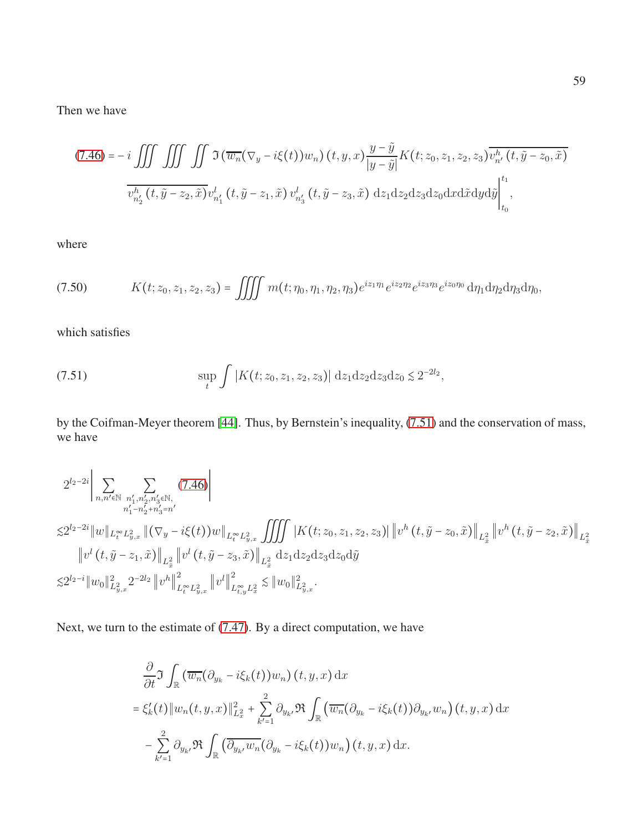Then we have

$$
(7.46) = -i \iiint\iiint\iiint \Im\left(\overline{w_n}(\nabla_y - i\xi(t))w_n\right)(t, y, x)\frac{y - \tilde{y}}{|y - \tilde{y}|}K(t; z_0, z_1, z_2, z_3)\overline{v_{n'}^h(t, \tilde{y} - z_0, \tilde{x})}
$$

$$
\overline{v_{n'_2}^h(t, \tilde{y} - z_2, \tilde{x})}v_{n'_1}^l(t, \tilde{y} - z_1, \tilde{x})v_{n'_3}^l(t, \tilde{y} - z_3, \tilde{x}) dz_1 dz_2 dz_3 dz_0 dx d\tilde{x} dy d\tilde{y}\Big|_{t_0}^{t_1},
$$

where

<span id="page-58-1"></span>
$$
(7.50) \t K(t; z_0, z_1, z_2, z_3) = \iiint m(t; \eta_0, \eta_1, \eta_2, \eta_3) e^{iz_1 \eta_1} e^{iz_2 \eta_2} e^{iz_3 \eta_3} e^{iz_0 \eta_0} d\eta_1 d\eta_2 d\eta_3 d\eta_0,
$$

which satisfies

<span id="page-58-0"></span>(7.51) 
$$
\sup_{t} \int |K(t; z_0, z_1, z_2, z_3)| dz_1 dz_2 dz_3 dz_0 \lesssim 2^{-2l_2},
$$

by the Coifman-Meyer theorem [\[44\]](#page-68-21). Thus, by Bernstein's inequality, [\(7.51\)](#page-58-0) and the conservation of mass, we have

$$
\label{eq:2-2i} \begin{split} &2^{l_2-2i}\bigg|\sum_{n,n'\in\mathbb{N}}\sum_{\substack{n'_1,n'_2,n'_3\in\mathbb{N},\\ n'_1-n'_2+n'_3=n'}}\left(7.46\right)\bigg|\\ \lesssim&2^{l_2-2i}\|w\|_{L^\infty_tL^2_{y,x}}\left\|\left(\nabla_y-i\xi(t)\right)w\right\|_{L^\infty_tL^2_{y,x}}\iiint\limits_{L^2_x}\left|K(t;z_0,z_1,z_2,z_3)\right|\left\|v^h\left(t,\tilde{y}-z_0,\tilde{x}\right)\right\|_{L^2_x}\left\|v^h\left(t,\tilde{y}-z_2,\tilde{x}\right)\right\|_{L^2_x}\\ \left\|v^l\left(t,\tilde{y}-z_1,\tilde{x}\right)\right\|_{L^2_x}\left\|v^l\left(t,\tilde{y}-z_3,\tilde{x}\right)\right\|_{L^2_x}\mathrm{d}z_1\mathrm{d}z_2\mathrm{d}z_3\mathrm{d}z_0\mathrm{d}\tilde{y}\\ \lesssim&2^{l_2-i}\|w_0\|_{L^2_{y,x}}^2\,2^{-2l_2}\left\|v^h\right\|_{L^\infty_tL^2_{y,x}}^2\left\|v^l\right\|_{L^\infty_{t,y}L^2_x}^2\lesssim\|w_0\|_{L^2_{y,x}}^2. \end{split}
$$

Next, we turn to the estimate of [\(7.47\)](#page-57-1). By a direct computation, we have

$$
\frac{\partial}{\partial t} \mathfrak{I} \int_{\mathbb{R}} \left( \overline{w_n} (\partial_{y_k} - i\xi_k(t)) w_n \right) (t, y, x) dx
$$
\n
$$
= \xi'_k(t) \|w_n(t, y, x)\|_{L_x^2}^2 + \sum_{k'=1}^2 \partial_{y_{k'}} \Re \int_{\mathbb{R}} \left( \overline{w_n} (\partial_{y_k} - i\xi_k(t)) \partial_{y_{k'}} w_n \right) (t, y, x) dx
$$
\n
$$
- \sum_{k'=1}^2 \partial_{y_{k'}} \Re \int_{\mathbb{R}} \left( \overline{\partial_{y_{k'}} w_n} (\partial_{y_k} - i\xi_k(t)) w_n \right) (t, y, x) dx.
$$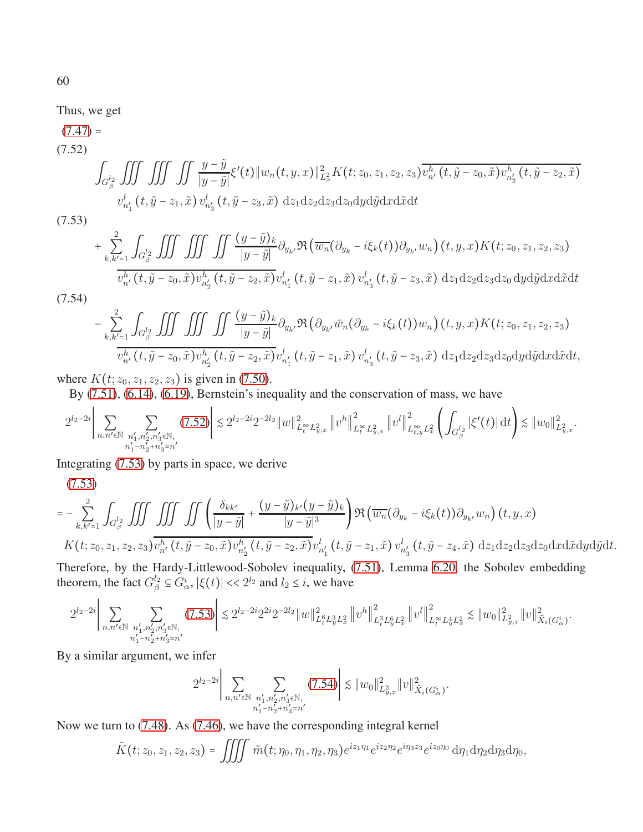Thus, we get

<span id="page-59-0"></span>(7.47) =  
\n(7.52)  
\n
$$
\int_{G_{\beta}^{l_2}} \iiint \iiint \iiint \frac{y - \tilde{y}}{|y - \tilde{y}|} \xi'(t) \|w_n(t, y, x)\|_{L_x^2}^2 K(t; z_0, z_1, z_2, z_3) \overline{v_{n'}^h(t, \tilde{y} - z_0, \tilde{x})} v_{n'_2}^h(t, \tilde{y} - z_2, \tilde{x})
$$
\n
$$
v_{n'_1}^l(t, \tilde{y} - z_1, \tilde{x}) v_{n'_3}^l(t, \tilde{y} - z_3, \tilde{x}) dz_1 dz_2 dz_3 dz_0 dy d\tilde{y} dx d\tilde{x} dt
$$
\n(7.53)

<span id="page-59-1"></span> $(7.53)$ 

+ 
$$
\sum_{k,k'=1}^{2} \int_{G_{\beta}^{l_2}} \iiint \iiint \iiint \underbrace{\iint \psi - \tilde{y} \psi_{k}}_{|y-\tilde{y}|} \partial_{y_{k'}} \Re \left( \overline{w_n} (\partial_{y_k} - i\xi_k(t)) \partial_{y_{k'}} w_n \right) (t, y, x) K(t; z_0, z_1, z_2, z_3)
$$
  

$$
\overline{v_{n'}^h(t, \tilde{y}-z_0, \tilde{x}) v_{n'_2}^h(t, \tilde{y}-z_2, \tilde{x}) v_{n'_1}^l(t, \tilde{y}-z_1, \tilde{x}) v_{n'_3}^l(t, \tilde{y}-z_3, \tilde{x}) dz_1 dz_2 dz_3 dz_0 dy d\tilde{y} dx d\tilde{x} dt
$$

<span id="page-59-2"></span>(7.54)

$$
-\sum_{k,k'=1}^2 \int_{G_{\beta}^{l_2}} \iiint \iiint \iiint \underbrace{\iint \psi - \tilde{y} \psi_{k'}}_{[y-\tilde{y}]} \partial_{y_{k'}} \Re \left( \partial_{y_{k'}} \bar{w}_n (\partial_{y_k} - i\xi_k(t)) w_n \right) (t, y, x) K(t; z_0, z_1, z_2, z_3)
$$
  

$$
\frac{\partial}{\partial y_{n'}} (t, \tilde{y} - z_0, \tilde{x}) v_{n'_2}^h (t, \tilde{y} - z_2, \tilde{x}) v_{n'_1}^l (t, \tilde{y} - z_1, \tilde{x}) v_{n'_3}^l (t, \tilde{y} - z_3, \tilde{x}) dz_1 dz_2 dz_3 dz_0 dy d\tilde{y} dx d\tilde{x} dt,
$$

where  $K(t; z_0, z_1, z_2, z_3)$  is given in [\(7.50\)](#page-58-1).

By [\(7.51\)](#page-58-0), [\(6.14\)](#page-30-2), [\(6.19\)](#page-30-10), Bernstein's inequality and the conservation of mass, we have

$$
2^{l_2-2i} \left| \sum_{n,n' \in \mathbb{N}} \sum_{\substack{n'_1,n'_2,n'_3 \in \mathbb{N}, \\ n'_1-n'_2+n'_3 = n'}} (7.52) \right| \lesssim 2^{l_2-2i} 2^{-2l_2} \|w\|_{L_t^\infty L_{y,x}^2}^2 \|v^h\|_{L_t^\infty L_{y,x}^2}^2 \|v^l\|_{L_{t,y}^\infty L_x^2}^2 \left( \int_{G_{\beta}^{l_2}} |\xi'(t)| \, \mathrm{d}t \right) \lesssim \|w_0\|_{L_{y,x}^2}^2.
$$

Integrating [\(7.53\)](#page-59-1) by parts in space, we derive

$$
(7.53)
$$
\n
$$
= -\sum_{k,k'=1}^{2} \int_{G_{\beta}^{l_2}} \iiint \iiint \iiint \left( \frac{\delta_{kk'}}{|y-\tilde{y}|} + \frac{(y-\tilde{y})_{k'}(y-\tilde{y})_k}{|y-\tilde{y}|^3} \right) \Re \left( \overline{w_n} (\partial_{y_k} - i\xi_k(t)) \partial_{y_{k'}} w_n \right) (t, y, x)
$$
\n
$$
K(t; z_0, z_1, z_2, z_3) \overline{v_{n'}^h (t, \tilde{y}-z_0, \tilde{x}) v_{n'_2}^h (t, \tilde{y}-z_2, \tilde{x})} v_{n'_1}^l (t, \tilde{y}-z_1, \tilde{x}) v_{n'_3}^l (t, \tilde{y}-z_4, \tilde{x}) dz_1 dz_2 dz_3 dz_0 dx d\tilde{x} dy d\tilde{y} dt.
$$

Therefore, by the Hardy-Littlewood-Sobolev inequality, [\(7.51\)](#page-58-0), Lemma [6.20,](#page-32-3) the Sobolev embedding theorem, the fact  $G_{\beta}^{l_2}$  $\left|\frac{a_2}{\beta} \subseteq G_\alpha^i, |\xi(t)| \ll 2^{l_2}$  and  $l_2 \leq i$ , we have

$$
2^{l_2-2i}\left|\sum_{n,n'\in\mathbb{N}}\sum_{\substack{n'_1,n'_2,n'_3\in\mathbb{N},\\ n'_1-n'_2+n'_3=n'}}(7.53)\right|\lesssim 2^{l_2-2i}2^{2i}2^{-2l_2}\|w\|_{L^6_tL^3_yL^2_x}^2\left\|v^h\right\|_{L^3_tL^6_yL^2_x}^2\left\|v^l\right\|_{L^\infty_tL^4_yL^2_x}^2\lesssim \|w_0\|_{L^2_{y,x}}^2\|v\|_{\tilde{X}_i(G^i_\alpha)}^2.
$$

By a similar argument, we infer

$$
2^{l_2-2i}\left|\sum_{n,n'\in\mathbb{N}}\sum_{\substack{n'_1,n'_2,n'_3\in\mathbb{N},\\ n'_1-n'_2+n'_3=n'}}(7.54)\right|\lesssim\|w_0\|_{L_{y,x}^2}^2\|v\|_{\tilde{X}_i(G_\alpha^i)}^2.
$$

Now we turn to [\(7.48\)](#page-57-2). As [\(7.46\)](#page-57-0), we have the corresponding integral kernel

$$
\tilde{K}(t; z_0, z_1, z_2, z_3) = \iiint \tilde{m}(t; \eta_0, \eta_1, \eta_2, \eta_3) e^{iz_1 \eta_1} e^{iz_2 \eta_2} e^{i \eta_3 z_3} e^{iz_0 \eta_0} d\eta_1 d\eta_2 d\eta_3 d\eta_0,
$$

60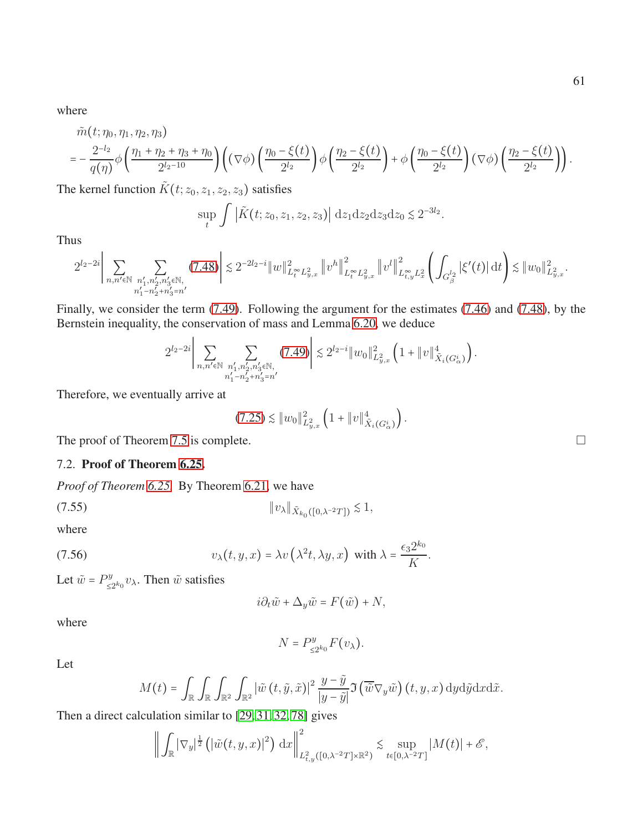where

$$
\tilde{m}(t; \eta_0, \eta_1, \eta_2, \eta_3) = -\frac{2^{-l_2}}{q(\eta)} \phi \left( \frac{\eta_1 + \eta_2 + \eta_3 + \eta_0}{2^{l_2 - 10}} \right) \left( (\nabla \phi) \left( \frac{\eta_0 - \xi(t)}{2^{l_2}} \right) \phi \left( \frac{\eta_2 - \xi(t)}{2^{l_2}} \right) + \phi \left( \frac{\eta_0 - \xi(t)}{2^{l_2}} \right) (\nabla \phi) \left( \frac{\eta_2 - \xi(t)}{2^{l_2}} \right) \right).
$$

The kernel function  $\tilde{K}(t; z_0, z_1, z_2, z_3)$  satisfies

$$
\sup_{t} \int \left| \tilde{K}(t; z_0, z_1, z_2, z_3) \right| \, \mathrm{d}z_1 \mathrm{d}z_2 \mathrm{d}z_3 \mathrm{d}z_0 \lesssim 2^{-3l_2}.
$$

Thus

$$
2^{l_2-2i} \left| \sum_{n,n' \in \mathbb{N}} \sum_{\substack{n'_1,n'_2,n'_3 \in \mathbb{N}, \\ n'_1-n'_2+n'_3 = n'}} (7.48) \right| \lesssim 2^{-2l_2-i} \|w\|_{L_t^\infty L_{y,x}^2}^2 \|v^h\|_{L_t^\infty L_{y,x}^2}^2 \|v^l\|_{L_{t,y}^\infty L_x^2}^2 \left( \int_{G_\beta^{l_2}} |\xi'(t)| \, \mathrm{d}t \right) \lesssim \|w_0\|_{L_{y,x}^2}^2.
$$

Finally, we consider the term [\(7.49\)](#page-57-3). Following the argument for the estimates [\(7.46\)](#page-57-0) and [\(7.48\)](#page-57-2), by the Bernstein inequality, the conservation of mass and Lemma [6.20,](#page-32-3) we deduce

$$
2^{l_2-2i} \left| \sum_{n,n' \in \mathbb{N}} \sum_{\substack{n'_1,n'_2,n'_3 \in \mathbb{N}, \\ n'_1-n'_2+n'_3=n'}} (7.49) \right| \lesssim 2^{l_2-i} \|w_0\|_{L^2_{y,x}}^2 \left(1 + \|v\|_{\tilde{X}_i(G_\alpha)}^4\right).
$$

Therefore, we eventually arrive at

$$
(7.25) \lesssim \|w_0\|_{L_{y,x}^2}^2 \left(1 + \|v\|_{\tilde{X}_i(G_\alpha^i)}^4\right).
$$

<span id="page-60-0"></span>The proof of Theorem [7.5](#page-46-0) is complete.  $\Box$ 

# 7.2. Proof of Theorem [6.25.](#page-38-2)

*Proof of Theorem [6.25.](#page-38-2)* By Theorem [6.21,](#page-32-1) we have

<span id="page-60-1"></span>∥vλ∥X˜ k0 ([0,λ−2T]) (7.55) ≲ 1,

where

<span id="page-60-2"></span>(7.56) 
$$
v_{\lambda}(t,y,x) = \lambda v(\lambda^2 t, \lambda y, x) \text{ with } \lambda = \frac{\epsilon_3 2^{k_0}}{K}.
$$

Let  $\tilde{w} = P^y$  $\sum_{\leq 2^{k_0}}^{\infty} v_{\lambda}$ . Then  $\tilde{w}$  satisfies

$$
i\partial_t \tilde{w} + \Delta_y \tilde{w} = F(\tilde{w}) + N,
$$

where

$$
N=P^y_{\leq 2^{k_0}}F(v_\lambda).
$$

Let

$$
M(t)=\int_{\mathbb{R}}\int_{\mathbb{R}}\int_{\mathbb{R}^2}\int_{\mathbb{R}^2} \left|\tilde{w}\left(t,\tilde{y},\tilde{x}\right)\right|^2\frac{y-\tilde{y}}{\left|y-\tilde{y}\right|} \Im\left(\overline{\tilde{w}}\nabla_y \tilde{w}\right)(t,y,x)\, \mathrm{d}y\mathrm{d}\tilde{y}\mathrm{d}x\mathrm{d}\tilde{x}.
$$

Then a direct calculation similar to [\[29,](#page-68-0) [31,](#page-68-1) [32,](#page-68-2) [78\]](#page-69-14) gives

$$
\left\| \int_{\mathbb{R}} |\nabla_y|^{\frac{1}{2}} \left( |\tilde{w}(t,y,x)|^2 \right) dx \right\|_{L^2_{t,y}([0,\lambda^{-2}T] \times \mathbb{R}^2)}^2 \lesssim \sup_{t \in [0,\lambda^{-2}T]} |M(t)| + \mathscr{E},
$$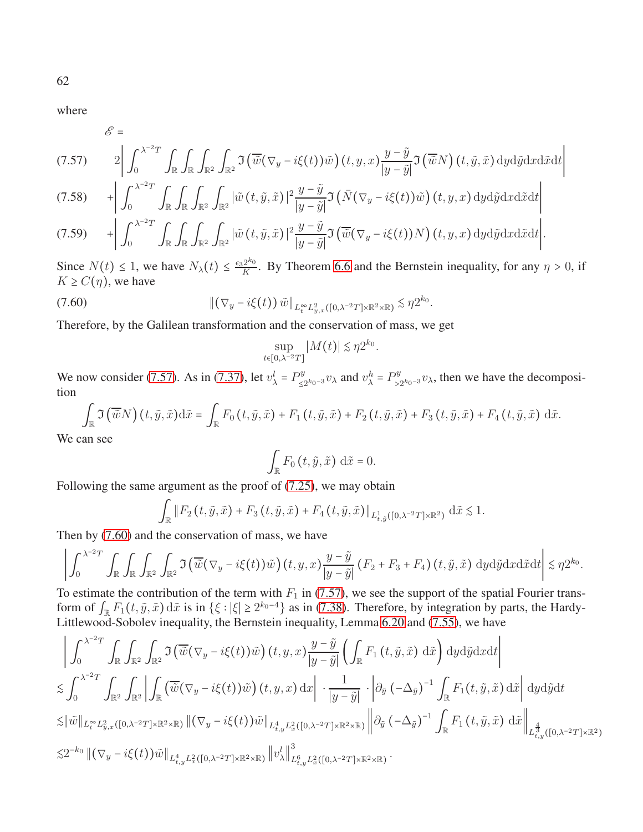where

 $\mathscr{E}$  =

<span id="page-61-0"></span>
$$
(7.57) \qquad 2\bigg|\int_0^{\lambda^{-2}T}\int_{\mathbb{R}}\int_{\mathbb{R}^2}\int_{\mathbb{R}^2}\int_{\mathbb{R}^2}\Im\left(\overline{\tilde{w}}(\nabla_y-i\xi(t))\tilde{w}\right)(t,y,x)\frac{y-\tilde{y}}{|y-\tilde{y}|}\Im\left(\overline{\tilde{w}}N\right)(t,\tilde{y},\tilde{x})\,\mathrm{d}y\mathrm{d}\tilde{y}\mathrm{d}x\mathrm{d}\tilde{x}\mathrm{d}t\bigg|\bigg|
$$

<span id="page-61-2"></span>
$$
(7.58) \qquad + \left| \int_0^{\lambda^{-2}T} \int_{\mathbb{R}} \int_{\mathbb{R}} \int_{\mathbb{R}^2} \int_{\mathbb{R}^2} |\tilde{w}(t, \tilde{y}, \tilde{x})|^2 \frac{y - \tilde{y}}{|y - \tilde{y}|} \Im \left( \bar{N} (\nabla_y - i\xi(t)) \tilde{w} \right) (t, y, x) \, dy \, d\tilde{y} \, dx \, d\tilde{x} \, dt \right|
$$

<span id="page-61-3"></span>
$$
(7.59) \qquad \qquad + \bigg|\int_0^{\lambda^{-2}T}\int_{\mathbb{R}}\int_{\mathbb{R}}\int_{\mathbb{R}^2}\int_{\mathbb{R}^2}|\tilde{w}(t,\tilde{y},\tilde{x})|^2\frac{y-\tilde{y}}{|y-\tilde{y}|}\Im\left(\overline{\tilde{w}}(\nabla_y-i\xi(t))N\right)(t,y,x)\mathrm{d}y\mathrm{d}\tilde{y}\mathrm{d}x\mathrm{d}\tilde{x}\mathrm{d}t\bigg|.
$$

Since  $N(t) \leq 1$ , we have  $N_{\lambda}(t) \leq \frac{\epsilon_3 2^{k_0}}{K}$  $\frac{2^{k_0}}{K}$ . By Theorem [6.6](#page-27-1) and the Bernstein inequality, for any  $\eta > 0$ , if  $K \ge C(\eta)$ , we have

<span id="page-61-1"></span>
$$
\|(\nabla_y - i\xi(t))\,\tilde{w}\|_{L_t^\infty L_{y,x}^2([0,\lambda^{-2}T]\times\mathbb{R}^2\times\mathbb{R})}\lesssim \eta 2^{k_0}.
$$

Therefore, by the Galilean transformation and the conservation of mass, we get

$$
\sup_{t\in[0,\lambda^{-2}T]}|M(t)|\lesssim \eta 2^{k_0}.
$$

We now consider [\(7.57\)](#page-61-0). As in [\(7.37\)](#page-52-1), let  $v^l_{\lambda} = P^y_{\leq \lambda}$  $\sum_{k=2^{k_0-3}}^{y} v_{\lambda}$  and  $v_{\lambda}^h = P_{>0}^y$  $\sum_{k=2}^{30} v_{k}$ , then we have the decomposition

$$
\int_{\mathbb{R}} \mathfrak{I}\left(\overline{\tilde{w}}N\right)(t,\tilde{y},\tilde{x})\mathrm{d}\tilde{x} = \int_{\mathbb{R}} F_0\left(t,\tilde{y},\tilde{x}\right) + F_1\left(t,\tilde{y},\tilde{x}\right) + F_2\left(t,\tilde{y},\tilde{x}\right) + F_3\left(t,\tilde{y},\tilde{x}\right) + F_4\left(t,\tilde{y},\tilde{x}\right)\mathrm{d}\tilde{x}.
$$

We can see

$$
\int_{\mathbb{R}} F_0(t, \tilde{y}, \tilde{x}) \, d\tilde{x} = 0.
$$

Following the same argument as the proof of [\(7.25\)](#page-48-2), we may obtain

$$
\int_{\mathbb{R}}\|F_2(t,\tilde{y},\tilde{x})+F_3(t,\tilde{y},\tilde{x})+F_4(t,\tilde{y},\tilde{x})\|_{L^1_{t,\tilde{y}}([0,\lambda^{-2}T]\times\mathbb{R}^2)}\,\mathrm{d}\tilde{x}\lesssim 1.
$$

Then by [\(7.60\)](#page-61-1) and the conservation of mass, we have

$$
\left|\int_0^{\lambda^{-2}T}\int_{\mathbb{R}}\int_{\mathbb{R}}\int_{\mathbb{R}^2}\int_{\mathbb{R}^2}\Im\left(\overline{\tilde{w}}(\nabla_y-i\xi(t))\tilde{w}\right)(t,y,x)\frac{y-\tilde{y}}{|y-\tilde{y}|}\left(F_2+F_3+F_4\right)(t,\tilde{y},\tilde{x})\,dyd\tilde{y}dxd\tilde{x}dt\right|\lesssim \eta 2^{k_0}.
$$

To estimate the contribution of the term with  $F_1$  in [\(7.57\)](#page-61-0), we see the support of the spatial Fourier transform of  $\int_{\mathbb{R}} F_1(t, \tilde{y}, \tilde{x}) d\tilde{x}$  is in  $\{\xi : |\xi| \ge 2^{k_0-4}\}$  as in [\(7.38\)](#page-53-1). Therefore, by integration by parts, the Hardy-Littlewood-Sobolev inequality, the Bernstein inequality, Lemma [6.20](#page-32-3) and [\(7.55\)](#page-60-1), we have

$$
\left| \int_{0}^{\lambda^{-2}T} \int_{\mathbb{R}} \int_{\mathbb{R}^{2}} \int_{\mathbb{R}^{2}} \int_{\mathbb{R}^{2}} \mathfrak{I}(\overline{\tilde{w}}(\nabla_{y}-i\xi(t))\tilde{w}) (t,y,x) \frac{y-\tilde{y}}{|y-\tilde{y}|} \left( \int_{\mathbb{R}} F_{1}(t,\tilde{y},\tilde{x}) d\tilde{x} \right) dy d\tilde{y} dxdt \right|
$$
  
\n
$$
\lesssim \int_{0}^{\lambda^{-2}T} \int_{\mathbb{R}^{2}} \int_{\mathbb{R}^{2}} \int_{\mathbb{R}^{2}} \left| \int_{\mathbb{R}} (\overline{\tilde{w}}(\nabla_{y}-i\xi(t))\tilde{w}) (t,y,x) dx \right| \cdot \frac{1}{|y-\tilde{y}|} \cdot \left| \partial_{\tilde{y}} (-\Delta_{\tilde{y}})^{-1} \int_{\mathbb{R}} F_{1}(t,\tilde{y},\tilde{x}) d\tilde{x} \right| dy d\tilde{y} dt
$$
  
\n
$$
\lesssim \|\tilde{w}\|_{L_{t}^{\infty}L_{y,x}^{2}([0,\lambda^{-2}T]\times\mathbb{R}^{2}\times\mathbb{R})} \|(\nabla_{y}-i\xi(t))\tilde{w}\|_{L_{t,y}^{4}L_{x}^{2}([0,\lambda^{-2}T]\times\mathbb{R}^{2}\times\mathbb{R})} \left\| \partial_{\tilde{y}} (-\Delta_{\tilde{y}})^{-1} \int_{\mathbb{R}} F_{1}(t,\tilde{y},\tilde{x}) d\tilde{x} \right\|_{L_{t,y}^{\frac{4}{3}}([0,\lambda^{-2}T]\times\mathbb{R}^{2})}
$$
  
\n
$$
\lesssim 2^{-k_{0}} \|(\nabla_{y}-i\xi(t))\tilde{w}\|_{L_{t,y}^{4}L_{x}^{2}([0,\lambda^{-2}T]\times\mathbb{R}^{2}\times\mathbb{R})} \|v_{\lambda}^{\dagger}\|_{L_{t,y}^{6}L_{x}^{2}([0,\lambda^{-2}T]\times\mathbb{R}^{2}\times\mathbb{R})}^{3}.
$$

62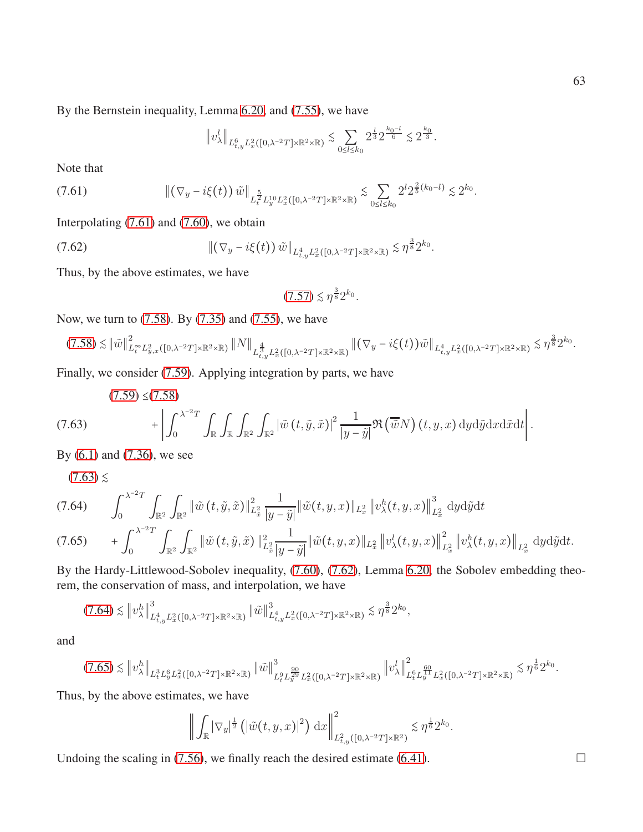By the Bernstein inequality, Lemma [6.20,](#page-32-3) and [\(7.55\)](#page-60-1), we have

$$
||v^l_{\lambda}||_{L^6_{t,y}L^2_x([0,\lambda^{-2}T]\times\mathbb{R}^2\times\mathbb{R})} \lesssim \sum_{0 \le l \le k_0} 2^{\frac{l}{3}} 2^{\frac{k_0-l}{6}} \lesssim 2^{\frac{k_0}{3}}.
$$

Note that

<span id="page-62-0"></span>
$$
(7.61) \t\t\t\t\t\|\left(\nabla_y - i\xi(t)\right) \tilde{w}\|_{L_t^{\frac{5}{2}} L_y^{10} L_x^2([0,\lambda^{-2}T] \times \mathbb{R}^2 \times \mathbb{R})} \lesssim \sum_{0 \le l \le k_0} 2^l 2^{\frac{2}{5}(k_0 - l)} \lesssim 2^{k_0}.
$$

Interpolating [\(7.61\)](#page-62-0) and [\(7.60\)](#page-61-1), we obtain

<span id="page-62-2"></span>(7.62) 
$$
\|(\nabla_y - i\xi(t))\,\tilde{w}\|_{L^4_{t,y}L^2_x([0,\lambda^{-2}T]\times\mathbb{R}^2\times\mathbb{R})}\lesssim \eta^{\frac{3}{8}}2^{k_0}.
$$

Thus, by the above estimates, we have

$$
(7.57) \lesssim \eta^{\frac{3}{8}} 2^{k_0}.
$$

Now, we turn to [\(7.58\)](#page-61-2). By [\(7.35\)](#page-51-0) and [\(7.55\)](#page-60-1), we have

$$
(7.58) \lesssim \|\tilde{w}\|_{L_t^\infty L_{y,x}^2([0,\lambda^{-2}T]\times\mathbb{R}^2\times\mathbb{R})}^2 \|N\|_{L_{t,y}^{\frac{4}{3}} L_x^2([0,\lambda^{-2}T]\times\mathbb{R}^2\times\mathbb{R})} \|(\nabla_y - i\xi(t))\tilde{w}\|_{L_{t,y}^4 L_x^2([0,\lambda^{-2}T]\times\mathbb{R}^2\times\mathbb{R})} \lesssim \eta^{\frac{3}{8}} 2^{k_0}.
$$

Finally, we consider [\(7.59\)](#page-61-3). Applying integration by parts, we have

<span id="page-62-1"></span>
$$
(7.59) \leq (7.58)
$$
\n
$$
+ \left| \int_0^{\lambda^{-2}T} \int_{\mathbb{R}} \int_{\mathbb{R}^2} \int_{\mathbb{R}^2} |\tilde{w}(t, \tilde{y}, \tilde{x})|^2 \frac{1}{|y - \tilde{y}|} \Re(\overline{\tilde{w}} N)(t, y, x) \, dy \, d\tilde{y} \, dx \, d\tilde{x} \, dt \right|.
$$

By [\(6.1\)](#page-25-3) and [\(7.36\)](#page-52-0), we see

$$
(7.63) \lesssim
$$

<span id="page-62-3"></span>(7.64) 
$$
\int_0^{\lambda^{-2}T} \int_{\mathbb{R}^2} \int_{\mathbb{R}^2} \|\tilde{w}(t, \tilde{y}, \tilde{x})\|_{L_{\tilde{x}}^2}^2 \frac{1}{|y - \tilde{y}|} \|\tilde{w}(t, y, x)\|_{L_x^2} \left\|v_{\lambda}^h(t, y, x)\right\|_{L_x^2}^3 dyd\tilde{y}dt
$$

<span id="page-62-4"></span>
$$
(7.65) \qquad + \int_0^{\lambda^{-2}T} \int_{\mathbb{R}^2} \int_{\mathbb{R}^2} \|\tilde{w}(t,\tilde{y},\tilde{x})\|_{L^2_{\tilde{x}}}\frac{1}{|y-\tilde{y}|} \|\tilde{w}(t,y,x)\|_{L^2_{x}} \left\|v^l_{\lambda}(t,y,x)\right\|_{L^2_{x}}^2 \left\|v^h_{\lambda}(t,y,x)\right\|_{L^2_{x}} dyd\tilde{y}dt.
$$

By the Hardy-Littlewood-Sobolev inequality, [\(7.60\)](#page-61-1), [\(7.62\)](#page-62-2), Lemma [6.20,](#page-32-3) the Sobolev embedding theorem, the conservation of mass, and interpolation, we have

$$
(7.64) \lesssim \|v_{\lambda}^{h}\|_{L_{t,y}^{4} L_{x}^{2}([0,\lambda^{-2}T] \times \mathbb{R}^{2} \times \mathbb{R})}^{3} \|\tilde{w}\|_{L_{t,y}^{4} L_{x}^{2}([0,\lambda^{-2}T] \times \mathbb{R}^{2} \times \mathbb{R})}^{3} \lesssim \eta^{\frac{3}{8}} 2^{k_{0}},
$$

and

$$
(7.65) \lesssim \|v_{\lambda}^{h}\|_{L_{t}^{3}L_{y}^{6}L_{x}^{2}([0,\lambda^{-2}T]\times\mathbb{R}^{2}\times\mathbb{R})} \|\tilde{w}\|_{L_{t}^{9}L_{y}^{\frac{90}{29}}L_{x}^{2}([0,\lambda^{-2}T]\times\mathbb{R}^{2}\times\mathbb{R})}^{3} \|v_{\lambda}^{l}\|_{L_{t}^{6}L_{y}^{\frac{60}{11}}L_{x}^{2}([0,\lambda^{-2}T]\times\mathbb{R}^{2}\times\mathbb{R})}^{2} \lesssim \eta^{\frac{1}{6}} 2^{k_{0}}.
$$

Thus, by the above estimates, we have

$$
\left\| \int_{\mathbb{R}} |\nabla_y|^{\frac{1}{2}} \left( |\tilde{w}(t,y,x)|^2 \right) dx \right\|_{L^2_{t,y}([0,\lambda^{-2}T] \times \mathbb{R}^2)}^2 \lesssim \eta^{\frac{1}{6}} 2^{k_0}.
$$

Undoing the scaling in [\(7.56\)](#page-60-2), we finally reach the desired estimate [\(6.41\)](#page-38-3).  $\Box$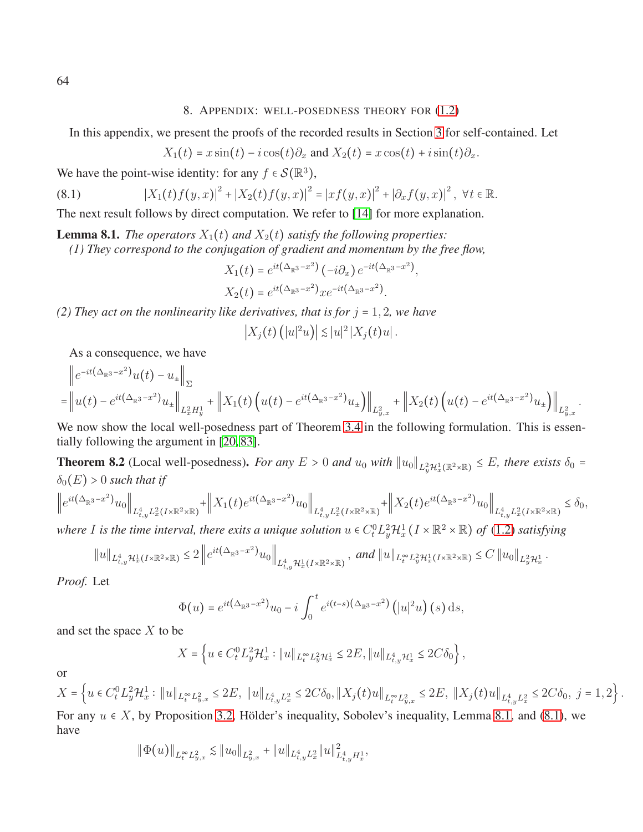# 8. APPENDIX: WELL-POSEDNESS THEORY FOR [\(1.2\)](#page-2-0)

In this appendix, we present the proofs of the recorded results in Section [3](#page-9-0) for self-contained. Let

$$
X_1(t) = x \sin(t) - i \cos(t) \partial_x
$$
 and  $X_2(t) = x \cos(t) + i \sin(t) \partial_x$ .

We have the point-wise identity: for any  $f \in \mathcal{S}(\mathbb{R}^3)$ ,

<span id="page-63-1"></span>(8.1) 
$$
|X_1(t)f(y,x)|^2 + |X_2(t)f(y,x)|^2 = |xf(y,x)|^2 + |\partial_x f(y,x)|^2, \ \forall t \in \mathbb{R}.
$$

The next result follows by direct computation. We refer to [\[14\]](#page-67-0) for more explanation.

<span id="page-63-0"></span>**Lemma 8.1.** *The operators*  $X_1(t)$  *and*  $X_2(t)$  *satisfy the following properties:* 

*(1) They correspond to the conjugation of gradient and momentum by the free flow,*

$$
X_1(t) = e^{it(\Delta_{\mathbb{R}^3} - x^2)} (-i\partial_x) e^{-it(\Delta_{\mathbb{R}^3} - x^2)},
$$
  
\n
$$
X_2(t) = e^{it(\Delta_{\mathbb{R}^3} - x^2)} x e^{-it(\Delta_{\mathbb{R}^3} - x^2)}.
$$

*(2) They act on the nonlinearity like derivatives, that is for*  $j = 1, 2$ *, we have* 

$$
\left|X_j(t)\left(|u|^2u\right)\right|\lesssim |u|^2\left|X_j(t)u\right|.
$$

As a consequence, we have

$$
\|e^{-it(\Delta_{\mathbb{R}^3}-x^2)}u(t)-u_{\pm}\|_{\Sigma} \\
= \|u(t)-e^{it(\Delta_{\mathbb{R}^3}-x^2)}u_{\pm}\|_{L_x^2H_y^1} + \|X_1(t)\left(u(t)-e^{it(\Delta_{\mathbb{R}^3}-x^2)}u_{\pm}\right)\|_{L_{y,x}^2} + \|X_2(t)\left(u(t)-e^{it(\Delta_{\mathbb{R}^3}-x^2)}u_{\pm}\right)\|_{L_{y,x}^2}.
$$

We now show the local well-posedness part of Theorem [3.4](#page-9-1) in the following formulation. This is essentially following the argument in [\[20,](#page-67-24) [83\]](#page-70-1).

**Theorem 8.2** (Local well-posedness). *For any*  $E > 0$  *and*  $u_0$  *with*  $||u_0||_{L_y^2 H_x^1(\mathbb{R}^2 \times \mathbb{R})} \leq E$ , *there exists*  $\delta_0 =$  $\delta_0(E) > 0$  *such that if* 

$$
\Big\|e^{it(\Delta_{\mathbb{R}^{3}}-x^{2})}u_{0}\Big\|_{L_{t,y}^{4}L_{x}^{2}(I\times \mathbb{R}^{2}\times \mathbb{R})}+\Big\|X_{1}(t)e^{it(\Delta_{\mathbb{R}^{3}}-x^{2})}u_{0}\Big\|_{L_{t,y}^{4}L_{x}^{2}(I\times \mathbb{R}^{2}\times \mathbb{R})}+\Big\|X_{2}(t)e^{it(\Delta_{\mathbb{R}^{3}}-x^{2})}u_{0}\Big\|_{L_{t,y}^{4}L_{x}^{2}(I\times \mathbb{R}^{2}\times \mathbb{R})}\leq \delta_{0},
$$

where I is the time interval, there exits a unique solution  $u \in C_t^0 L_y^2 H_x^1(I \times \mathbb{R}^2 \times \mathbb{R})$  of [\(1.2\)](#page-2-0) satisfying

$$
\|u\|_{L^4_{t,y}\mathcal{H}^1_x(I\times\mathbb{R}^2\times\mathbb{R})}\leq 2\left\|e^{it(\Delta_{\mathbb{R}^3}-x^2)}u_0\right\|_{L^4_{t,y}\mathcal{H}^1_x(I\times\mathbb{R}^2\times\mathbb{R})},\text{ and }\|u\|_{L^\infty_tL^2_y\mathcal{H}^1_x(I\times\mathbb{R}^2\times\mathbb{R})}\leq C\left\|u_0\right\|_{L^2_y\mathcal{H}^1_x}.
$$

*Proof.* Let

$$
\Phi(u) = e^{it(\Delta_{\mathbb{R}^3}-x^2)}u_0 - i \int_0^t e^{i(t-s)(\Delta_{\mathbb{R}^3}-x^2)} \left(|u|^2u\right)(s) \,ds,
$$

and set the space  $X$  to be

$$
X = \left\{ u \in C_t^0 L_y^2 \mathcal{H}_x^1 : \|u\|_{L_t^\infty L_y^2 \mathcal{H}_x^1} \leq 2E, \|u\|_{L_{t,y}^4 \mathcal{H}_x^1} \leq 2C \delta_0 \right\},
$$

or

 $X = \left\{ u \in C_t^0 L_y^2 \mathcal{H}_x^1 : ||u||_{L_t^\infty L_{y,x}^2} \leq 2E, ||u||_{L_{t,y}^4 L_x^2} \leq 2C\delta_0, ||X_j(t)u||_{L_t^\infty L_{y,x}^2} \leq 2E, ||X_j(t)u||_{L_{t,y}^4 L_x^2} \leq 2C\delta_0, j = 1, 2 \right\}.$ For any  $u \in X$ , by Proposition [3.2,](#page-9-2) Hölder's inequality, Sobolev's inequality, Lemma [8.1,](#page-63-0) and [\(8.1\)](#page-63-1), we have

$$
\|\Phi(u)\|_{L^\infty_t L^2_{y,x}} \lesssim \|u_0\|_{L^2_{y,x}} + \|u\|_{L^4_{t,y} L^2_x} \|u\|_{L^4_{t,y} H^1_x}^2,
$$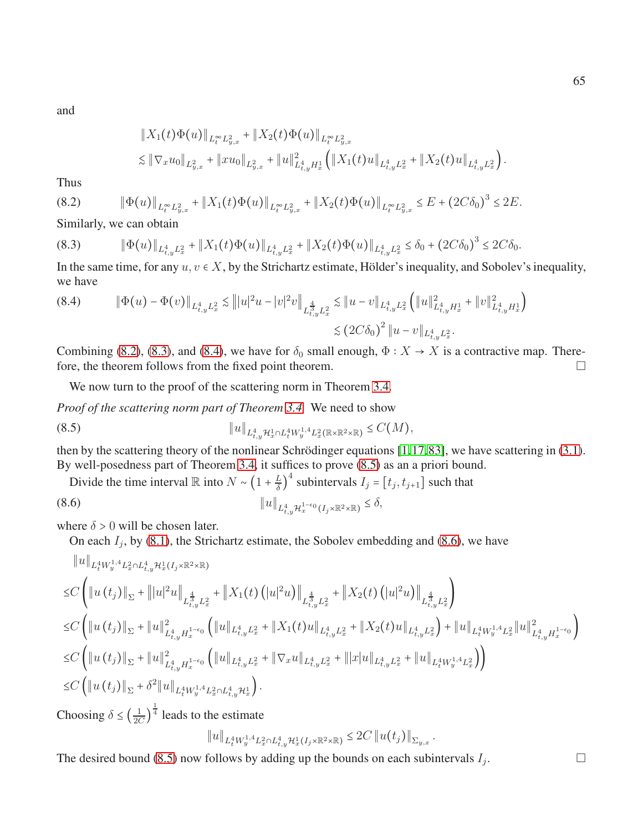and

$$
\|X_1(t)\Phi(u)\|_{L_t^\infty L_{y,x}^2} + \|X_2(t)\Phi(u)\|_{L_t^\infty L_{y,x}^2}
$$
  
\$\leq \|\nabla\_x u\_0\|\_{L\_{y,x}^2} + \|xu\_0\|\_{L\_{y,x}^2} + \|u\|\_{L\_{t,y}^4 H\_x^1}^2 (\|X\_1(t)u\|\_{L\_{t,y}^4 L\_x^2} + \|X\_2(t)u\|\_{L\_{t,y}^4 L\_x^2}).

Thus

<span id="page-64-0"></span>
$$
(8.2) \t\t\t\t\|\Phi(u)\|_{L_t^\infty L_{y,x}^2} + \|X_1(t)\Phi(u)\|_{L_t^\infty L_{y,x}^2} + \|X_2(t)\Phi(u)\|_{L_t^\infty L_{y,x}^2} \leq E + (2C\delta_0)^3 \leq 2E.
$$

Similarly, we can obtain

<span id="page-64-1"></span>
$$
(8.3) \t\t\t\t\|\Phi(u)\|_{L^4_{t,y}L^2_x} + \|X_1(t)\Phi(u)\|_{L^4_{t,y}L^2_x} + \|X_2(t)\Phi(u)\|_{L^4_{t,y}L^2_x} \leq \delta_0 + (2C\delta_0)^3 \leq 2C\delta_0.
$$

In the same time, for any  $u, v \in X$ , by the Strichartz estimate, Hölder's inequality, and Sobolev's inequality, we have

<span id="page-64-2"></span>
$$
(8.4) \qquad \|\Phi(u) - \Phi(v)\|_{L^4_{t,y}L^2_x} \lesssim \| |u|^2 u - |v|^2 v \|_{L^{\frac{4}{3}}_{t,y}L^2_x} \lesssim \|u - v\|_{L^4_{t,y}L^2_x} \left( \|u\|_{L^4_{t,y}H^1_x}^2 + \|v\|_{L^4_{t,y}H^1_x}^2 \right)
$$

$$
\lesssim (2C\delta_0)^2 \|u - v\|_{L^4_{t,y}L^2_x}.
$$

Combining [\(8.2\)](#page-64-0), [\(8.3\)](#page-64-1), and [\(8.4\)](#page-64-2), we have for  $\delta_0$  small enough,  $\Phi: X \to X$  is a contractive map. Therefore, the theorem follows from the fixed point theorem.

We now turn to the proof of the scattering norm in Theorem [3.4.](#page-9-1)

*Proof of the scattering norm part of Theorem [3.4.](#page-9-1)* We need to show

<span id="page-64-3"></span>(8.5) 
$$
\|u\|_{L_{t,y}^{4} \mathcal{H}_{x}^{1} \cap L_{t}^{4} W_{y}^{1,4} L_{x}^{2}(\mathbb{R} \times \mathbb{R}^{2} \times \mathbb{R})} \leq C(M),
$$

then by the scattering theory of the nonlinear Schrödinger equations  $[1,17,83]$  $[1,17,83]$  $[1,17,83]$ , we have scattering in  $(3.1)$ . By well-posedness part of Theorem [3.4,](#page-9-1) it suffices to prove [\(8.5\)](#page-64-3) as an a priori bound.

Divide the time interval R into  $N \sim \left(1 + \frac{L}{\delta}\right)$  $\frac{L}{\delta}$ <sup>4</sup> subintervals  $I_j = [t_j, t_{j+1}]$  such that

<span id="page-64-4"></span>(8.6) 
$$
\|u\|_{L^4_{t,y}\mathcal{H}^{1-\epsilon_0}_x(I_j\times\mathbb{R}^2\times\mathbb{R})}\leq \delta,
$$

where  $\delta > 0$  will be chosen later.

On each  $I_j$ , by [\(8.1\)](#page-63-1), the Strichartz estimate, the Sobolev embedding and [\(8.6\)](#page-64-4), we have

$$
\|u\|_{L_{t}^{4}W_{y}^{1,4}L_{x}^{2}\cap L_{t,y}^{4}\mathcal{H}_{x}^{1}(I_{j}\times\mathbb{R}^{2}\times\mathbb{R})}\n\leq C\left(\|u(t_{j})\|_{\Sigma}+\|u\|^{2}u\|_{L_{t,y}^{\frac{4}{3}}L_{x}^{2}}+\|X_{1}(t)\left(|u|^{2}u\right)\|_{L_{t,y}^{\frac{4}{3}}L_{x}^{2}}+\|X_{2}(t)\left(|u|^{2}u\right)\|_{L_{t,y}^{\frac{4}{3}}L_{x}^{2}}\right)\n\leq C\left(\|u(t_{j})\|_{\Sigma}+\|u\|_{L_{t,y}^{4}H_{x}^{1-\epsilon_{0}}^{1}}^{2}\left(\|u\|_{L_{t,y}^{4}L_{x}^{2}}+\|X_{1}(t)u\|_{L_{t,y}^{4}L_{x}^{2}}+\|X_{2}(t)u\|_{L_{t,y}^{4}L_{x}^{2}}\right)+\|u\|_{L_{t}^{4}W_{y}^{1,4}L_{x}^{2}}\|u\|_{L_{t,y}^{4}H_{x}^{1-\epsilon_{0}}^{2}}^{2}\right)\n\leq C\left(\|u(t_{j})\|_{\Sigma}+\|u\|_{L_{t,y}^{4}H_{x}^{1-\epsilon_{0}}^{1}}\left(\|u\|_{L_{t,y}^{4}L_{x}^{2}}+\|\nabla_{x}u\|_{L_{t,y}^{4}L_{x}^{2}}+\|x|u\|_{L_{t,y}^{4}L_{x}^{2}}+\|u\|_{L_{t}^{4}W_{y}^{1,4}L_{x}^{2}}\right)\right)\n\leq C\left(\|u(t_{j})\|_{\Sigma}+\delta^{2}\|u\|_{L_{t}^{4}W_{y}^{1,4}L_{x}^{2}\cap L_{t,y}^{4}\mathcal{H}_{x}^{1}}\right).
$$

Choosing  $\delta \leq \left(\frac{1}{2C}\right)$  $\frac{1}{2C}$  $\frac{1}{4}$  leads to the estimate

$$
\|u\|_{L^4_t W^{1,4}_y L^2_x \cap L^4_{t,y} \mathcal{H}^1_x(I_j \times \mathbb{R}^2 \times \mathbb{R})} \leq 2C \, \|u(t_j)\|_{\Sigma_{y,x}} \, .
$$

The desired bound [\(8.5\)](#page-64-3) now follows by adding up the bounds on each subintervals  $I_i$ .

.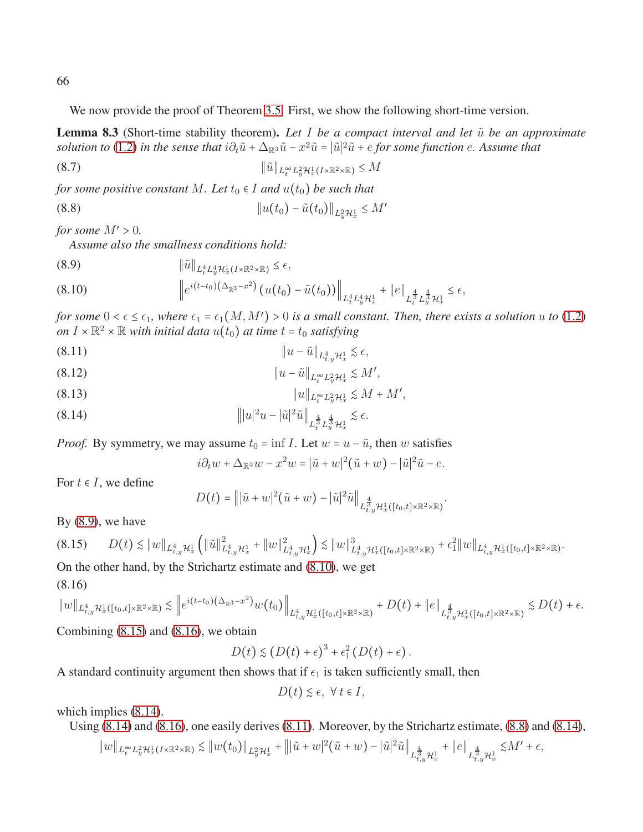66

<span id="page-65-9"></span>We now provide the proof of Theorem [3.5.](#page-10-3) First, we show the following short-time version.

<span id="page-65-10"></span>**Lemma 8.3** (Short-time stability theorem). Let I be a compact interval and let  $\tilde{u}$  be an approximate *solution to* [\(1.2\)](#page-2-0) *in the sense that*  $i\partial_t \tilde{u} + \Delta_{\mathbb{R}^3} \tilde{u} - x^2 \tilde{u} = |\tilde{u}|^2 \tilde{u} + e$  for some function e. Assume that

$$
(8.7) \t\t\t\t\t\|\tilde{u}\|_{L_t^\infty L_y^2 \mathcal{H}_x^1(I \times \mathbb{R}^2 \times \mathbb{R})} \leq M
$$

*for some positive constant* M. Let  $t_0 \in I$  *and*  $u(t_0)$  *be such that* 

(8.8) 
$$
\|u(t_0) - \tilde{u}(t_0)\|_{L_y^2 \mathcal{H}_x^1} \leq M'
$$

*for some*  $M' > 0$ *.* 

<span id="page-65-6"></span>*Assume also the smallness conditions hold:*

<span id="page-65-0"></span>
$$
(8.9) \t\t\t\t ||\tilde{u}||_{L_t^4 L_y^4 \mathcal{H}_x^1(I \times \mathbb{R}^2 \times \mathbb{R})} \le \epsilon,
$$

<span id="page-65-1"></span>∥e i(t−t0)(∆R3−x 2) (u(t0) − u˜(t0))∥ L4 <sup>t</sup> <sup>L</sup><sup>4</sup> <sup>y</sup>H<sup>1</sup> x + ∥e∥ L 4 3 <sup>t</sup> L 4 3 <sup>y</sup> H<sup>1</sup> x (8.10) ≤ ǫ,

*for some*  $0 < \epsilon \leq \epsilon_1$ *, where*  $\epsilon_1 = \epsilon_1(M, M') > 0$  *is a small constant. Then, there exists a solution* u *to* [\(1.2\)](#page-2-0) *on*  $I \times \mathbb{R}^2 \times \mathbb{R}$  *with initial data*  $u(t_0)$  *at time*  $t = t_0$  *satisfying* 

<span id="page-65-5"></span>∥u − u˜∥L<sup>4</sup> t,yH<sup>1</sup> x (8.11) ≲ ǫ,

<span id="page-65-7"></span>∥u − u˜∥L<sup>∞</sup> <sup>t</sup> <sup>L</sup><sup>2</sup> <sup>y</sup>H<sup>1</sup> x ≲ M′ (8.12) ,

<span id="page-65-8"></span>(8.13) 
$$
||u||_{L_t^{\infty} L_y^2 H_x^1} \lesssim M + M',
$$

<span id="page-65-4"></span>(8.14) 
$$
|||u|^2u - |\tilde{u}|^2\tilde{u}||_{L_t^{\frac{4}{3}}L_y^{\frac{4}{3}}\mathcal{H}_x^1} \lesssim \epsilon.
$$

*Proof.* By symmetry, we may assume  $t_0 = \inf I$ . Let  $w = u - \tilde{u}$ , then w satisfies

$$
i\partial_t w + \Delta_{\mathbb{R}^3} w - x^2 w = |\tilde{u} + w|^2 (\tilde{u} + w) - |\tilde{u}|^2 \tilde{u} - e.
$$

For  $t \in I$ , we define

$$
D(t) = ||\tilde{u} + w|^2 (\tilde{u} + w) - |\tilde{u}|^2 \tilde{u}||_{L^{\frac{4}{3}}_{t,y} \mathcal{H}^1_x([t_0,t] \times \mathbb{R}^2 \times \mathbb{R})}.
$$

By  $(8.9)$ , we have

<span id="page-65-2"></span>
$$
(8.15) \qquad D(t) \lesssim \|w\|_{L^4_{t,y}\mathcal{H}^1_x} \left( \|\tilde{u}\|_{L^4_{t,y}\mathcal{H}^1_x}^2 + \|w\|_{L^4_{t,y}\mathcal{H}^1_x}^2 \right) \lesssim \|w\|_{L^4_{t,y}\mathcal{H}^1_x([t_0,t]\times\mathbb{R}^2\times\mathbb{R})}^3 + \epsilon_1^2 \|w\|_{L^4_{t,y}\mathcal{H}^1_x([t_0,t]\times\mathbb{R}^2\times\mathbb{R})}.
$$

On the other hand, by the Strichartz estimate and [\(8.10\)](#page-65-1), we get

<span id="page-65-3"></span>
$$
(8.16)
$$

$$
\|w\|_{L_{t,y}^{4}\mathcal{H}_{x}^{1}([t_{0},t]\times\mathbb{R}^{2}\times\mathbb{R})}\lesssim\left\|e^{i(t-t_{0})(\Delta_{\mathbb{R}^{3}}-x^{2})}w(t_{0})\right\|_{L_{t,y}^{4}\mathcal{H}_{x}^{1}([t_{0},t]\times\mathbb{R}^{2}\times\mathbb{R})}+D(t)+\left\|e\right\|_{L_{t,y}^{\frac{4}{3}}\mathcal{H}_{x}^{1}([t_{0},t]\times\mathbb{R}^{2}\times\mathbb{R})}\lesssim D(t)+\epsilon.
$$

Combining [\(8.15\)](#page-65-2) and [\(8.16\)](#page-65-3), we obtain

$$
D(t) \leq (D(t) + \epsilon)^3 + \epsilon_1^2 (D(t) + \epsilon).
$$

A standard continuity argument then shows that if  $\epsilon_1$  is taken sufficiently small, then

$$
D(t)\lesssim \epsilon, \ \forall \ t\in I,
$$

which implies [\(8.14\)](#page-65-4).

Using [\(8.14\)](#page-65-4) and [\(8.16\)](#page-65-3), one easily derives [\(8.11\)](#page-65-5). Moreover, by the Strichartz estimate, [\(8.8\)](#page-65-6) and [\(8.14\)](#page-65-4),

$$
||w||_{L_t^{\infty}L_y^2\mathcal{H}_x^1(I\times\mathbb{R}^2\times\mathbb{R})}\lesssim ||w(t_0)||_{L_y^2\mathcal{H}_x^1}+ |||\tilde{u}+w|^2(\tilde{u}+w)-|\tilde{u}|^2\tilde{u}||_{L_{t,y}^{\frac{4}{3}}\mathcal{H}_x^1}+||e||_{L_{t,y}^{\frac{4}{3}}\mathcal{H}_x^1}\lesssim M'+\epsilon,
$$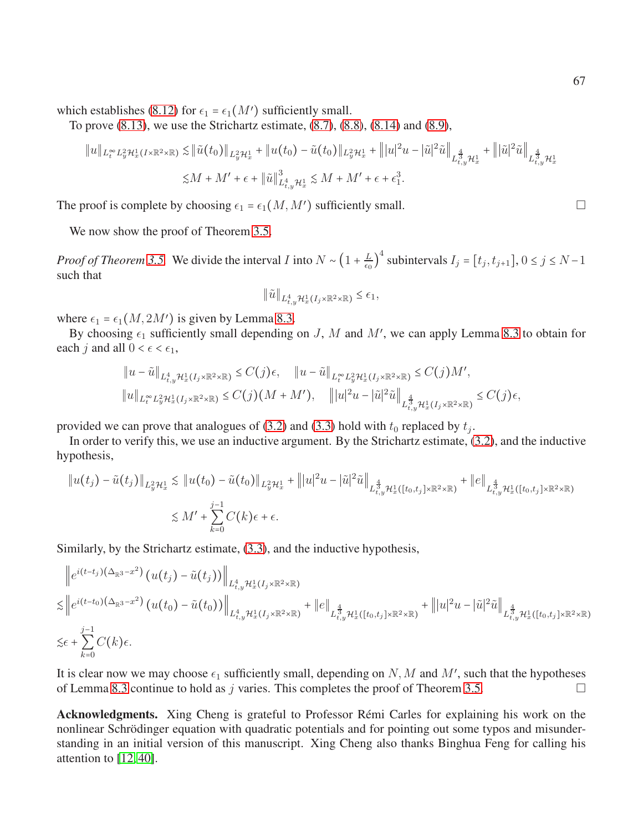which establishes [\(8.12\)](#page-65-7) for  $\epsilon_1 = \epsilon_1(M')$  sufficiently small.

To prove [\(8.13\)](#page-65-8), we use the Strichartz estimate, [\(8.7\)](#page-65-9), [\(8.8\)](#page-65-6), [\(8.14\)](#page-65-4) and [\(8.9\)](#page-65-0),

$$
\|u\|_{L_t^\infty L_y^2 \mathcal{H}_x^1(I \times \mathbb{R}^2 \times \mathbb{R})} \lesssim \|\tilde{u}(t_0)\|_{L_y^2 \mathcal{H}_x^1} + \|u(t_0) - \tilde{u}(t_0)\|_{L_y^2 \mathcal{H}_x^1} + \|u|^2 u - |\tilde{u}|^2 \tilde{u}\|_{L_{t,y}^{\frac{4}{3}} \mathcal{H}_x^1} + \|\tilde{u}|^2 \tilde{u}\|_{L_{t,y}^{\frac{4}{3}} \mathcal{H}_x^1}
$$
  

$$
\lesssim M + M' + \epsilon + \|\tilde{u}\|_{L_{t,y}^4 \mathcal{H}_x^1}^3 \lesssim M + M' + \epsilon + \epsilon_1^3.
$$

The proof is complete by choosing  $\epsilon_1 = \epsilon_1(M, M')$  sufficiently small.

We now show the proof of Theorem [3.5.](#page-10-3)

*Proof of Theorem [3.5.](#page-10-3)* We divide the interval *I* into  $N \sim \left(1 + \frac{L}{\epsilon_0}\right)$  $\frac{L}{\epsilon_0}$ <sup>4</sup> subintervals  $I_j = [t_j, t_{j+1}], 0 \le j \le N-1$ such that

$$
\|\tilde{u}\|_{L^4_{t,y}\mathcal{H}^1_x(I_j\times\mathbb{R}^2\times\mathbb{R})}\leq\epsilon_1,
$$

where  $\epsilon_1 = \epsilon_1(M, 2M')$  is given by Lemma [8.3.](#page-65-10)

By choosing  $\epsilon_1$  sufficiently small depending on J, M and M', we can apply Lemma [8.3](#page-65-10) to obtain for each j and all  $0 < \epsilon < \epsilon_1$ ,

$$
\|u - \tilde{u}\|_{L^4_{t,y}\mathcal{H}^1_x(I_j \times \mathbb{R}^2 \times \mathbb{R})} \le C(j)\epsilon, \quad \|u - \tilde{u}\|_{L^\infty_t L^2_y \mathcal{H}^1_x(I_j \times \mathbb{R}^2 \times \mathbb{R})} \le C(j)M',
$$
  

$$
\|u\|_{L^\infty_t L^2_y \mathcal{H}^1_x(I_j \times \mathbb{R}^2 \times \mathbb{R})} \le C(j)(M + M'), \quad \| |u|^2 u - |\tilde{u}|^2 \tilde{u} \|_{L^{\frac{4}{3}}_{t,y} \mathcal{H}^1_x(I_j \times \mathbb{R}^2 \times \mathbb{R})} \le C(j)\epsilon,
$$

provided we can prove that analogues of [\(3.2\)](#page-10-4) and [\(3.3\)](#page-10-5) hold with  $t_0$  replaced by  $t_j$ .

In order to verify this, we use an inductive argument. By the Strichartz estimate, [\(3.2\)](#page-10-4), and the inductive hypothesis,

$$
\|u(t_j) - \tilde{u}(t_j)\|_{L_y^2 \mathcal{H}_x^1} \lesssim \|u(t_0) - \tilde{u}(t_0)\|_{L_y^2 \mathcal{H}_x^1} + \| |u|^2 u - |\tilde{u}|^2 \tilde{u} \|_{L_{t,y}^{\frac{4}{3}} \mathcal{H}_x^1([t_0, t_j] \times \mathbb{R}^2 \times \mathbb{R})} + \|e\|_{L_{t,y}^{\frac{4}{3}} \mathcal{H}_x^1([t_0, t_j] \times \mathbb{R}^2 \times \mathbb{R})}
$$
  

$$
\lesssim M' + \sum_{k=0}^{j-1} C(k) \epsilon + \epsilon.
$$

Similarly, by the Strichartz estimate, [\(3.3\)](#page-10-5), and the inductive hypothesis,

$$
\|e^{i(t-t_j)(\Delta_{\mathbb{R}^3}-x^2)}(u(t_j)-\tilde{u}(t_j))\|_{L^4_{t,y}\mathcal{H}^1_x(I_j\times\mathbb{R}^2\times\mathbb{R})}\n\lesssim \|e^{i(t-t_0)(\Delta_{\mathbb{R}^3}-x^2)}(u(t_0)-\tilde{u}(t_0))\|_{L^4_{t,y}\mathcal{H}^1_x(I_j\times\mathbb{R}^2\times\mathbb{R})} + \|e\|_{L^{\frac{4}{3}}_{t,y}\mathcal{H}^1_x([t_0,t_j]\times\mathbb{R}^2\times\mathbb{R})} + \|u|^2u - |\tilde{u}|^2\tilde{u}\|_{L^{\frac{4}{3}}_{t,y}\mathcal{H}^1_x([t_0,t_j]\times\mathbb{R}^2\times\mathbb{R})}\n\lesssim \epsilon + \sum_{k=0}^{j-1} C(k)\epsilon.
$$

It is clear now we may choose  $\epsilon_1$  sufficiently small, depending on N, M and M', such that the hypotheses of Lemma [8.3](#page-65-10) continue to hold as j varies. This completes the proof of Theorem [3.5.](#page-10-3)

Acknowledgments. Xing Cheng is grateful to Professor Rémi Carles for explaining his work on the nonlinear Schrödinger equation with quadratic potentials and for pointing out some typos and misunderstanding in an initial version of this manuscript. Xing Cheng also thanks Binghua Feng for calling his attention to [\[12,](#page-67-13) [40\]](#page-68-3).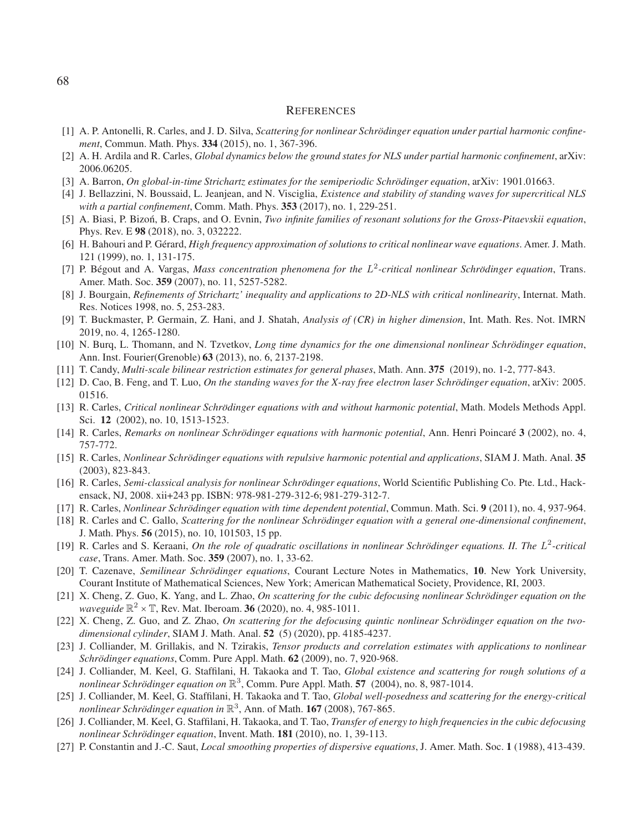#### **REFERENCES**

- <span id="page-67-4"></span><span id="page-67-2"></span>[1] A. P. Antonelli, R. Carles, and J. D. Silva, *Scattering for nonlinear Schrodinger equation under partial harmonic confine- ¨ ment*, Commun. Math. Phys. 334 (2015), no. 1, 367-396.
- <span id="page-67-6"></span>[2] A. H. Ardila and R. Carles, *Global dynamics below the ground states for NLS under partial harmonic confinement*, arXiv: 2006.06205.
- <span id="page-67-12"></span>[3] A. Barron, *On global-in-time Strichartz estimates for the semiperiodic Schrödinger equation*, arXiv: 1901.01663.
- [4] J. Bellazzini, N. Boussaid, L. Jeanjean, and N. Visciglia, *Existence and stability of standing waves for supercritical NLS with a partial confinement*, Comm. Math. Phys. 353 (2017), no. 1, 229-251.
- <span id="page-67-9"></span>[5] A. Biasi, P. Bizon, B. Craps, and O. Evnin, *Two infinite families of resonant solutions for the Gross-Pitaevskii equation*, Phys. Rev. E 98 (2018), no. 3, 032222.
- [6] H. Bahouri and P. G´erard, *High frequency approximation of solutions to critical nonlinear wave equations*. Amer. J. Math. 121 (1999), no. 1, 131-175.
- <span id="page-67-20"></span>[7] P. Bégout and A. Vargas, *Mass concentration phenomena for the*  $L^2$ -critical nonlinear Schrödinger equation, Trans. Amer. Math. Soc. 359 (2007), no. 11, 5257-5282.
- <span id="page-67-22"></span>[8] J. Bourgain, *Refinements of Strichartz' inequality and applications to 2D-NLS with critical nonlinearity*, Internat. Math. Res. Notices 1998, no. 5, 253-283.
- <span id="page-67-7"></span>[9] T. Buckmaster, P. Germain, Z. Hani, and J. Shatah, *Analysis of (CR) in higher dimension*, Int. Math. Res. Not. IMRN 2019, no. 4, 1265-1280.
- <span id="page-67-23"></span>[10] N. Burq, L. Thomann, and N. Tzvetkov, *Long time dynamics for the one dimensional nonlinear Schrödinger equation*, Ann. Inst. Fourier(Grenoble) 63 (2013), no. 6, 2137-2198.
- <span id="page-67-13"></span>[11] T. Candy, *Multi-scale bilinear restriction estimates for general phases*, Math. Ann. 375 (2019), no. 1-2, 777-843.
- <span id="page-67-16"></span>[12] D. Cao, B. Feng, and T. Luo, *On the standing waves for the X-ray free electron laser Schrödinger equation*, arXiv: 2005. 01516.
- [13] R. Carles, *Critical nonlinear Schrödinger equations with and without harmonic potential*, Math. Models Methods Appl. Sci. 12 (2002), no. 10, 1513-1523.
- <span id="page-67-17"></span><span id="page-67-0"></span>[14] R. Carles, *Remarks on nonlinear Schrödinger equations with harmonic potential*, Ann. Henri Poincaré 3 (2002), no. 4, 757-772.
- [15] R. Carles, *Nonlinear Schrödinger equations with repulsive harmonic potential and applications*, SIAM J. Math. Anal. 35 (2003), 823-843.
- <span id="page-67-1"></span>[16] R. Carles, *Semi-classical analysis for nonlinear Schrödinger equations*, World Scientific Publishing Co. Pte. Ltd., Hackensack, NJ, 2008. xii+243 pp. ISBN: 978-981-279-312-6; 981-279-312-7.
- <span id="page-67-18"></span><span id="page-67-3"></span>[17] R. Carles, *Nonlinear Schrödinger equation with time dependent potential*, Commun. Math. Sci. 9 (2011), no. 4, 937-964.
- [18] R. Carles and C. Gallo, *Scattering for the nonlinear Schrödinger equation with a general one-dimensional confinement*, J. Math. Phys. 56 (2015), no. 10, 101503, 15 pp.
- <span id="page-67-19"></span>[19] R. Carles and S. Keraani, *On the role of quadratic oscillations in nonlinear Schrödinger equations. II. The L<sup>2</sup>-critical case*, Trans. Amer. Math. Soc. 359 (2007), no. 1, 33-62.
- <span id="page-67-24"></span>[20] T. Cazenave, *Semilinear Schrödinger equations*, Courant Lecture Notes in Mathematics, 10. New York University, Courant Institute of Mathematical Sciences, New York; American Mathematical Society, Providence, RI, 2003.
- <span id="page-67-10"></span>[21] X. Cheng, Z. Guo, K. Yang, and L. Zhao, *On scattering for the cubic defocusing nonlinear Schrödinger equation on the waveguide* R <sup>2</sup> × T, Rev. Mat. Iberoam. 36 (2020), no. 4, 985-1011.
- <span id="page-67-11"></span>[22] X. Cheng, Z. Guo, and Z. Zhao, *On scattering for the defocusing quintic nonlinear Schrodinger equation on the two- ¨ dimensional cylinder*, SIAM J. Math. Anal. 52 (5) (2020), pp. 4185-4237.
- <span id="page-67-15"></span>[23] J. Colliander, M. Grillakis, and N. Tzirakis, *Tensor products and correlation estimates with applications to nonlinear Schrödinger equations*, Comm. Pure Appl. Math. 62 (2009), no. 7, 920-968.
- <span id="page-67-14"></span>[24] J. Colliander, M. Keel, G. Staffilani, H. Takaoka and T. Tao, *Global existence and scattering for rough solutions of a nonlinear Schrödinger equation on*  $\mathbb{R}^3$ , Comm. Pure Appl. Math. **57** (2004), no. 8, 987-1014.
- <span id="page-67-5"></span>[25] J. Colliander, M. Keel, G. Staffilani, H. Takaoka and T. Tao, *Global well-posedness and scattering for the energy-critical* nonlinear Schrödinger equation in  $\mathbb{R}^3$ , Ann. of Math. **167** (2008), 767-865.
- <span id="page-67-8"></span>[26] J. Colliander, M. Keel, G. Staffilani, H. Takaoka, and T. Tao, *Transfer of energy to high frequencies in the cubic defocusing nonlinear Schrödinger equation*, Invent. Math. 181 (2010), no. 1, 39-113.
- <span id="page-67-21"></span>[27] P. Constantin and J.-C. Saut, *Local smoothing properties of dispersive equations*, J. Amer. Math. Soc. 1 (1988), 413-439.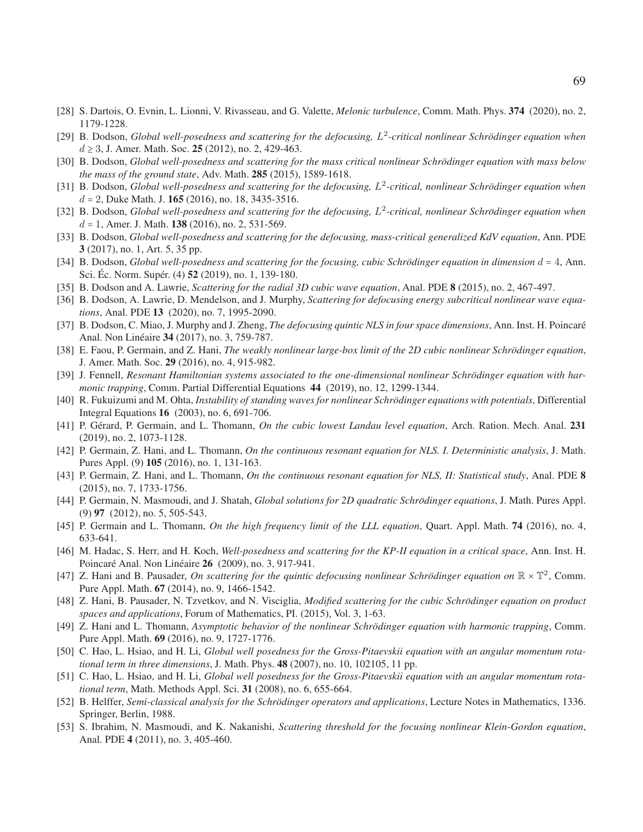- <span id="page-68-8"></span><span id="page-68-0"></span>[28] S. Dartois, O. Evnin, L. Lionni, V. Rivasseau, and G. Valette, *Melonic turbulence*, Comm. Math. Phys. 374 (2020), no. 2, 1179-1228.
- [29] B. Dodson, *Global well-posedness and scattering for the defocusing, L<sup>2</sup>-critical nonlinear Schrödinger equation when*  $d \geq 3$ , J. Amer. Math. Soc. 25 (2012), no. 2, 429-463.
- [30] B. Dodson, *Global well-posedness and scattering for the mass critical nonlinear Schrödinger equation with mass below the mass of the ground state*, Adv. Math. 285 (2015), 1589-1618.
- <span id="page-68-1"></span>[31] B. Dodson, *Global well-posedness and scattering for the defocusing, L<sup>2</sup>-critical, nonlinear Schrödinger equation when*  $d = 2$ , Duke Math. J. 165 (2016), no. 18, 3435-3516.
- <span id="page-68-2"></span>[32] B. Dodson, *Global well-posedness and scattering for the defocusing, L<sup>2</sup>-critical, nonlinear Schrödinger equation when*  $d = 1$ , Amer. J. Math. 138 (2016), no. 2, 531-569.
- [33] B. Dodson, *Global well-posedness and scattering for the defocusing, mass-critical generalized KdV equation*, Ann. PDE 3 (2017), no. 1, Art. 5, 35 pp.
- <span id="page-68-17"></span>[34] B. Dodson, *Global well-posedness and scattering for the focusing, cubic Schrödinger equation in dimension*  $d = 4$ *, Ann.* Sci. Éc. Norm. Supér. (4) **52** (2019), no. 1, 139-180.
- [35] B. Dodson and A. Lawrie, *Scattering for the radial 3D cubic wave equation*, Anal. PDE 8 (2015), no. 2, 467-497.
- <span id="page-68-18"></span>[36] B. Dodson, A. Lawrie, D. Mendelson, and J. Murphy, *Scattering for defocusing energy subcritical nonlinear wave equations*, Anal. PDE 13 (2020), no. 7, 1995-2090.
- <span id="page-68-7"></span>[37] B. Dodson, C. Miao, J. Murphy and J. Zheng, *The defocusing quintic NLS in four space dimensions*, Ann. Inst. H. Poincar´e Anal. Non Linéaire 34 (2017), no. 3, 759-787.
- <span id="page-68-9"></span>[38] E. Faou, P. Germain, and Z. Hani, *The weakly nonlinear large-box limit of the 2D cubic nonlinear Schrödinger equation*, J. Amer. Math. Soc. 29 (2016), no. 4, 915-982.
- [39] J. Fennell, *Resonant Hamiltonian systems associated to the one-dimensional nonlinear Schrodinger equation with har- ¨ monic trapping*, Comm. Partial Differential Equations 44 (2019), no. 12, 1299-1344.
- <span id="page-68-3"></span>[40] R. Fukuizumi and M. Ohta, *Instability of standing waves for nonlinear Schrödinger equations with potentials*, Differential Integral Equations 16 (2003), no. 6, 691-706.
- <span id="page-68-14"></span>[41] P. Gérard, P. Germain, and L. Thomann, *On the cubic lowest Landau level equation*, Arch. Ration. Mech. Anal. 231 (2019), no. 2, 1073-1128.
- <span id="page-68-10"></span>[42] P. Germain, Z. Hani, and L. Thomann, *On the continuous resonant equation for NLS. I. Deterministic analysis*, J. Math. Pures Appl. (9) 105 (2016), no. 1, 131-163.
- <span id="page-68-11"></span>[43] P. Germain, Z. Hani, and L. Thomann, *On the continuous resonant equation for NLS, II: Statistical study*, Anal. PDE 8 (2015), no. 7, 1733-1756.
- <span id="page-68-21"></span>[44] P. Germain, N. Masmoudi, and J. Shatah, *Global solutions for 2D quadratic Schrödinger equations*, J. Math. Pures Appl. (9) 97 (2012), no. 5, 505-543.
- <span id="page-68-20"></span><span id="page-68-15"></span>[45] P. Germain and L. Thomann, *On the high frequency limit of the LLL equation*, Quart. Appl. Math. 74 (2016), no. 4, 633-641.
- [46] M. Hadac, S. Herr, and H. Koch, *Well-posedness and scattering for the KP-II equation in a critical space*, Ann. Inst. H. Poincaré Anal. Non Linéaire 26 (2009), no. 3, 917-941.
- <span id="page-68-6"></span>[47] Z. Hani and B. Pausader, *On scattering for the quintic defocusing nonlinear Schrödinger equation on*  $\mathbb{R} \times \mathbb{T}^2$ , Comm. Pure Appl. Math. 67 (2014), no. 9, 1466-1542.
- <span id="page-68-12"></span>[48] Z. Hani, B. Pausader, N. Tzvetkov, and N. Visciglia, *Modified scattering for the cubic Schrodinger equation on product ¨ spaces and applications*, Forum of Mathematics, PI. (2015), Vol. 3, 1-63.
- <span id="page-68-13"></span>[49] Z. Hani and L. Thomann, *Asymptotic behavior of the nonlinear Schrödinger equation with harmonic trapping*, Comm. Pure Appl. Math. 69 (2016), no. 9, 1727-1776.
- <span id="page-68-4"></span>[50] C. Hao, L. Hsiao, and H. Li, *Global well posedness for the Gross-Pitaevskii equation with an angular momentum rotational term in three dimensions*, J. Math. Phys. 48 (2007), no. 10, 102105, 11 pp.
- <span id="page-68-5"></span>[51] C. Hao, L. Hsiao, and H. Li, *Global well posedness for the Gross-Pitaevskii equation with an angular momentum rotational term*, Math. Methods Appl. Sci. 31 (2008), no. 6, 655-664.
- <span id="page-68-19"></span>[52] B. Helffer, *Semi-classical analysis for the Schrödinger operators and applications*, Lecture Notes in Mathematics, 1336. Springer, Berlin, 1988.
- <span id="page-68-16"></span>[53] S. Ibrahim, N. Masmoudi, and K. Nakanishi, *Scattering threshold for the focusing nonlinear Klein-Gordon equation*, Anal. PDE 4 (2011), no. 3, 405-460.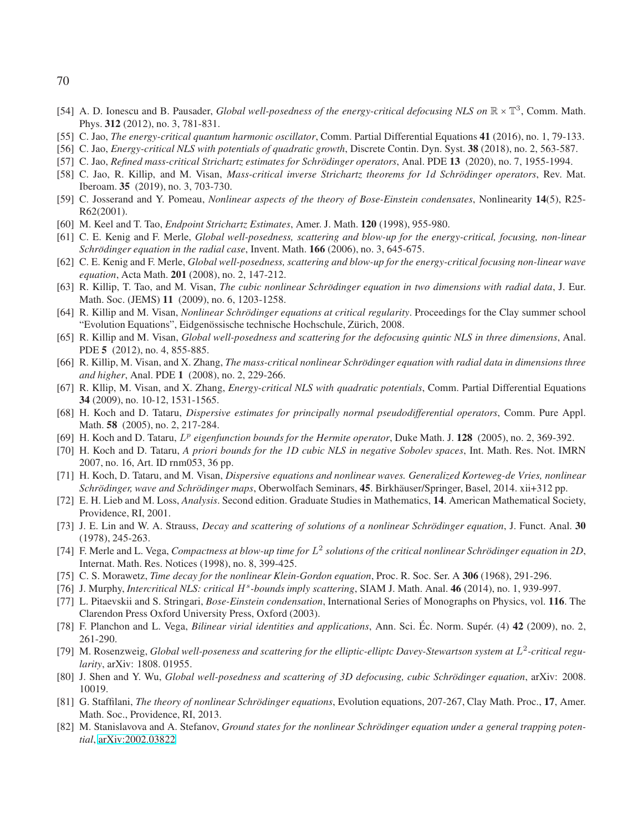- 70
- <span id="page-69-13"></span>[54] A. D. Ionescu and B. Pausader, *Global well-posedness of the energy-critical defocusing NLS on*  $\mathbb{R} \times \mathbb{T}^3$ , Comm. Math. Phys. 312 (2012), no. 3, 781-831.
- <span id="page-69-6"></span><span id="page-69-5"></span>[55] C. Jao, *The energy-critical quantum harmonic oscillator*, Comm. Partial Differential Equations 41 (2016), no. 1, 79-133.
- <span id="page-69-22"></span>[56] C. Jao, *Energy-critical NLS with potentials of quadratic growth*, Discrete Contin. Dyn. Syst. 38 (2018), no. 2, 563-587.
- <span id="page-69-21"></span>[57] C. Jao, *Refined mass-critical Strichartz estimates for Schrödinger operators*, Anal. PDE 13 (2020), no. 7, 1955-1994.
- <span id="page-69-2"></span>[58] C. Jao, R. Killip, and M. Visan, *Mass-critical inverse Strichartz theorems for 1d Schrödinger operators*, Rev. Mat. Iberoam. 35 (2019), no. 3, 703-730.
- <span id="page-69-23"></span>[59] C. Josserand and Y. Pomeau, *Nonlinear aspects of the theory of Bose-Einstein condensates*, Nonlinearity 14(5), R25- R62(2001).
- <span id="page-69-0"></span>[60] M. Keel and T. Tao, *Endpoint Strichartz Estimates*, Amer. J. Math. 120 (1998), 955-980.
- <span id="page-69-1"></span>[61] C. E. Kenig and F. Merle, *Global well-posedness, scattering and blow-up for the energy-critical, focusing, non-linear Schrödinger equation in the radial case*, Invent. Math. **166** (2006), no. 3, 645-675.
- <span id="page-69-9"></span>[62] C. E. Kenig and F. Merle, *Global well-posedness, scattering and blow-up for the energy-critical focusing non-linear wave equation*, Acta Math. 201 (2008), no. 2, 147-212.
- <span id="page-69-8"></span>[63] R. Killip, T. Tao, and M. Visan, *The cubic nonlinear Schrödinger equation in two dimensions with radial data*, J. Eur. Math. Soc. (JEMS) 11 (2009), no. 6, 1203-1258.
- [64] R. Killip and M. Visan, *Nonlinear Schrödinger equations at critical regularity*. Proceedings for the Clay summer school "Evolution Equations", Eidgenössische technische Hochschule, Zürich, 2008.
- <span id="page-69-15"></span><span id="page-69-10"></span>[65] R. Killip and M. Visan, *Global well-posedness and scattering for the defocusing quintic NLS in three dimensions*, Anal. PDE 5 (2012), no. 4, 855-885.
- [66] R. Killip, M. Visan, and X. Zhang, *The mass-critical nonlinear Schrödinger equation with radial data in dimensions three and higher*, Anal. PDE 1 (2008), no. 2, 229-266.
- <span id="page-69-4"></span>[67] R. Kllip, M. Visan, and X. Zhang, *Energy-critical NLS with quadratic potentials*, Comm. Partial Differential Equations 34 (2009), no. 10-12, 1531-1565.
- <span id="page-69-24"></span>[68] H. Koch and D. Tataru, *Dispersive estimates for principally normal pseudodifferential operators*, Comm. Pure Appl. Math. 58 (2005), no. 2, 217-284.
- <span id="page-69-25"></span><span id="page-69-18"></span>[69] H. Koch and D. Tataru, L<sup>p</sup> eigenfunction bounds for the Hermite operator, Duke Math. J. 128 (2005), no. 2, 369-392.
- [70] H. Koch and D. Tataru, *A priori bounds for the 1D cubic NLS in negative Sobolev spaces*, Int. Math. Res. Not. IMRN 2007, no. 16, Art. ID rnm053, 36 pp.
- <span id="page-69-19"></span>[71] H. Koch, D. Tataru, and M. Visan, *Dispersive equations and nonlinear waves. Generalized Korteweg-de Vries, nonlinear Schrödinger, wave and Schrödinger maps*, Oberwolfach Seminars, 45. Birkhäuser/Springer, Basel, 2014. xii+312 pp.
- <span id="page-69-20"></span>[72] E. H. Lieb and M. Loss, *Analysis*. Second edition. Graduate Studies in Mathematics, 14. American Mathematical Society, Providence, RI, 2001.
- <span id="page-69-26"></span>[73] J. E. Lin and W. A. Strauss, *Decay and scattering of solutions of a nonlinear Schrödinger equation*, J. Funct. Anal. 30 (1978), 245-263.
- <span id="page-69-12"></span>[74] F. Merle and L. Vega, *Compactness at blow-up time for*  $L^2$  solutions of the critical nonlinear Schrödinger equation in 2D, Internat. Math. Res. Notices (1998), no. 8, 399-425.
- <span id="page-69-27"></span><span id="page-69-16"></span>[75] C. S. Morawetz, *Time decay for the nonlinear Klein-Gordon equation*, Proc. R. Soc. Ser. A 306 (1968), 291-296.
- <span id="page-69-3"></span>[76] J. Murphy, *Intercritical NLS: critical H<sup>s</sup>-bounds imply scattering*, SIAM J. Math. Anal. 46 (2014), no. 1, 939-997.
- [77] L. Pitaevskii and S. Stringari, *Bose-Einstein condensation*, International Series of Monographs on Physics, vol. 116. The Clarendon Press Oxford University Press, Oxford (2003).
- <span id="page-69-14"></span>[78] F. Planchon and L. Vega, *Bilinear virial identities and applications*, Ann. Sci. Éc. Norm. Supér. (4) 42 (2009), no. 2, 261-290.
- <span id="page-69-17"></span>[79] M. Rosenzweig, *Global well-poseness and scattering for the elliptic-elliptc Davey-Stewartson system at L<sup>2</sup>-critical regularity*, arXiv: 1808. 01955.
- <span id="page-69-28"></span>[80] J. Shen and Y. Wu, *Global well-posedness and scattering of 3D defocusing, cubic Schrödinger equation, arXiv: 2008.* 10019.
- <span id="page-69-7"></span>[81] G. Staffilani, *The theory of nonlinear Schrödinger equations*, Evolution equations, 207-267, Clay Math. Proc., 17, Amer. Math. Soc., Providence, RI, 2013.
- <span id="page-69-11"></span>[82] M. Stanislavova and A. Stefanov, *Ground states for the nonlinear Schrodinger equation under a general trapping poten- ¨ tial*, [arXiv:2002.03822.](http://arxiv.org/abs/2002.03822)